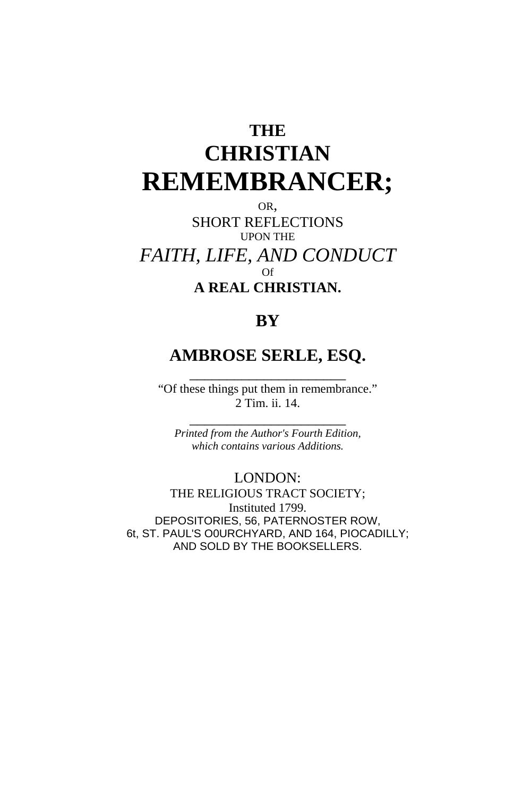# **THE CHRISTIAN REMEMBRANCER;**

OR, SHORT REFLECTIONS UPON THE *FAITH, LIFE, AND CONDUCT*  Of **A REAL CHRISTIAN.**

#### **BY**

#### **AMBROSE SERLE, ESQ.** \_\_\_\_\_\_\_\_\_\_\_\_\_\_\_\_\_\_\_\_\_

"Of these things put them in remembrance." 2 Tim. ii. 14.

\_\_\_\_\_\_\_\_\_\_\_\_\_\_\_\_\_\_\_\_\_ *Printed from the Author's Fourth Edition, which contains various Additions.*

#### LONDON:

THE RELIGIOUS TRACT SOCIETY; Instituted 1799. DEPOSITORIES, 56, PATERNOSTER ROW, 6t, ST. PAUL'S O0URCHYARD, AND 164, PIOCADILLY; AND SOLD BY THE BOOKSELLERS.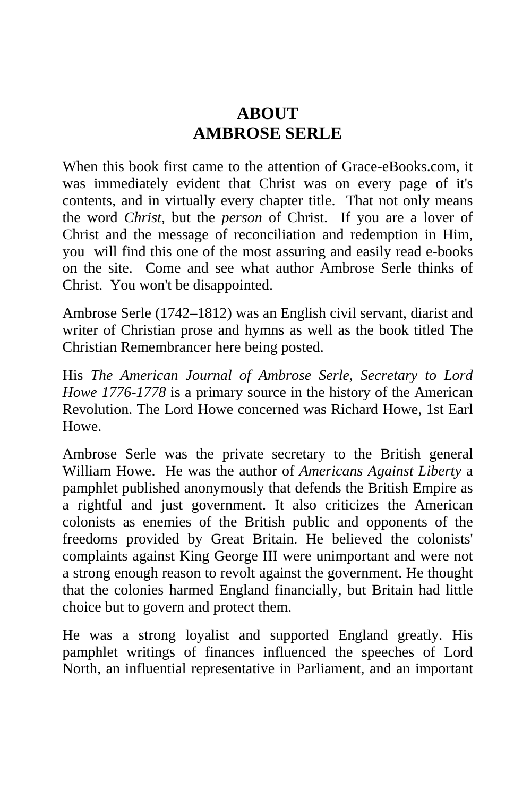## **ABOUT AMBROSE SERLE**

When this book first came to the attention of Grace-eBooks.com, it was immediately evident that Christ was on every page of it's contents, and in virtually every chapter title. That not only means the word *Christ*, but the *person* of Christ. If you are a lover of Christ and the message of reconciliation and redemption in Him, you will find this one of the most assuring and easily read e-books on the site. Come and see what author Ambrose Serle thinks of Christ. You won't be disappointed.

Ambrose Serle (1742–1812) was an English civil servant, diarist and writer of Christian prose and hymns as well as the book titled The Christian Remembrancer here being posted.

His *The American Journal of Ambrose Serle*, *Secretary to Lord Howe 1776-1778* is a primary source in the history of the American Revolution. The Lord Howe concerned was Richard Howe, 1st Earl Howe.

Ambrose Serle was the private secretary to the British general William Howe. He was the author of *Americans Against Liberty* a pamphlet published anonymously that defends the British Empire as a rightful and just government. It also criticizes the American colonists as enemies of the British public and opponents of the freedoms provided by Great Britain. He believed the colonists' complaints against King George III were unimportant and were not a strong enough reason to revolt against the government. He thought that the colonies harmed England financially, but Britain had little choice but to govern and protect them.

He was a strong loyalist and supported England greatly. His pamphlet writings of finances influenced the speeches of Lord North, an influential representative in Parliament, and an important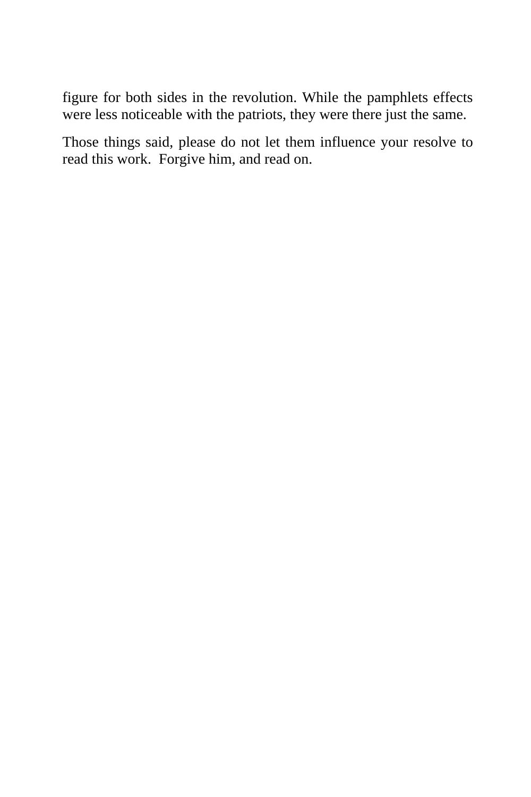figure for both sides in the revolution. While the pamphlets effects were less noticeable with the patriots, they were there just the same.

Those things said, please do not let them influence your resolve to read this work. Forgive him, and read on.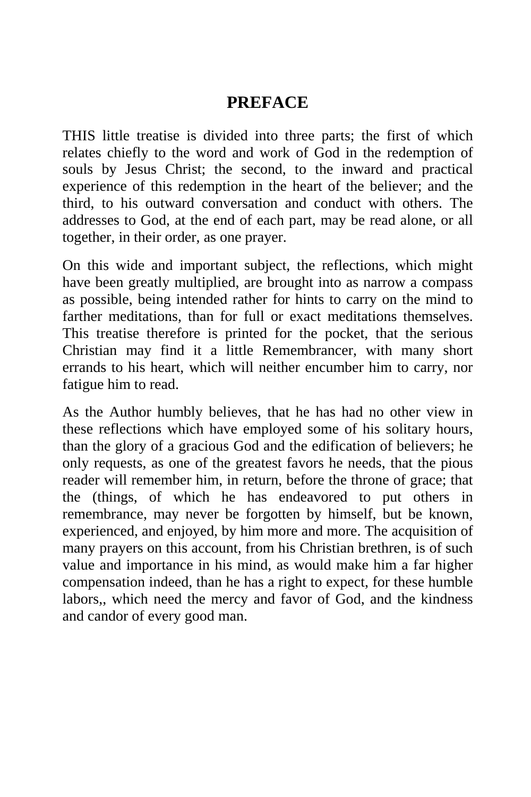#### **PREFACE**

THIS little treatise is divided into three parts; the first of which relates chiefly to the word and work of God in the redemption of souls by Jesus Christ; the second, to the inward and practical experience of this redemption in the heart of the believer; and the third, to his outward conversation and conduct with others. The addresses to God, at the end of each part, may be read alone, or all together, in their order, as one prayer.

On this wide and important subject, the reflections, which might have been greatly multiplied, are brought into as narrow a compass as possible, being intended rather for hints to carry on the mind to farther meditations, than for full or exact meditations themselves. This treatise therefore is printed for the pocket, that the serious Christian may find it a little Remembrancer, with many short errands to his heart, which will neither encumber him to carry, nor fatigue him to read.

As the Author humbly believes, that he has had no other view in these reflections which have employed some of his solitary hours, than the glory of a gracious God and the edification of believers; he only requests, as one of the greatest favors he needs, that the pious reader will remember him, in return, before the throne of grace; that the (things, of which he has endeavored to put others in remembrance, may never be forgotten by himself, but be known, experienced, and enjoyed, by him more and more. The acquisition of many prayers on this account, from his Christian brethren, is of such value and importance in his mind, as would make him a far higher compensation indeed, than he has a right to expect, for these humble labors,, which need the mercy and favor of God, and the kindness and candor of every good man.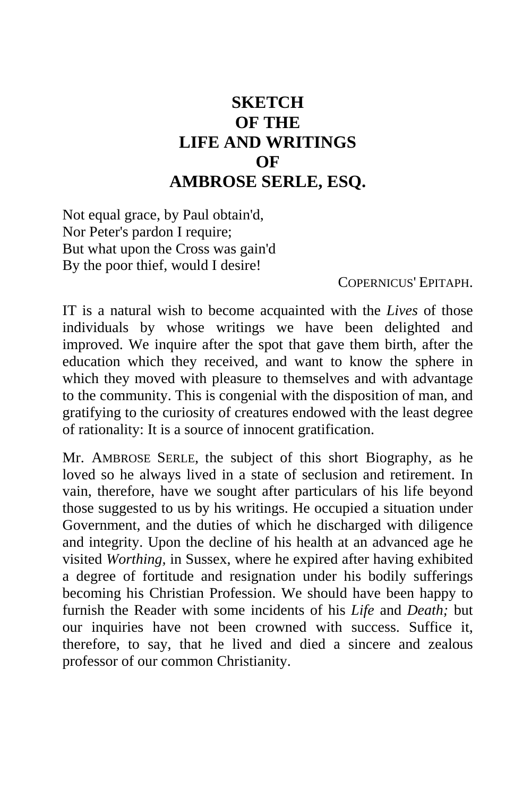## **SKETCH OF THE LIFE AND WRITINGS OF AMBROSE SERLE, ESQ.**

Not equal grace, by Paul obtain'd, Nor Peter's pardon I require; But what upon the Cross was gain'd By the poor thief, would I desire!

COPERNICUS' EPITAPH.

IT is a natural wish to become acquainted with the *Lives* of those individuals by whose writings we have been delighted and improved. We inquire after the spot that gave them birth, after the education which they received, and want to know the sphere in which they moved with pleasure to themselves and with advantage to the community. This is congenial with the disposition of man, and gratifying to the curiosity of creatures endowed with the least degree of rationality: It is a source of innocent gratification.

Mr. AMBROSE SERLE, the subject of this short Biography, as he loved so he always lived in a state of seclusion and retirement. In vain, therefore, have we sought after particulars of his life beyond those suggested to us by his writings. He occupied a situation under Government, and the duties of which he discharged with diligence and integrity. Upon the decline of his health at an advanced age he visited *Worthing,* in Sussex, where he expired after having exhibited a degree of fortitude and resignation under his bodily sufferings becoming his Christian Profession. We should have been happy to furnish the Reader with some incidents of his *Life* and *Death;* but our inquiries have not been crowned with success. Suffice it, therefore, to say, that he lived and died a sincere and zealous professor of our common Christianity.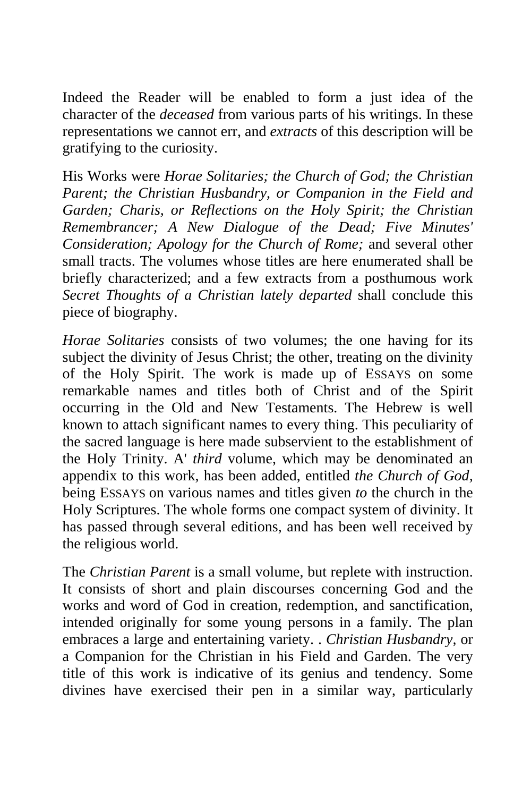Indeed the Reader will be enabled to form a just idea of the character of the *deceased* from various parts of his writings. In these representations we cannot err, and *extracts* of this description will be gratifying to the curiosity.

His Works were *Horae Solitaries; the Church of God; the Christian Parent; the Christian Husbandry, or Companion in the Field and Garden; Charis, or Reflections on the Holy Spirit; the Christian Remembrancer; A New Dialogue of the Dead; Five Minutes' Consideration; Apology for the Church of Rome;* and several other small tracts. The volumes whose titles are here enumerated shall be briefly characterized; and a few extracts from a posthumous work *Secret Thoughts of a Christian lately departed* shall conclude this piece of biography.

*Horae Solitaries* consists of two volumes; the one having for its subject the divinity of Jesus Christ; the other, treating on the divinity of the Holy Spirit. The work is made up of ESSAYS on some remarkable names and titles both of Christ and of the Spirit occurring in the Old and New Testaments. The Hebrew is well known to attach significant names to every thing. This peculiarity of the sacred language is here made subservient to the establishment of the Holy Trinity. A' *third* volume, which may be denominated an appendix to this work, has been added, entitled *the Church of God,*  being ESSAYS on various names and titles given *to* the church in the Holy Scriptures. The whole forms one compact system of divinity. It has passed through several editions, and has been well received by the religious world.

The *Christian Parent* is a small volume, but replete with instruction. It consists of short and plain discourses concerning God and the works and word of God in creation, redemption, and sanctification, intended originally for some young persons in a family. The plan embraces a large and entertaining variety. . *Christian Husbandry,* or a Companion for the Christian in his Field and Garden. The very title of this work is indicative of its genius and tendency. Some divines have exercised their pen in a similar way, particularly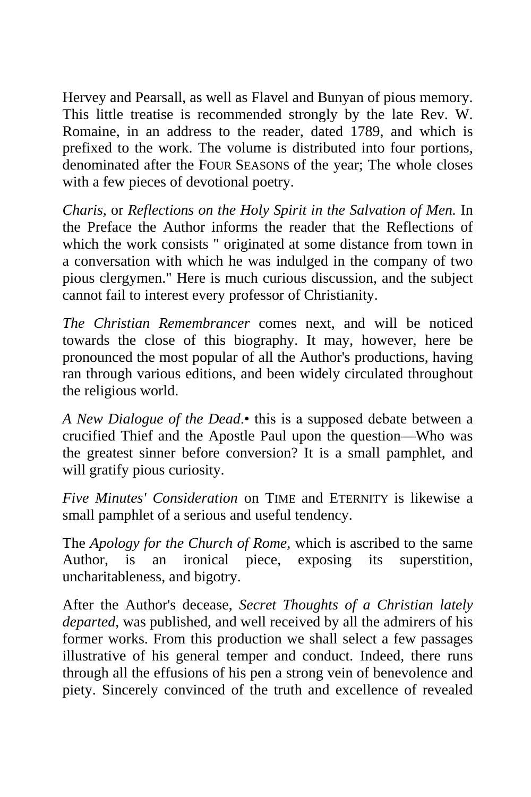Hervey and Pearsall, as well as Flavel and Bunyan of pious memory. This little treatise is recommended strongly by the late Rev. W. Romaine, in an address to the reader, dated 1789, and which is prefixed to the work. The volume is distributed into four portions, denominated after the FOUR SEASONS of the year; The whole closes with a few pieces of devotional poetry.

*Charis,* or *Reflections on the Holy Spirit in the Salvation of Men.* In the Preface the Author informs the reader that the Reflections of which the work consists " originated at some distance from town in a conversation with which he was indulged in the company of two pious clergymen." Here is much curious discussion, and the subject cannot fail to interest every professor of Christianity.

*The Christian Remembrancer* comes next, and will be noticed towards the close of this biography. It may, however, here be pronounced the most popular of all the Author's productions, having ran through various editions, and been widely circulated throughout the religious world.

*A New Dialogue of the Dead*.• this is a supposed debate between a crucified Thief and the Apostle Paul upon the question—Who was the greatest sinner before conversion? It is a small pamphlet, and will gratify pious curiosity.

*Five Minutes' Consideration* on TIME and ETERNITY is likewise a small pamphlet of a serious and useful tendency.

The *Apology for the Church of Rome,* which is ascribed to the same Author, is an ironical piece, exposing its superstition, uncharitableness, and bigotry.

After the Author's decease, *Secret Thoughts of a Christian lately departed,* was published, and well received by all the admirers of his former works. From this production we shall select a few passages illustrative of his general temper and conduct. Indeed, there runs through all the effusions of his pen a strong vein of benevolence and piety. Sincerely convinced of the truth and excellence of revealed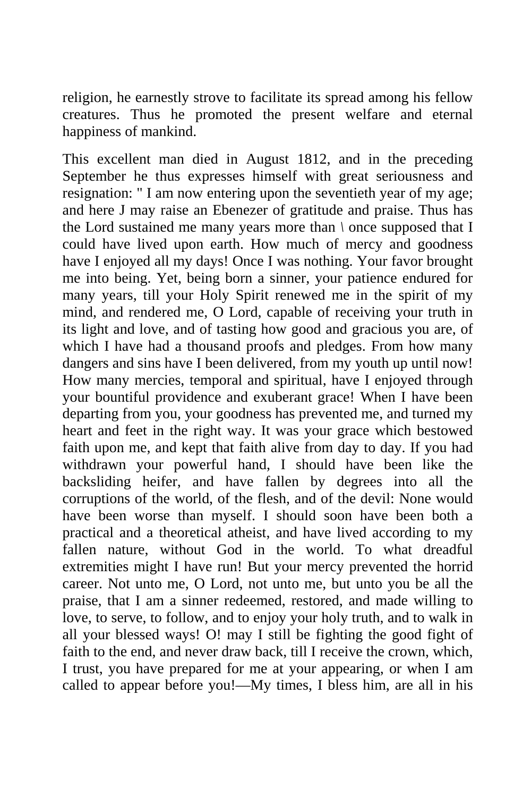religion, he earnestly strove to facilitate its spread among his fellow creatures. Thus he promoted the present welfare and eternal happiness of mankind.

This excellent man died in August 1812, and in the preceding September he thus expresses himself with great seriousness and resignation: " I am now entering upon the seventieth year of my age; and here J may raise an Ebenezer of gratitude and praise. Thus has the Lord sustained me many years more than *\* once supposed that I could have lived upon earth. How much of mercy and goodness have I enjoyed all my days! Once I was nothing. Your favor brought me into being. Yet, being born a sinner, your patience endured for many years, till your Holy Spirit renewed me in the spirit of my mind, and rendered me, O Lord, capable of receiving your truth in its light and love, and of tasting how good and gracious you are, of which I have had a thousand proofs and pledges. From how many dangers and sins have I been delivered, from my youth up until now! How many mercies, temporal and spiritual, have I enjoyed through your bountiful providence and exuberant grace! When I have been departing from you, your goodness has prevented me, and turned my heart and feet in the right way. It was your grace which bestowed faith upon me, and kept that faith alive from day to day. If you had withdrawn your powerful hand, I should have been like the backsliding heifer, and have fallen by degrees into all the corruptions of the world, of the flesh, and of the devil: None would have been worse than myself. I should soon have been both a practical and a theoretical atheist, and have lived according to my fallen nature, without God in the world. To what dreadful extremities might I have run! But your mercy prevented the horrid career. Not unto me, O Lord, not unto me, but unto you be all the praise, that I am a sinner redeemed, restored, and made willing to love, to serve, to follow, and to enjoy your holy truth, and to walk in all your blessed ways! O! may I still be fighting the good fight of faith to the end, and never draw back, till I receive the crown, which, I trust, you have prepared for me at your appearing, or when I am called to appear before you!—My times, I bless him, are all in his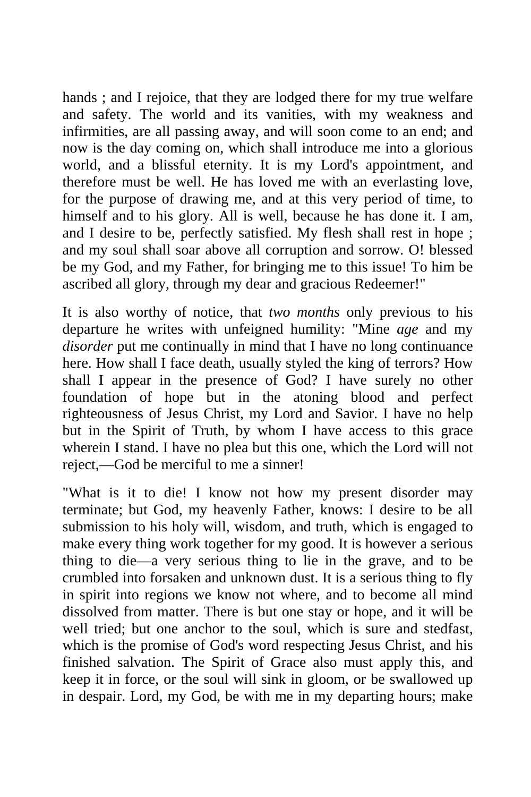hands ; and I rejoice, that they are lodged there for my true welfare and safety. The world and its vanities, with my weakness and infirmities, are all passing away, and will soon come to an end; and now is the day coming on, which shall introduce me into a glorious world, and a blissful eternity. It is my Lord's appointment, and therefore must be well. He has loved me with an everlasting love, for the purpose of drawing me, and at this very period of time, to himself and to his glory. All is well, because he has done it. I am, and I desire to be, perfectly satisfied. My flesh shall rest in hope ; and my soul shall soar above all corruption and sorrow. O! blessed be my God, and my Father, for bringing me to this issue! To him be ascribed all glory, through my dear and gracious Redeemer!"

It is also worthy of notice, that *two months* only previous to his departure he writes with unfeigned humility: "Mine *age* and my *disorder* put me continually in mind that I have no long continuance here. How shall I face death, usually styled the king of terrors? How shall I appear in the presence of God? I have surely no other foundation of hope but in the atoning blood and perfect righteousness of Jesus Christ, my Lord and Savior. I have no help but in the Spirit of Truth, by whom I have access to this grace wherein I stand. I have no plea but this one, which the Lord will not reject,—God be merciful to me a sinner!

"What is it to die! I know not how my present disorder may terminate; but God, my heavenly Father, knows: I desire to be all submission to his holy will, wisdom, and truth, which is engaged to make every thing work together for my good. It is however a serious thing to die—a very serious thing to lie in the grave, and to be crumbled into forsaken and unknown dust. It is a serious thing to fly in spirit into regions we know not where, and to become all mind dissolved from matter. There is but one stay or hope, and it will be well tried; but one anchor to the soul, which is sure and stedfast, which is the promise of God's word respecting Jesus Christ, and his finished salvation. The Spirit of Grace also must apply this, and keep it in force, or the soul will sink in gloom, or be swallowed up in despair. Lord, my God, be with me in my departing hours; make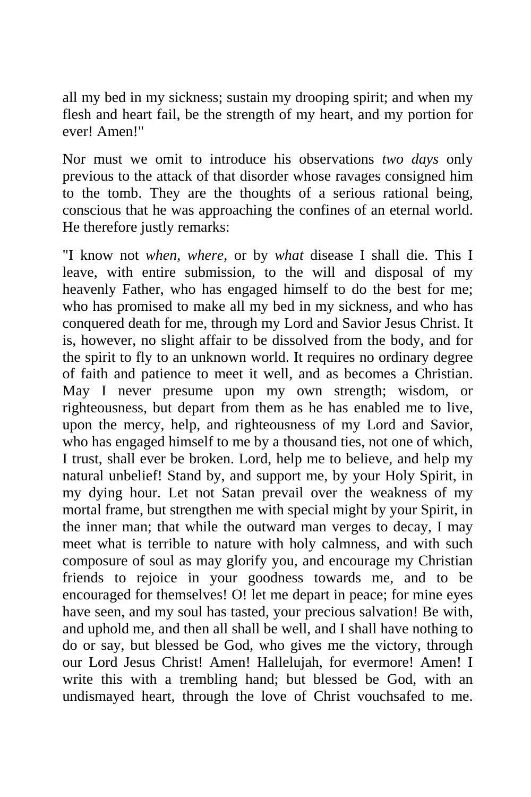all my bed in my sickness; sustain my drooping spirit; and when my flesh and heart fail, be the strength of my heart, and my portion for ever! Amen!"

Nor must we omit to introduce his observations *two days* only previous to the attack of that disorder whose ravages consigned him to the tomb. They are the thoughts of a serious rational being, conscious that he was approaching the confines of an eternal world. He therefore justly remarks:

"I know not *when, where,* or by *what* disease I shall die. This I leave, with entire submission, to the will and disposal of my heavenly Father, who has engaged himself to do the best for me; who has promised to make all my bed in my sickness, and who has conquered death for me, through my Lord and Savior Jesus Christ. It is, however, no slight affair to be dissolved from the body, and for the spirit to fly to an unknown world. It requires no ordinary degree of faith and patience to meet it well, and as becomes a Christian. May I never presume upon my own strength; wisdom, or righteousness, but depart from them as he has enabled me to live, upon the mercy, help, and righteousness of my Lord and Savior, who has engaged himself to me by a thousand ties, not one of which, I trust, shall ever be broken. Lord, help me to believe, and help my natural unbelief! Stand by, and support me, by your Holy Spirit, in my dying hour. Let not Satan prevail over the weakness of my mortal frame, but strengthen me with special might by your Spirit, in the inner man; that while the outward man verges to decay, I may meet what is terrible to nature with holy calmness, and with such composure of soul as may glorify you, and encourage my Christian friends to rejoice in your goodness towards me, and to be encouraged for themselves! O! let me depart in peace; for mine eyes have seen, and my soul has tasted, your precious salvation! Be with, and uphold me, and then all shall be well, and I shall have nothing to do or say, but blessed be God, who gives me the victory, through our Lord Jesus Christ! Amen! Hallelujah, for evermore! Amen! I write this with a trembling hand; but blessed be God, with an undismayed heart, through the love of Christ vouchsafed to me.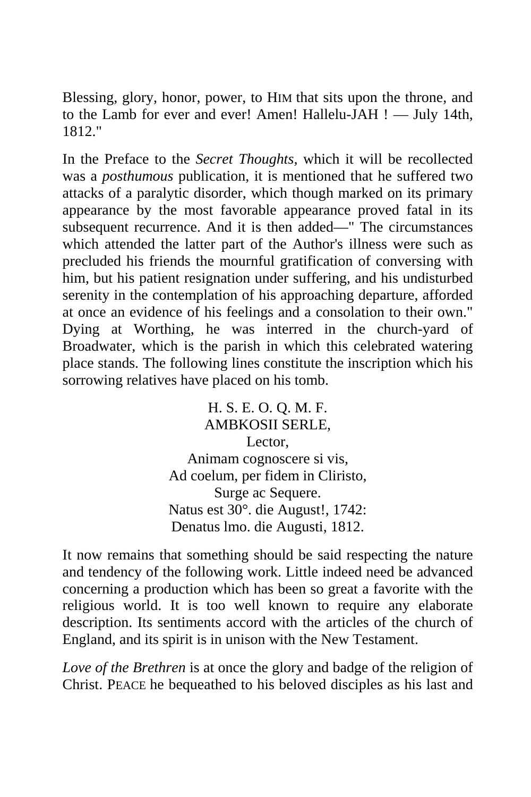Blessing, glory, honor, power, to HIM that sits upon the throne, and to the Lamb for ever and ever! Amen! Hallelu-JAH ! — July 14th, 1812."

In the Preface to the *Secret Thoughts,* which it will be recollected was a *posthumous* publication, it is mentioned that he suffered two attacks of a paralytic disorder, which though marked on its primary appearance by the most favorable appearance proved fatal in its subsequent recurrence. And it is then added—" The circumstances which attended the latter part of the Author's illness were such as precluded his friends the mournful gratification of conversing with him, but his patient resignation under suffering, and his undisturbed serenity in the contemplation of his approaching departure, afforded at once an evidence of his feelings and a consolation to their own." Dying at Worthing, he was interred in the church-yard of Broadwater, which is the parish in which this celebrated watering place stands. The following lines constitute the inscription which his sorrowing relatives have placed on his tomb.

> H. S. E. O. Q. M. F. AMBKOSII SERLE, Lector, Animam cognoscere si vis, Ad coelum, per fidem in Cliristo, Surge ac Sequere. Natus est 30°. die August!, 1742: Denatus lmo. die Augusti, 1812.

It now remains that something should be said respecting the nature and tendency of the following work. Little indeed need be advanced concerning a production which has been so great a favorite with the religious world. It is too well known to require any elaborate description. Its sentiments accord with the articles of the church of England, and its spirit is in unison with the New Testament.

*Love of the Brethren* is at once the glory and badge of the religion of Christ. PEACE he bequeathed to his beloved disciples as his last and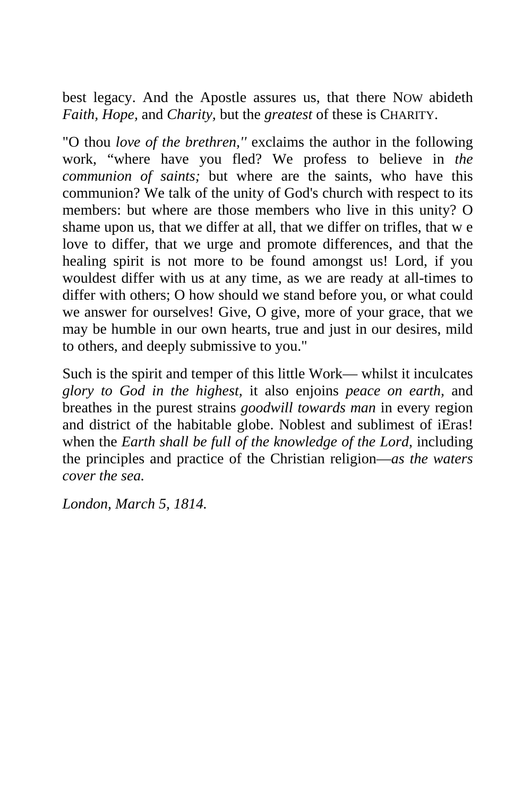best legacy. And the Apostle assures us, that there NOW abideth *Faith, Hope,* and *Charity,* but the *greatest* of these is CHARITY.

"O thou *love of the brethren,''* exclaims the author in the following work, "where have you fled? We profess to believe in *the communion of saints;* but where are the saints, who have this communion? We talk of the unity of God's church with respect to its members: but where are those members who live in this unity? O shame upon us, that we differ at all, that we differ on trifles, that w e love to differ, that we urge and promote differences, and that the healing spirit is not more to be found amongst us! Lord, if you wouldest differ with us at any time, as we are ready at all-times to differ with others; O how should we stand before you, or what could we answer for ourselves! Give, O give, more of your grace, that we may be humble in our own hearts, true and just in our desires, mild to others, and deeply submissive to you."

Such is the spirit and temper of this little Work— whilst it inculcates *glory to God in the highest,* it also enjoins *peace on earth,* and breathes in the purest strains *goodwill towards man* in every region and district of the habitable globe. Noblest and sublimest of iEras! when the *Earth shall be full of the knowledge of the Lord,* including the principles and practice of the Christian religion—*as the waters cover the sea.* 

*London, March 5, 1814.*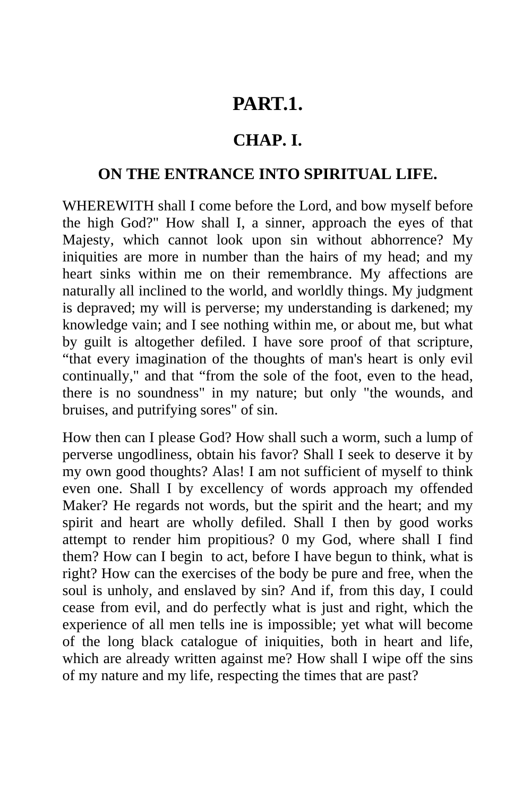## **PART.1.**

### **CHAP. I.**

#### **ON THE ENTRANCE INTO SPIRITUAL LIFE.**

WHEREWITH shall I come before the Lord, and bow myself before the high God?" How shall I, a sinner, approach the eyes of that Majesty, which cannot look upon sin without abhorrence? My iniquities are more in number than the hairs of my head; and my heart sinks within me on their remembrance. My affections are naturally all inclined to the world, and worldly things. My judgment is depraved; my will is perverse; my understanding is darkened; my knowledge vain; and I see nothing within me, or about me, but what by guilt is altogether defiled. I have sore proof of that scripture, "that every imagination of the thoughts of man's heart is only evil continually," and that "from the sole of the foot, even to the head, there is no soundness" in my nature; but only "the wounds, and bruises, and putrifying sores" of sin.

How then can I please God? How shall such a worm, such a lump of perverse ungodliness, obtain his favor? Shall I seek to deserve it by my own good thoughts? Alas! I am not sufficient of myself to think even one. Shall I by excellency of words approach my offended Maker? He regards not words, but the spirit and the heart; and my spirit and heart are wholly defiled. Shall I then by good works attempt to render him propitious? 0 my God, where shall I find them? How can I begin to act, before I have begun to think, what is right? How can the exercises of the body be pure and free, when the soul is unholy, and enslaved by sin? And if, from this day, I could cease from evil, and do perfectly what is just and right, which the experience of all men tells ine is impossible; yet what will become of the long black catalogue of iniquities, both in heart and life, which are already written against me? How shall I wipe off the sins of my nature and my life, respecting the times that are past?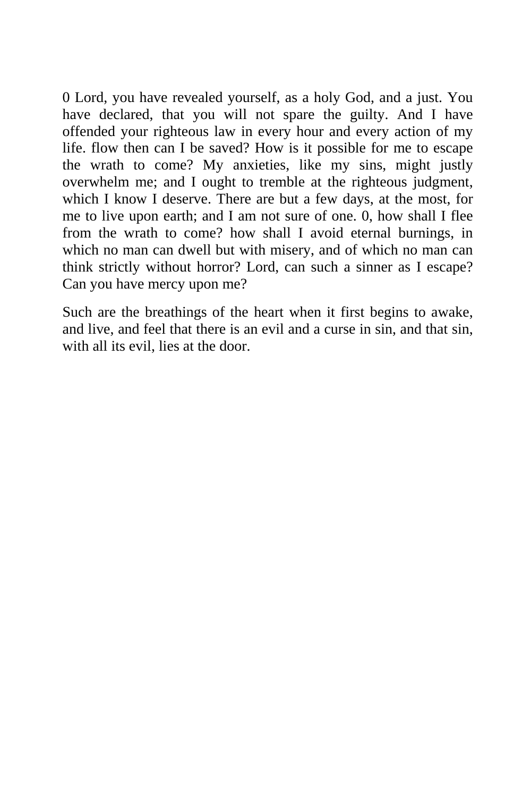0 Lord, you have revealed yourself, as a holy God, and a just. You have declared, that you will not spare the guilty. And I have offended your righteous law in every hour and every action of my life. flow then can I be saved? How is it possible for me to escape the wrath to come? My anxieties, like my sins, might justly overwhelm me; and I ought to tremble at the righteous judgment, which I know I deserve. There are but a few days, at the most, for me to live upon earth; and I am not sure of one. 0, how shall I flee from the wrath to come? how shall I avoid eternal burnings, in which no man can dwell but with misery, and of which no man can think strictly without horror? Lord, can such a sinner as I escape? Can you have mercy upon me?

Such are the breathings of the heart when it first begins to awake, and live, and feel that there is an evil and a curse in sin, and that sin, with all its evil, lies at the door.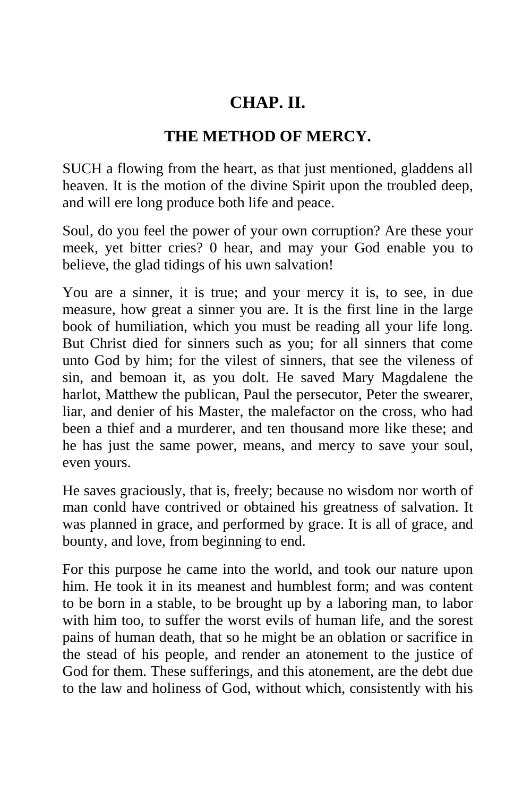## **CHAP. II.**

## **THE METHOD OF MERCY.**

SUCH a flowing from the heart, as that just mentioned, gladdens all heaven. It is the motion of the divine Spirit upon the troubled deep, and will ere long produce both life and peace.

Soul, do you feel the power of your own corruption? Are these your meek, yet bitter cries? 0 hear, and may your God enable you to believe, the glad tidings of his uwn salvation!

You are a sinner, it is true; and your mercy it is, to see, in due measure, how great a sinner you are. It is the first line in the large book of humiliation, which you must be reading all your life long. But Christ died for sinners such as you; for all sinners that come unto God by him; for the vilest of sinners, that see the vileness of sin, and bemoan it, as you dolt. He saved Mary Magdalene the harlot, Matthew the publican, Paul the persecutor, Peter the swearer, liar, and denier of his Master, the malefactor on the cross, who had been a thief and a murderer, and ten thousand more like these; and he has just the same power, means, and mercy to save your soul, even yours.

He saves graciously, that is, freely; because no wisdom nor worth of man conld have contrived or obtained his greatness of salvation. It was planned in grace, and performed by grace. It is all of grace, and bounty, and love, from beginning to end.

For this purpose he came into the world, and took our nature upon him. He took it in its meanest and humblest form; and was content to be born in a stable, to be brought up by a laboring man, to labor with him too, to suffer the worst evils of human life, and the sorest pains of human death, that so he might be an oblation or sacrifice in the stead of his people, and render an atonement to the justice of God for them. These sufferings, and this atonement, are the debt due to the law and holiness of God, without which, consistently with his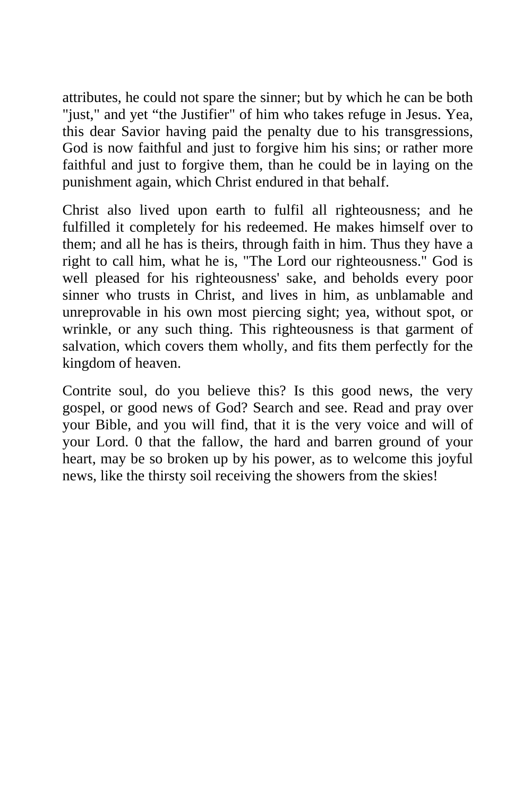attributes, he could not spare the sinner; but by which he can be both "just," and yet "the Justifier" of him who takes refuge in Jesus. Yea, this dear Savior having paid the penalty due to his transgressions, God is now faithful and just to forgive him his sins; or rather more faithful and just to forgive them, than he could be in laying on the punishment again, which Christ endured in that behalf.

Christ also lived upon earth to fulfil all righteousness; and he fulfilled it completely for his redeemed. He makes himself over to them; and all he has is theirs, through faith in him. Thus they have a right to call him, what he is, "The Lord our righteousness." God is well pleased for his righteousness' sake, and beholds every poor sinner who trusts in Christ, and lives in him, as unblamable and unreprovable in his own most piercing sight; yea, without spot, or wrinkle, or any such thing. This righteousness is that garment of salvation, which covers them wholly, and fits them perfectly for the kingdom of heaven.

Contrite soul, do you believe this? Is this good news, the very gospel, or good news of God? Search and see. Read and pray over your Bible, and you will find, that it is the very voice and will of your Lord. 0 that the fallow, the hard and barren ground of your heart, may be so broken up by his power, as to welcome this joyful news, like the thirsty soil receiving the showers from the skies!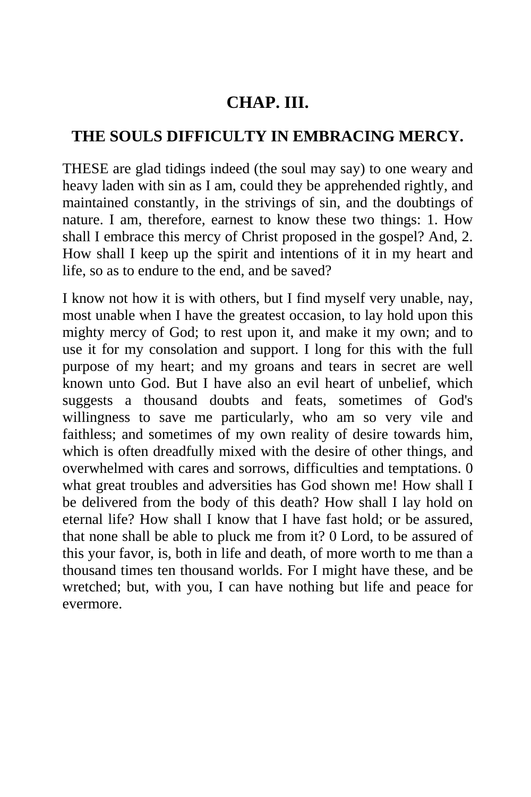## **CHAP. III.**

#### **THE SOULS DIFFICULTY IN EMBRACING MERCY.**

THESE are glad tidings indeed (the soul may say) to one weary and heavy laden with sin as I am, could they be apprehended rightly, and maintained constantly, in the strivings of sin, and the doubtings of nature. I am, therefore, earnest to know these two things: 1. How shall I embrace this mercy of Christ proposed in the gospel? And, 2. How shall I keep up the spirit and intentions of it in my heart and life, so as to endure to the end, and be saved?

I know not how it is with others, but I find myself very unable, nay, most unable when I have the greatest occasion, to lay hold upon this mighty mercy of God; to rest upon it, and make it my own; and to use it for my consolation and support. I long for this with the full purpose of my heart; and my groans and tears in secret are well known unto God. But I have also an evil heart of unbelief, which suggests a thousand doubts and feats, sometimes of God's willingness to save me particularly, who am so very vile and faithless; and sometimes of my own reality of desire towards him, which is often dreadfully mixed with the desire of other things, and overwhelmed with cares and sorrows, difficulties and temptations. 0 what great troubles and adversities has God shown me! How shall I be delivered from the body of this death? How shall I lay hold on eternal life? How shall I know that I have fast hold; or be assured, that none shall be able to pluck me from it? 0 Lord, to be assured of this your favor, is, both in life and death, of more worth to me than a thousand times ten thousand worlds. For I might have these, and be wretched; but, with you, I can have nothing but life and peace for evermore.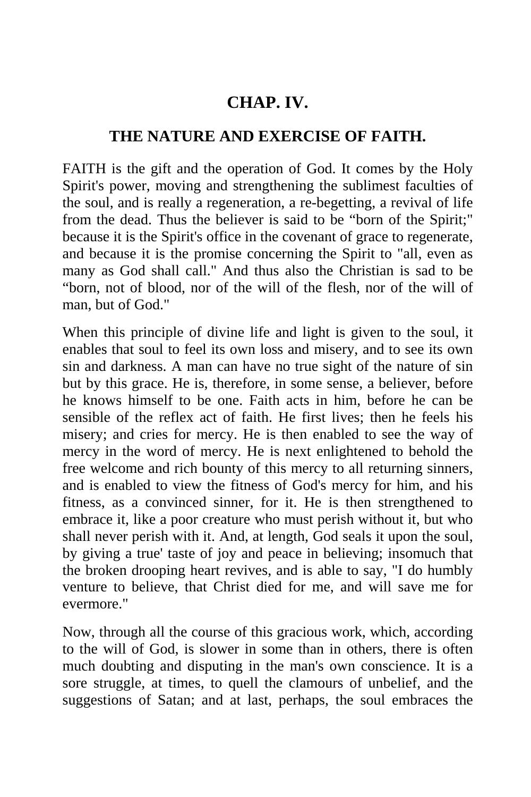## **CHAP. IV.**

#### **THE NATURE AND EXERCISE OF FAITH.**

FAITH is the gift and the operation of God. It comes by the Holy Spirit's power, moving and strengthening the sublimest faculties of the soul, and is really a regeneration, a re-begetting, a revival of life from the dead. Thus the believer is said to be "born of the Spirit;" because it is the Spirit's office in the covenant of grace to regenerate, and because it is the promise concerning the Spirit to "all, even as many as God shall call." And thus also the Christian is sad to be "born, not of blood, nor of the will of the flesh, nor of the will of man, but of God."

When this principle of divine life and light is given to the soul, it enables that soul to feel its own loss and misery, and to see its own sin and darkness. A man can have no true sight of the nature of sin but by this grace. He is, therefore, in some sense, a believer, before he knows himself to be one. Faith acts in him, before he can be sensible of the reflex act of faith. He first lives; then he feels his misery; and cries for mercy. He is then enabled to see the way of mercy in the word of mercy. He is next enlightened to behold the free welcome and rich bounty of this mercy to all returning sinners, and is enabled to view the fitness of God's mercy for him, and his fitness, as a convinced sinner, for it. He is then strengthened to embrace it, like a poor creature who must perish without it, but who shall never perish with it. And, at length, God seals it upon the soul, by giving a true' taste of joy and peace in believing; insomuch that the broken drooping heart revives, and is able to say, "I do humbly venture to believe, that Christ died for me, and will save me for evermore."

Now, through all the course of this gracious work, which, according to the will of God, is slower in some than in others, there is often much doubting and disputing in the man's own conscience. It is a sore struggle, at times, to quell the clamours of unbelief, and the suggestions of Satan; and at last, perhaps, the soul embraces the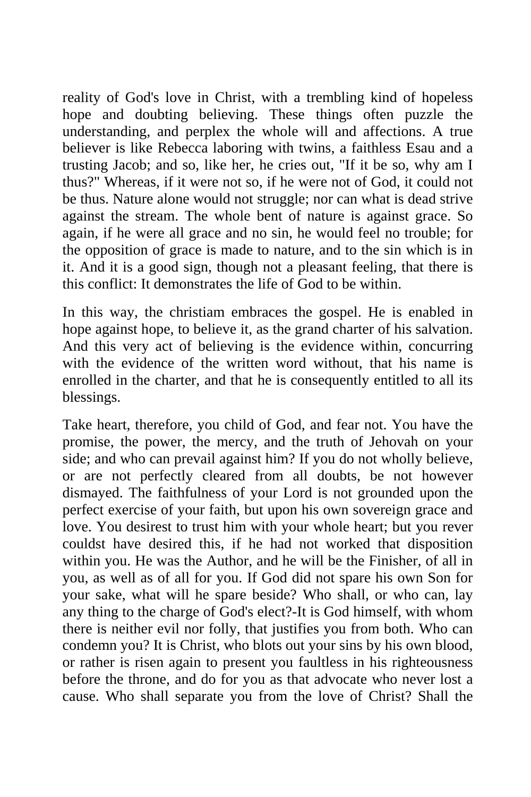reality of God's love in Christ, with a trembling kind of hopeless hope and doubting believing. These things often puzzle the understanding, and perplex the whole will and affections. A true believer is like Rebecca laboring with twins, a faithless Esau and a trusting Jacob; and so, like her, he cries out, "If it be so, why am I thus?" Whereas, if it were not so, if he were not of God, it could not be thus. Nature alone would not struggle; nor can what is dead strive against the stream. The whole bent of nature is against grace. So again, if he were all grace and no sin, he would feel no trouble; for the opposition of grace is made to nature, and to the sin which is in it. And it is a good sign, though not a pleasant feeling, that there is this conflict: It demonstrates the life of God to be within.

In this way, the christiam embraces the gospel. He is enabled in hope against hope, to believe it, as the grand charter of his salvation. And this very act of believing is the evidence within, concurring with the evidence of the written word without, that his name is enrolled in the charter, and that he is consequently entitled to all its blessings.

Take heart, therefore, you child of God, and fear not. You have the promise, the power, the mercy, and the truth of Jehovah on your side; and who can prevail against him? If you do not wholly believe, or are not perfectly cleared from all doubts, be not however dismayed. The faithfulness of your Lord is not grounded upon the perfect exercise of your faith, but upon his own sovereign grace and love. You desirest to trust him with your whole heart; but you rever couldst have desired this, if he had not worked that disposition within you. He was the Author, and he will be the Finisher, of all in you, as well as of all for you. If God did not spare his own Son for your sake, what will he spare beside? Who shall, or who can, lay any thing to the charge of God's elect?-It is God himself, with whom there is neither evil nor folly, that justifies you from both. Who can condemn you? It is Christ, who blots out your sins by his own blood, or rather is risen again to present you faultless in his righteousness before the throne, and do for you as that advocate who never lost a cause. Who shall separate you from the love of Christ? Shall the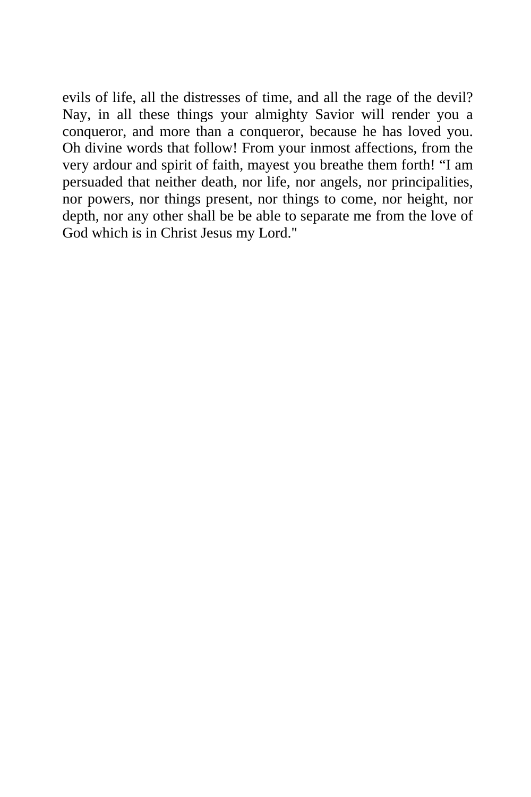evils of life, all the distresses of time, and all the rage of the devil? Nay, in all these things your almighty Savior will render you a conqueror, and more than a conqueror, because he has loved you. Oh divine words that follow! From your inmost affections, from the very ardour and spirit of faith, mayest you breathe them forth! "I am persuaded that neither death, nor life, nor angels, nor principalities, nor powers, nor things present, nor things to come, nor height, nor depth, nor any other shall be be able to separate me from the love of God which is in Christ Jesus my Lord."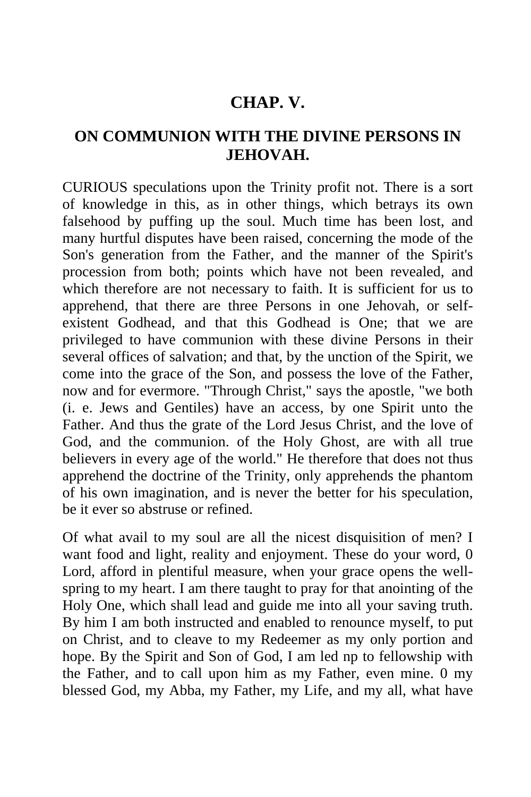#### **CHAP. V.**

#### **ON COMMUNION WITH THE DIVINE PERSONS IN JEHOVAH.**

CURIOUS speculations upon the Trinity profit not. There is a sort of knowledge in this, as in other things, which betrays its own falsehood by puffing up the soul. Much time has been lost, and many hurtful disputes have been raised, concerning the mode of the Son's generation from the Father, and the manner of the Spirit's procession from both; points which have not been revealed, and which therefore are not necessary to faith. It is sufficient for us to apprehend, that there are three Persons in one Jehovah, or selfexistent Godhead, and that this Godhead is One; that we are privileged to have communion with these divine Persons in their several offices of salvation; and that, by the unction of the Spirit, we come into the grace of the Son, and possess the love of the Father, now and for evermore. "Through Christ," says the apostle, "we both (i. e. Jews and Gentiles) have an access, by one Spirit unto the Father. And thus the grate of the Lord Jesus Christ, and the love of God, and the communion. of the Holy Ghost, are with all true believers in every age of the world." He therefore that does not thus apprehend the doctrine of the Trinity, only apprehends the phantom of his own imagination, and is never the better for his speculation, be it ever so abstruse or refined.

Of what avail to my soul are all the nicest disquisition of men? I want food and light, reality and enjoyment. These do your word, 0 Lord, afford in plentiful measure, when your grace opens the wellspring to my heart. I am there taught to pray for that anointing of the Holy One, which shall lead and guide me into all your saving truth. By him I am both instructed and enabled to renounce myself, to put on Christ, and to cleave to my Redeemer as my only portion and hope. By the Spirit and Son of God, I am led np to fellowship with the Father, and to call upon him as my Father, even mine. 0 my blessed God, my Abba, my Father, my Life, and my all, what have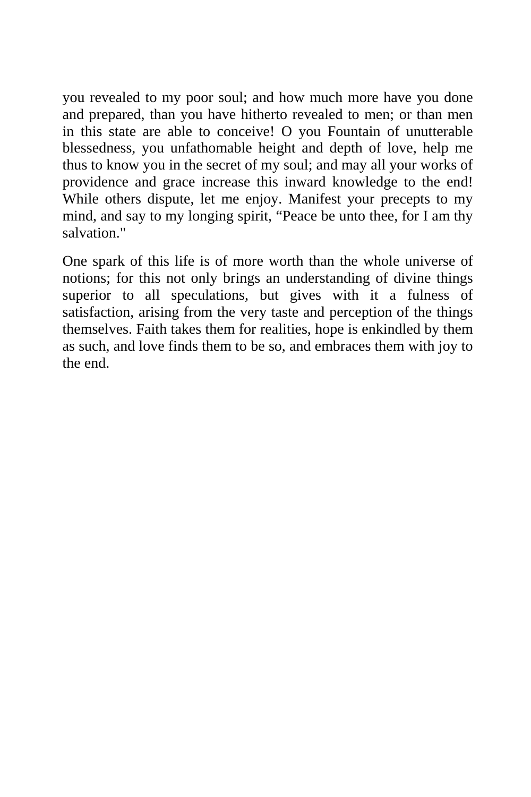you revealed to my poor soul; and how much more have you done and prepared, than you have hitherto revealed to men; or than men in this state are able to conceive! O you Fountain of unutterable blessedness, you unfathomable height and depth of love, help me thus to know you in the secret of my soul; and may all your works of providence and grace increase this inward knowledge to the end! While others dispute, let me enjoy. Manifest your precepts to my mind, and say to my longing spirit, "Peace be unto thee, for I am thy salvation."

One spark of this life is of more worth than the whole universe of notions; for this not only brings an understanding of divine things superior to all speculations, but gives with it a fulness of satisfaction, arising from the very taste and perception of the things themselves. Faith takes them for realities, hope is enkindled by them as such, and love finds them to be so, and embraces them with joy to the end.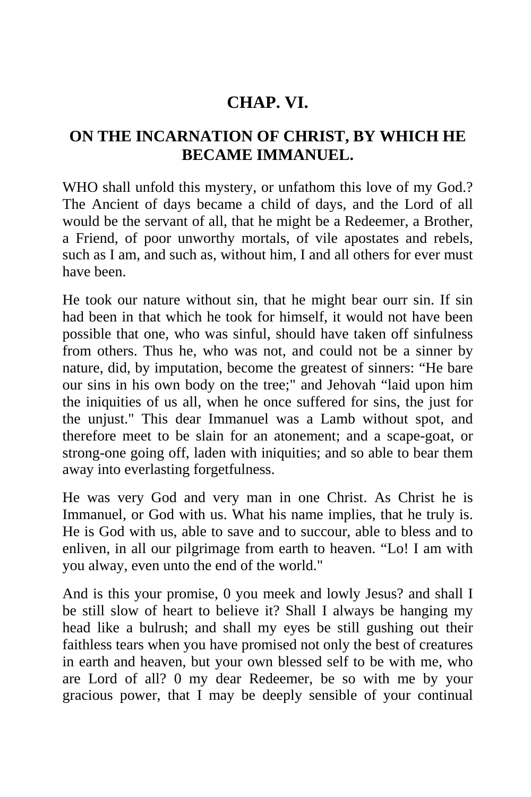## **CHAP. VI.**

#### **ON THE INCARNATION OF CHRIST, BY WHICH HE BECAME IMMANUEL.**

WHO shall unfold this mystery, or unfathom this love of my God.? The Ancient of days became a child of days, and the Lord of all would be the servant of all, that he might be a Redeemer, a Brother, a Friend, of poor unworthy mortals, of vile apostates and rebels, such as I am, and such as, without him, I and all others for ever must have been.

He took our nature without sin, that he might bear ourr sin. If sin had been in that which he took for himself, it would not have been possible that one, who was sinful, should have taken off sinfulness from others. Thus he, who was not, and could not be a sinner by nature, did, by imputation, become the greatest of sinners: "He bare our sins in his own body on the tree;" and Jehovah "laid upon him the iniquities of us all, when he once suffered for sins, the just for the unjust." This dear Immanuel was a Lamb without spot, and therefore meet to be slain for an atonement; and a scape-goat, or strong-one going off, laden with iniquities; and so able to bear them away into everlasting forgetfulness.

He was very God and very man in one Christ. As Christ he is Immanuel, or God with us. What his name implies, that he truly is. He is God with us, able to save and to succour, able to bless and to enliven, in all our pilgrimage from earth to heaven. "Lo! I am with you alway, even unto the end of the world."

And is this your promise, 0 you meek and lowly Jesus? and shall I be still slow of heart to believe it? Shall I always be hanging my head like a bulrush; and shall my eyes be still gushing out their faithless tears when you have promised not only the best of creatures in earth and heaven, but your own blessed self to be with me, who are Lord of all? 0 my dear Redeemer, be so with me by your gracious power, that I may be deeply sensible of your continual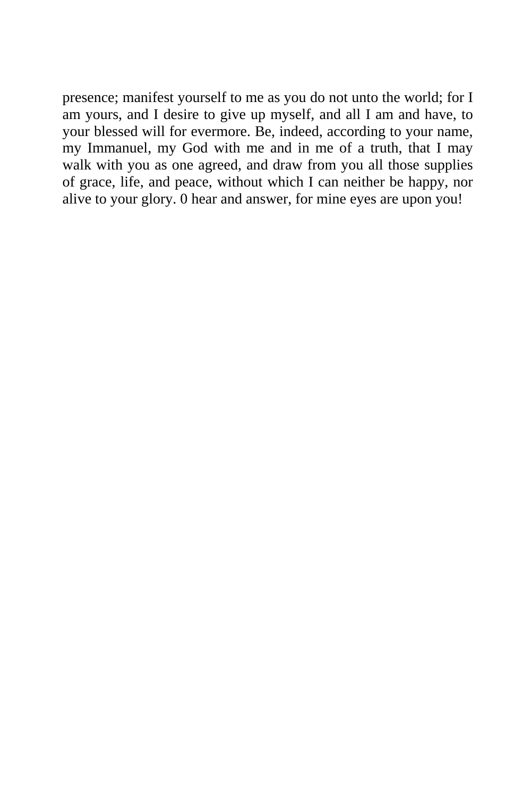presence; manifest yourself to me as you do not unto the world; for I am yours, and I desire to give up myself, and all I am and have, to your blessed will for evermore. Be, indeed, according to your name, my Immanuel, my God with me and in me of a truth, that I may walk with you as one agreed, and draw from you all those supplies of grace, life, and peace, without which I can neither be happy, nor alive to your glory. 0 hear and answer, for mine eyes are upon you!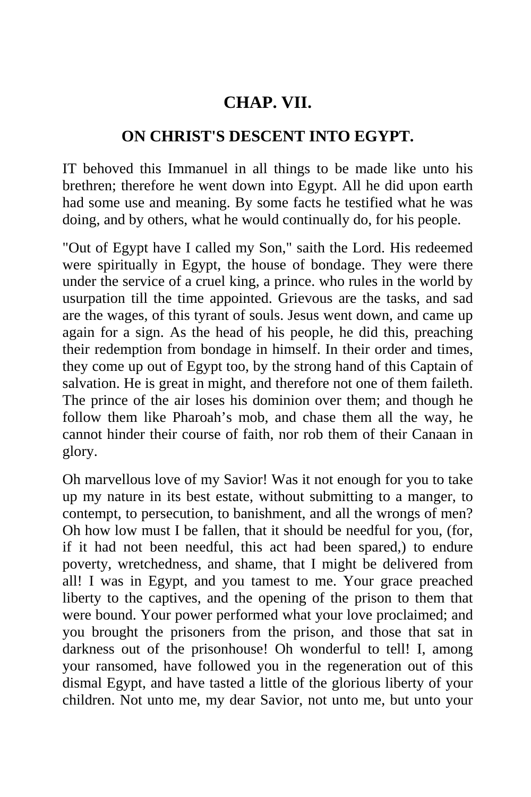## **CHAP. VII.**

#### **ON CHRIST'S DESCENT INTO EGYPT.**

IT behoved this Immanuel in all things to be made like unto his brethren; therefore he went down into Egypt. All he did upon earth had some use and meaning. By some facts he testified what he was doing, and by others, what he would continually do, for his people.

"Out of Egypt have I called my Son," saith the Lord. His redeemed were spiritually in Egypt, the house of bondage. They were there under the service of a cruel king, a prince. who rules in the world by usurpation till the time appointed. Grievous are the tasks, and sad are the wages, of this tyrant of souls. Jesus went down, and came up again for a sign. As the head of his people, he did this, preaching their redemption from bondage in himself. In their order and times, they come up out of Egypt too, by the strong hand of this Captain of salvation. He is great in might, and therefore not one of them faileth. The prince of the air loses his dominion over them; and though he follow them like Pharoah's mob, and chase them all the way, he cannot hinder their course of faith, nor rob them of their Canaan in glory.

Oh marvellous love of my Savior! Was it not enough for you to take up my nature in its best estate, without submitting to a manger, to contempt, to persecution, to banishment, and all the wrongs of men? Oh how low must I be fallen, that it should be needful for you, (for, if it had not been needful, this act had been spared,) to endure poverty, wretchedness, and shame, that I might be delivered from all! I was in Egypt, and you tamest to me. Your grace preached liberty to the captives, and the opening of the prison to them that were bound. Your power performed what your love proclaimed; and you brought the prisoners from the prison, and those that sat in darkness out of the prisonhouse! Oh wonderful to tell! I, among your ransomed, have followed you in the regeneration out of this dismal Egypt, and have tasted a little of the glorious liberty of your children. Not unto me, my dear Savior, not unto me, but unto your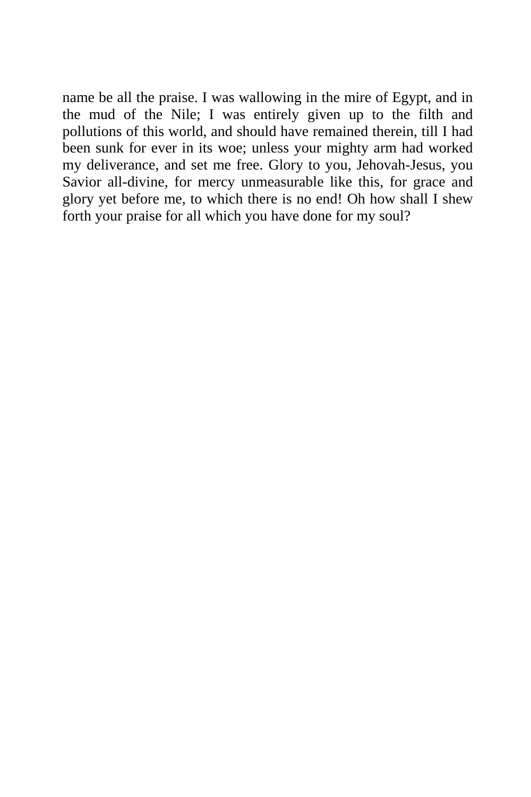name be all the praise. I was wallowing in the mire of Egypt, and in the mud of the Nile; I was entirely given up to the filth and pollutions of this world, and should have remained therein, till I had been sunk for ever in its woe; unless your mighty arm had worked my deliverance, and set me free. Glory to you, Jehovah-Jesus, you Savior all-divine, for mercy unmeasurable like this, for grace and glory yet before me, to which there is no end! Oh how shall I shew forth your praise for all which you have done for my soul?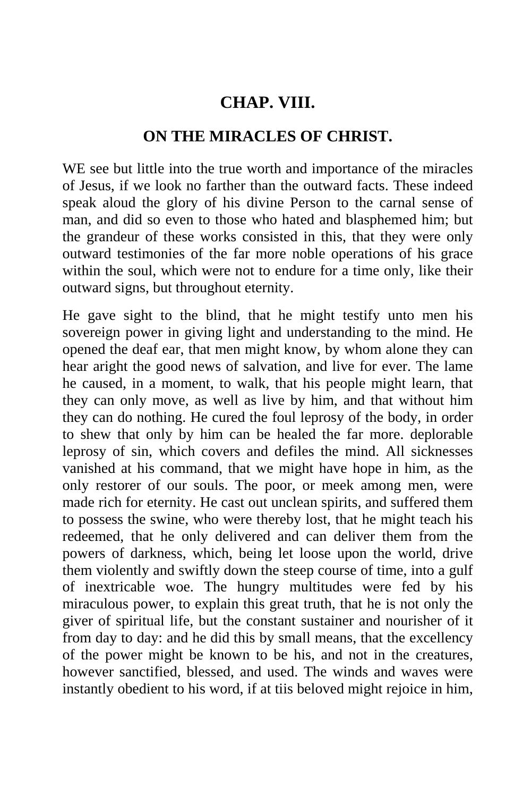## **CHAP. VIII.**

#### **ON THE MIRACLES OF CHRIST.**

WE see but little into the true worth and importance of the miracles of Jesus, if we look no farther than the outward facts. These indeed speak aloud the glory of his divine Person to the carnal sense of man, and did so even to those who hated and blasphemed him; but the grandeur of these works consisted in this, that they were only outward testimonies of the far more noble operations of his grace within the soul, which were not to endure for a time only, like their outward signs, but throughout eternity.

He gave sight to the blind, that he might testify unto men his sovereign power in giving light and understanding to the mind. He opened the deaf ear, that men might know, by whom alone they can hear aright the good news of salvation, and live for ever. The lame he caused, in a moment, to walk, that his people might learn, that they can only move, as well as live by him, and that without him they can do nothing. He cured the foul leprosy of the body, in order to shew that only by him can be healed the far more. deplorable leprosy of sin, which covers and defiles the mind. All sicknesses vanished at his command, that we might have hope in him, as the only restorer of our souls. The poor, or meek among men, were made rich for eternity. He cast out unclean spirits, and suffered them to possess the swine, who were thereby lost, that he might teach his redeemed, that he only delivered and can deliver them from the powers of darkness, which, being let loose upon the world, drive them violently and swiftly down the steep course of time, into a gulf of inextricable woe. The hungry multitudes were fed by his miraculous power, to explain this great truth, that he is not only the giver of spiritual life, but the constant sustainer and nourisher of it from day to day: and he did this by small means, that the excellency of the power might be known to be his, and not in the creatures, however sanctified, blessed, and used. The winds and waves were instantly obedient to his word, if at tiis beloved might rejoice in him,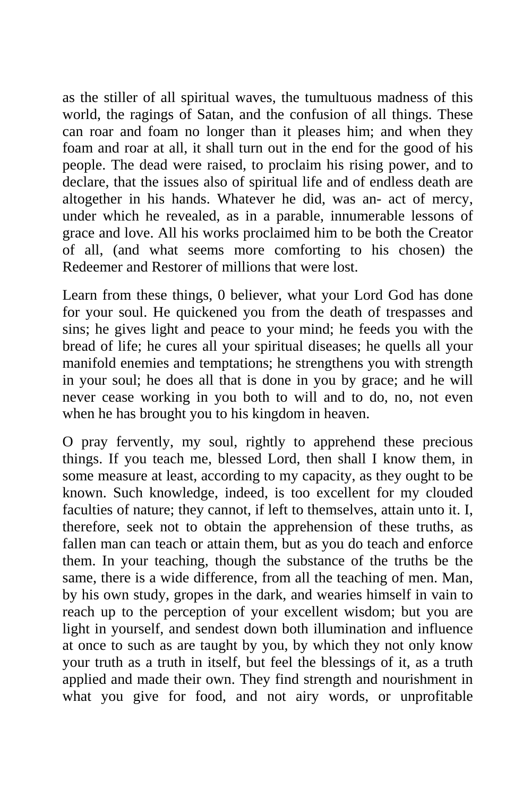as the stiller of all spiritual waves, the tumultuous madness of this world, the ragings of Satan, and the confusion of all things. These can roar and foam no longer than it pleases him; and when they foam and roar at all, it shall turn out in the end for the good of his people. The dead were raised, to proclaim his rising power, and to declare, that the issues also of spiritual life and of endless death are altogether in his hands. Whatever he did, was an- act of mercy, under which he revealed, as in a parable, innumerable lessons of grace and love. All his works proclaimed him to be both the Creator of all, (and what seems more comforting to his chosen) the Redeemer and Restorer of millions that were lost.

Learn from these things, 0 believer, what your Lord God has done for your soul. He quickened you from the death of trespasses and sins; he gives light and peace to your mind; he feeds you with the bread of life; he cures all your spiritual diseases; he quells all your manifold enemies and temptations; he strengthens you with strength in your soul; he does all that is done in you by grace; and he will never cease working in you both to will and to do, no, not even when he has brought you to his kingdom in heaven.

O pray fervently, my soul, rightly to apprehend these precious things. If you teach me, blessed Lord, then shall I know them, in some measure at least, according to my capacity, as they ought to be known. Such knowledge, indeed, is too excellent for my clouded faculties of nature; they cannot, if left to themselves, attain unto it. I, therefore, seek not to obtain the apprehension of these truths, as fallen man can teach or attain them, but as you do teach and enforce them. In your teaching, though the substance of the truths be the same, there is a wide difference, from all the teaching of men. Man, by his own study, gropes in the dark, and wearies himself in vain to reach up to the perception of your excellent wisdom; but you are light in yourself, and sendest down both illumination and influence at once to such as are taught by you, by which they not only know your truth as a truth in itself, but feel the blessings of it, as a truth applied and made their own. They find strength and nourishment in what you give for food, and not airy words, or unprofitable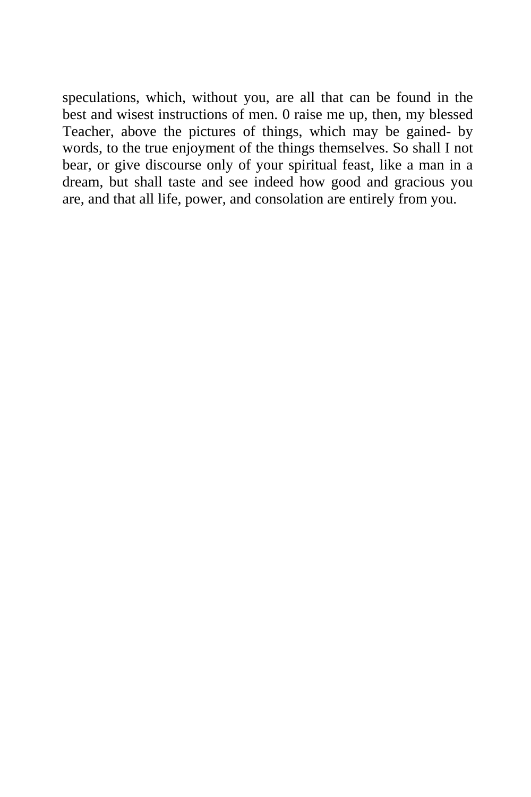speculations, which, without you, are all that can be found in the best and wisest instructions of men. 0 raise me up, then, my blessed Teacher, above the pictures of things, which may be gained- by words, to the true enjoyment of the things themselves. So shall I not bear, or give discourse only of your spiritual feast, like a man in a dream, but shall taste and see indeed how good and gracious you are, and that all life, power, and consolation are entirely from you.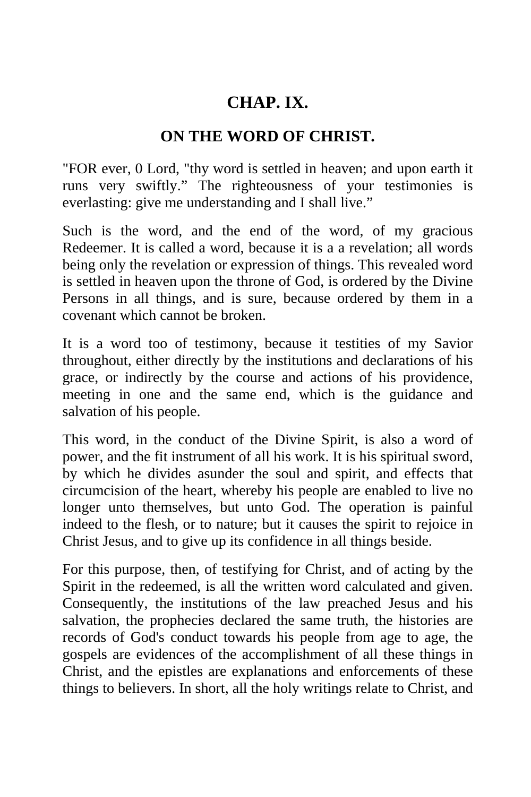## **CHAP. IX.**

### **ON THE WORD OF CHRIST.**

"FOR ever, 0 Lord, "thy word is settled in heaven; and upon earth it runs very swiftly." The righteousness of your testimonies is everlasting: give me understanding and I shall live."

Such is the word, and the end of the word, of my gracious Redeemer. It is called a word, because it is a a revelation; all words being only the revelation or expression of things. This revealed word is settled in heaven upon the throne of God, is ordered by the Divine Persons in all things, and is sure, because ordered by them in a covenant which cannot be broken.

It is a word too of testimony, because it testities of my Savior throughout, either directly by the institutions and declarations of his grace, or indirectly by the course and actions of his providence, meeting in one and the same end, which is the guidance and salvation of his people.

This word, in the conduct of the Divine Spirit, is also a word of power, and the fit instrument of all his work. It is his spiritual sword, by which he divides asunder the soul and spirit, and effects that circumcision of the heart, whereby his people are enabled to live no longer unto themselves, but unto God. The operation is painful indeed to the flesh, or to nature; but it causes the spirit to rejoice in Christ Jesus, and to give up its confidence in all things beside.

For this purpose, then, of testifying for Christ, and of acting by the Spirit in the redeemed, is all the written word calculated and given. Consequently, the institutions of the law preached Jesus and his salvation, the prophecies declared the same truth, the histories are records of God's conduct towards his people from age to age, the gospels are evidences of the accomplishment of all these things in Christ, and the epistles are explanations and enforcements of these things to believers. In short, all the holy writings relate to Christ, and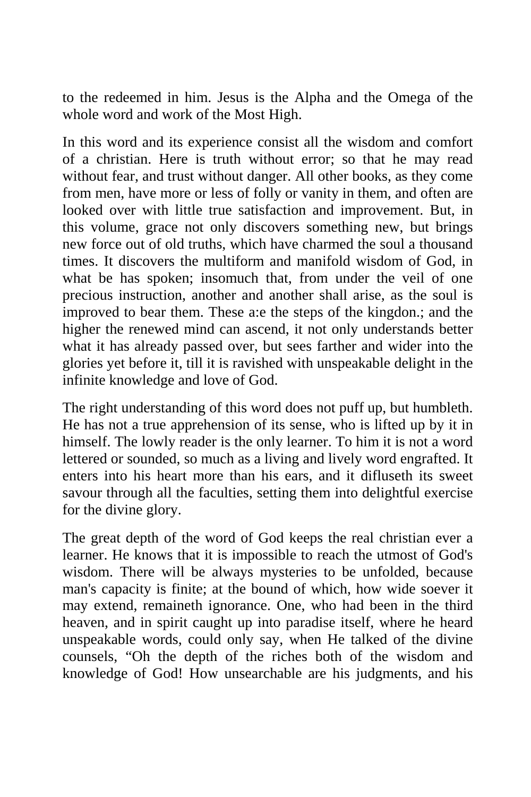to the redeemed in him. Jesus is the Alpha and the Omega of the whole word and work of the Most High.

In this word and its experience consist all the wisdom and comfort of a christian. Here is truth without error; so that he may read without fear, and trust without danger. All other books, as they come from men, have more or less of folly or vanity in them, and often are looked over with little true satisfaction and improvement. But, in this volume, grace not only discovers something new, but brings new force out of old truths, which have charmed the soul a thousand times. It discovers the multiform and manifold wisdom of God, in what be has spoken; insomuch that, from under the veil of one precious instruction, another and another shall arise, as the soul is improved to bear them. These a:e the steps of the kingdon.; and the higher the renewed mind can ascend, it not only understands better what it has already passed over, but sees farther and wider into the glories yet before it, till it is ravished with unspeakable delight in the infinite knowledge and love of God.

The right understanding of this word does not puff up, but humbleth. He has not a true apprehension of its sense, who is lifted up by it in himself. The lowly reader is the only learner. To him it is not a word lettered or sounded, so much as a living and lively word engrafted. It enters into his heart more than his ears, and it difluseth its sweet savour through all the faculties, setting them into delightful exercise for the divine glory.

The great depth of the word of God keeps the real christian ever a learner. He knows that it is impossible to reach the utmost of God's wisdom. There will be always mysteries to be unfolded, because man's capacity is finite; at the bound of which, how wide soever it may extend, remaineth ignorance. One, who had been in the third heaven, and in spirit caught up into paradise itself, where he heard unspeakable words, could only say, when He talked of the divine counsels, "Oh the depth of the riches both of the wisdom and knowledge of God! How unsearchable are his judgments, and his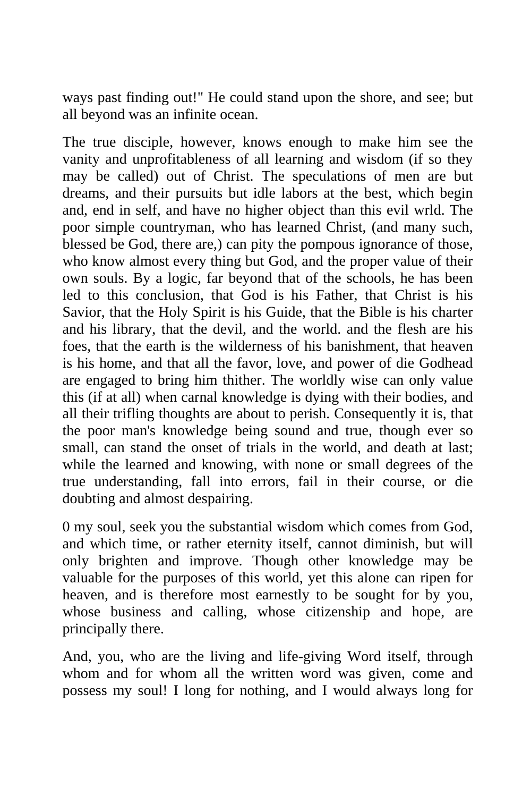ways past finding out!" He could stand upon the shore, and see; but all beyond was an infinite ocean.

The true disciple, however, knows enough to make him see the vanity and unprofitableness of all learning and wisdom (if so they may be called) out of Christ. The speculations of men are but dreams, and their pursuits but idle labors at the best, which begin and, end in self, and have no higher object than this evil wrld. The poor simple countryman, who has learned Christ, (and many such, blessed be God, there are,) can pity the pompous ignorance of those, who know almost every thing but God, and the proper value of their own souls. By a logic, far beyond that of the schools, he has been led to this conclusion, that God is his Father, that Christ is his Savior, that the Holy Spirit is his Guide, that the Bible is his charter and his library, that the devil, and the world. and the flesh are his foes, that the earth is the wilderness of his banishment, that heaven is his home, and that all the favor, love, and power of die Godhead are engaged to bring him thither. The worldly wise can only value this (if at all) when carnal knowledge is dying with their bodies, and all their trifling thoughts are about to perish. Consequently it is, that the poor man's knowledge being sound and true, though ever so small, can stand the onset of trials in the world, and death at last; while the learned and knowing, with none or small degrees of the true understanding, fall into errors, fail in their course, or die doubting and almost despairing.

0 my soul, seek you the substantial wisdom which comes from God, and which time, or rather eternity itself, cannot diminish, but will only brighten and improve. Though other knowledge may be valuable for the purposes of this world, yet this alone can ripen for heaven, and is therefore most earnestly to be sought for by you, whose business and calling, whose citizenship and hope, are principally there.

And, you, who are the living and life-giving Word itself, through whom and for whom all the written word was given, come and possess my soul! I long for nothing, and I would always long for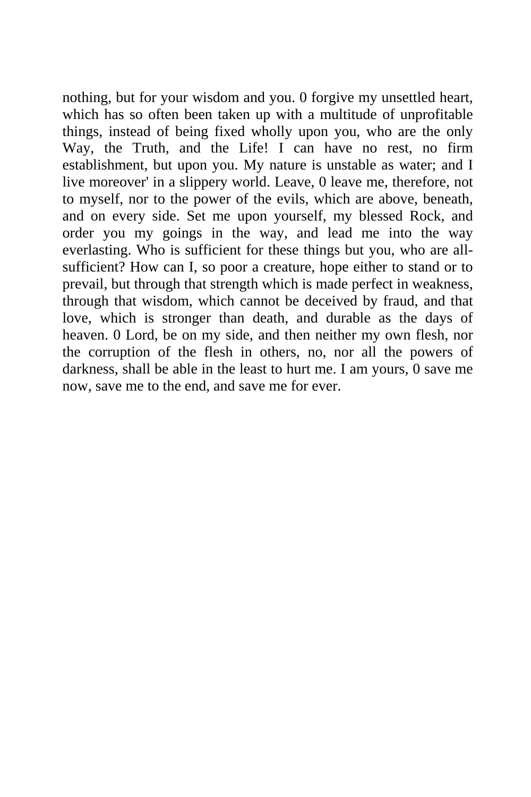nothing, but for your wisdom and you. 0 forgive my unsettled heart, which has so often been taken up with a multitude of unprofitable things, instead of being fixed wholly upon you, who are the only Way, the Truth, and the Life! I can have no rest, no firm establishment, but upon you. My nature is unstable as water; and I live moreover' in a slippery world. Leave, 0 leave me, therefore, not to myself, nor to the power of the evils, which are above, beneath, and on every side. Set me upon yourself, my blessed Rock, and order you my goings in the way, and lead me into the way everlasting. Who is sufficient for these things but you, who are allsufficient? How can I, so poor a creature, hope either to stand or to prevail, but through that strength which is made perfect in weakness, through that wisdom, which cannot be deceived by fraud, and that love, which is stronger than death, and durable as the days of heaven. 0 Lord, be on my side, and then neither my own flesh, nor the corruption of the flesh in others, no, nor all the powers of darkness, shall be able in the least to hurt me. I am yours, 0 save me now, save me to the end, and save me for ever.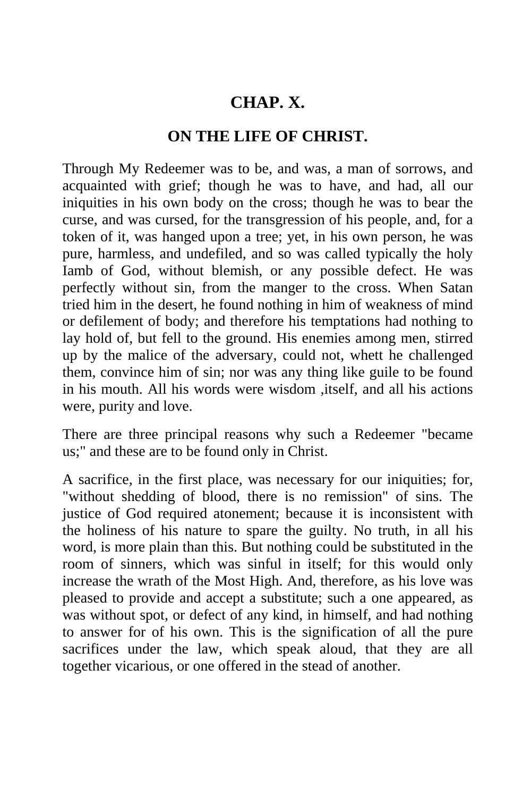## **CHAP. X.**

#### **ON THE LIFE OF CHRIST.**

Through My Redeemer was to be, and was, a man of sorrows, and acquainted with grief; though he was to have, and had, all our iniquities in his own body on the cross; though he was to bear the curse, and was cursed, for the transgression of his people, and, for a token of it, was hanged upon a tree; yet, in his own person, he was pure, harmless, and undefiled, and so was called typically the holy Iamb of God, without blemish, or any possible defect. He was perfectly without sin, from the manger to the cross. When Satan tried him in the desert, he found nothing in him of weakness of mind or defilement of body; and therefore his temptations had nothing to lay hold of, but fell to the ground. His enemies among men, stirred up by the malice of the adversary, could not, whett he challenged them, convince him of sin; nor was any thing like guile to be found in his mouth. All his words were wisdom ,itself, and all his actions were, purity and love.

There are three principal reasons why such a Redeemer "became us;" and these are to be found only in Christ.

A sacrifice, in the first place, was necessary for our iniquities; for, "without shedding of blood, there is no remission" of sins. The justice of God required atonement; because it is inconsistent with the holiness of his nature to spare the guilty. No truth, in all his word, is more plain than this. But nothing could be substituted in the room of sinners, which was sinful in itself; for this would only increase the wrath of the Most High. And, therefore, as his love was pleased to provide and accept a substitute; such a one appeared, as was without spot, or defect of any kind, in himself, and had nothing to answer for of his own. This is the signification of all the pure sacrifices under the law, which speak aloud, that they are all together vicarious, or one offered in the stead of another.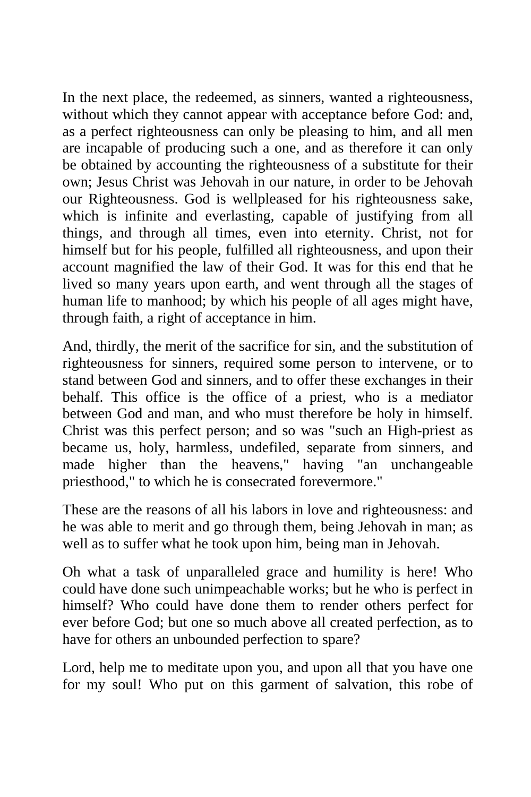In the next place, the redeemed, as sinners, wanted a righteousness, without which they cannot appear with acceptance before God: and, as a perfect righteousness can only be pleasing to him, and all men are incapable of producing such a one, and as therefore it can only be obtained by accounting the righteousness of a substitute for their own; Jesus Christ was Jehovah in our nature, in order to be Jehovah our Righteousness. God is wellpleased for his righteousness sake, which is infinite and everlasting, capable of justifying from all things, and through all times, even into eternity. Christ, not for himself but for his people, fulfilled all righteousness, and upon their account magnified the law of their God. It was for this end that he lived so many years upon earth, and went through all the stages of human life to manhood; by which his people of all ages might have, through faith, a right of acceptance in him.

And, thirdly, the merit of the sacrifice for sin, and the substitution of righteousness for sinners, required some person to intervene, or to stand between God and sinners, and to offer these exchanges in their behalf. This office is the office of a priest, who is a mediator between God and man, and who must therefore be holy in himself. Christ was this perfect person; and so was "such an High-priest as became us, holy, harmless, undefiled, separate from sinners, and made higher than the heavens," having "an unchangeable priesthood," to which he is consecrated forevermore."

These are the reasons of all his labors in love and righteousness: and he was able to merit and go through them, being Jehovah in man; as well as to suffer what he took upon him, being man in Jehovah.

Oh what a task of unparalleled grace and humility is here! Who could have done such unimpeachable works; but he who is perfect in himself? Who could have done them to render others perfect for ever before God; but one so much above all created perfection, as to have for others an unbounded perfection to spare?

Lord, help me to meditate upon you, and upon all that you have one for my soul! Who put on this garment of salvation, this robe of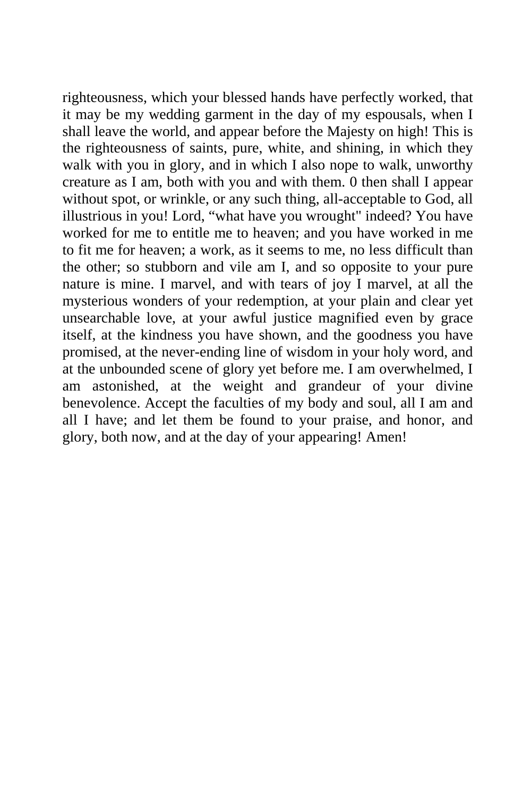righteousness, which your blessed hands have perfectly worked, that it may be my wedding garment in the day of my espousals, when I shall leave the world, and appear before the Majesty on high! This is the righteousness of saints, pure, white, and shining, in which they walk with you in glory, and in which I also nope to walk, unworthy creature as I am, both with you and with them. 0 then shall I appear without spot, or wrinkle, or any such thing, all-acceptable to God, all illustrious in you! Lord, "what have you wrought" indeed? You have worked for me to entitle me to heaven; and you have worked in me to fit me for heaven; a work, as it seems to me, no less difficult than the other; so stubborn and vile am I, and so opposite to your pure nature is mine. I marvel, and with tears of joy I marvel, at all the mysterious wonders of your redemption, at your plain and clear yet unsearchable love, at your awful justice magnified even by grace itself, at the kindness you have shown, and the goodness you have promised, at the never-ending line of wisdom in your holy word, and at the unbounded scene of glory yet before me. I am overwhelmed, I am astonished, at the weight and grandeur of your divine benevolence. Accept the faculties of my body and soul, all I am and all I have; and let them be found to your praise, and honor, and glory, both now, and at the day of your appearing! Amen!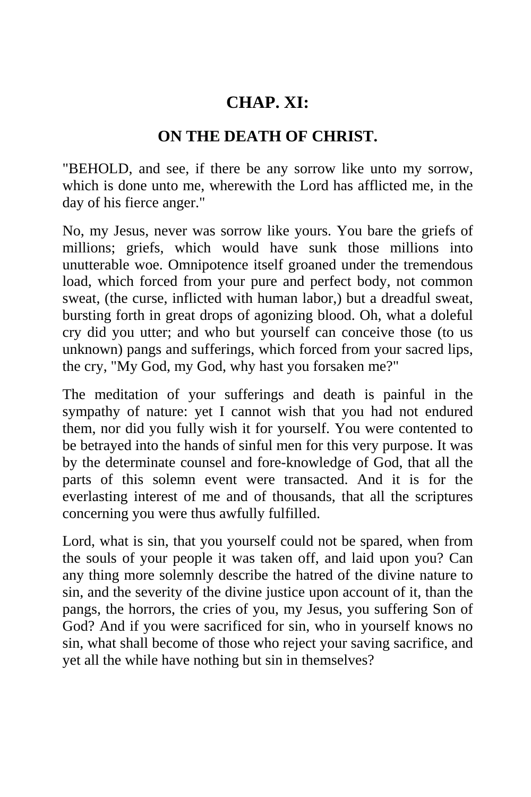## **CHAP. XI:**

## **ON THE DEATH OF CHRIST.**

"BEHOLD, and see, if there be any sorrow like unto my sorrow, which is done unto me, wherewith the Lord has afflicted me, in the day of his fierce anger."

No, my Jesus, never was sorrow like yours. You bare the griefs of millions; griefs, which would have sunk those millions into unutterable woe. Omnipotence itself groaned under the tremendous load, which forced from your pure and perfect body, not common sweat, (the curse, inflicted with human labor,) but a dreadful sweat, bursting forth in great drops of agonizing blood. Oh, what a doleful cry did you utter; and who but yourself can conceive those (to us unknown) pangs and sufferings, which forced from your sacred lips, the cry, "My God, my God, why hast you forsaken me?"

The meditation of your sufferings and death is painful in the sympathy of nature: yet I cannot wish that you had not endured them, nor did you fully wish it for yourself. You were contented to be betrayed into the hands of sinful men for this very purpose. It was by the determinate counsel and fore-knowledge of God, that all the parts of this solemn event were transacted. And it is for the everlasting interest of me and of thousands, that all the scriptures concerning you were thus awfully fulfilled.

Lord, what is sin, that you yourself could not be spared, when from the souls of your people it was taken off, and laid upon you? Can any thing more solemnly describe the hatred of the divine nature to sin, and the severity of the divine justice upon account of it, than the pangs, the horrors, the cries of you, my Jesus, you suffering Son of God? And if you were sacrificed for sin, who in yourself knows no sin, what shall become of those who reject your saving sacrifice, and yet all the while have nothing but sin in themselves?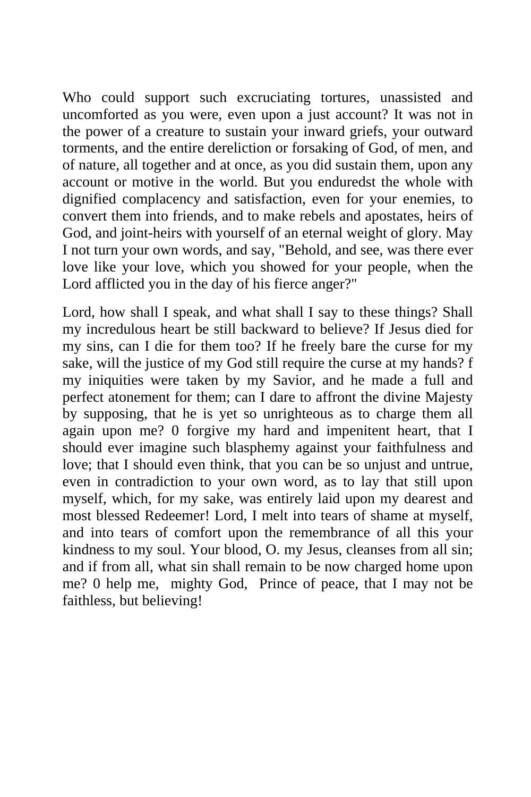Who could support such excruciating tortures, unassisted and uncomforted as you were, even upon a just account? It was not in the power of a creature to sustain your inward griefs, your outward torments, and the entire dereliction or forsaking of God, of men, and of nature, all together and at once, as you did sustain them, upon any account or motive in the world. But you enduredst the whole with dignified complacency and satisfaction, even for your enemies, to convert them into friends, and to make rebels and apostates, heirs of God, and joint-heirs with yourself of an eternal weight of glory. May I not turn your own words, and say, "Behold, and see, was there ever love like your love, which you showed for your people, when the Lord afflicted you in the day of his fierce anger?"

Lord, how shall I speak, and what shall I say to these things? Shall my incredulous heart be still backward to believe? If Jesus died for my sins, can I die for them too? If he freely bare the curse for my sake, will the justice of my God still require the curse at my hands? f my iniquities were taken by my Savior, and he made a full and perfect atonement for them; can I dare to affront the divine Majesty by supposing, that he is yet so unrighteous as to charge them all again upon me? 0 forgive my hard and impenitent heart, that I should ever imagine such blasphemy against your faithfulness and love; that I should even think, that you can be so unjust and untrue, even in contradiction to your own word, as to lay that still upon myself, which, for my sake, was entirely laid upon my dearest and most blessed Redeemer! Lord, I melt into tears of shame at myself, and into tears of comfort upon the remembrance of all this your kindness to my soul. Your blood, O. my Jesus, cleanses from all sin; and if from all, what sin shall remain to be now charged home upon me? 0 help me, mighty God, Prince of peace, that I may not be faithless, but believing!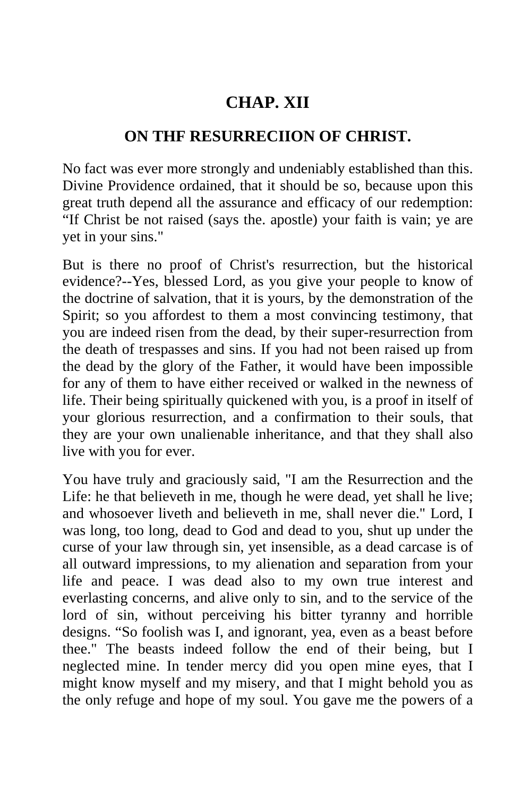# **CHAP. XII**

#### **ON THF RESURRECIION OF CHRIST.**

No fact was ever more strongly and undeniably established than this. Divine Providence ordained, that it should be so, because upon this great truth depend all the assurance and efficacy of our redemption: "If Christ be not raised (says the. apostle) your faith is vain; ye are yet in your sins."

But is there no proof of Christ's resurrection, but the historical evidence?--Yes, blessed Lord, as you give your people to know of the doctrine of salvation, that it is yours, by the demonstration of the Spirit; so you affordest to them a most convincing testimony, that you are indeed risen from the dead, by their super-resurrection from the death of trespasses and sins. If you had not been raised up from the dead by the glory of the Father, it would have been impossible for any of them to have either received or walked in the newness of life. Their being spiritually quickened with you, is a proof in itself of your glorious resurrection, and a confirmation to their souls, that they are your own unalienable inheritance, and that they shall also live with you for ever.

You have truly and graciously said, "I am the Resurrection and the Life: he that believeth in me, though he were dead, yet shall he live; and whosoever liveth and believeth in me, shall never die." Lord, I was long, too long, dead to God and dead to you, shut up under the curse of your law through sin, yet insensible, as a dead carcase is of all outward impressions, to my alienation and separation from your life and peace. I was dead also to my own true interest and everlasting concerns, and alive only to sin, and to the service of the lord of sin, without perceiving his bitter tyranny and horrible designs. "So foolish was I, and ignorant, yea, even as a beast before thee." The beasts indeed follow the end of their being, but I neglected mine. In tender mercy did you open mine eyes, that I might know myself and my misery, and that I might behold you as the only refuge and hope of my soul. You gave me the powers of a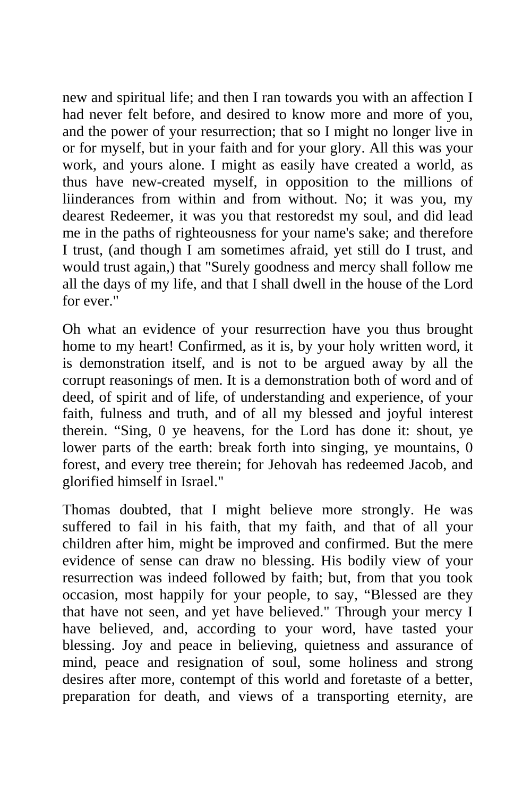new and spiritual life; and then I ran towards you with an affection I had never felt before, and desired to know more and more of you, and the power of your resurrection; that so I might no longer live in or for myself, but in your faith and for your glory. All this was your work, and yours alone. I might as easily have created a world, as thus have new-created myself, in opposition to the millions of liinderances from within and from without. No; it was you, my dearest Redeemer, it was you that restoredst my soul, and did lead me in the paths of righteousness for your name's sake; and therefore I trust, (and though I am sometimes afraid, yet still do I trust, and would trust again,) that "Surely goodness and mercy shall follow me all the days of my life, and that I shall dwell in the house of the Lord for ever."

Oh what an evidence of your resurrection have you thus brought home to my heart! Confirmed, as it is, by your holy written word, it is demonstration itself, and is not to be argued away by all the corrupt reasonings of men. It is a demonstration both of word and of deed, of spirit and of life, of understanding and experience, of your faith, fulness and truth, and of all my blessed and joyful interest therein. "Sing, 0 ye heavens, for the Lord has done it: shout, ye lower parts of the earth: break forth into singing, ye mountains, 0 forest, and every tree therein; for Jehovah has redeemed Jacob, and glorified himself in Israel."

Thomas doubted, that I might believe more strongly. He was suffered to fail in his faith, that my faith, and that of all your children after him, might be improved and confirmed. But the mere evidence of sense can draw no blessing. His bodily view of your resurrection was indeed followed by faith; but, from that you took occasion, most happily for your people, to say, "Blessed are they that have not seen, and yet have believed." Through your mercy I have believed, and, according to your word, have tasted your blessing. Joy and peace in believing, quietness and assurance of mind, peace and resignation of soul, some holiness and strong desires after more, contempt of this world and foretaste of a better, preparation for death, and views of a transporting eternity, are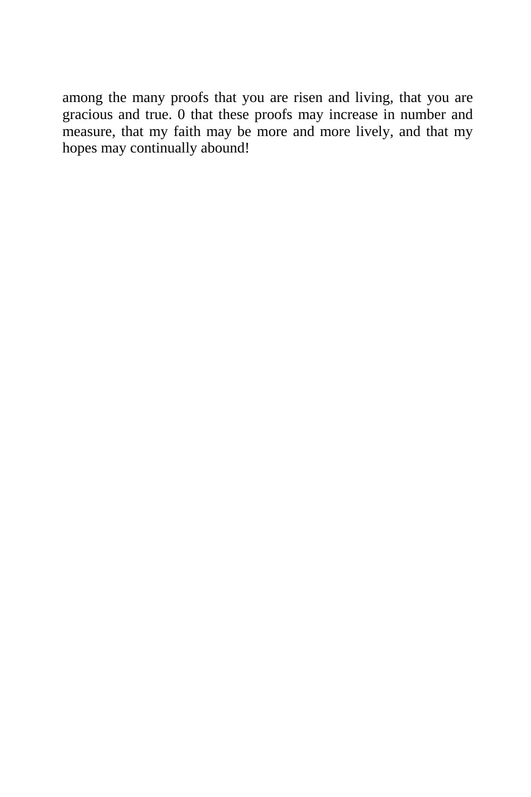among the many proofs that you are risen and living, that you are gracious and true. 0 that these proofs may increase in number and measure, that my faith may be more and more lively, and that my hopes may continually abound!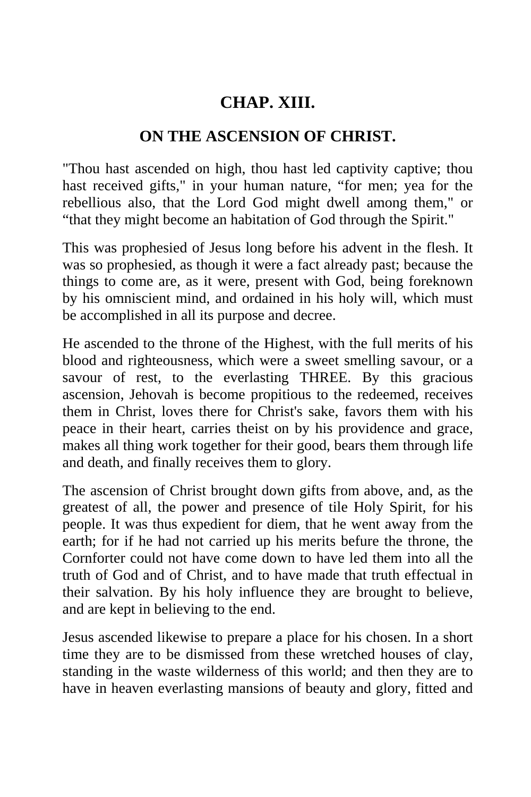# **CHAP. XIII.**

### **ON THE ASCENSION OF CHRIST.**

"Thou hast ascended on high, thou hast led captivity captive; thou hast received gifts," in your human nature, "for men; yea for the rebellious also, that the Lord God might dwell among them," or "that they might become an habitation of God through the Spirit."

This was prophesied of Jesus long before his advent in the flesh. It was so prophesied, as though it were a fact already past; because the things to come are, as it were, present with God, being foreknown by his omniscient mind, and ordained in his holy will, which must be accomplished in all its purpose and decree.

He ascended to the throne of the Highest, with the full merits of his blood and righteousness, which were a sweet smelling savour, or a savour of rest, to the everlasting THREE. By this gracious ascension, Jehovah is become propitious to the redeemed, receives them in Christ, loves there for Christ's sake, favors them with his peace in their heart, carries theist on by his providence and grace, makes all thing work together for their good, bears them through life and death, and finally receives them to glory.

The ascension of Christ brought down gifts from above, and, as the greatest of all, the power and presence of tile Holy Spirit, for his people. It was thus expedient for diem, that he went away from the earth; for if he had not carried up his merits befure the throne, the Cornforter could not have come down to have led them into all the truth of God and of Christ, and to have made that truth effectual in their salvation. By his holy influence they are brought to believe, and are kept in believing to the end.

Jesus ascended likewise to prepare a place for his chosen. In a short time they are to be dismissed from these wretched houses of clay, standing in the waste wilderness of this world; and then they are to have in heaven everlasting mansions of beauty and glory, fitted and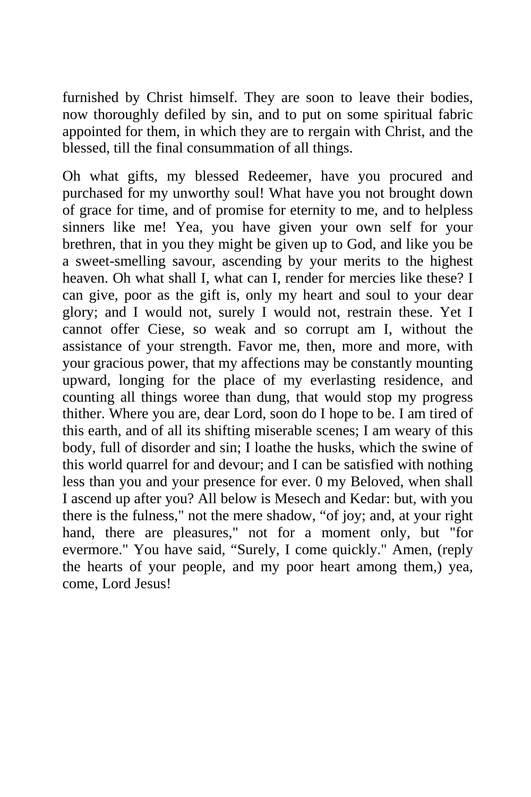furnished by Christ himself. They are soon to leave their bodies, now thoroughly defiled by sin, and to put on some spiritual fabric appointed for them, in which they are to rergain with Christ, and the blessed, till the final consummation of all things.

Oh what gifts, my blessed Redeemer, have you procured and purchased for my unworthy soul! What have you not brought down of grace for time, and of promise for eternity to me, and to helpless sinners like me! Yea, you have given your own self for your brethren, that in you they might be given up to God, and like you be a sweet-smelling savour, ascending by your merits to the highest heaven. Oh what shall I, what can I, render for mercies like these? I can give, poor as the gift is, only my heart and soul to your dear glory; and I would not, surely I would not, restrain these. Yet I cannot offer Ciese, so weak and so corrupt am I, without the assistance of your strength. Favor me, then, more and more, with your gracious power, that my affections may be constantly mounting upward, longing for the place of my everlasting residence, and counting all things woree than dung, that would stop my progress thither. Where you are, dear Lord, soon do I hope to be. I am tired of this earth, and of all its shifting miserable scenes; I am weary of this body, full of disorder and sin; I loathe the husks, which the swine of this world quarrel for and devour; and I can be satisfied with nothing less than you and your presence for ever. 0 my Beloved, when shall I ascend up after you? All below is Mesech and Kedar: but, with you there is the fulness," not the mere shadow, "of joy; and, at your right hand, there are pleasures," not for a moment only, but "for evermore." You have said, "Surely, I come quickly." Amen, (reply the hearts of your people, and my poor heart among them,) yea, come, Lord Jesus!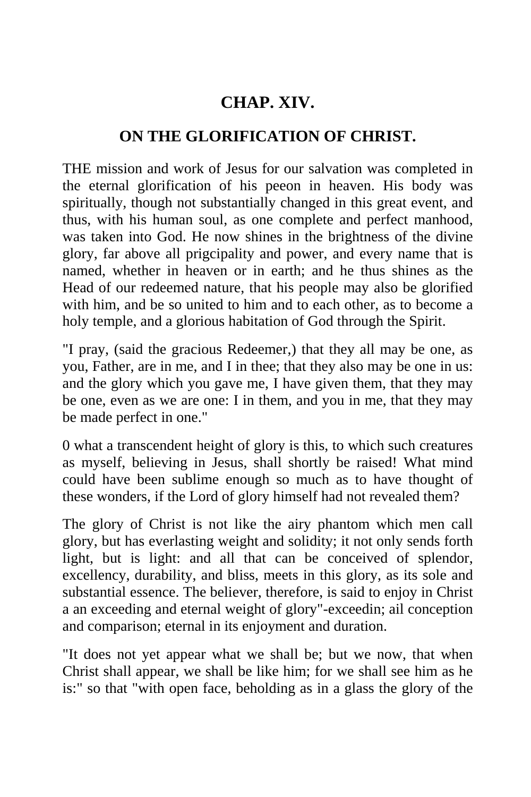# **CHAP. XIV.**

## **ON THE GLORIFICATION OF CHRIST.**

THE mission and work of Jesus for our salvation was completed in the eternal glorification of his peeon in heaven. His body was spiritually, though not substantially changed in this great event, and thus, with his human soul, as one complete and perfect manhood, was taken into God. He now shines in the brightness of the divine glory, far above all prigcipality and power, and every name that is named, whether in heaven or in earth; and he thus shines as the Head of our redeemed nature, that his people may also be glorified with him, and be so united to him and to each other, as to become a holy temple, and a glorious habitation of God through the Spirit.

"I pray, (said the gracious Redeemer,) that they all may be one, as you, Father, are in me, and I in thee; that they also may be one in us: and the glory which you gave me, I have given them, that they may be one, even as we are one: I in them, and you in me, that they may be made perfect in one."

0 what a transcendent height of glory is this, to which such creatures as myself, believing in Jesus, shall shortly be raised! What mind could have been sublime enough so much as to have thought of these wonders, if the Lord of glory himself had not revealed them?

The glory of Christ is not like the airy phantom which men call glory, but has everlasting weight and solidity; it not only sends forth light, but is light: and all that can be conceived of splendor, excellency, durability, and bliss, meets in this glory, as its sole and substantial essence. The believer, therefore, is said to enjoy in Christ a an exceeding and eternal weight of glory"-exceedin; ail conception and comparison; eternal in its enjoyment and duration.

"It does not yet appear what we shall be; but we now, that when Christ shall appear, we shall be like him; for we shall see him as he is:" so that "with open face, beholding as in a glass the glory of the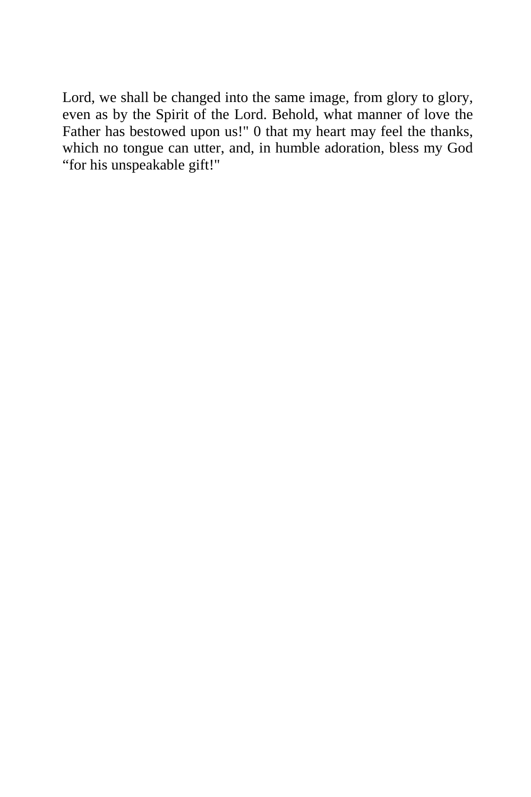Lord, we shall be changed into the same image, from glory to glory, even as by the Spirit of the Lord. Behold, what manner of love the Father has bestowed upon us!" 0 that my heart may feel the thanks, which no tongue can utter, and, in humble adoration, bless my God "for his unspeakable gift!"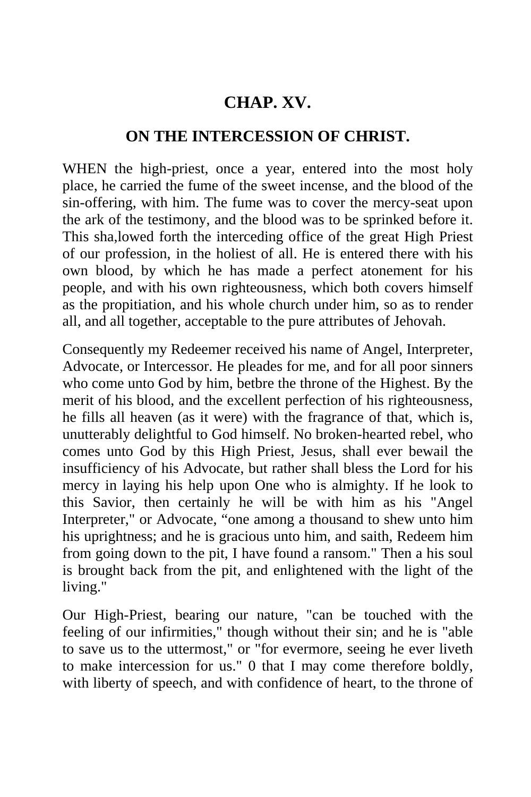## **CHAP. XV.**

#### **ON THE INTERCESSION OF CHRIST.**

WHEN the high-priest, once a year, entered into the most holy place, he carried the fume of the sweet incense, and the blood of the sin-offering, with him. The fume was to cover the mercy-seat upon the ark of the testimony, and the blood was to be sprinked before it. This sha,lowed forth the interceding office of the great High Priest of our profession, in the holiest of all. He is entered there with his own blood, by which he has made a perfect atonement for his people, and with his own righteousness, which both covers himself as the propitiation, and his whole church under him, so as to render all, and all together, acceptable to the pure attributes of Jehovah.

Consequently my Redeemer received his name of Angel, Interpreter, Advocate, or Intercessor. He pleades for me, and for all poor sinners who come unto God by him, betbre the throne of the Highest. By the merit of his blood, and the excellent perfection of his righteousness, he fills all heaven (as it were) with the fragrance of that, which is, unutterably delightful to God himself. No broken-hearted rebel, who comes unto God by this High Priest, Jesus, shall ever bewail the insufficiency of his Advocate, but rather shall bless the Lord for his mercy in laying his help upon One who is almighty. If he look to this Savior, then certainly he will be with him as his "Angel Interpreter," or Advocate, "one among a thousand to shew unto him his uprightness; and he is gracious unto him, and saith, Redeem him from going down to the pit, I have found a ransom." Then a his soul is brought back from the pit, and enlightened with the light of the living."

Our High-Priest, bearing our nature, "can be touched with the feeling of our infirmities," though without their sin; and he is "able to save us to the uttermost," or "for evermore, seeing he ever liveth to make intercession for us." 0 that I may come therefore boldly, with liberty of speech, and with confidence of heart, to the throne of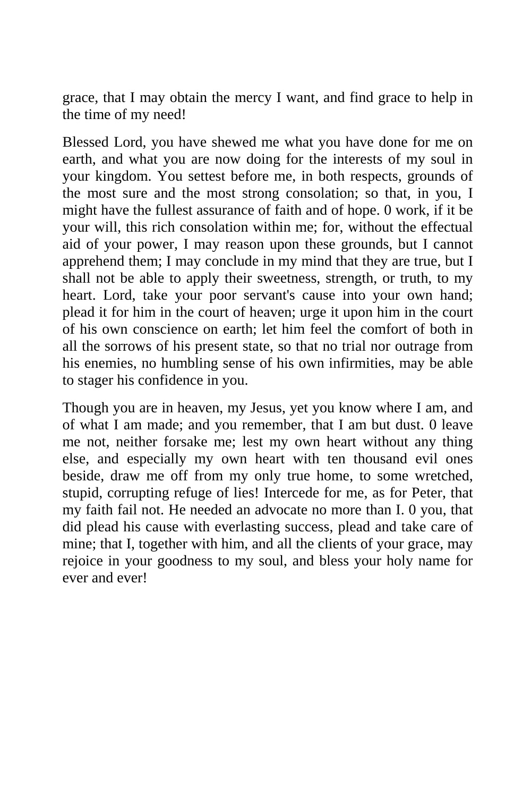grace, that I may obtain the mercy I want, and find grace to help in the time of my need!

Blessed Lord, you have shewed me what you have done for me on earth, and what you are now doing for the interests of my soul in your kingdom. You settest before me, in both respects, grounds of the most sure and the most strong consolation; so that, in you, I might have the fullest assurance of faith and of hope. 0 work, if it be your will, this rich consolation within me; for, without the effectual aid of your power, I may reason upon these grounds, but I cannot apprehend them; I may conclude in my mind that they are true, but I shall not be able to apply their sweetness, strength, or truth, to my heart. Lord, take your poor servant's cause into your own hand; plead it for him in the court of heaven; urge it upon him in the court of his own conscience on earth; let him feel the comfort of both in all the sorrows of his present state, so that no trial nor outrage from his enemies, no humbling sense of his own infirmities, may be able to stager his confidence in you.

Though you are in heaven, my Jesus, yet you know where I am, and of what I am made; and you remember, that I am but dust. 0 leave me not, neither forsake me; lest my own heart without any thing else, and especially my own heart with ten thousand evil ones beside, draw me off from my only true home, to some wretched, stupid, corrupting refuge of lies! Intercede for me, as for Peter, that my faith fail not. He needed an advocate no more than I. 0 you, that did plead his cause with everlasting success, plead and take care of mine; that I, together with him, and all the clients of your grace, may rejoice in your goodness to my soul, and bless your holy name for ever and ever!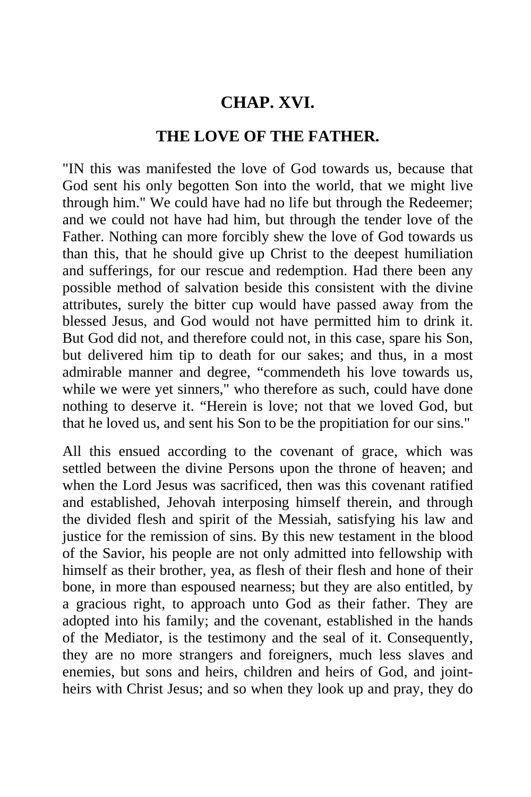## **CHAP. XVI.**

#### **THE LOVE OF THE FATHER.**

"IN this was manifested the love of God towards us, because that God sent his only begotten Son into the world, that we might live through him." We could have had no life but through the Redeemer; and we could not have had him, but through the tender love of the Father. Nothing can more forcibly shew the love of God towards us than this, that he should give up Christ to the deepest humiliation and sufferings, for our rescue and redemption. Had there been any possible method of salvation beside this consistent with the divine attributes, surely the bitter cup would have passed away from the blessed Jesus, and God would not have permitted him to drink it. But God did not, and therefore could not, in this case, spare his Son, but delivered him tip to death for our sakes; and thus, in a most admirable manner and degree, "commendeth his love towards us, while we were yet sinners," who therefore as such, could have done nothing to deserve it. "Herein is love; not that we loved God, but that he loved us, and sent his Son to be the propitiation for our sins."

All this ensued according to the covenant of grace, which was settled between the divine Persons upon the throne of heaven; and when the Lord Jesus was sacrificed, then was this covenant ratified and established, Jehovah interposing himself therein, and through the divided flesh and spirit of the Messiah, satisfying his law and justice for the remission of sins. By this new testament in the blood of the Savior, his people are not only admitted into fellowship with himself as their brother, yea, as flesh of their flesh and hone of their bone, in more than espoused nearness; but they are also entitled, by a gracious right, to approach unto God as their father. They are adopted into his family; and the covenant, established in the hands of the Mediator, is the testimony and the seal of it. Consequently, they are no more strangers and foreigners, much less slaves and enemies, but sons and heirs, children and heirs of God, and jointheirs with Christ Jesus; and so when they look up and pray, they do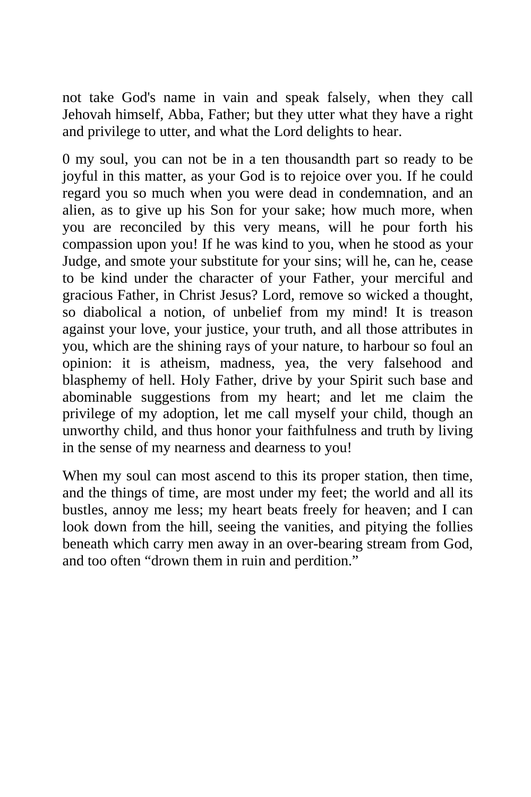not take God's name in vain and speak falsely, when they call Jehovah himself, Abba, Father; but they utter what they have a right and privilege to utter, and what the Lord delights to hear.

0 my soul, you can not be in a ten thousandth part so ready to be joyful in this matter, as your God is to rejoice over you. If he could regard you so much when you were dead in condemnation, and an alien, as to give up his Son for your sake; how much more, when you are reconciled by this very means, will he pour forth his compassion upon you! If he was kind to you, when he stood as your Judge, and smote your substitute for your sins; will he, can he, cease to be kind under the character of your Father, your merciful and gracious Father, in Christ Jesus? Lord, remove so wicked a thought, so diabolical a notion, of unbelief from my mind! It is treason against your love, your justice, your truth, and all those attributes in you, which are the shining rays of your nature, to harbour so foul an opinion: it is atheism, madness, yea, the very falsehood and blasphemy of hell. Holy Father, drive by your Spirit such base and abominable suggestions from my heart; and let me claim the privilege of my adoption, let me call myself your child, though an unworthy child, and thus honor your faithfulness and truth by living in the sense of my nearness and dearness to you!

When my soul can most ascend to this its proper station, then time, and the things of time, are most under my feet; the world and all its bustles, annoy me less; my heart beats freely for heaven; and I can look down from the hill, seeing the vanities, and pitying the follies beneath which carry men away in an over-bearing stream from God, and too often "drown them in ruin and perdition."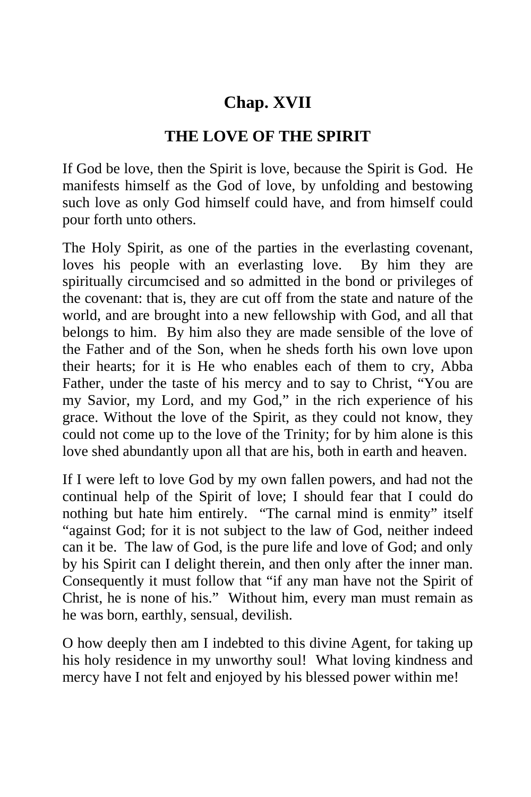# **Chap. XVII**

## **THE LOVE OF THE SPIRIT**

If God be love, then the Spirit is love, because the Spirit is God. He manifests himself as the God of love, by unfolding and bestowing such love as only God himself could have, and from himself could pour forth unto others.

The Holy Spirit, as one of the parties in the everlasting covenant, loves his people with an everlasting love. By him they are spiritually circumcised and so admitted in the bond or privileges of the covenant: that is, they are cut off from the state and nature of the world, and are brought into a new fellowship with God, and all that belongs to him. By him also they are made sensible of the love of the Father and of the Son, when he sheds forth his own love upon their hearts; for it is He who enables each of them to cry, Abba Father, under the taste of his mercy and to say to Christ, "You are my Savior, my Lord, and my God," in the rich experience of his grace. Without the love of the Spirit, as they could not know, they could not come up to the love of the Trinity; for by him alone is this love shed abundantly upon all that are his, both in earth and heaven.

If I were left to love God by my own fallen powers, and had not the continual help of the Spirit of love; I should fear that I could do nothing but hate him entirely. "The carnal mind is enmity" itself "against God; for it is not subject to the law of God, neither indeed can it be. The law of God, is the pure life and love of God; and only by his Spirit can I delight therein, and then only after the inner man. Consequently it must follow that "if any man have not the Spirit of Christ, he is none of his." Without him, every man must remain as he was born, earthly, sensual, devilish.

O how deeply then am I indebted to this divine Agent, for taking up his holy residence in my unworthy soul! What loving kindness and mercy have I not felt and enjoyed by his blessed power within me!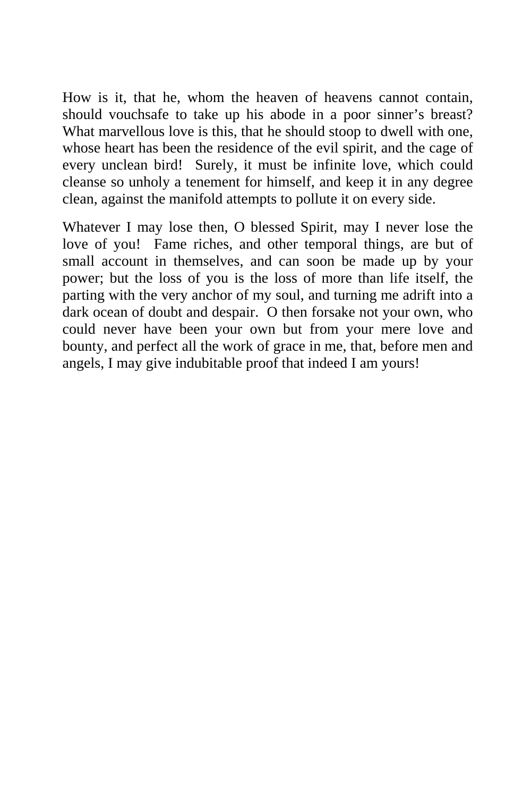How is it, that he, whom the heaven of heavens cannot contain, should vouchsafe to take up his abode in a poor sinner's breast? What marvellous love is this, that he should stoop to dwell with one, whose heart has been the residence of the evil spirit, and the cage of every unclean bird! Surely, it must be infinite love, which could cleanse so unholy a tenement for himself, and keep it in any degree clean, against the manifold attempts to pollute it on every side.

Whatever I may lose then, O blessed Spirit, may I never lose the love of you! Fame riches, and other temporal things, are but of small account in themselves, and can soon be made up by your power; but the loss of you is the loss of more than life itself, the parting with the very anchor of my soul, and turning me adrift into a dark ocean of doubt and despair. O then forsake not your own, who could never have been your own but from your mere love and bounty, and perfect all the work of grace in me, that, before men and angels, I may give indubitable proof that indeed I am yours!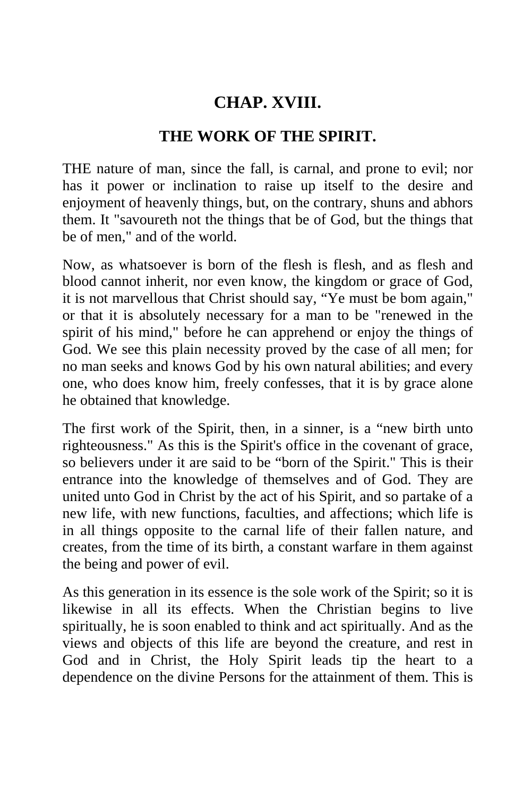# **CHAP. XVIII.**

## **THE WORK OF THE SPIRIT.**

THE nature of man, since the fall, is carnal, and prone to evil; nor has it power or inclination to raise up itself to the desire and enjoyment of heavenly things, but, on the contrary, shuns and abhors them. It "savoureth not the things that be of God, but the things that be of men," and of the world.

Now, as whatsoever is born of the flesh is flesh, and as flesh and blood cannot inherit, nor even know, the kingdom or grace of God, it is not marvellous that Christ should say, "Ye must be bom again," or that it is absolutely necessary for a man to be "renewed in the spirit of his mind," before he can apprehend or enjoy the things of God. We see this plain necessity proved by the case of all men; for no man seeks and knows God by his own natural abilities; and every one, who does know him, freely confesses, that it is by grace alone he obtained that knowledge.

The first work of the Spirit, then, in a sinner, is a "new birth unto righteousness." As this is the Spirit's office in the covenant of grace, so believers under it are said to be "born of the Spirit." This is their entrance into the knowledge of themselves and of God. They are united unto God in Christ by the act of his Spirit, and so partake of a new life, with new functions, faculties, and affections; which life is in all things opposite to the carnal life of their fallen nature, and creates, from the time of its birth, a constant warfare in them against the being and power of evil.

As this generation in its essence is the sole work of the Spirit; so it is likewise in all its effects. When the Christian begins to live spiritually, he is soon enabled to think and act spiritually. And as the views and objects of this life are beyond the creature, and rest in God and in Christ, the Holy Spirit leads tip the heart to a dependence on the divine Persons for the attainment of them. This is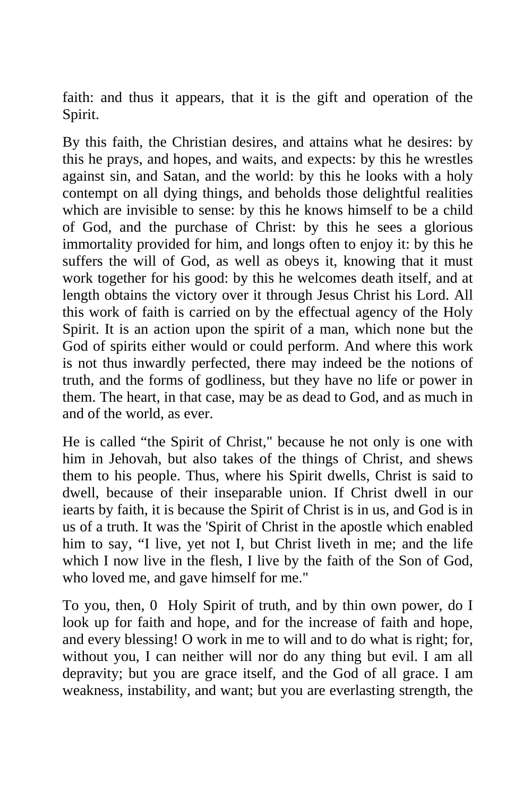faith: and thus it appears, that it is the gift and operation of the Spirit.

By this faith, the Christian desires, and attains what he desires: by this he prays, and hopes, and waits, and expects: by this he wrestles against sin, and Satan, and the world: by this he looks with a holy contempt on all dying things, and beholds those delightful realities which are invisible to sense: by this he knows himself to be a child of God, and the purchase of Christ: by this he sees a glorious immortality provided for him, and longs often to enjoy it: by this he suffers the will of God, as well as obeys it, knowing that it must work together for his good: by this he welcomes death itself, and at length obtains the victory over it through Jesus Christ his Lord. All this work of faith is carried on by the effectual agency of the Holy Spirit. It is an action upon the spirit of a man, which none but the God of spirits either would or could perform. And where this work is not thus inwardly perfected, there may indeed be the notions of truth, and the forms of godliness, but they have no life or power in them. The heart, in that case, may be as dead to God, and as much in and of the world, as ever.

He is called "the Spirit of Christ," because he not only is one with him in Jehovah, but also takes of the things of Christ, and shews them to his people. Thus, where his Spirit dwells, Christ is said to dwell, because of their inseparable union. If Christ dwell in our iearts by faith, it is because the Spirit of Christ is in us, and God is in us of a truth. It was the 'Spirit of Christ in the apostle which enabled him to say, "I live, yet not I, but Christ liveth in me; and the life which I now live in the flesh, I live by the faith of the Son of God, who loved me, and gave himself for me."

To you, then, 0 Holy Spirit of truth, and by thin own power, do I look up for faith and hope, and for the increase of faith and hope, and every blessing! O work in me to will and to do what is right; for, without you, I can neither will nor do any thing but evil. I am all depravity; but you are grace itself, and the God of all grace. I am weakness, instability, and want; but you are everlasting strength, the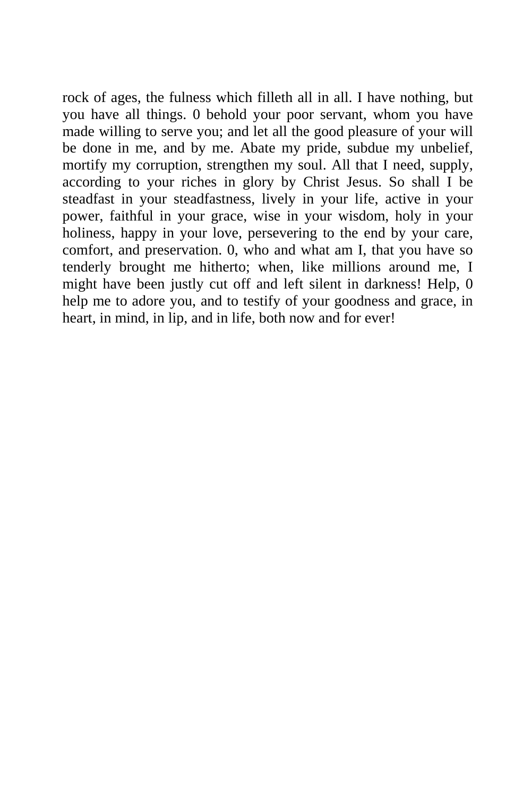rock of ages, the fulness which filleth all in all. I have nothing, but you have all things. 0 behold your poor servant, whom you have made willing to serve you; and let all the good pleasure of your will be done in me, and by me. Abate my pride, subdue my unbelief, mortify my corruption, strengthen my soul. All that I need, supply, according to your riches in glory by Christ Jesus. So shall I be steadfast in your steadfastness, lively in your life, active in your power, faithful in your grace, wise in your wisdom, holy in your holiness, happy in your love, persevering to the end by your care, comfort, and preservation. 0, who and what am I, that you have so tenderly brought me hitherto; when, like millions around me, I might have been justly cut off and left silent in darkness! Help, 0 help me to adore you, and to testify of your goodness and grace, in heart, in mind, in lip, and in life, both now and for ever!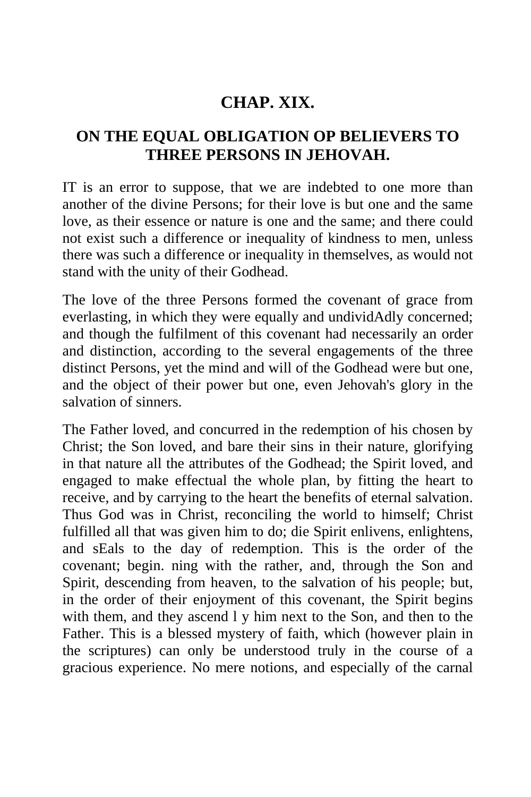# **CHAP. XIX.**

## **ON THE EQUAL OBLIGATION OP BELIEVERS TO THREE PERSONS IN JEHOVAH.**

IT is an error to suppose, that we are indebted to one more than another of the divine Persons; for their love is but one and the same love, as their essence or nature is one and the same; and there could not exist such a difference or inequality of kindness to men, unless there was such a difference or inequality in themselves, as would not stand with the unity of their Godhead.

The love of the three Persons formed the covenant of grace from everlasting, in which they were equally and undividAdly concerned; and though the fulfilment of this covenant had necessarily an order and distinction, according to the several engagements of the three distinct Persons, yet the mind and will of the Godhead were but one, and the object of their power but one, even Jehovah's glory in the salvation of sinners.

The Father loved, and concurred in the redemption of his chosen by Christ; the Son loved, and bare their sins in their nature, glorifying in that nature all the attributes of the Godhead; the Spirit loved, and engaged to make effectual the whole plan, by fitting the heart to receive, and by carrying to the heart the benefits of eternal salvation. Thus God was in Christ, reconciling the world to himself; Christ fulfilled all that was given him to do; die Spirit enlivens, enlightens, and sEals to the day of redemption. This is the order of the covenant; begin. ning with the rather, and, through the Son and Spirit, descending from heaven, to the salvation of his people; but, in the order of their enjoyment of this covenant, the Spirit begins with them, and they ascend l y him next to the Son, and then to the Father. This is a blessed mystery of faith, which (however plain in the scriptures) can only be understood truly in the course of a gracious experience. No mere notions, and especially of the carnal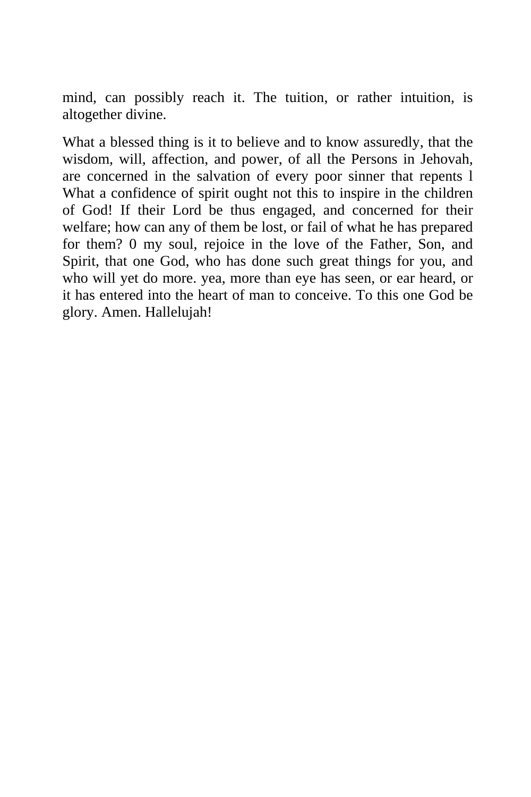mind, can possibly reach it. The tuition, or rather intuition, is altogether divine.

What a blessed thing is it to believe and to know assuredly, that the wisdom, will, affection, and power, of all the Persons in Jehovah, are concerned in the salvation of every poor sinner that repents l What a confidence of spirit ought not this to inspire in the children of God! If their Lord be thus engaged, and concerned for their welfare; how can any of them be lost, or fail of what he has prepared for them? 0 my soul, rejoice in the love of the Father, Son, and Spirit, that one God, who has done such great things for you, and who will yet do more. yea, more than eye has seen, or ear heard, or it has entered into the heart of man to conceive. To this one God be glory. Amen. Hallelujah!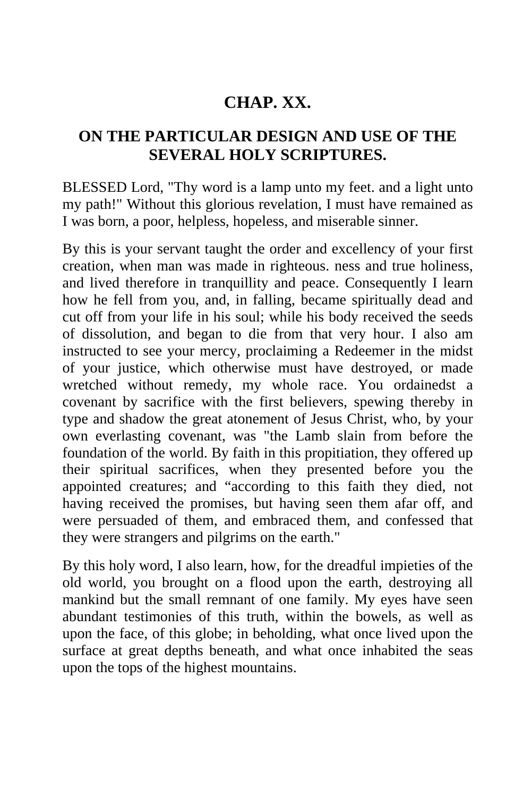# **CHAP. XX.**

### **ON THE PARTICULAR DESIGN AND USE OF THE SEVERAL HOLY SCRIPTURES.**

BLESSED Lord, "Thy word is a lamp unto my feet. and a light unto my path!" Without this glorious revelation, I must have remained as I was born, a poor, helpless, hopeless, and miserable sinner.

By this is your servant taught the order and excellency of your first creation, when man was made in righteous. ness and true holiness, and lived therefore in tranquillity and peace. Consequently I learn how he fell from you, and, in falling, became spiritually dead and cut off from your life in his soul; while his body received the seeds of dissolution, and began to die from that very hour. I also am instructed to see your mercy, proclaiming a Redeemer in the midst of your justice, which otherwise must have destroyed, or made wretched without remedy, my whole race. You ordainedst a covenant by sacrifice with the first believers, spewing thereby in type and shadow the great atonement of Jesus Christ, who, by your own everlasting covenant, was "the Lamb slain from before the foundation of the world. By faith in this propitiation, they offered up their spiritual sacrifices, when they presented before you the appointed creatures; and "according to this faith they died, not having received the promises, but having seen them afar off, and were persuaded of them, and embraced them, and confessed that they were strangers and pilgrims on the earth."

By this holy word, I also learn, how, for the dreadful impieties of the old world, you brought on a flood upon the earth, destroying all mankind but the small remnant of one family. My eyes have seen abundant testimonies of this truth, within the bowels, as well as upon the face, of this globe; in beholding, what once lived upon the surface at great depths beneath, and what once inhabited the seas upon the tops of the highest mountains.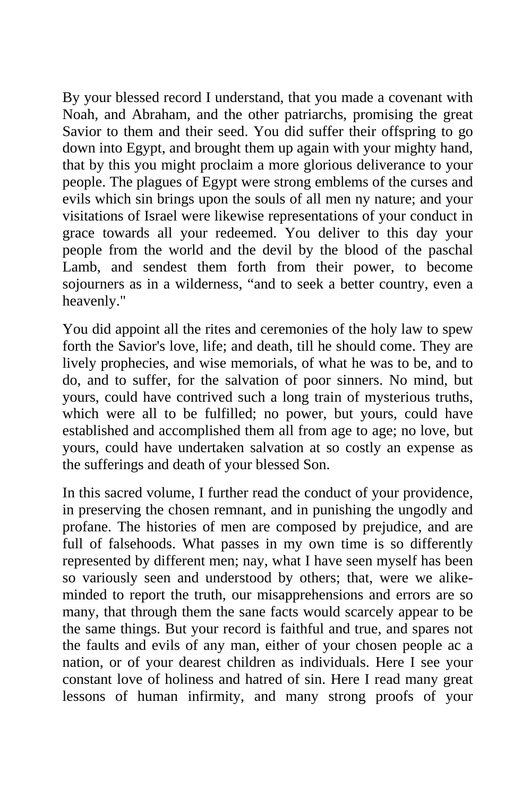By your blessed record I understand, that you made a covenant with Noah, and Abraham, and the other patriarchs, promising the great Savior to them and their seed. You did suffer their offspring to go down into Egypt, and brought them up again with your mighty hand, that by this you might proclaim a more glorious deliverance to your people. The plagues of Egypt were strong emblems of the curses and evils which sin brings upon the souls of all men ny nature; and your visitations of Israel were likewise representations of your conduct in grace towards all your redeemed. You deliver to this day your people from the world and the devil by the blood of the paschal Lamb, and sendest them forth from their power, to become sojourners as in a wilderness, "and to seek a better country, even a heavenly."

You did appoint all the rites and ceremonies of the holy law to spew forth the Savior's love, life; and death, till he should come. They are lively prophecies, and wise memorials, of what he was to be, and to do, and to suffer, for the salvation of poor sinners. No mind, but yours, could have contrived such a long train of mysterious truths, which were all to be fulfilled; no power, but yours, could have established and accomplished them all from age to age; no love, but yours, could have undertaken salvation at so costly an expense as the sufferings and death of your blessed Son.

In this sacred volume, I further read the conduct of your providence, in preserving the chosen remnant, and in punishing the ungodly and profane. The histories of men are composed by prejudice, and are full of falsehoods. What passes in my own time is so differently represented by different men; nay, what I have seen myself has been so variously seen and understood by others; that, were we alikeminded to report the truth, our misapprehensions and errors are so many, that through them the sane facts would scarcely appear to be the same things. But your record is faithful and true, and spares not the faults and evils of any man, either of your chosen people ac a nation, or of your dearest children as individuals. Here I see your constant love of holiness and hatred of sin. Here I read many great lessons of human infirmity, and many strong proofs of your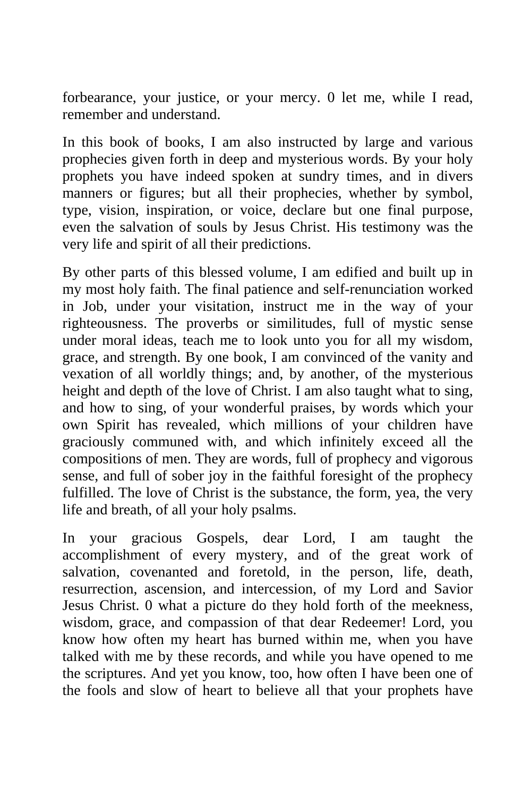forbearance, your justice, or your mercy. 0 let me, while I read, remember and understand.

In this book of books, I am also instructed by large and various prophecies given forth in deep and mysterious words. By your holy prophets you have indeed spoken at sundry times, and in divers manners or figures; but all their prophecies, whether by symbol, type, vision, inspiration, or voice, declare but one final purpose, even the salvation of souls by Jesus Christ. His testimony was the very life and spirit of all their predictions.

By other parts of this blessed volume, I am edified and built up in my most holy faith. The final patience and self-renunciation worked in Job, under your visitation, instruct me in the way of your righteousness. The proverbs or similitudes, full of mystic sense under moral ideas, teach me to look unto you for all my wisdom, grace, and strength. By one book, I am convinced of the vanity and vexation of all worldly things; and, by another, of the mysterious height and depth of the love of Christ. I am also taught what to sing, and how to sing, of your wonderful praises, by words which your own Spirit has revealed, which millions of your children have graciously communed with, and which infinitely exceed all the compositions of men. They are words, full of prophecy and vigorous sense, and full of sober joy in the faithful foresight of the prophecy fulfilled. The love of Christ is the substance, the form, yea, the very life and breath, of all your holy psalms.

In your gracious Gospels, dear Lord, I am taught the accomplishment of every mystery, and of the great work of salvation, covenanted and foretold, in the person, life, death, resurrection, ascension, and intercession, of my Lord and Savior Jesus Christ. 0 what a picture do they hold forth of the meekness, wisdom, grace, and compassion of that dear Redeemer! Lord, you know how often my heart has burned within me, when you have talked with me by these records, and while you have opened to me the scriptures. And yet you know, too, how often I have been one of the fools and slow of heart to believe all that your prophets have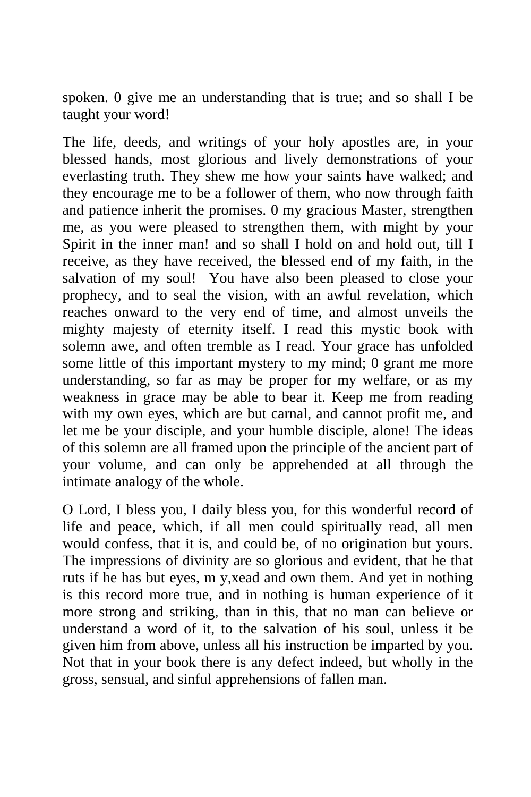spoken. 0 give me an understanding that is true; and so shall I be taught your word!

The life, deeds, and writings of your holy apostles are, in your blessed hands, most glorious and lively demonstrations of your everlasting truth. They shew me how your saints have walked; and they encourage me to be a follower of them, who now through faith and patience inherit the promises. 0 my gracious Master, strengthen me, as you were pleased to strengthen them, with might by your Spirit in the inner man! and so shall I hold on and hold out, till I receive, as they have received, the blessed end of my faith, in the salvation of my soul! You have also been pleased to close your prophecy, and to seal the vision, with an awful revelation, which reaches onward to the very end of time, and almost unveils the mighty majesty of eternity itself. I read this mystic book with solemn awe, and often tremble as I read. Your grace has unfolded some little of this important mystery to my mind; 0 grant me more understanding, so far as may be proper for my welfare, or as my weakness in grace may be able to bear it. Keep me from reading with my own eyes, which are but carnal, and cannot profit me, and let me be your disciple, and your humble disciple, alone! The ideas of this solemn are all framed upon the principle of the ancient part of your volume, and can only be apprehended at all through the intimate analogy of the whole.

O Lord, I bless you, I daily bless you, for this wonderful record of life and peace, which, if all men could spiritually read, all men would confess, that it is, and could be, of no origination but yours. The impressions of divinity are so glorious and evident, that he that ruts if he has but eyes, m y,xead and own them. And yet in nothing is this record more true, and in nothing is human experience of it more strong and striking, than in this, that no man can believe or understand a word of it, to the salvation of his soul, unless it be given him from above, unless all his instruction be imparted by you. Not that in your book there is any defect indeed, but wholly in the gross, sensual, and sinful apprehensions of fallen man.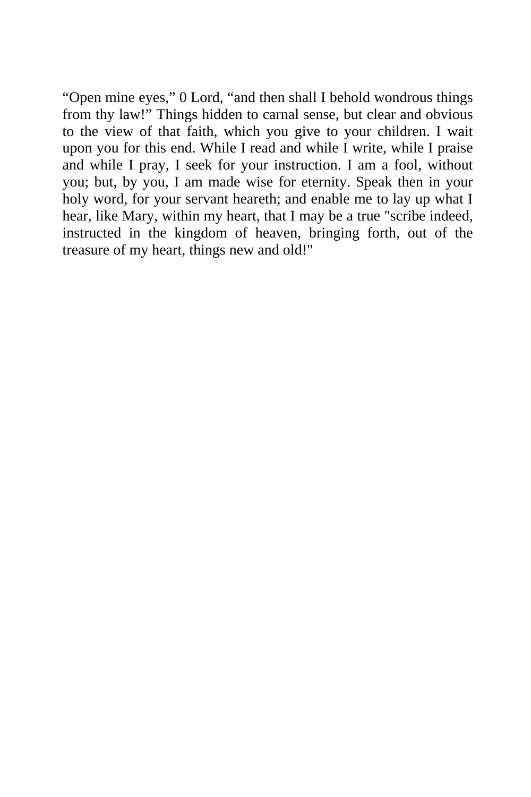"Open mine eyes," 0 Lord, "and then shall I behold wondrous things from thy law!" Things hidden to carnal sense, but clear and obvious to the view of that faith, which you give to your children. I wait upon you for this end. While I read and while I write, while I praise and while I pray, I seek for your instruction. I am a fool, without you; but, by you, I am made wise for eternity. Speak then in your holy word, for your servant heareth; and enable me to lay up what I hear, like Mary, within my heart, that I may be a true "scribe indeed, instructed in the kingdom of heaven, bringing forth, out of the treasure of my heart, things new and old!"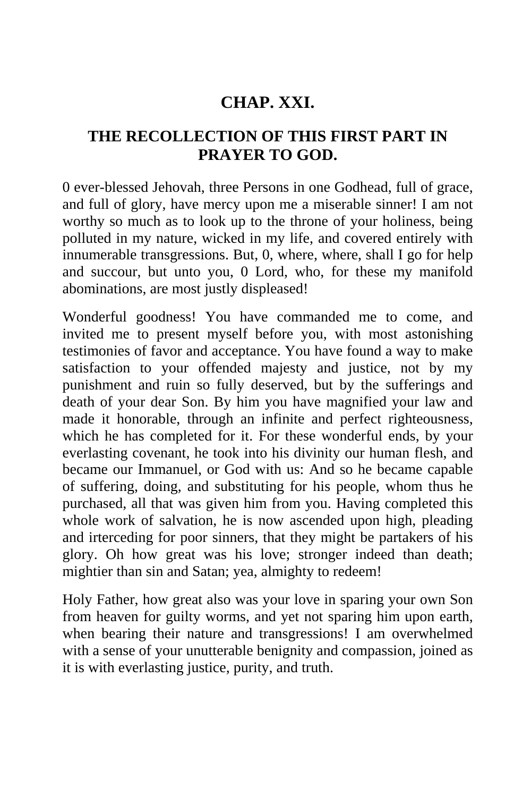# **CHAP. XXI.**

#### **THE RECOLLECTION OF THIS FIRST PART IN PRAYER TO GOD.**

0 ever-blessed Jehovah, three Persons in one Godhead, full of grace, and full of glory, have mercy upon me a miserable sinner! I am not worthy so much as to look up to the throne of your holiness, being polluted in my nature, wicked in my life, and covered entirely with innumerable transgressions. But, 0, where, where, shall I go for help and succour, but unto you, 0 Lord, who, for these my manifold abominations, are most justly displeased!

Wonderful goodness! You have commanded me to come, and invited me to present myself before you, with most astonishing testimonies of favor and acceptance. You have found a way to make satisfaction to your offended majesty and justice, not by my punishment and ruin so fully deserved, but by the sufferings and death of your dear Son. By him you have magnified your law and made it honorable, through an infinite and perfect righteousness, which he has completed for it. For these wonderful ends, by your everlasting covenant, he took into his divinity our human flesh, and became our Immanuel, or God with us: And so he became capable of suffering, doing, and substituting for his people, whom thus he purchased, all that was given him from you. Having completed this whole work of salvation, he is now ascended upon high, pleading and irterceding for poor sinners, that they might be partakers of his glory. Oh how great was his love; stronger indeed than death; mightier than sin and Satan; yea, almighty to redeem!

Holy Father, how great also was your love in sparing your own Son from heaven for guilty worms, and yet not sparing him upon earth, when bearing their nature and transgressions! I am overwhelmed with a sense of your unutterable benignity and compassion, joined as it is with everlasting justice, purity, and truth.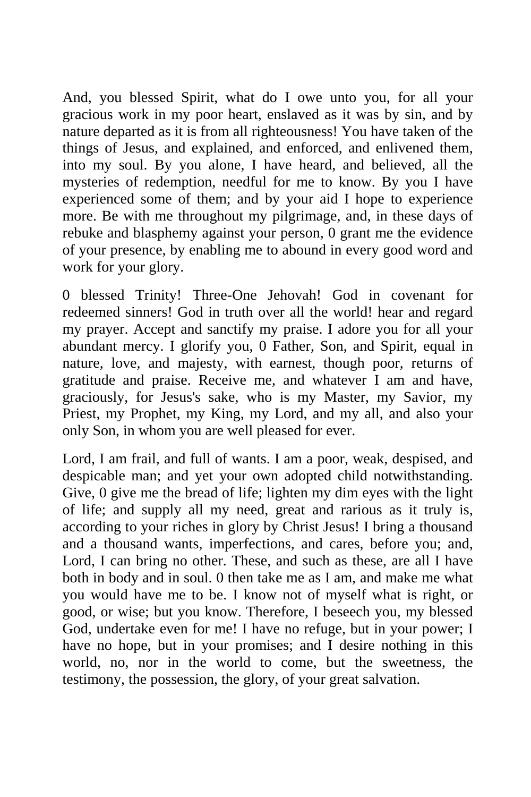And, you blessed Spirit, what do I owe unto you, for all your gracious work in my poor heart, enslaved as it was by sin, and by nature departed as it is from all righteousness! You have taken of the things of Jesus, and explained, and enforced, and enlivened them, into my soul. By you alone, I have heard, and believed, all the mysteries of redemption, needful for me to know. By you I have experienced some of them; and by your aid I hope to experience more. Be with me throughout my pilgrimage, and, in these days of rebuke and blasphemy against your person, 0 grant me the evidence of your presence, by enabling me to abound in every good word and work for your glory.

0 blessed Trinity! Three-One Jehovah! God in covenant for redeemed sinners! God in truth over all the world! hear and regard my prayer. Accept and sanctify my praise. I adore you for all your abundant mercy. I glorify you, 0 Father, Son, and Spirit, equal in nature, love, and majesty, with earnest, though poor, returns of gratitude and praise. Receive me, and whatever I am and have, graciously, for Jesus's sake, who is my Master, my Savior, my Priest, my Prophet, my King, my Lord, and my all, and also your only Son, in whom you are well pleased for ever.

Lord, I am frail, and full of wants. I am a poor, weak, despised, and despicable man; and yet your own adopted child notwithstanding. Give, 0 give me the bread of life; lighten my dim eyes with the light of life; and supply all my need, great and rarious as it truly is, according to your riches in glory by Christ Jesus! I bring a thousand and a thousand wants, imperfections, and cares, before you; and, Lord, I can bring no other. These, and such as these, are all I have both in body and in soul. 0 then take me as I am, and make me what you would have me to be. I know not of myself what is right, or good, or wise; but you know. Therefore, I beseech you, my blessed God, undertake even for me! I have no refuge, but in your power; I have no hope, but in your promises; and I desire nothing in this world, no, nor in the world to come, but the sweetness, the testimony, the possession, the glory, of your great salvation.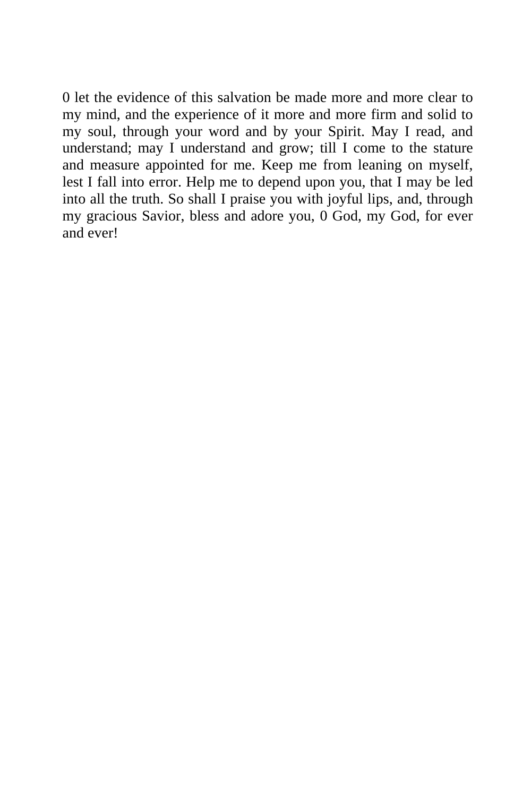0 let the evidence of this salvation be made more and more clear to my mind, and the experience of it more and more firm and solid to my soul, through your word and by your Spirit. May I read, and understand; may I understand and grow; till I come to the stature and measure appointed for me. Keep me from leaning on myself, lest I fall into error. Help me to depend upon you, that I may be led into all the truth. So shall I praise you with joyful lips, and, through my gracious Savior, bless and adore you, 0 God, my God, for ever and ever!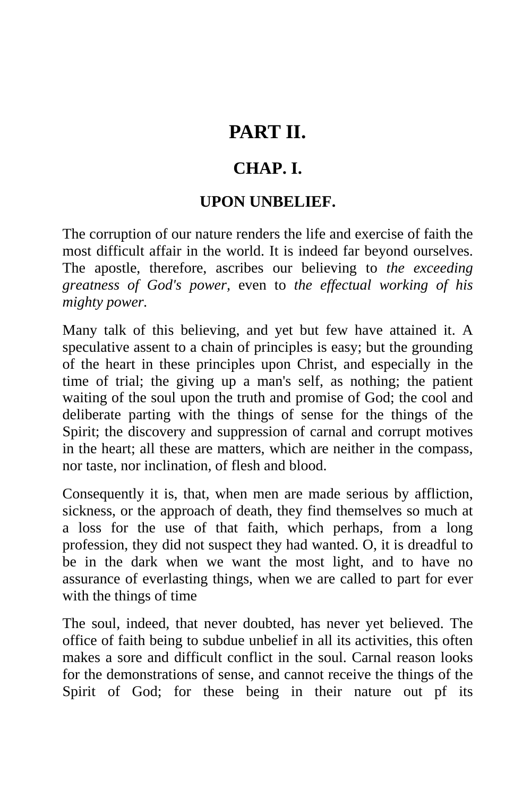# **PART II.**

## **CHAP. I.**

#### **UPON UNBELIEF.**

The corruption of our nature renders the life and exercise of faith the most difficult affair in the world. It is indeed far beyond ourselves. The apostle, therefore, ascribes our believing to *the exceeding greatness of God's power,* even to *the effectual working of his mighty power.* 

Many talk of this believing, and yet but few have attained it. A speculative assent to a chain of principles is easy; but the grounding of the heart in these principles upon Christ, and especially in the time of trial; the giving up a man's self, as nothing; the patient waiting of the soul upon the truth and promise of God; the cool and deliberate parting with the things of sense for the things of the Spirit; the discovery and suppression of carnal and corrupt motives in the heart; all these are matters, which are neither in the compass, nor taste, nor inclination, of flesh and blood.

Consequently it is, that, when men are made serious by affliction, sickness, or the approach of death, they find themselves so much at a loss for the use of that faith, which perhaps, from a long profession, they did not suspect they had wanted. O, it is dreadful to be in the dark when we want the most light, and to have no assurance of everlasting things, when we are called to part for ever with the things of time

The soul, indeed, that never doubted, has never yet believed. The office of faith being to subdue unbelief in all its activities, this often makes a sore and difficult conflict in the soul. Carnal reason looks for the demonstrations of sense, and cannot receive the things of the Spirit of God; for these being in their nature out pf its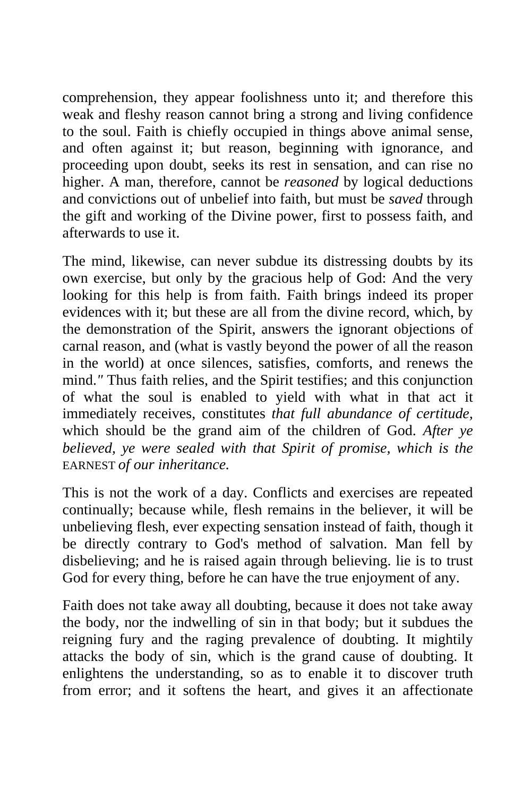comprehension, they appear foolishness unto it; and therefore this weak and fleshy reason cannot bring a strong and living confidence to the soul. Faith is chiefly occupied in things above animal sense, and often against it; but reason, beginning with ignorance, and proceeding upon doubt, seeks its rest in sensation, and can rise no higher. A man, therefore, cannot be *reasoned* by logical deductions and convictions out of unbelief into faith, but must be *saved* through the gift and working of the Divine power, first to possess faith, and afterwards to use it.

The mind, likewise, can never subdue its distressing doubts by its own exercise, but only by the gracious help of God: And the very looking for this help is from faith. Faith brings indeed its proper evidences with it; but these are all from the divine record, which, by the demonstration of the Spirit, answers the ignorant objections of carnal reason, and (what is vastly beyond the power of all the reason in the world) at once silences, satisfies, comforts, and renews the mind.*"* Thus faith relies, and the Spirit testifies; and this conjunction of what the soul is enabled to yield with what in that act it immediately receives, constitutes *that full abundance of certitude,*  which should be the grand aim of the children of God. *After ye believed, ye were sealed with that Spirit of promise, which is the*  EARNEST *of our inheritance.* 

This is not the work of a day. Conflicts and exercises are repeated continually; because while, flesh remains in the believer, it will be unbelieving flesh, ever expecting sensation instead of faith, though it be directly contrary to God's method of salvation. Man fell by disbelieving; and he is raised again through believing. lie is to trust God for every thing, before he can have the true enjoyment of any.

Faith does not take away all doubting, because it does not take away the body, nor the indwelling of sin in that body; but it subdues the reigning fury and the raging prevalence of doubting. It mightily attacks the body of sin, which is the grand cause of doubting. It enlightens the understanding, so as to enable it to discover truth from error; and it softens the heart, and gives it an affectionate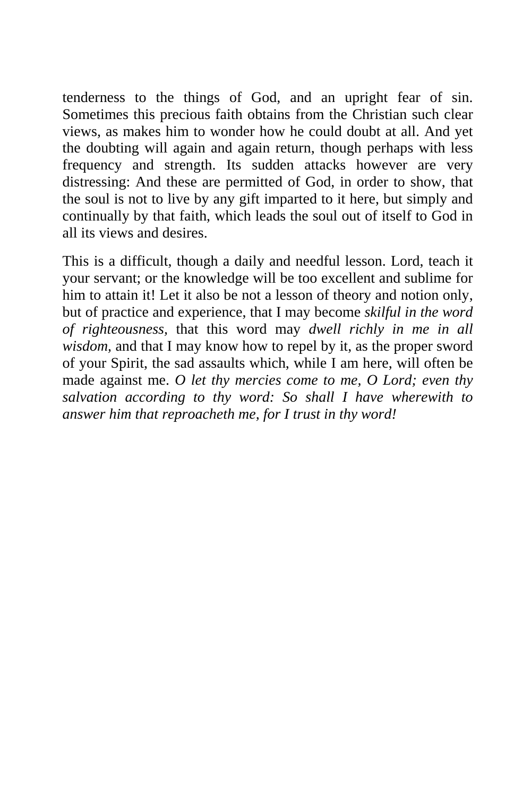tenderness to the things of God, and an upright fear of sin. Sometimes this precious faith obtains from the Christian such clear views, as makes him to wonder how he could doubt at all. And yet the doubting will again and again return, though perhaps with less frequency and strength. Its sudden attacks however are very distressing: And these are permitted of God, in order to show, that the soul is not to live by any gift imparted to it here, but simply and continually by that faith, which leads the soul out of itself to God in all its views and desires.

This is a difficult, though a daily and needful lesson. Lord, teach it your servant; or the knowledge will be too excellent and sublime for him to attain it! Let it also be not a lesson of theory and notion only, but of practice and experience, that I may become *skilful in the word of righteousness,* that this word may *dwell richly in me in all wisdom,* and that I may know how to repel by it, as the proper sword of your Spirit, the sad assaults which, while I am here, will often be made against me. *O let thy mercies come to me, O Lord; even thy salvation according to thy word: So shall I have wherewith to answer him that reproacheth me, for I trust in thy word!*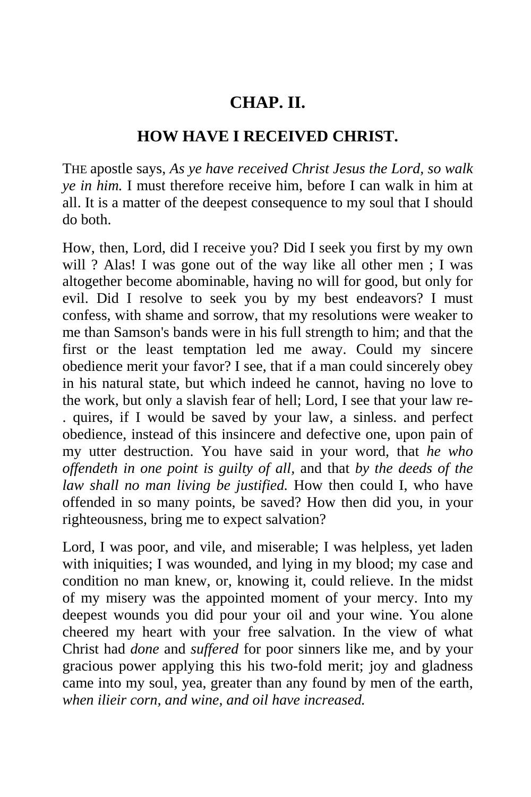# **CHAP. II.**

## **HOW HAVE I RECEIVED CHRIST.**

THE apostle says, *As ye have received Christ Jesus the Lord, so walk ye in him.* I must therefore receive him, before I can walk in him at all. It is a matter of the deepest consequence to my soul that I should do both.

How, then, Lord, did I receive you? Did I seek you first by my own will ? Alas! I was gone out of the way like all other men; I was altogether become abominable, having no will for good, but only for evil. Did I resolve to seek you by my best endeavors? I must confess, with shame and sorrow, that my resolutions were weaker to me than Samson's bands were in his full strength to him; and that the first or the least temptation led me away. Could my sincere obedience merit your favor? I see, that if a man could sincerely obey in his natural state, but which indeed he cannot, having no love to the work, but only a slavish fear of hell; Lord, I see that your law re- . quires, if I would be saved by your law, a sinless. and perfect obedience, instead of this insincere and defective one, upon pain of my utter destruction. You have said in your word, that *he who offendeth in one point is guilty of all,* and that *by the deeds of the law shall no man living be justified.* How then could I, who have offended in so many points, be saved? How then did you, in your righteousness, bring me to expect salvation?

Lord, I was poor, and vile, and miserable; I was helpless, yet laden with iniquities; I was wounded, and lying in my blood; my case and condition no man knew, or, knowing it, could relieve. In the midst of my misery was the appointed moment of your mercy. Into my deepest wounds you did pour your oil and your wine. You alone cheered my heart with your free salvation. In the view of what Christ had *done* and *suffered* for poor sinners like me, and by your gracious power applying this his two-fold merit; joy and gladness came into my soul, yea, greater than any found by men of the earth, *when ilieir corn, and wine, and oil have increased.*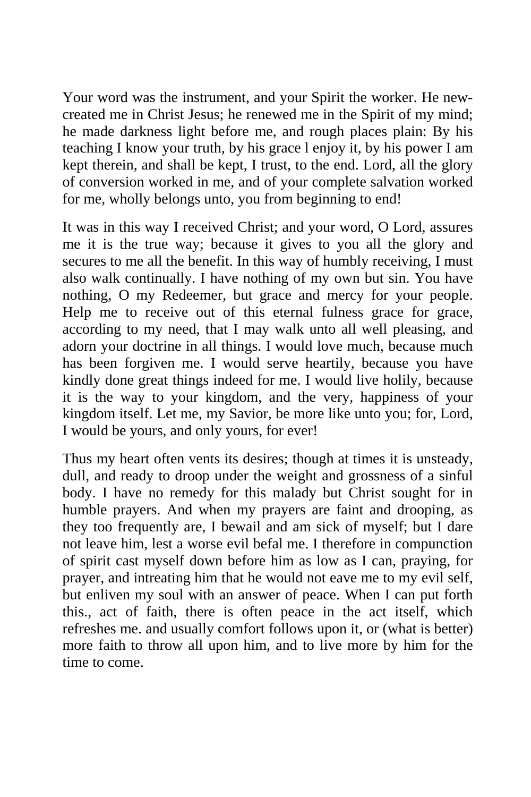Your word was the instrument, and your Spirit the worker. He newcreated me in Christ Jesus; he renewed me in the Spirit of my mind; he made darkness light before me, and rough places plain: By his teaching I know your truth, by his grace l enjoy it, by his power I am kept therein, and shall be kept, I trust, to the end. Lord, all the glory of conversion worked in me, and of your complete salvation worked for me, wholly belongs unto, you from beginning to end!

It was in this way I received Christ; and your word, O Lord, assures me it is the true way; because it gives to you all the glory and secures to me all the benefit. In this way of humbly receiving, I must also walk continually. I have nothing of my own but sin. You have nothing, O my Redeemer, but grace and mercy for your people. Help me to receive out of this eternal fulness grace for grace, according to my need, that I may walk unto all well pleasing, and adorn your doctrine in all things. I would love much, because much has been forgiven me. I would serve heartily, because you have kindly done great things indeed for me. I would live holily, because it is the way to your kingdom, and the very, happiness of your kingdom itself. Let me, my Savior, be more like unto you; for, Lord, I would be yours, and only yours, for ever!

Thus my heart often vents its desires; though at times it is unsteady, dull, and ready to droop under the weight and grossness of a sinful body. I have no remedy for this malady but Christ sought for in humble prayers. And when my prayers are faint and drooping, as they too frequently are, I bewail and am sick of myself; but I dare not leave him, lest a worse evil befal me. I therefore in compunction of spirit cast myself down before him as low as I can, praying, for prayer, and intreating him that he would not eave me to my evil self, but enliven my soul with an answer of peace. When I can put forth this., act of faith, there is often peace in the act itself, which refreshes me. and usually comfort follows upon it, or (what is better) more faith to throw all upon him, and to live more by him for the time to come.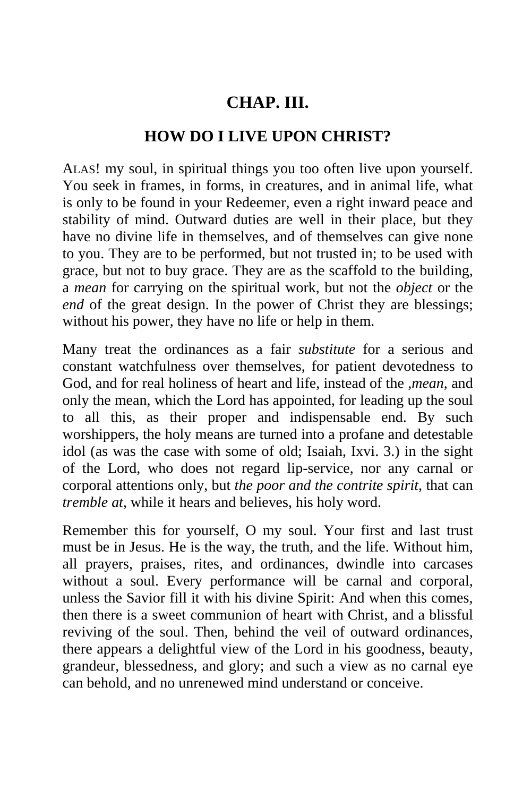# **CHAP. III.**

## **HOW DO I LIVE UPON CHRIST?**

ALAS! my soul, in spiritual things you too often live upon yourself. You seek in frames, in forms, in creatures, and in animal life, what is only to be found in your Redeemer, even a right inward peace and stability of mind. Outward duties are well in their place, but they have no divine life in themselves, and of themselves can give none to you. They are to be performed, but not trusted in; to be used with grace, but not to buy grace. They are as the scaffold to the building, a *mean* for carrying on the spiritual work, but not the *object* or the *end* of the great design. In the power of Christ they are blessings; without his power, they have no life or help in them.

Many treat the ordinances as a fair *substitute* for a serious and constant watchfulness over themselves, for patient devotedness to God, and for real holiness of heart and life, instead of the *,mean,* and only the mean, which the Lord has appointed, for leading up the soul to all this, as their proper and indispensable end. By such worshippers, the holy means are turned into a profane and detestable idol (as was the case with some of old; Isaiah, Ixvi. 3.) in the sight of the Lord, who does not regard lip-service, nor any carnal or corporal attentions only, but *the poor and the contrite spirit,* that can *tremble at,* while it hears and believes, his holy word.

Remember this for yourself, O my soul. Your first and last trust must be in Jesus. He is the way, the truth, and the life. Without him, all prayers, praises, rites, and ordinances, dwindle into carcases without a soul. Every performance will be carnal and corporal, unless the Savior fill it with his divine Spirit: And when this comes, then there is a sweet communion of heart with Christ, and a blissful reviving of the soul. Then, behind the veil of outward ordinances, there appears a delightful view of the Lord in his goodness, beauty, grandeur, blessedness, and glory; and such a view as no carnal eye can behold, and no unrenewed mind understand or conceive.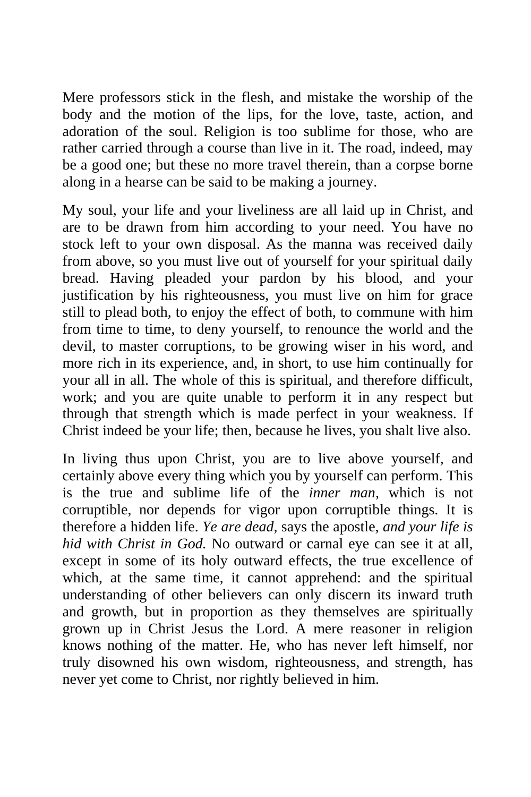Mere professors stick in the flesh, and mistake the worship of the body and the motion of the lips, for the love, taste, action, and adoration of the soul. Religion is too sublime for those, who are rather carried through a course than live in it. The road, indeed, may be a good one; but these no more travel therein, than a corpse borne along in a hearse can be said to be making a journey.

My soul, your life and your liveliness are all laid up in Christ, and are to be drawn from him according to your need. You have no stock left to your own disposal. As the manna was received daily from above, so you must live out of yourself for your spiritual daily bread. Having pleaded your pardon by his blood, and your justification by his righteousness, you must live on him for grace still to plead both, to enjoy the effect of both, to commune with him from time to time, to deny yourself, to renounce the world and the devil, to master corruptions, to be growing wiser in his word, and more rich in its experience, and, in short, to use him continually for your all in all. The whole of this is spiritual, and therefore difficult, work; and you are quite unable to perform it in any respect but through that strength which is made perfect in your weakness. If Christ indeed be your life; then, because he lives, you shalt live also.

In living thus upon Christ, you are to live above yourself, and certainly above every thing which you by yourself can perform. This is the true and sublime life of the *inner man,* which is not corruptible, nor depends for vigor upon corruptible things. It is therefore a hidden life. *Ye are dead,* says the apostle, *and your life is hid with Christ in God.* No outward or carnal eye can see it at all, except in some of its holy outward effects, the true excellence of which, at the same time, it cannot apprehend: and the spiritual understanding of other believers can only discern its inward truth and growth, but in proportion as they themselves are spiritually grown up in Christ Jesus the Lord. A mere reasoner in religion knows nothing of the matter. He, who has never left himself, nor truly disowned his own wisdom, righteousness, and strength, has never yet come to Christ, nor rightly believed in him.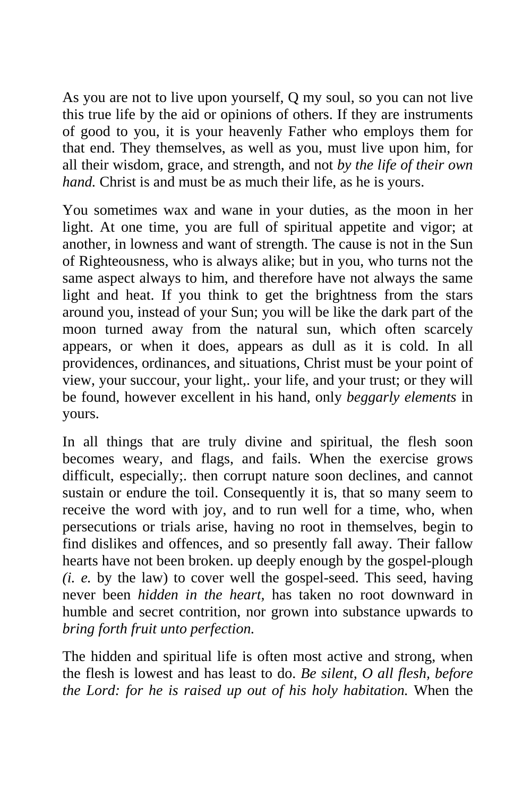As you are not to live upon yourself, Q my soul, so you can not live this true life by the aid or opinions of others. If they are instruments of good to you, it is your heavenly Father who employs them for that end. They themselves, as well as you, must live upon him, for all their wisdom, grace, and strength, and not *by the life of their own hand.* Christ is and must be as much their life, as he is yours.

You sometimes wax and wane in your duties, as the moon in her light. At one time, you are full of spiritual appetite and vigor; at another, in lowness and want of strength. The cause is not in the Sun of Righteousness, who is always alike; but in you, who turns not the same aspect always to him, and therefore have not always the same light and heat. If you think to get the brightness from the stars around you, instead of your Sun; you will be like the dark part of the moon turned away from the natural sun, which often scarcely appears, or when it does, appears as dull as it is cold. In all providences, ordinances, and situations, Christ must be your point of view, your succour, your light,. your life, and your trust; or they will be found, however excellent in his hand, only *beggarly elements* in yours.

In all things that are truly divine and spiritual, the flesh soon becomes weary, and flags, and fails. When the exercise grows difficult, especially;. then corrupt nature soon declines, and cannot sustain or endure the toil. Consequently it is, that so many seem to receive the word with joy, and to run well for a time, who, when persecutions or trials arise, having no root in themselves, begin to find dislikes and offences, and so presently fall away. Their fallow hearts have not been broken. up deeply enough by the gospel-plough *(i. e.* by the law) to cover well the gospel-seed. This seed, having never been *hidden in the heart,* has taken no root downward in humble and secret contrition, nor grown into substance upwards to *bring forth fruit unto perfection.* 

The hidden and spiritual life is often most active and strong, when the flesh is lowest and has least to do. *Be silent, O all flesh, before the Lord: for he is raised up out of his holy habitation.* When the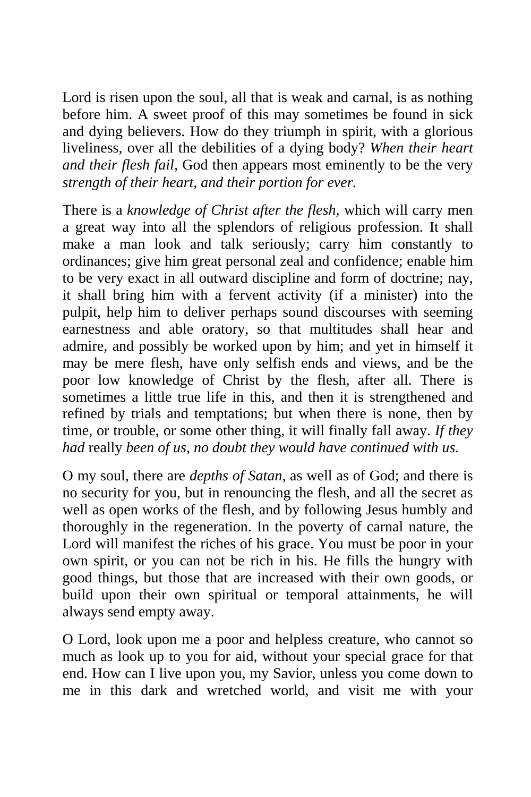Lord is risen upon the soul, all that is weak and carnal, is as nothing before him. A sweet proof of this may sometimes be found in sick and dying believers. How do they triumph in spirit, with a glorious liveliness, over all the debilities of a dying body? *When their heart and their flesh fail,* God then appears most eminently to be the very *strength of their heart, and their portion for ever.* 

There is a *knowledge of Christ after the flesh,* which will carry men a great way into all the splendors of religious profession. It shall make a man look and talk seriously; carry him constantly to ordinances; give him great personal zeal and confidence; enable him to be very exact in all outward discipline and form of doctrine; nay, it shall bring him with a fervent activity (if a minister) into the pulpit, help him to deliver perhaps sound discourses with seeming earnestness and able oratory, so that multitudes shall hear and admire, and possibly be worked upon by him; and yet in himself it may be mere flesh, have only selfish ends and views, and be the poor low knowledge of Christ by the flesh, after all. There is sometimes a little true life in this, and then it is strengthened and refined by trials and temptations; but when there is none, then by time, or trouble, or some other thing, it will finally fall away. *If they had* really *been of us, no doubt they would have continued with us.* 

O my soul, there are *depths of Satan,* as well as of God; and there is no security for you, but in renouncing the flesh, and all the secret as well as open works of the flesh, and by following Jesus humbly and thoroughly in the regeneration. In the poverty of carnal nature, the Lord will manifest the riches of his grace. You must be poor in your own spirit, or you can not be rich in his. He fills the hungry with good things, but those that are increased with their own goods, or build upon their own spiritual or temporal attainments, he will always send empty away.

O Lord, look upon me a poor and helpless creature, who cannot so much as look up to you for aid, without your special grace for that end. How can I live upon you, my Savior, unless you come down to me in this dark and wretched world, and visit me with your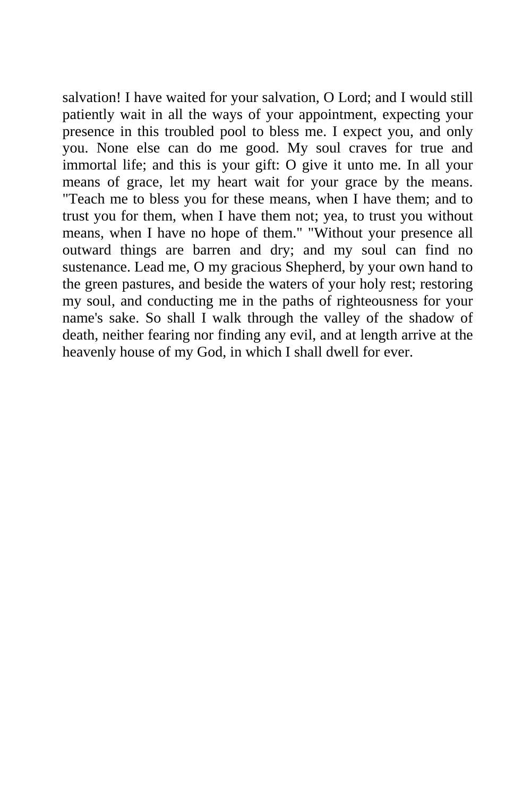salvation! I have waited for your salvation, O Lord; and I would still patiently wait in all the ways of your appointment, expecting your presence in this troubled pool to bless me. I expect you, and only you. None else can do me good. My soul craves for true and immortal life; and this is your gift: O give it unto me. In all your means of grace, let my heart wait for your grace by the means. "Teach me to bless you for these means, when I have them; and to trust you for them, when I have them not; yea, to trust you without means, when I have no hope of them." "Without your presence all outward things are barren and dry; and my soul can find no sustenance. Lead me, O my gracious Shepherd, by your own hand to the green pastures, and beside the waters of your holy rest; restoring my soul, and conducting me in the paths of righteousness for your name's sake. So shall I walk through the valley of the shadow of death, neither fearing nor finding any evil, and at length arrive at the heavenly house of my God, in which I shall dwell for ever.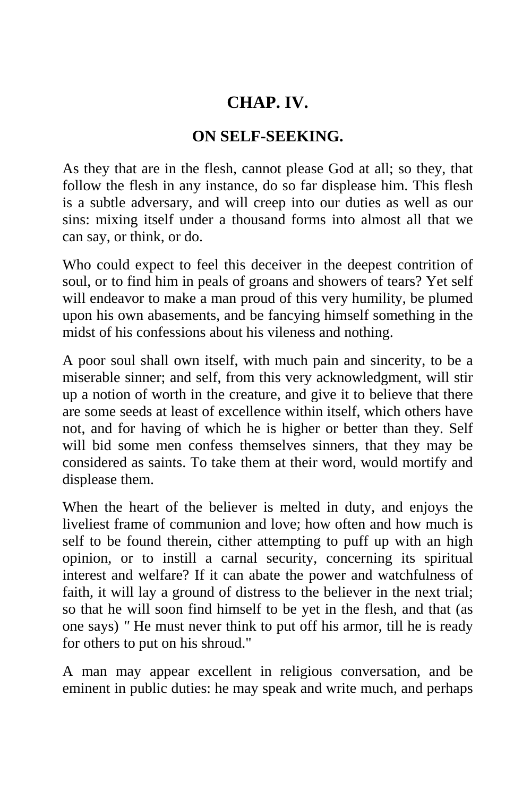# **CHAP. IV.**

### **ON SELF-SEEKING.**

As they that are in the flesh, cannot please God at all; so they, that follow the flesh in any instance, do so far displease him. This flesh is a subtle adversary, and will creep into our duties as well as our sins: mixing itself under a thousand forms into almost all that we can say, or think, or do.

Who could expect to feel this deceiver in the deepest contrition of soul, or to find him in peals of groans and showers of tears? Yet self will endeavor to make a man proud of this very humility, be plumed upon his own abasements, and be fancying himself something in the midst of his confessions about his vileness and nothing.

A poor soul shall own itself, with much pain and sincerity, to be a miserable sinner; and self, from this very acknowledgment, will stir up a notion of worth in the creature, and give it to believe that there are some seeds at least of excellence within itself, which others have not, and for having of which he is higher or better than they. Self will bid some men confess themselves sinners, that they may be considered as saints. To take them at their word, would mortify and displease them.

When the heart of the believer is melted in duty, and enjoys the liveliest frame of communion and love; how often and how much is self to be found therein, cither attempting to puff up with an high opinion, or to instill a carnal security, concerning its spiritual interest and welfare? If it can abate the power and watchfulness of faith, it will lay a ground of distress to the believer in the next trial; so that he will soon find himself to be yet in the flesh, and that (as one says) *"* He must never think to put off his armor, till he is ready for others to put on his shroud."

A man may appear excellent in religious conversation, and be eminent in public duties: he may speak and write much, and perhaps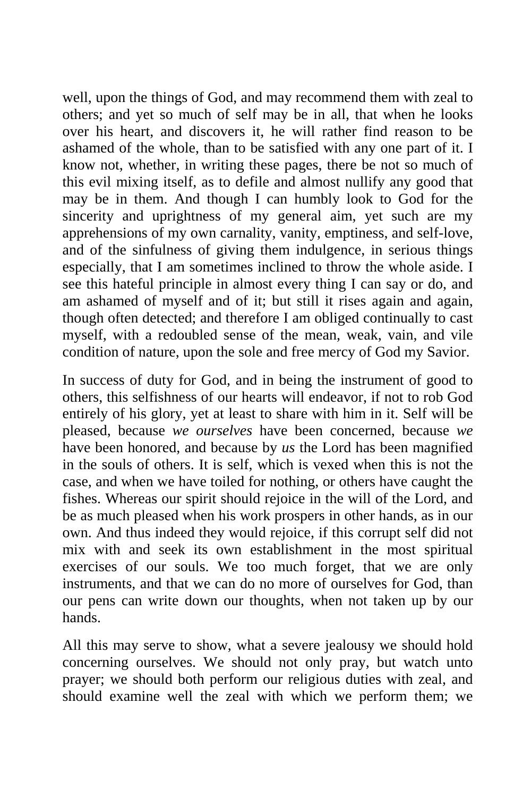well, upon the things of God, and may recommend them with zeal to others; and yet so much of self may be in all, that when he looks over his heart, and discovers it, he will rather find reason to be ashamed of the whole, than to be satisfied with any one part of it. I know not, whether, in writing these pages, there be not so much of this evil mixing itself, as to defile and almost nullify any good that may be in them. And though I can humbly look to God for the sincerity and uprightness of my general aim, yet such are my apprehensions of my own carnality, vanity, emptiness, and self-love, and of the sinfulness of giving them indulgence, in serious things especially, that I am sometimes inclined to throw the whole aside. I see this hateful principle in almost every thing I can say or do, and am ashamed of myself and of it; but still it rises again and again, though often detected; and therefore I am obliged continually to cast myself, with a redoubled sense of the mean, weak, vain, and vile condition of nature, upon the sole and free mercy of God my Savior.

In success of duty for God, and in being the instrument of good to others, this selfishness of our hearts will endeavor, if not to rob God entirely of his glory, yet at least to share with him in it. Self will be pleased, because *we ourselves* have been concerned, because *we*  have been honored, and because by *us* the Lord has been magnified in the souls of others. It is self, which is vexed when this is not the case, and when we have toiled for nothing, or others have caught the fishes. Whereas our spirit should rejoice in the will of the Lord, and be as much pleased when his work prospers in other hands, as in our own. And thus indeed they would rejoice, if this corrupt self did not mix with and seek its own establishment in the most spiritual exercises of our souls. We too much forget, that we are only instruments, and that we can do no more of ourselves for God, than our pens can write down our thoughts, when not taken up by our hands.

All this may serve to show, what a severe jealousy we should hold concerning ourselves. We should not only pray, but watch unto prayer; we should both perform our religious duties with zeal, and should examine well the zeal with which we perform them; we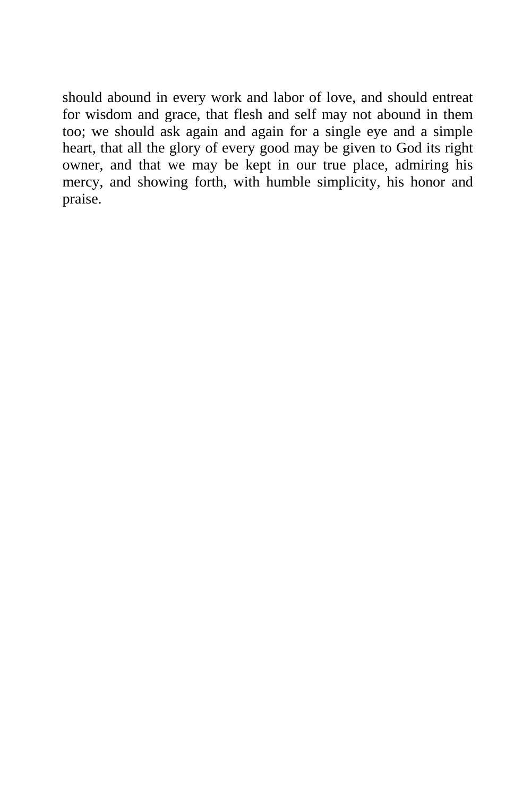should abound in every work and labor of love, and should entreat for wisdom and grace, that flesh and self may not abound in them too; we should ask again and again for a single eye and a simple heart, that all the glory of every good may be given to God its right owner, and that we may be kept in our true place, admiring his mercy, and showing forth, with humble simplicity, his honor and praise.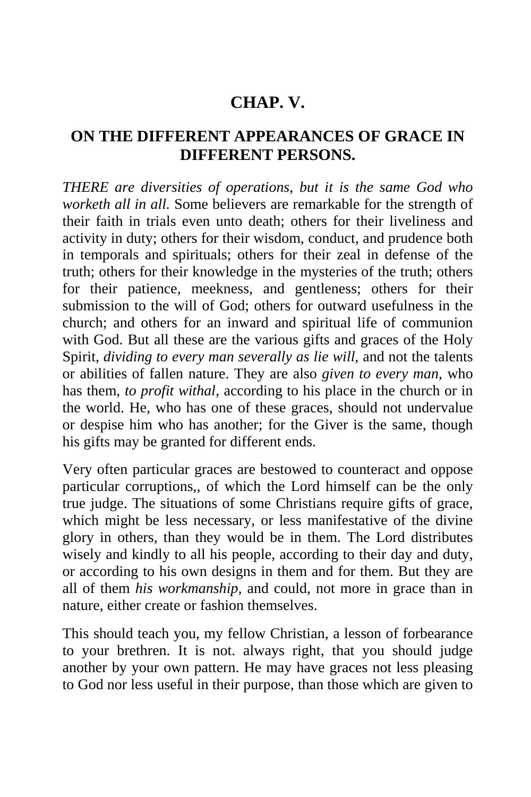# **CHAP. V.**

#### **ON THE DIFFERENT APPEARANCES OF GRACE IN DIFFERENT PERSONS.**

*THERE are diversities of operations, but it is the same God who worketh all in all.* Some believers are remarkable for the strength of their faith in trials even unto death; others for their liveliness and activity in duty; others for their wisdom, conduct, and prudence both in temporals and spirituals; others for their zeal in defense of the truth; others for their knowledge in the mysteries of the truth; others for their patience, meekness, and gentleness; others for their submission to the will of God; others for outward usefulness in the church; and others for an inward and spiritual life of communion with God. But all these are the various gifts and graces of the Holy Spirit, *dividing to every man severally as lie will,* and not the talents or abilities of fallen nature. They are also *given to every man,* who has them, *to profit withal,* according to his place in the church or in the world. He, who has one of these graces, should not undervalue or despise him who has another; for the Giver is the same, though his gifts may be granted for different ends.

Very often particular graces are bestowed to counteract and oppose particular corruptions,, of which the Lord himself can be the only true judge. The situations of some Christians require gifts of grace, which might be less necessary, or less manifestative of the divine glory in others, than they would be in them. The Lord distributes wisely and kindly to all his people, according to their day and duty, or according to his own designs in them and for them. But they are all of them *his workmanship,* and could, not more in grace than in nature, either create or fashion themselves.

This should teach you, my fellow Christian, a lesson of forbearance to your brethren. It is not. always right, that you should judge another by your own pattern. He may have graces not less pleasing to God nor less useful in their purpose, than those which are given to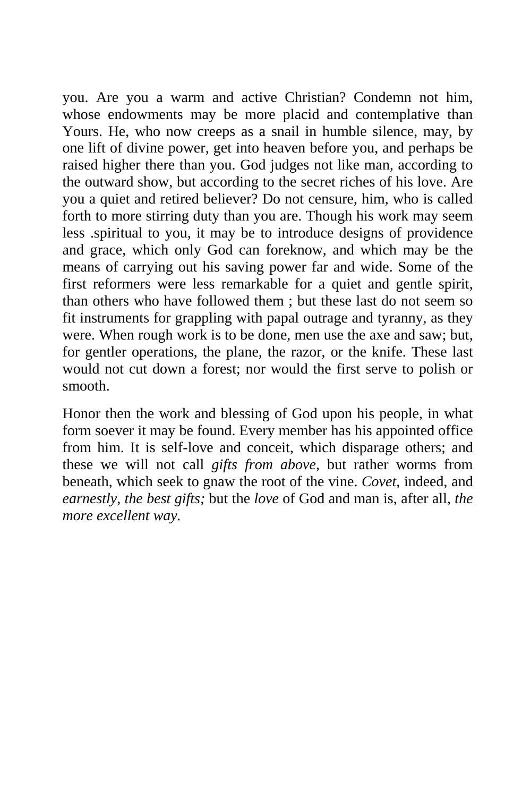you. Are you a warm and active Christian? Condemn not him, whose endowments may be more placid and contemplative than Yours. He, who now creeps as a snail in humble silence, may, by one lift of divine power, get into heaven before you, and perhaps be raised higher there than you. God judges not like man, according to the outward show, but according to the secret riches of his love. Are you a quiet and retired believer? Do not censure, him, who is called forth to more stirring duty than you are. Though his work may seem less .spiritual to you, it may be to introduce designs of providence and grace, which only God can foreknow, and which may be the means of carrying out his saving power far and wide. Some of the first reformers were less remarkable for a quiet and gentle spirit, than others who have followed them ; but these last do not seem so fit instruments for grappling with papal outrage and tyranny, as they were. When rough work is to be done, men use the axe and saw; but, for gentler operations, the plane, the razor, or the knife. These last would not cut down a forest; nor would the first serve to polish or smooth.

Honor then the work and blessing of God upon his people, in what form soever it may be found. Every member has his appointed office from him. It is self-love and conceit, which disparage others; and these we will not call *gifts from above,* but rather worms from beneath, which seek to gnaw the root of the vine. *Covet,* indeed, and *earnestly, the best gifts;* but the *love* of God and man is, after all, *the more excellent way.*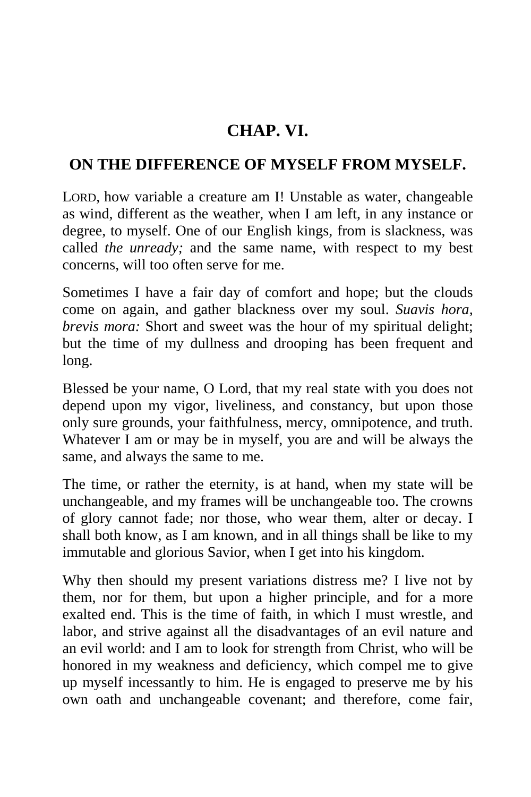# **CHAP. VI.**

#### **ON THE DIFFERENCE OF MYSELF FROM MYSELF.**

LORD, how variable a creature am I! Unstable as water, changeable as wind, different as the weather, when I am left, in any instance or degree, to myself. One of our English kings, from is slackness, was called *the unready;* and the same name, with respect to my best concerns, will too often serve for me.

Sometimes I have a fair day of comfort and hope; but the clouds come on again, and gather blackness over my soul. *Suavis hora, brevis mora:* Short and sweet was the hour of my spiritual delight; but the time of my dullness and drooping has been frequent and long.

Blessed be your name, O Lord, that my real state with you does not depend upon my vigor, liveliness, and constancy, but upon those only sure grounds, your faithfulness, mercy, omnipotence, and truth. Whatever I am or may be in myself, you are and will be always the same, and always the same to me.

The time, or rather the eternity, is at hand, when my state will be unchangeable, and my frames will be unchangeable too. The crowns of glory cannot fade; nor those, who wear them, alter or decay. I shall both know, as I am known, and in all things shall be like to my immutable and glorious Savior, when I get into his kingdom.

Why then should my present variations distress me? I live not by them, nor for them, but upon a higher principle, and for a more exalted end. This is the time of faith, in which I must wrestle, and labor, and strive against all the disadvantages of an evil nature and an evil world: and I am to look for strength from Christ, who will be honored in my weakness and deficiency, which compel me to give up myself incessantly to him. He is engaged to preserve me by his own oath and unchangeable covenant; and therefore, come fair,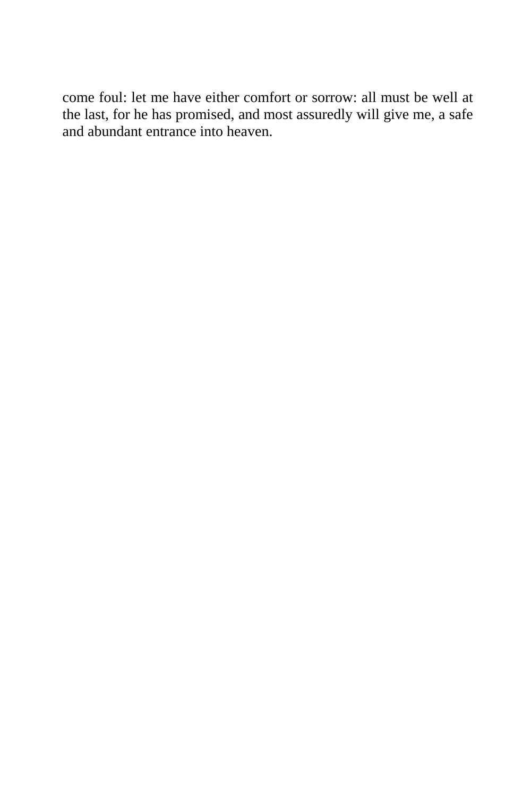come foul: let me have either comfort or sorrow: all must be well at the last, for he has promised, and most assuredly will give me, a safe and abundant entrance into heaven.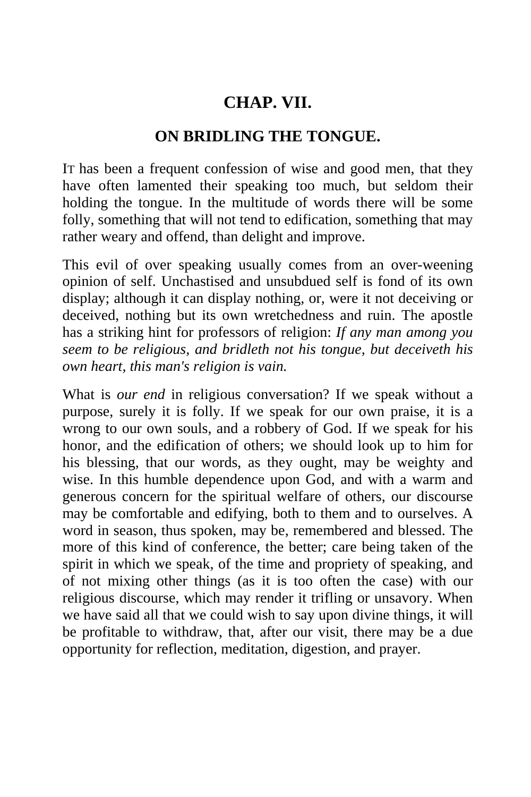### **CHAP. VII.**

# **ON BRIDLING THE TONGUE.**

IT has been a frequent confession of wise and good men, that they have often lamented their speaking too much, but seldom their holding the tongue. In the multitude of words there will be some folly, something that will not tend to edification, something that may rather weary and offend, than delight and improve.

This evil of over speaking usually comes from an over-weening opinion of self. Unchastised and unsubdued self is fond of its own display; although it can display nothing, or, were it not deceiving or deceived, nothing but its own wretchedness and ruin. The apostle has a striking hint for professors of religion: *If any man among you seem to be religious, and bridleth not his tongue, but deceiveth his own heart, this man's religion is vain.* 

What is *our end* in religious conversation? If we speak without a purpose, surely it is folly. If we speak for our own praise, it is a wrong to our own souls, and a robbery of God. If we speak for his honor, and the edification of others; we should look up to him for his blessing, that our words, as they ought, may be weighty and wise. In this humble dependence upon God, and with a warm and generous concern for the spiritual welfare of others, our discourse may be comfortable and edifying, both to them and to ourselves. A word in season, thus spoken, may be, remembered and blessed. The more of this kind of conference, the better; care being taken of the spirit in which we speak, of the time and propriety of speaking, and of not mixing other things (as it is too often the case) with our religious discourse, which may render it trifling or unsavory. When we have said all that we could wish to say upon divine things, it will be profitable to withdraw, that, after our visit, there may be a due opportunity for reflection, meditation, digestion, and prayer.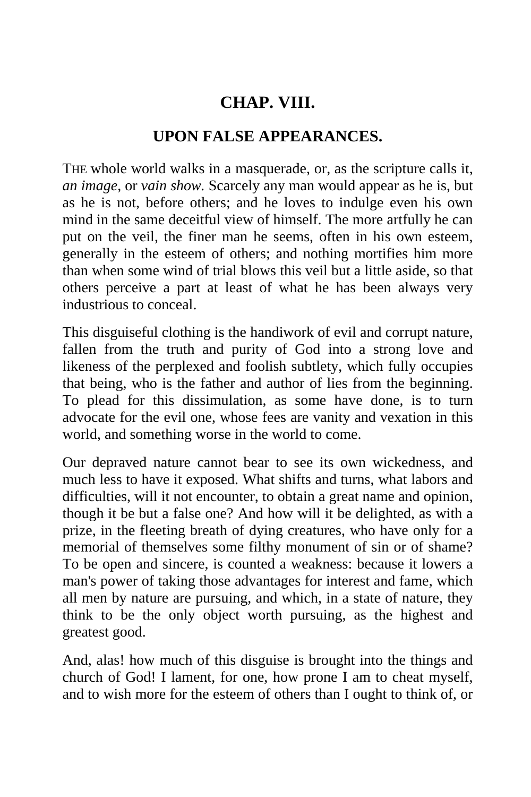# **CHAP. VIII.**

### **UPON FALSE APPEARANCES.**

THE whole world walks in a masquerade, or, as the scripture calls it, *an image,* or *vain show.* Scarcely any man would appear as he is, but as he is not, before others; and he loves to indulge even his own mind in the same deceitful view of himself. The more artfully he can put on the veil, the finer man he seems, often in his own esteem, generally in the esteem of others; and nothing mortifies him more than when some wind of trial blows this veil but a little aside, so that others perceive a part at least of what he has been always very industrious to conceal.

This disguiseful clothing is the handiwork of evil and corrupt nature, fallen from the truth and purity of God into a strong love and likeness of the perplexed and foolish subtlety, which fully occupies that being, who is the father and author of lies from the beginning. To plead for this dissimulation, as some have done, is to turn advocate for the evil one, whose fees are vanity and vexation in this world, and something worse in the world to come.

Our depraved nature cannot bear to see its own wickedness, and much less to have it exposed. What shifts and turns, what labors and difficulties, will it not encounter, to obtain a great name and opinion, though it be but a false one? And how will it be delighted, as with a prize, in the fleeting breath of dying creatures, who have only for a memorial of themselves some filthy monument of sin or of shame? To be open and sincere, is counted a weakness: because it lowers a man's power of taking those advantages for interest and fame, which all men by nature are pursuing, and which, in a state of nature, they think to be the only object worth pursuing, as the highest and greatest good.

And, alas! how much of this disguise is brought into the things and church of God! I lament, for one, how prone I am to cheat myself, and to wish more for the esteem of others than I ought to think of, or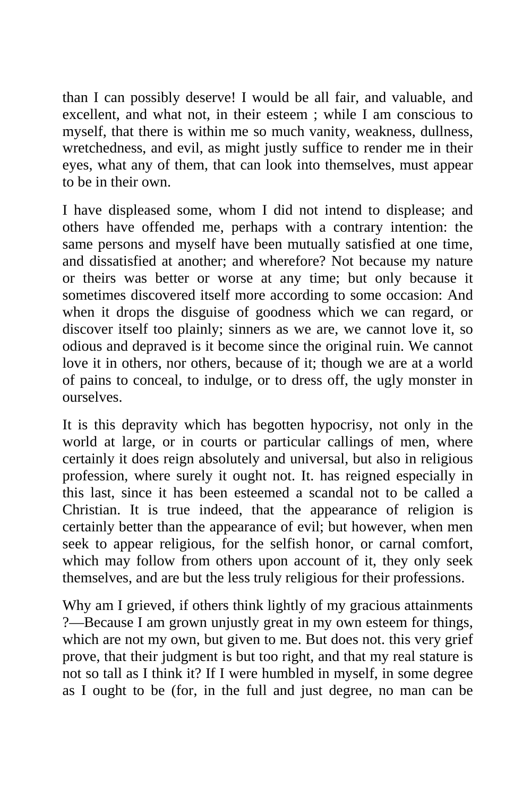than I can possibly deserve! I would be all fair, and valuable, and excellent, and what not, in their esteem ; while I am conscious to myself, that there is within me so much vanity, weakness, dullness, wretchedness, and evil, as might justly suffice to render me in their eyes, what any of them, that can look into themselves, must appear to be in their own.

I have displeased some, whom I did not intend to displease; and others have offended me, perhaps with a contrary intention: the same persons and myself have been mutually satisfied at one time, and dissatisfied at another; and wherefore? Not because my nature or theirs was better or worse at any time; but only because it sometimes discovered itself more according to some occasion: And when it drops the disguise of goodness which we can regard, or discover itself too plainly; sinners as we are, we cannot love it, so odious and depraved is it become since the original ruin. We cannot love it in others, nor others, because of it; though we are at a world of pains to conceal, to indulge, or to dress off, the ugly monster in ourselves.

It is this depravity which has begotten hypocrisy, not only in the world at large, or in courts or particular callings of men, where certainly it does reign absolutely and universal, but also in religious profession, where surely it ought not. It. has reigned especially in this last, since it has been esteemed a scandal not to be called a Christian. It is true indeed, that the appearance of religion is certainly better than the appearance of evil; but however, when men seek to appear religious, for the selfish honor, or carnal comfort, which may follow from others upon account of it, they only seek themselves, and are but the less truly religious for their professions.

Why am I grieved, if others think lightly of my gracious attainments ?—Because I am grown unjustly great in my own esteem for things, which are not my own, but given to me. But does not. this very grief prove, that their judgment is but too right, and that my real stature is not so tall as I think it? If I were humbled in myself, in some degree as I ought to be (for, in the full and just degree, no man can be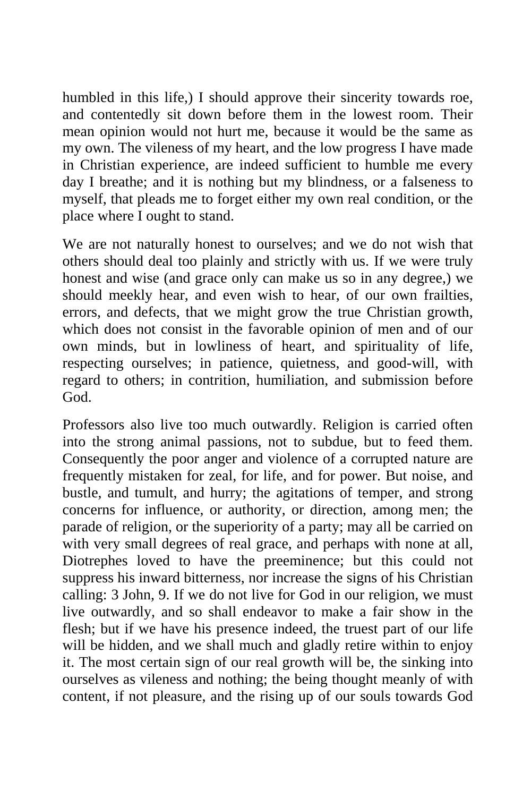humbled in this life,) I should approve their sincerity towards roe, and contentedly sit down before them in the lowest room. Their mean opinion would not hurt me, because it would be the same as my own. The vileness of my heart, and the low progress I have made in Christian experience, are indeed sufficient to humble me every day I breathe; and it is nothing but my blindness, or a falseness to myself, that pleads me to forget either my own real condition, or the place where I ought to stand.

We are not naturally honest to ourselves; and we do not wish that others should deal too plainly and strictly with us. If we were truly honest and wise (and grace only can make us so in any degree,) we should meekly hear, and even wish to hear, of our own frailties, errors, and defects, that we might grow the true Christian growth, which does not consist in the favorable opinion of men and of our own minds, but in lowliness of heart, and spirituality of life, respecting ourselves; in patience, quietness, and good-will, with regard to others; in contrition, humiliation, and submission before God.

Professors also live too much outwardly. Religion is carried often into the strong animal passions, not to subdue, but to feed them. Consequently the poor anger and violence of a corrupted nature are frequently mistaken for zeal, for life, and for power. But noise, and bustle, and tumult, and hurry; the agitations of temper, and strong concerns for influence, or authority, or direction, among men; the parade of religion, or the superiority of a party; may all be carried on with very small degrees of real grace, and perhaps with none at all, Diotrephes loved to have the preeminence; but this could not suppress his inward bitterness, nor increase the signs of his Christian calling: 3 John, 9. If we do not live for God in our religion, we must live outwardly, and so shall endeavor to make a fair show in the flesh; but if we have his presence indeed, the truest part of our life will be hidden, and we shall much and gladly retire within to enjoy it. The most certain sign of our real growth will be, the sinking into ourselves as vileness and nothing; the being thought meanly of with content, if not pleasure, and the rising up of our souls towards God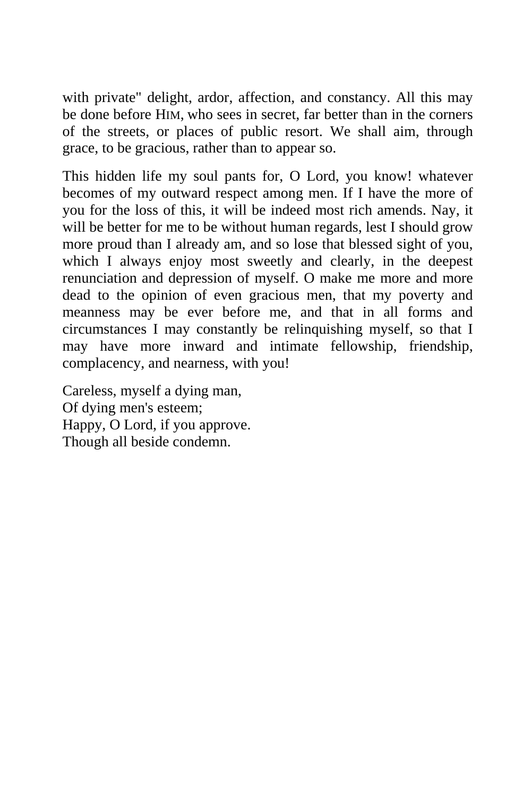with private" delight, ardor, affection, and constancy. All this may be done before HIM, who sees in secret, far better than in the corners of the streets, or places of public resort. We shall aim, through grace, to be gracious, rather than to appear so.

This hidden life my soul pants for, O Lord, you know! whatever becomes of my outward respect among men. If I have the more of you for the loss of this, it will be indeed most rich amends. Nay, it will be better for me to be without human regards, lest I should grow more proud than I already am, and so lose that blessed sight of you, which I always enjoy most sweetly and clearly, in the deepest renunciation and depression of myself. O make me more and more dead to the opinion of even gracious men, that my poverty and meanness may be ever before me, and that in all forms and circumstances I may constantly be relinquishing myself, so that I may have more inward and intimate fellowship, friendship, complacency, and nearness, with you!

Careless, myself a dying man, Of dying men's esteem; Happy, O Lord, if you approve. Though all beside condemn.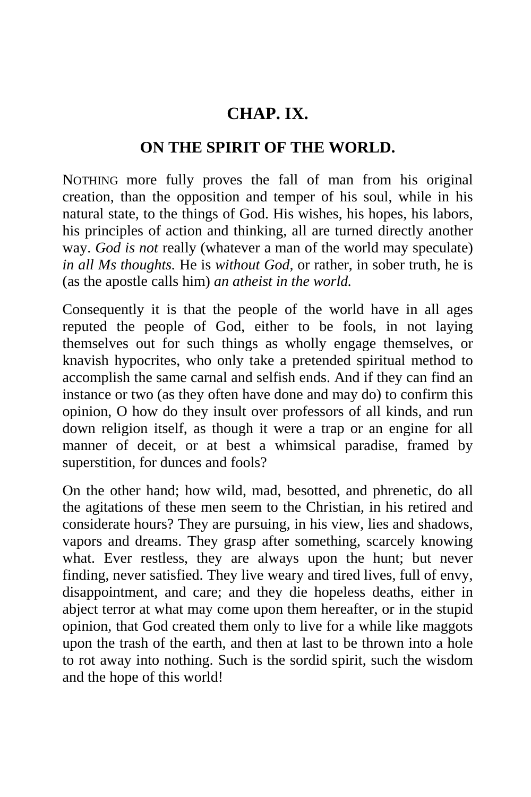# **CHAP. IX.**

#### **ON THE SPIRIT OF THE WORLD.**

NOTHING more fully proves the fall of man from his original creation, than the opposition and temper of his soul, while in his natural state, to the things of God. His wishes, his hopes, his labors, his principles of action and thinking, all are turned directly another way. *God is not* really (whatever a man of the world may speculate) *in all Ms thoughts.* He is *without God,* or rather, in sober truth, he is (as the apostle calls him) *an atheist in the world.* 

Consequently it is that the people of the world have in all ages reputed the people of God, either to be fools, in not laying themselves out for such things as wholly engage themselves, or knavish hypocrites, who only take a pretended spiritual method to accomplish the same carnal and selfish ends. And if they can find an instance or two (as they often have done and may do) to confirm this opinion, O how do they insult over professors of all kinds, and run down religion itself, as though it were a trap or an engine for all manner of deceit, or at best a whimsical paradise, framed by superstition, for dunces and fools?

On the other hand; how wild, mad, besotted, and phrenetic, do all the agitations of these men seem to the Christian, in his retired and considerate hours? They are pursuing, in his view, lies and shadows, vapors and dreams. They grasp after something, scarcely knowing what. Ever restless, they are always upon the hunt; but never finding, never satisfied. They live weary and tired lives, full of envy, disappointment, and care; and they die hopeless deaths, either in abject terror at what may come upon them hereafter, or in the stupid opinion, that God created them only to live for a while like maggots upon the trash of the earth, and then at last to be thrown into a hole to rot away into nothing. Such is the sordid spirit, such the wisdom and the hope of this world!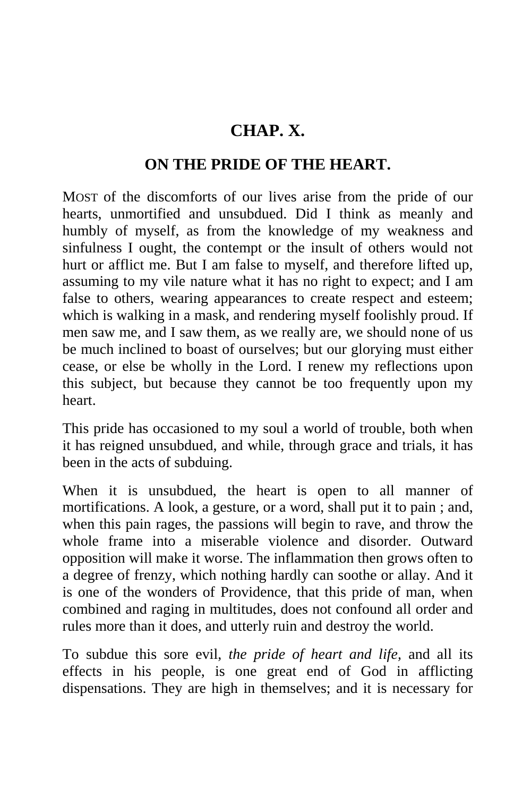# **CHAP. X.**

#### **ON THE PRIDE OF THE HEART.**

MOST of the discomforts of our lives arise from the pride of our hearts, unmortified and unsubdued. Did I think as meanly and humbly of myself, as from the knowledge of my weakness and sinfulness I ought, the contempt or the insult of others would not hurt or afflict me. But I am false to myself, and therefore lifted up, assuming to my vile nature what it has no right to expect; and I am false to others, wearing appearances to create respect and esteem; which is walking in a mask, and rendering myself foolishly proud. If men saw me, and I saw them, as we really are, we should none of us be much inclined to boast of ourselves; but our glorying must either cease, or else be wholly in the Lord. I renew my reflections upon this subject, but because they cannot be too frequently upon my heart.

This pride has occasioned to my soul a world of trouble, both when it has reigned unsubdued, and while, through grace and trials, it has been in the acts of subduing.

When it is unsubdued, the heart is open to all manner of mortifications. A look, a gesture, or a word, shall put it to pain ; and, when this pain rages, the passions will begin to rave, and throw the whole frame into a miserable violence and disorder. Outward opposition will make it worse. The inflammation then grows often to a degree of frenzy, which nothing hardly can soothe or allay. And it is one of the wonders of Providence, that this pride of man, when combined and raging in multitudes, does not confound all order and rules more than it does, and utterly ruin and destroy the world.

To subdue this sore evil, *the pride of heart and life,* and all its effects in his people, is one great end of God in afflicting dispensations. They are high in themselves; and it is necessary for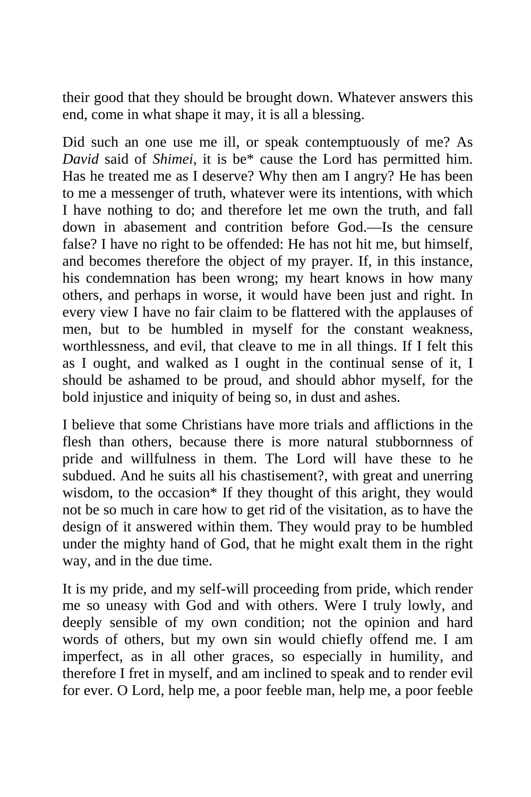their good that they should be brought down. Whatever answers this end, come in what shape it may, it is all a blessing.

Did such an one use me ill, or speak contemptuously of me? As *David* said of *Shimei,* it is be\* cause the Lord has permitted him. Has he treated me as I deserve? Why then am I angry? He has been to me a messenger of truth, whatever were its intentions, with which I have nothing to do; and therefore let me own the truth, and fall down in abasement and contrition before God.—Is the censure false? I have no right to be offended: He has not hit me, but himself, and becomes therefore the object of my prayer. If, in this instance, his condemnation has been wrong; my heart knows in how many others, and perhaps in worse, it would have been just and right. In every view I have no fair claim to be flattered with the applauses of men, but to be humbled in myself for the constant weakness, worthlessness, and evil, that cleave to me in all things. If I felt this as I ought, and walked as I ought in the continual sense of it, I should be ashamed to be proud, and should abhor myself, for the bold injustice and iniquity of being so, in dust and ashes.

I believe that some Christians have more trials and afflictions in the flesh than others, because there is more natural stubbornness of pride and willfulness in them. The Lord will have these to he subdued. And he suits all his chastisement?, with great and unerring wisdom, to the occasion\* If they thought of this aright, they would not be so much in care how to get rid of the visitation, as to have the design of it answered within them. They would pray to be humbled under the mighty hand of God, that he might exalt them in the right way, and in the due time.

It is my pride, and my self-will proceeding from pride, which render me so uneasy with God and with others. Were I truly lowly, and deeply sensible of my own condition; not the opinion and hard words of others, but my own sin would chiefly offend me. I am imperfect, as in all other graces, so especially in humility, and therefore I fret in myself, and am inclined to speak and to render evil for ever. O Lord, help me, a poor feeble man, help me, a poor feeble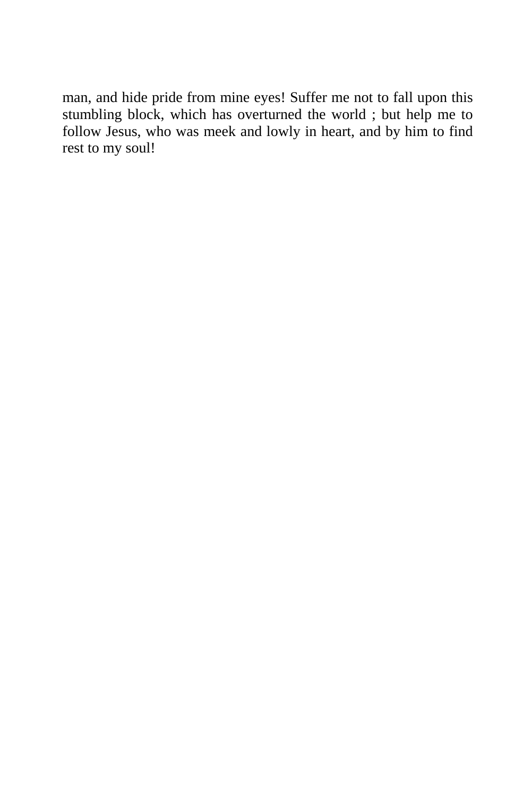man, and hide pride from mine eyes! Suffer me not to fall upon this stumbling block, which has overturned the world ; but help me to follow Jesus, who was meek and lowly in heart, and by him to find rest to my soul!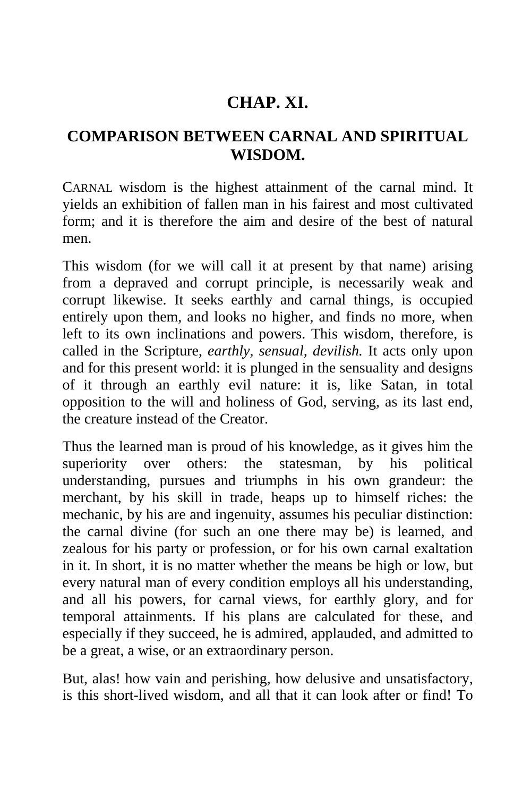### **CHAP. XI.**

### **COMPARISON BETWEEN CARNAL AND SPIRITUAL WISDOM.**

CARNAL wisdom is the highest attainment of the carnal mind. It yields an exhibition of fallen man in his fairest and most cultivated form; and it is therefore the aim and desire of the best of natural men.

This wisdom (for we will call it at present by that name) arising from a depraved and corrupt principle, is necessarily weak and corrupt likewise. It seeks earthly and carnal things, is occupied entirely upon them, and looks no higher, and finds no more, when left to its own inclinations and powers. This wisdom, therefore, is called in the Scripture, *earthly, sensual, devilish.* It acts only upon and for this present world: it is plunged in the sensuality and designs of it through an earthly evil nature: it is, like Satan, in total opposition to the will and holiness of God, serving, as its last end, the creature instead of the Creator.

Thus the learned man is proud of his knowledge, as it gives him the superiority over others: the statesman, by his political understanding, pursues and triumphs in his own grandeur: the merchant, by his skill in trade, heaps up to himself riches: the mechanic, by his are and ingenuity, assumes his peculiar distinction: the carnal divine (for such an one there may be) is learned, and zealous for his party or profession, or for his own carnal exaltation in it. In short, it is no matter whether the means be high or low, but every natural man of every condition employs all his understanding, and all his powers, for carnal views, for earthly glory, and for temporal attainments. If his plans are calculated for these, and especially if they succeed, he is admired, applauded, and admitted to be a great, a wise, or an extraordinary person.

But, alas! how vain and perishing, how delusive and unsatisfactory, is this short-lived wisdom, and all that it can look after or find! To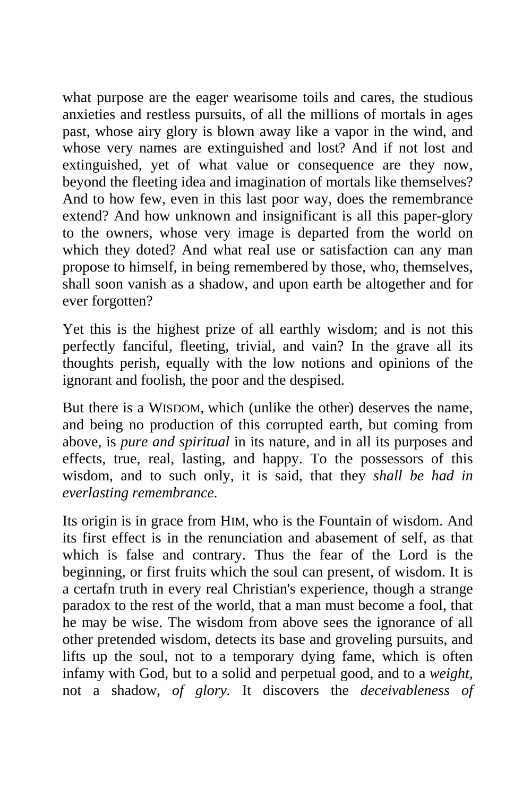what purpose are the eager wearisome toils and cares, the studious anxieties and restless pursuits, of all the millions of mortals in ages past, whose airy glory is blown away like a vapor in the wind, and whose very names are extinguished and lost? And if not lost and extinguished, yet of what value or consequence are they now, beyond the fleeting idea and imagination of mortals like themselves? And to how few, even in this last poor way, does the remembrance extend? And how unknown and insignificant is all this paper-glory to the owners, whose very image is departed from the world on which they doted? And what real use or satisfaction can any man propose to himself, in being remembered by those, who, themselves, shall soon vanish as a shadow, and upon earth be altogether and for ever forgotten?

Yet this is the highest prize of all earthly wisdom; and is not this perfectly fanciful, fleeting, trivial, and vain? In the grave all its thoughts perish, equally with the low notions and opinions of the ignorant and foolish, the poor and the despised.

But there is a WISDOM, which (unlike the other) deserves the name, and being no production of this corrupted earth, but coming from above, is *pure and spiritual* in its nature, and in all its purposes and effects, true, real, lasting, and happy. To the possessors of this wisdom, and to such only, it is said, that they *shall be had in everlasting remembrance.* 

Its origin is in grace from HIM, who is the Fountain of wisdom. And its first effect is in the renunciation and abasement of self, as that which is false and contrary. Thus the fear of the Lord is the beginning, or first fruits which the soul can present, of wisdom. It is a certafn truth in every real Christian's experience, though a strange paradox to the rest of the world, that a man must become a fool, that he may be wise. The wisdom from above sees the ignorance of all other pretended wisdom, detects its base and groveling pursuits, and lifts up the soul, not to a temporary dying fame, which is often infamy with God, but to a solid and perpetual good, and to a *weight,*  not a shadow, *of glory.* It discovers the *deceivableness of*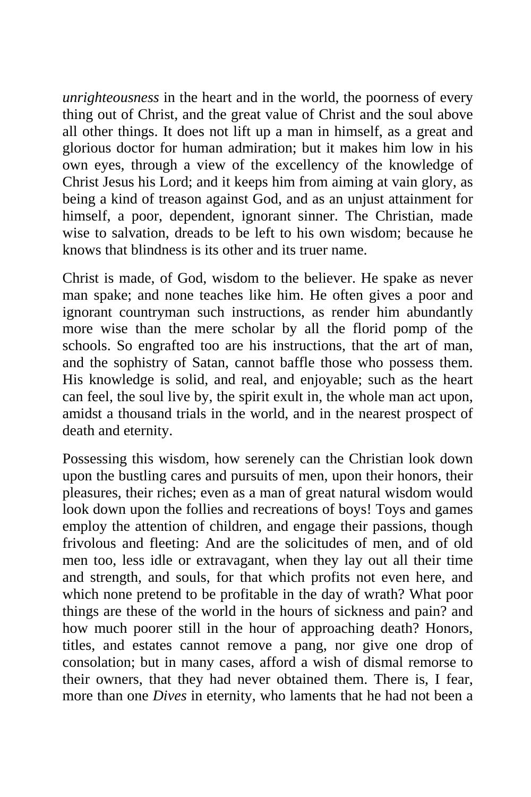*unrighteousness* in the heart and in the world, the poorness of every thing out of Christ, and the great value of Christ and the soul above all other things. It does not lift up a man in himself, as a great and glorious doctor for human admiration; but it makes him low in his own eyes, through a view of the excellency of the knowledge of Christ Jesus his Lord; and it keeps him from aiming at vain glory, as being a kind of treason against God, and as an unjust attainment for himself, a poor, dependent, ignorant sinner. The Christian, made wise to salvation, dreads to be left to his own wisdom; because he knows that blindness is its other and its truer name.

Christ is made, of God, wisdom to the believer. He spake as never man spake; and none teaches like him. He often gives a poor and ignorant countryman such instructions, as render him abundantly more wise than the mere scholar by all the florid pomp of the schools. So engrafted too are his instructions, that the art of man, and the sophistry of Satan, cannot baffle those who possess them. His knowledge is solid, and real, and enjoyable; such as the heart can feel, the soul live by, the spirit exult in, the whole man act upon, amidst a thousand trials in the world, and in the nearest prospect of death and eternity.

Possessing this wisdom, how serenely can the Christian look down upon the bustling cares and pursuits of men, upon their honors, their pleasures, their riches; even as a man of great natural wisdom would look down upon the follies and recreations of boys! Toys and games employ the attention of children, and engage their passions, though frivolous and fleeting: And are the solicitudes of men, and of old men too, less idle or extravagant, when they lay out all their time and strength, and souls, for that which profits not even here, and which none pretend to be profitable in the day of wrath? What poor things are these of the world in the hours of sickness and pain? and how much poorer still in the hour of approaching death? Honors, titles, and estates cannot remove a pang, nor give one drop of consolation; but in many cases, afford a wish of dismal remorse to their owners, that they had never obtained them. There is, I fear, more than one *Dives* in eternity, who laments that he had not been a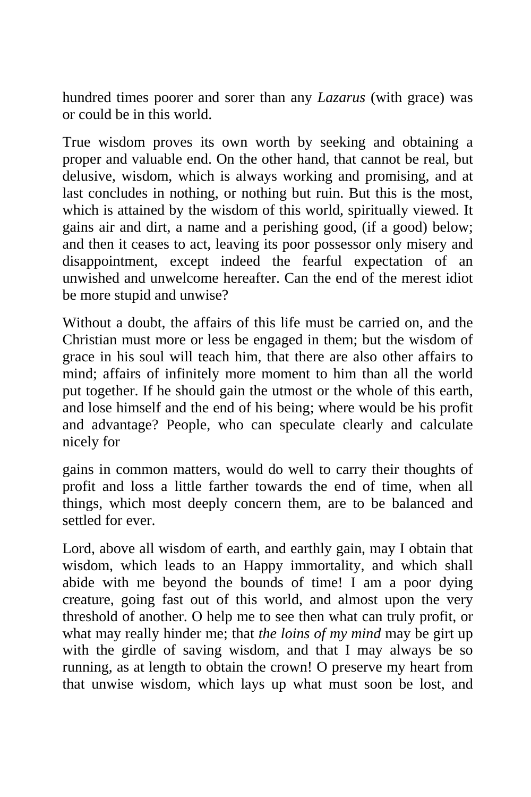hundred times poorer and sorer than any *Lazarus* (with grace) was or could be in this world.

True wisdom proves its own worth by seeking and obtaining a proper and valuable end. On the other hand, that cannot be real, but delusive, wisdom, which is always working and promising, and at last concludes in nothing, or nothing but ruin. But this is the most, which is attained by the wisdom of this world, spiritually viewed. It gains air and dirt, a name and a perishing good, (if a good) below; and then it ceases to act, leaving its poor possessor only misery and disappointment, except indeed the fearful expectation of an unwished and unwelcome hereafter. Can the end of the merest idiot be more stupid and unwise?

Without a doubt, the affairs of this life must be carried on, and the Christian must more or less be engaged in them; but the wisdom of grace in his soul will teach him, that there are also other affairs to mind; affairs of infinitely more moment to him than all the world put together. If he should gain the utmost or the whole of this earth, and lose himself and the end of his being; where would be his profit and advantage? People, who can speculate clearly and calculate nicely for

gains in common matters, would do well to carry their thoughts of profit and loss a little farther towards the end of time, when all things, which most deeply concern them, are to be balanced and settled for ever.

Lord, above all wisdom of earth, and earthly gain, may I obtain that wisdom, which leads to an Happy immortality, and which shall abide with me beyond the bounds of time! I am a poor dying creature, going fast out of this world, and almost upon the very threshold of another. O help me to see then what can truly profit, or what may really hinder me; that *the loins of my mind* may be girt up with the girdle of saving wisdom, and that I may always be so running, as at length to obtain the crown! O preserve my heart from that unwise wisdom, which lays up what must soon be lost, and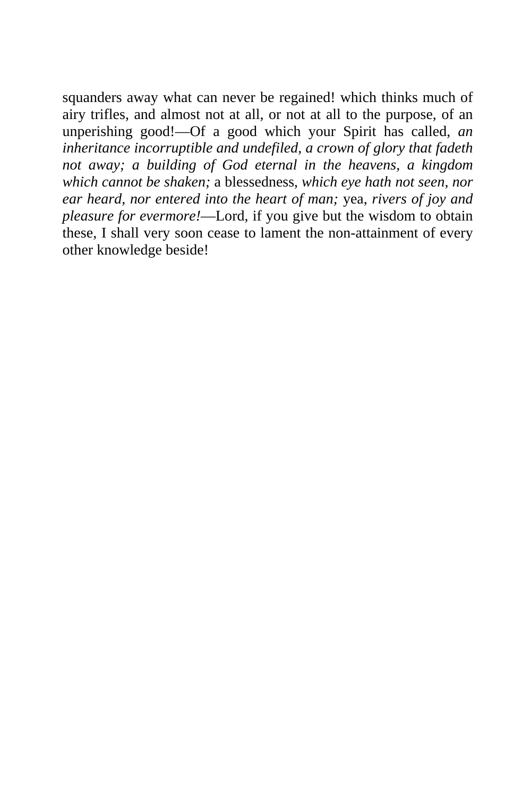squanders away what can never be regained! which thinks much of airy trifles, and almost not at all, or not at all to the purpose, of an unperishing good!—Of a good which your Spirit has called, *an inheritance incorruptible and undefiled, a crown of glory that fadeth not away; a building of God eternal in the heavens, a kingdom which cannot be shaken;* a blessedness, *which eye hath not seen, nor ear heard, nor entered into the heart of man;* yea, *rivers of joy and pleasure for evermore!*—Lord, if you give but the wisdom to obtain these, I shall very soon cease to lament the non-attainment of every other knowledge beside!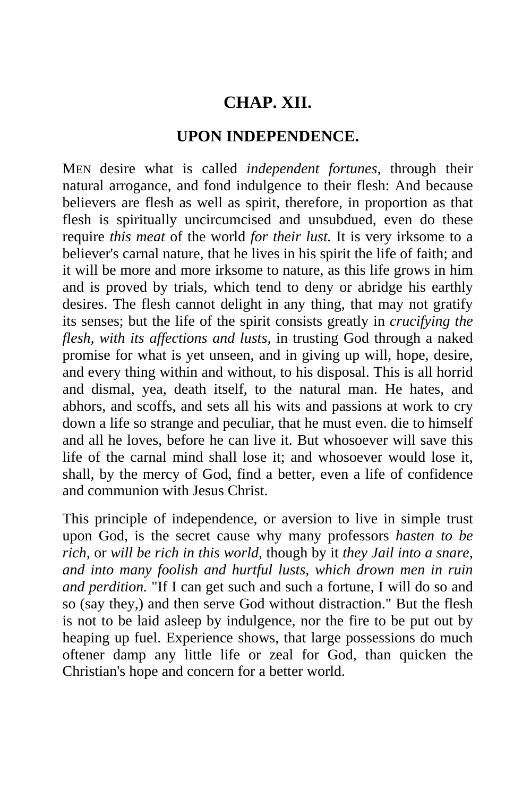### **CHAP. XII.**

### **UPON INDEPENDENCE.**

MEN desire what is called *independent fortunes,* through their natural arrogance, and fond indulgence to their flesh: And because believers are flesh as well as spirit, therefore, in proportion as that flesh is spiritually uncircumcised and unsubdued, even do these require *this meat* of the world *for their lust.* It is very irksome to a believer's carnal nature, that he lives in his spirit the life of faith; and it will be more and more irksome to nature, as this life grows in him and is proved by trials, which tend to deny or abridge his earthly desires. The flesh cannot delight in any thing, that may not gratify its senses; but the life of the spirit consists greatly in *crucifying the flesh, with its affections and lusts,* in trusting God through a naked promise for what is yet unseen, and in giving up will, hope, desire, and every thing within and without, to his disposal. This is all horrid and dismal, yea, death itself, to the natural man. He hates, and abhors, and scoffs, and sets all his wits and passions at work to cry down a life so strange and peculiar, that he must even. die to himself and all he loves, before he can live it. But whosoever will save this life of the carnal mind shall lose it; and whosoever would lose it, shall, by the mercy of God, find a better, even a life of confidence and communion with Jesus Christ.

This principle of independence, or aversion to live in simple trust upon God, is the secret cause why many professors *hasten to be rich,* or *will be rich in this world,* though by it *they Jail into a snare, and into many foolish and hurtful lusts, which drown men in ruin and perdition.* "If I can get such and such a fortune, I will do so and so (say they,) and then serve God without distraction." But the flesh is not to be laid asleep by indulgence, nor the fire to be put out by heaping up fuel. Experience shows, that large possessions do much oftener damp any little life or zeal for God, than quicken the Christian's hope and concern for a better world.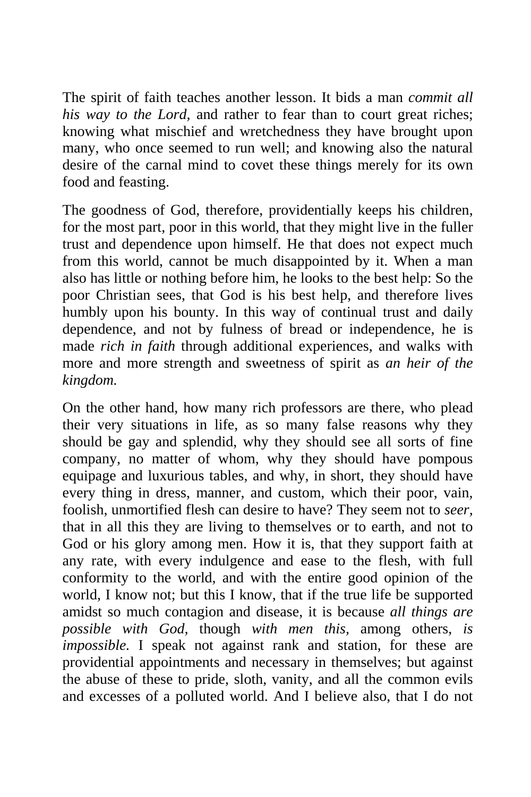The spirit of faith teaches another lesson. It bids a man *commit all his way to the Lord,* and rather to fear than to court great riches; knowing what mischief and wretchedness they have brought upon many, who once seemed to run well; and knowing also the natural desire of the carnal mind to covet these things merely for its own food and feasting.

The goodness of God, therefore, providentially keeps his children, for the most part, poor in this world, that they might live in the fuller trust and dependence upon himself. He that does not expect much from this world, cannot be much disappointed by it. When a man also has little or nothing before him, he looks to the best help: So the poor Christian sees, that God is his best help, and therefore lives humbly upon his bounty. In this way of continual trust and daily dependence, and not by fulness of bread or independence, he is made *rich in faith* through additional experiences, and walks with more and more strength and sweetness of spirit as *an heir of the kingdom.* 

On the other hand, how many rich professors are there, who plead their very situations in life, as so many false reasons why they should be gay and splendid, why they should see all sorts of fine company, no matter of whom, why they should have pompous equipage and luxurious tables, and why, in short, they should have every thing in dress, manner, and custom, which their poor, vain, foolish, unmortified flesh can desire to have? They seem not to *seer,*  that in all this they are living to themselves or to earth, and not to God or his glory among men. How it is, that they support faith at any rate, with every indulgence and ease to the flesh, with full conformity to the world, and with the entire good opinion of the world, I know not; but this I know, that if the true life be supported amidst so much contagion and disease, it is because *all things are possible with God,* though *with men this,* among others, *is impossible.* I speak not against rank and station, for these are providential appointments and necessary in themselves; but against the abuse of these to pride, sloth, vanity, and all the common evils and excesses of a polluted world. And I believe also, that I do not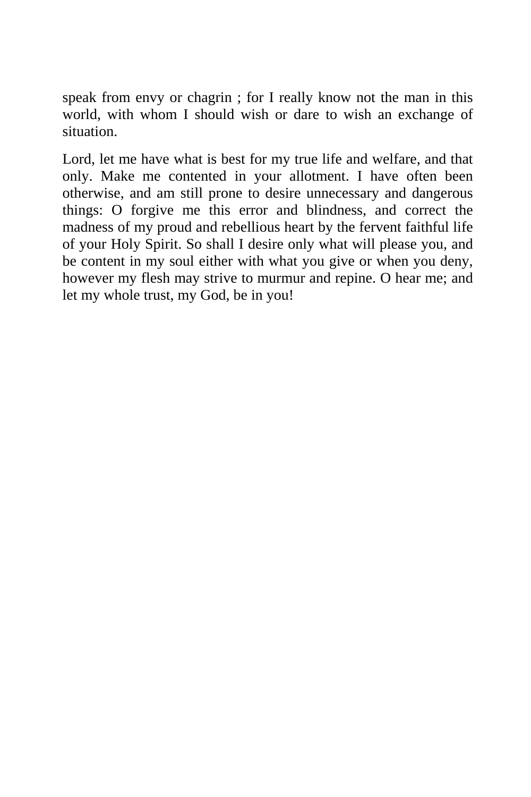speak from envy or chagrin ; for I really know not the man in this world, with whom I should wish or dare to wish an exchange of situation.

Lord, let me have what is best for my true life and welfare, and that only. Make me contented in your allotment. I have often been otherwise, and am still prone to desire unnecessary and dangerous things: O forgive me this error and blindness, and correct the madness of my proud and rebellious heart by the fervent faithful life of your Holy Spirit. So shall I desire only what will please you, and be content in my soul either with what you give or when you deny, however my flesh may strive to murmur and repine. O hear me; and let my whole trust, my God, be in you!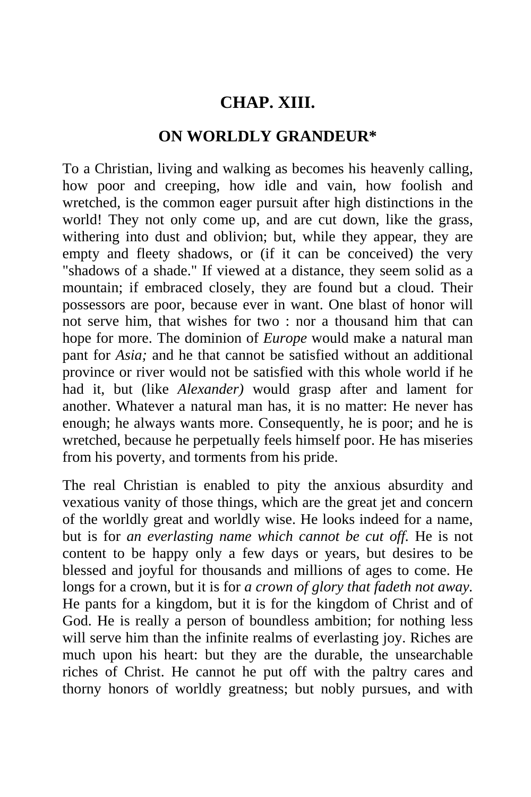### **CHAP. XIII.**

### **ON WORLDLY GRANDEUR\***

To a Christian, living and walking as becomes his heavenly calling, how poor and creeping, how idle and vain, how foolish and wretched, is the common eager pursuit after high distinctions in the world! They not only come up, and are cut down, like the grass, withering into dust and oblivion; but, while they appear, they are empty and fleety shadows, or (if it can be conceived) the very "shadows of a shade." If viewed at a distance, they seem solid as a mountain; if embraced closely, they are found but a cloud. Their possessors are poor, because ever in want. One blast of honor will not serve him, that wishes for two : nor a thousand him that can hope for more. The dominion of *Europe* would make a natural man pant for *Asia;* and he that cannot be satisfied without an additional province or river would not be satisfied with this whole world if he had it, but (like *Alexander)* would grasp after and lament for another. Whatever a natural man has, it is no matter: He never has enough; he always wants more. Consequently, he is poor; and he is wretched, because he perpetually feels himself poor. He has miseries from his poverty, and torments from his pride.

The real Christian is enabled to pity the anxious absurdity and vexatious vanity of those things, which are the great jet and concern of the worldly great and worldly wise. He looks indeed for a name, but is for *an everlasting name which cannot be cut off.* He is not content to be happy only a few days or years, but desires to be blessed and joyful for thousands and millions of ages to come. He longs for a crown, but it is for *a crown of glory that fadeth not away.*  He pants for a kingdom, but it is for the kingdom of Christ and of God. He is really a person of boundless ambition; for nothing less will serve him than the infinite realms of everlasting joy. Riches are much upon his heart: but they are the durable, the unsearchable riches of Christ. He cannot he put off with the paltry cares and thorny honors of worldly greatness; but nobly pursues, and with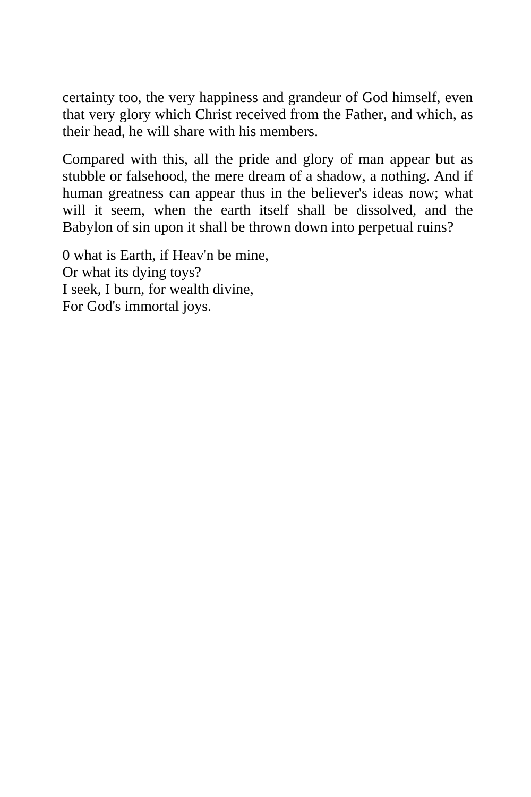certainty too, the very happiness and grandeur of God himself, even that very glory which Christ received from the Father, and which, as their head, he will share with his members.

Compared with this, all the pride and glory of man appear but as stubble or falsehood, the mere dream of a shadow, a nothing. And if human greatness can appear thus in the believer's ideas now; what will it seem, when the earth itself shall be dissolved, and the Babylon of sin upon it shall be thrown down into perpetual ruins?

0 what is Earth, if Heav'n be mine, Or what its dying toys? I seek, I burn, for wealth divine, For God's immortal joys.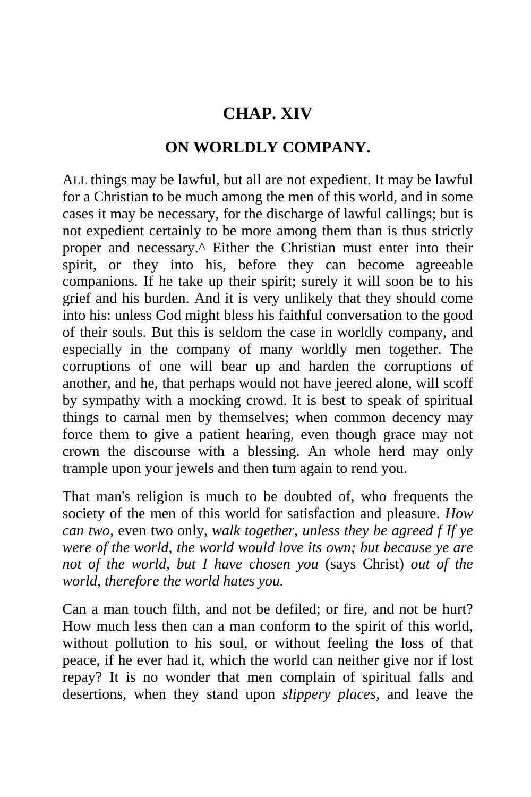# **CHAP. XIV**

### **ON WORLDLY COMPANY.**

ALL things may be lawful, but all are not expedient. It may be lawful for a Christian to be much among the men of this world, and in some cases it may be necessary, for the discharge of lawful callings; but is not expedient certainly to be more among them than is thus strictly proper and necessary.^ Either the Christian must enter into their spirit, or they into his, before they can become agreeable companions. If he take up their spirit; surely it will soon be to his grief and his burden. And it is very unlikely that they should come into his: unless God might bless his faithful conversation to the good of their souls. But this is seldom the case in worldly company, and especially in the company of many worldly men together. The corruptions of one will bear up and harden the corruptions of another, and he, that perhaps would not have jeered alone, will scoff by sympathy with a mocking crowd. It is best to speak of spiritual things to carnal men by themselves; when common decency may force them to give a patient hearing, even though grace may not crown the discourse with a blessing. An whole herd may only trample upon your jewels and then turn again to rend you.

That man's religion is much to be doubted of, who frequents the society of the men of this world for satisfaction and pleasure. *How can two,* even two only, *walk together, unless they be agreed f If ye were of the world, the world would love its own; but because ye are not of the world, but I have chosen you* (says Christ) *out of the world, therefore the world hates you.* 

Can a man touch filth, and not be defiled; or fire, and not be hurt? How much less then can a man conform to the spirit of this world, without pollution to his soul, or without feeling the loss of that peace, if he ever had it, which the world can neither give nor if lost repay? It is no wonder that men complain of spiritual falls and desertions, when they stand upon *slippery places,* and leave the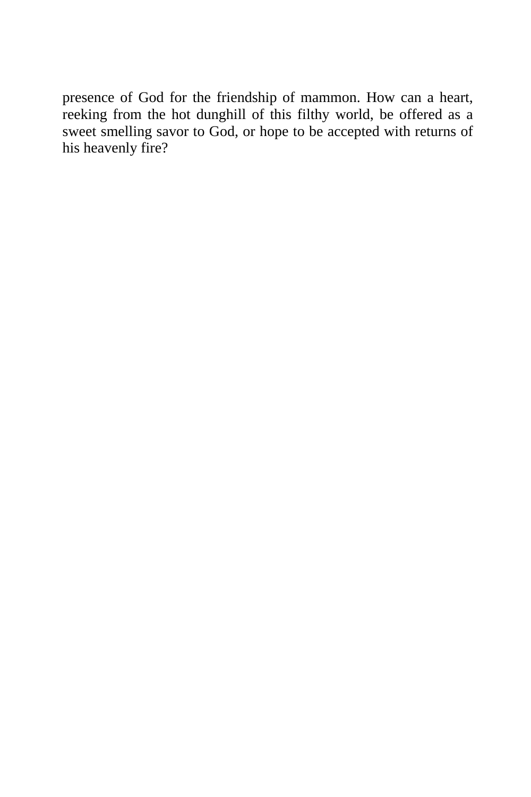presence of God for the friendship of mammon. How can a heart, reeking from the hot dunghill of this filthy world, be offered as a sweet smelling savor to God, or hope to be accepted with returns of his heavenly fire?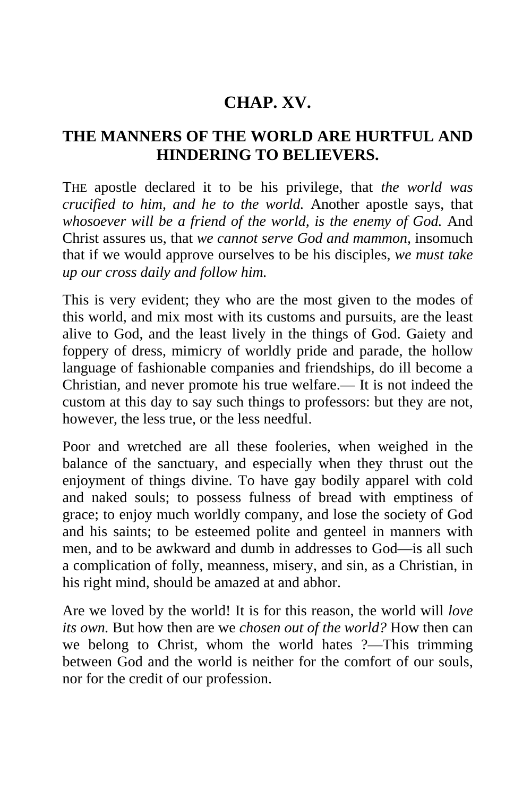# **CHAP. XV.**

### **THE MANNERS OF THE WORLD ARE HURTFUL AND HINDERING TO BELIEVERS.**

THE apostle declared it to be his privilege, that *the world was crucified to him, and he to the world.* Another apostle says, that *whosoever will be a friend of the world, is the enemy of God.* And Christ assures us, that *we cannot serve God and mammon,* insomuch that if we would approve ourselves to be his disciples, *we must take up our cross daily and follow him.* 

This is very evident; they who are the most given to the modes of this world, and mix most with its customs and pursuits, are the least alive to God, and the least lively in the things of God. Gaiety and foppery of dress, mimicry of worldly pride and parade, the hollow language of fashionable companies and friendships, do ill become a Christian, and never promote his true welfare.— It is not indeed the custom at this day to say such things to professors: but they are not, however, the less true, or the less needful.

Poor and wretched are all these fooleries, when weighed in the balance of the sanctuary, and especially when they thrust out the enjoyment of things divine. To have gay bodily apparel with cold and naked souls; to possess fulness of bread with emptiness of grace; to enjoy much worldly company, and lose the society of God and his saints; to be esteemed polite and genteel in manners with men, and to be awkward and dumb in addresses to God—is all such a complication of folly, meanness, misery, and sin, as a Christian, in his right mind, should be amazed at and abhor.

Are we loved by the world! It is for this reason, the world will *love its own.* But how then are we *chosen out of the world?* How then can we belong to Christ, whom the world hates ?—This trimming between God and the world is neither for the comfort of our souls, nor for the credit of our profession.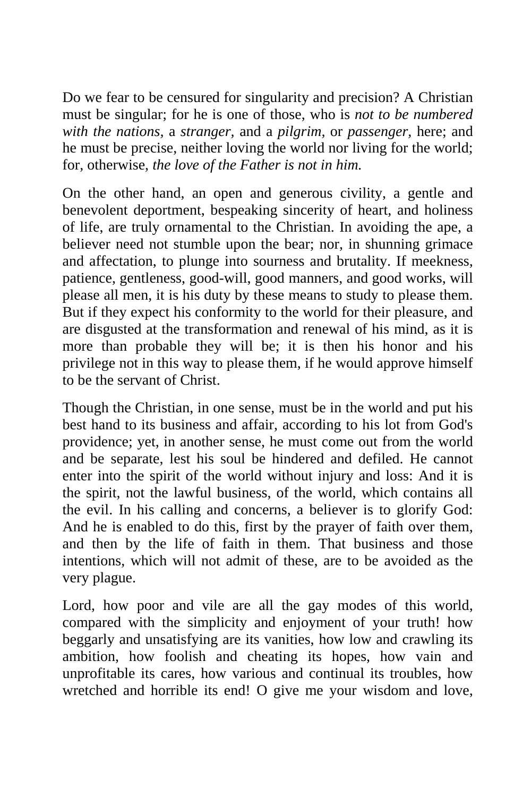Do we fear to be censured for singularity and precision? A Christian must be singular; for he is one of those, who is *not to be numbered with the nations,* a *stranger,* and a *pilgrim,* or *passenger,* here; and he must be precise, neither loving the world nor living for the world; for, otherwise, *the love of the Father is not in him.* 

On the other hand, an open and generous civility, a gentle and benevolent deportment, bespeaking sincerity of heart, and holiness of life, are truly ornamental to the Christian. In avoiding the ape, a believer need not stumble upon the bear; nor, in shunning grimace and affectation, to plunge into sourness and brutality. If meekness, patience, gentleness, good-will, good manners, and good works, will please all men, it is his duty by these means to study to please them. But if they expect his conformity to the world for their pleasure, and are disgusted at the transformation and renewal of his mind, as it is more than probable they will be; it is then his honor and his privilege not in this way to please them, if he would approve himself to be the servant of Christ.

Though the Christian, in one sense, must be in the world and put his best hand to its business and affair, according to his lot from God's providence; yet, in another sense, he must come out from the world and be separate, lest his soul be hindered and defiled. He cannot enter into the spirit of the world without injury and loss: And it is the spirit, not the lawful business, of the world, which contains all the evil. In his calling and concerns, a believer is to glorify God: And he is enabled to do this, first by the prayer of faith over them, and then by the life of faith in them. That business and those intentions, which will not admit of these, are to be avoided as the very plague.

Lord, how poor and vile are all the gay modes of this world, compared with the simplicity and enjoyment of your truth! how beggarly and unsatisfying are its vanities, how low and crawling its ambition, how foolish and cheating its hopes, how vain and unprofitable its cares, how various and continual its troubles, how wretched and horrible its end! O give me your wisdom and love,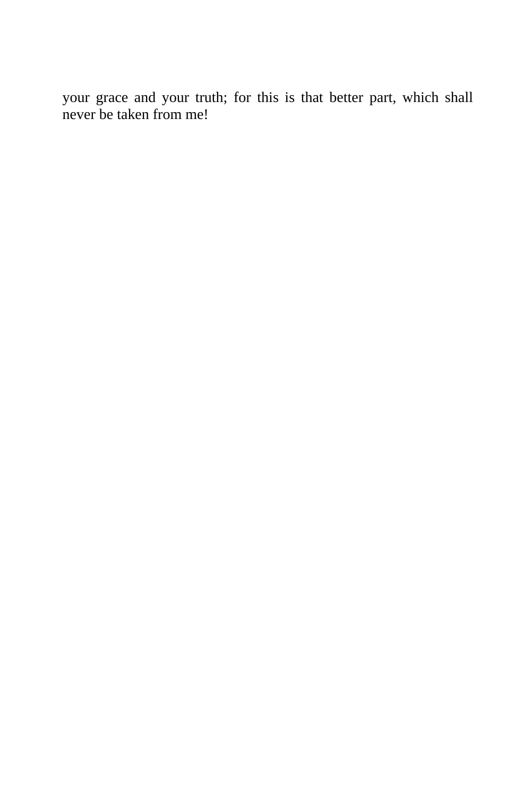your grace and your truth; for this is that better part, which shall never be taken from me!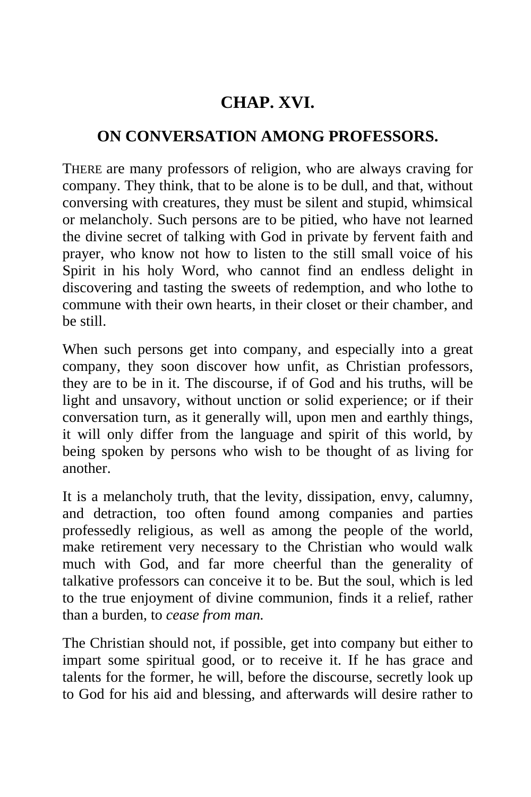# **CHAP. XVI.**

### **ON CONVERSATION AMONG PROFESSORS.**

THERE are many professors of religion, who are always craving for company. They think, that to be alone is to be dull, and that, without conversing with creatures, they must be silent and stupid, whimsical or melancholy. Such persons are to be pitied, who have not learned the divine secret of talking with God in private by fervent faith and prayer, who know not how to listen to the still small voice of his Spirit in his holy Word, who cannot find an endless delight in discovering and tasting the sweets of redemption, and who lothe to commune with their own hearts, in their closet or their chamber, and be still.

When such persons get into company, and especially into a great company, they soon discover how unfit, as Christian professors, they are to be in it. The discourse, if of God and his truths, will be light and unsavory, without unction or solid experience; or if their conversation turn, as it generally will, upon men and earthly things, it will only differ from the language and spirit of this world, by being spoken by persons who wish to be thought of as living for another.

It is a melancholy truth, that the levity, dissipation, envy, calumny, and detraction, too often found among companies and parties professedly religious, as well as among the people of the world, make retirement very necessary to the Christian who would walk much with God, and far more cheerful than the generality of talkative professors can conceive it to be. But the soul, which is led to the true enjoyment of divine communion, finds it a relief, rather than a burden, to *cease from man.* 

The Christian should not, if possible, get into company but either to impart some spiritual good, or to receive it. If he has grace and talents for the former, he will, before the discourse, secretly look up to God for his aid and blessing, and afterwards will desire rather to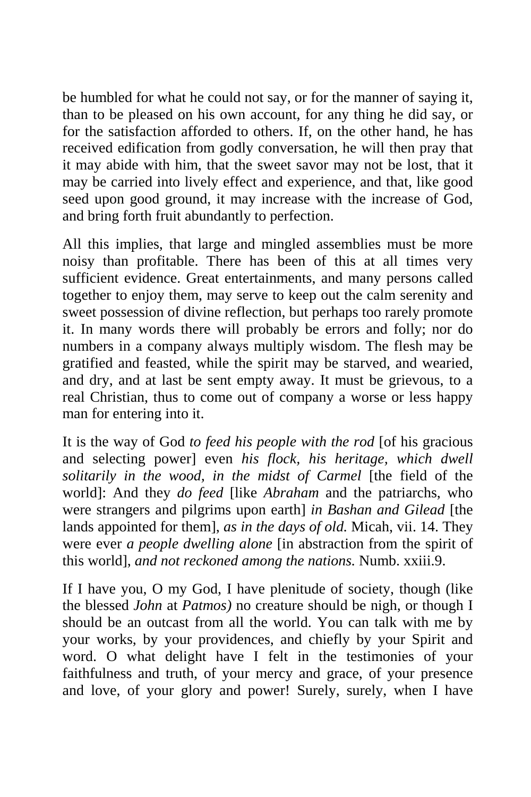be humbled for what he could not say, or for the manner of saying it, than to be pleased on his own account, for any thing he did say, or for the satisfaction afforded to others. If, on the other hand, he has received edification from godly conversation, he will then pray that it may abide with him, that the sweet savor may not be lost, that it may be carried into lively effect and experience, and that, like good seed upon good ground, it may increase with the increase of God, and bring forth fruit abundantly to perfection.

All this implies, that large and mingled assemblies must be more noisy than profitable. There has been of this at all times very sufficient evidence. Great entertainments, and many persons called together to enjoy them, may serve to keep out the calm serenity and sweet possession of divine reflection, but perhaps too rarely promote it. In many words there will probably be errors and folly; nor do numbers in a company always multiply wisdom. The flesh may be gratified and feasted, while the spirit may be starved, and wearied, and dry, and at last be sent empty away. It must be grievous, to a real Christian, thus to come out of company a worse or less happy man for entering into it.

It is the way of God *to feed his people with the rod* [of his gracious and selecting power] even *his flock, his heritage, which dwell*  solitarily in the wood, in the midst of Carmel [the field of the world]: And they *do feed* [like *Abraham* and the patriarchs, who were strangers and pilgrims upon earth] *in Bashan and Gilead* [the lands appointed for them], *as in the days of old.* Micah, vii. 14. They were ever *a people dwelling alone* [in abstraction from the spirit of this world], *and not reckoned among the nations.* Numb. xxiii.9.

If I have you, O my God, I have plenitude of society, though (like the blessed *John* at *Patmos)* no creature should be nigh, or though I should be an outcast from all the world. You can talk with me by your works, by your providences, and chiefly by your Spirit and word. O what delight have I felt in the testimonies of your faithfulness and truth, of your mercy and grace, of your presence and love, of your glory and power! Surely, surely, when I have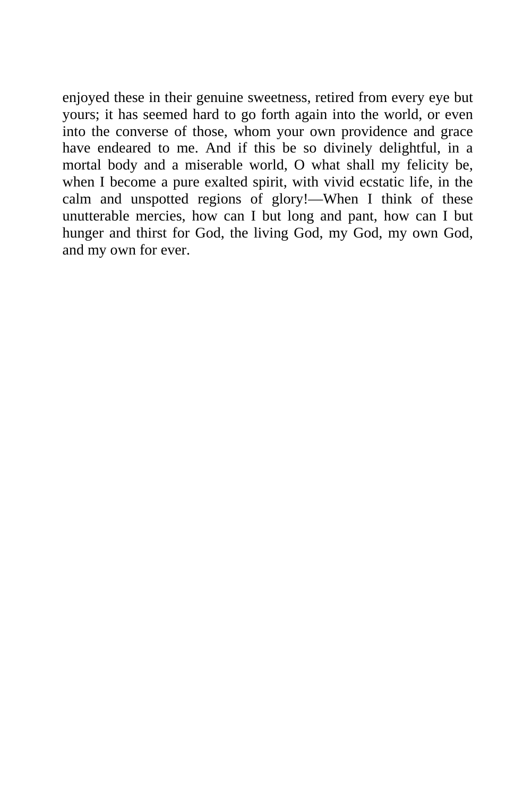enjoyed these in their genuine sweetness, retired from every eye but yours; it has seemed hard to go forth again into the world, or even into the converse of those, whom your own providence and grace have endeared to me. And if this be so divinely delightful, in a mortal body and a miserable world, O what shall my felicity be, when I become a pure exalted spirit, with vivid ecstatic life, in the calm and unspotted regions of glory!—When I think of these unutterable mercies, how can I but long and pant, how can I but hunger and thirst for God, the living God, my God, my own God, and my own for ever.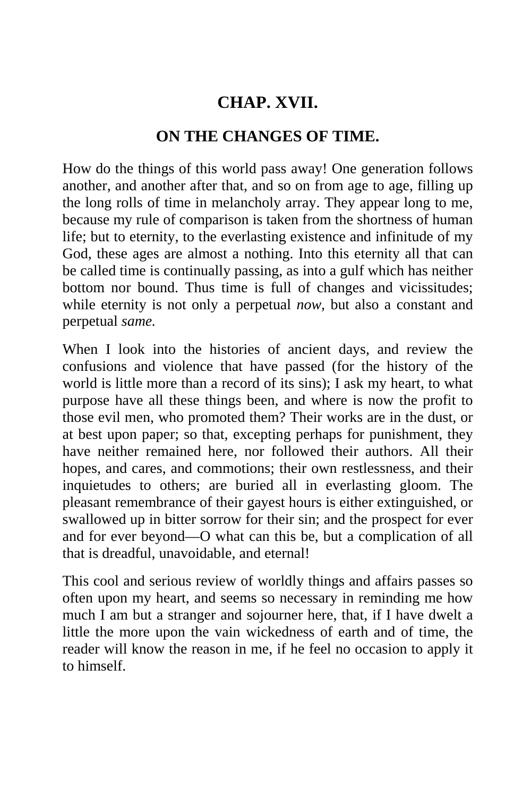# **CHAP. XVII.**

### **ON THE CHANGES OF TIME.**

How do the things of this world pass away! One generation follows another, and another after that, and so on from age to age, filling up the long rolls of time in melancholy array. They appear long to me, because my rule of comparison is taken from the shortness of human life; but to eternity, to the everlasting existence and infinitude of my God, these ages are almost a nothing. Into this eternity all that can be called time is continually passing, as into a gulf which has neither bottom nor bound. Thus time is full of changes and vicissitudes; while eternity is not only a perpetual *now,* but also a constant and perpetual *same.* 

When I look into the histories of ancient days, and review the confusions and violence that have passed (for the history of the world is little more than a record of its sins); I ask my heart, to what purpose have all these things been, and where is now the profit to those evil men, who promoted them? Their works are in the dust, or at best upon paper; so that, excepting perhaps for punishment, they have neither remained here, nor followed their authors. All their hopes, and cares, and commotions; their own restlessness, and their inquietudes to others; are buried all in everlasting gloom. The pleasant remembrance of their gayest hours is either extinguished, or swallowed up in bitter sorrow for their sin; and the prospect for ever and for ever beyond—O what can this be, but a complication of all that is dreadful, unavoidable, and eternal!

This cool and serious review of worldly things and affairs passes so often upon my heart, and seems so necessary in reminding me how much I am but a stranger and sojourner here, that, if I have dwelt a little the more upon the vain wickedness of earth and of time, the reader will know the reason in me, if he feel no occasion to apply it to himself.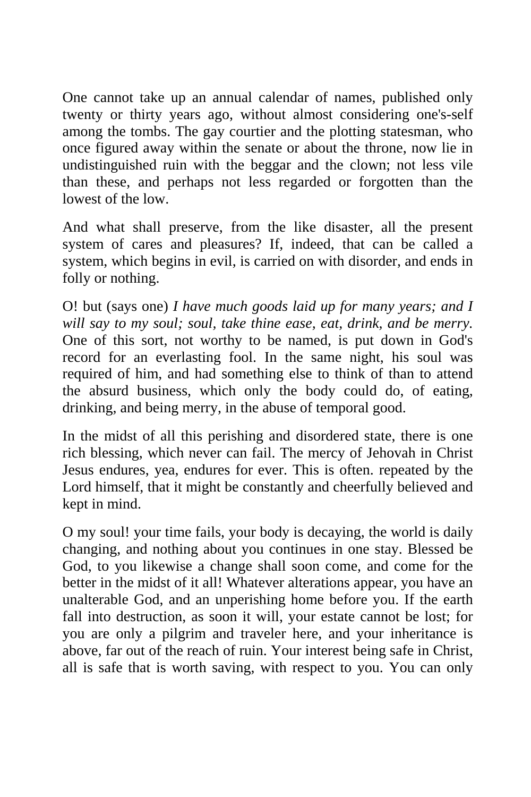One cannot take up an annual calendar of names, published only twenty or thirty years ago, without almost considering one's-self among the tombs. The gay courtier and the plotting statesman, who once figured away within the senate or about the throne, now lie in undistinguished ruin with the beggar and the clown; not less vile than these, and perhaps not less regarded or forgotten than the lowest of the low.

And what shall preserve, from the like disaster, all the present system of cares and pleasures? If, indeed, that can be called a system, which begins in evil, is carried on with disorder, and ends in folly or nothing.

O! but (says one) *I have much goods laid up for many years; and I will say to my soul; soul, take thine ease, eat, drink, and be merry.*  One of this sort, not worthy to be named, is put down in God's record for an everlasting fool. In the same night, his soul was required of him, and had something else to think of than to attend the absurd business, which only the body could do, of eating, drinking, and being merry, in the abuse of temporal good.

In the midst of all this perishing and disordered state, there is one rich blessing, which never can fail. The mercy of Jehovah in Christ Jesus endures, yea, endures for ever. This is often. repeated by the Lord himself, that it might be constantly and cheerfully believed and kept in mind.

O my soul! your time fails, your body is decaying, the world is daily changing, and nothing about you continues in one stay. Blessed be God, to you likewise a change shall soon come, and come for the better in the midst of it all! Whatever alterations appear, you have an unalterable God, and an unperishing home before you. If the earth fall into destruction, as soon it will, your estate cannot be lost; for you are only a pilgrim and traveler here, and your inheritance is above, far out of the reach of ruin. Your interest being safe in Christ, all is safe that is worth saving, with respect to you. You can only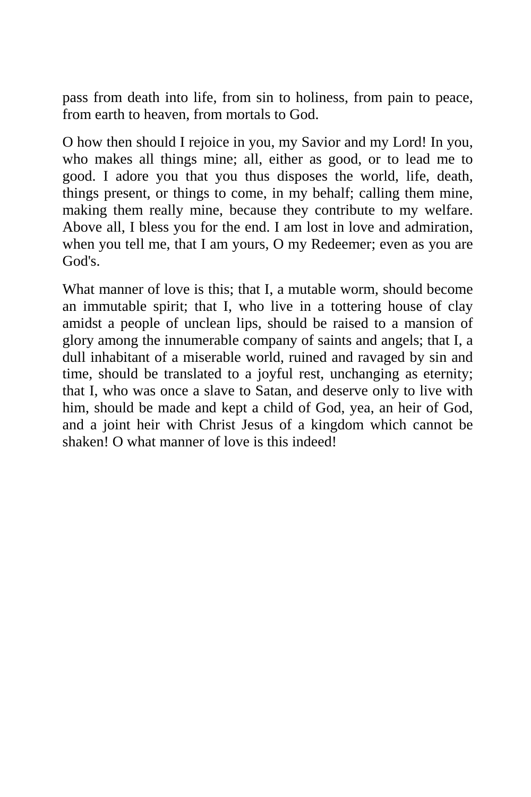pass from death into life, from sin to holiness, from pain to peace, from earth to heaven, from mortals to God.

O how then should I rejoice in you, my Savior and my Lord! In you, who makes all things mine; all, either as good, or to lead me to good. I adore you that you thus disposes the world, life, death, things present, or things to come, in my behalf; calling them mine, making them really mine, because they contribute to my welfare. Above all, I bless you for the end. I am lost in love and admiration, when you tell me, that I am yours, O my Redeemer; even as you are God's.

What manner of love is this; that I, a mutable worm, should become an immutable spirit; that I, who live in a tottering house of clay amidst a people of unclean lips, should be raised to a mansion of glory among the innumerable company of saints and angels; that I, a dull inhabitant of a miserable world, ruined and ravaged by sin and time, should be translated to a joyful rest, unchanging as eternity; that I, who was once a slave to Satan, and deserve only to live with him, should be made and kept a child of God, yea, an heir of God, and a joint heir with Christ Jesus of a kingdom which cannot be shaken! O what manner of love is this indeed!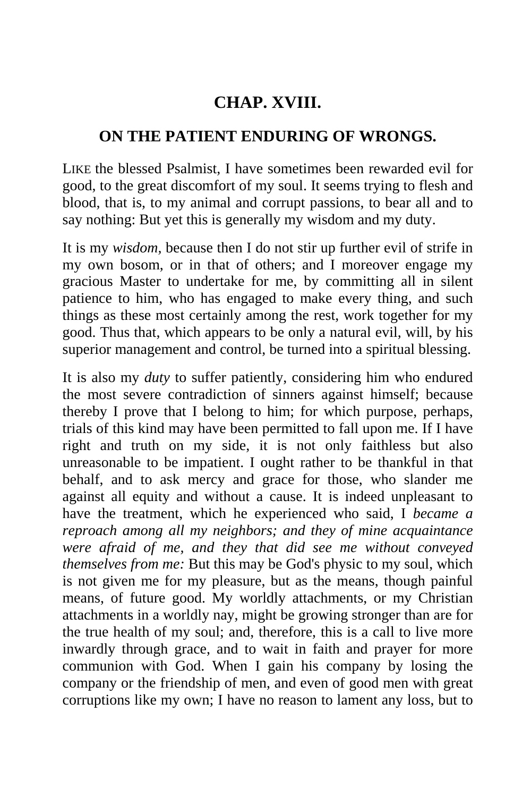# **CHAP. XVIII.**

### **ON THE PATIENT ENDURING OF WRONGS.**

LIKE the blessed Psalmist, I have sometimes been rewarded evil for good, to the great discomfort of my soul. It seems trying to flesh and blood, that is, to my animal and corrupt passions, to bear all and to say nothing: But yet this is generally my wisdom and my duty.

It is my *wisdom,* because then I do not stir up further evil of strife in my own bosom, or in that of others; and I moreover engage my gracious Master to undertake for me, by committing all in silent patience to him, who has engaged to make every thing, and such things as these most certainly among the rest, work together for my good. Thus that, which appears to be only a natural evil, will, by his superior management and control, be turned into a spiritual blessing.

It is also my *duty* to suffer patiently, considering him who endured the most severe contradiction of sinners against himself; because thereby I prove that I belong to him; for which purpose, perhaps, trials of this kind may have been permitted to fall upon me. If I have right and truth on my side, it is not only faithless but also unreasonable to be impatient. I ought rather to be thankful in that behalf, and to ask mercy and grace for those, who slander me against all equity and without a cause. It is indeed unpleasant to have the treatment, which he experienced who said, I *became a reproach among all my neighbors; and they of mine acquaintance were afraid of me, and they that did see me without conveyed themselves from me:* But this may be God's physic to my soul, which is not given me for my pleasure, but as the means, though painful means, of future good. My worldly attachments, or my Christian attachments in a worldly nay, might be growing stronger than are for the true health of my soul; and, therefore, this is a call to live more inwardly through grace, and to wait in faith and prayer for more communion with God. When I gain his company by losing the company or the friendship of men, and even of good men with great corruptions like my own; I have no reason to lament any loss, but to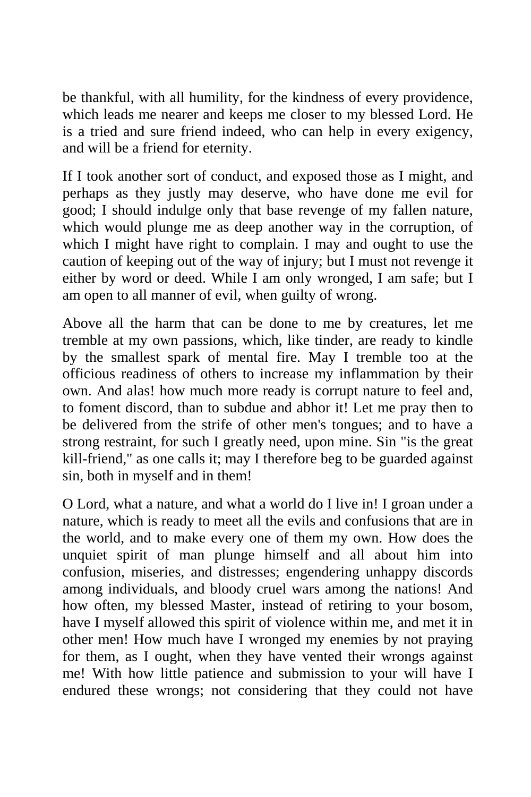be thankful, with all humility, for the kindness of every providence, which leads me nearer and keeps me closer to my blessed Lord. He is a tried and sure friend indeed, who can help in every exigency, and will be a friend for eternity.

If I took another sort of conduct, and exposed those as I might, and perhaps as they justly may deserve, who have done me evil for good; I should indulge only that base revenge of my fallen nature, which would plunge me as deep another way in the corruption, of which I might have right to complain. I may and ought to use the caution of keeping out of the way of injury; but I must not revenge it either by word or deed. While I am only wronged, I am safe; but I am open to all manner of evil, when guilty of wrong.

Above all the harm that can be done to me by creatures, let me tremble at my own passions, which, like tinder, are ready to kindle by the smallest spark of mental fire. May I tremble too at the officious readiness of others to increase my inflammation by their own. And alas! how much more ready is corrupt nature to feel and, to foment discord, than to subdue and abhor it! Let me pray then to be delivered from the strife of other men's tongues; and to have a strong restraint, for such I greatly need, upon mine. Sin "is the great kill-friend," as one calls it; may I therefore beg to be guarded against sin, both in myself and in them!

O Lord, what a nature, and what a world do I live in! I groan under a nature, which is ready to meet all the evils and confusions that are in the world, and to make every one of them my own. How does the unquiet spirit of man plunge himself and all about him into confusion, miseries, and distresses; engendering unhappy discords among individuals, and bloody cruel wars among the nations! And how often, my blessed Master, instead of retiring to your bosom, have I myself allowed this spirit of violence within me, and met it in other men! How much have I wronged my enemies by not praying for them, as I ought, when they have vented their wrongs against me! With how little patience and submission to your will have I endured these wrongs; not considering that they could not have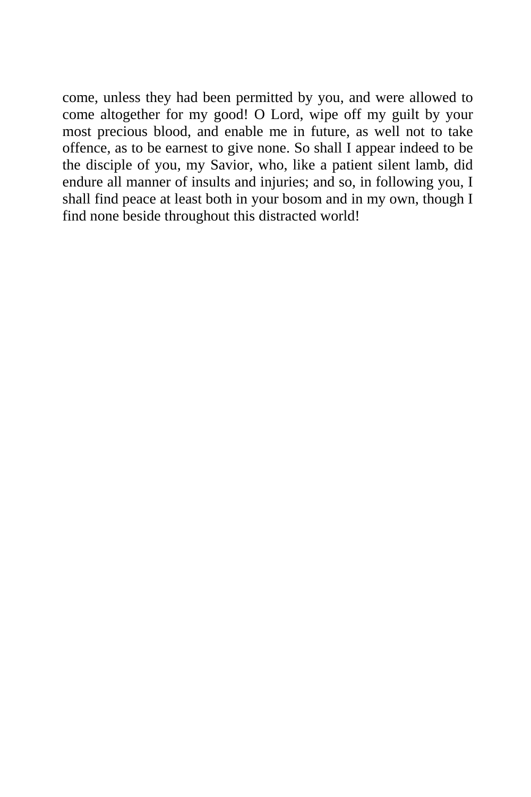come, unless they had been permitted by you, and were allowed to come altogether for my good! O Lord, wipe off my guilt by your most precious blood, and enable me in future, as well not to take offence, as to be earnest to give none. So shall I appear indeed to be the disciple of you, my Savior, who, like a patient silent lamb, did endure all manner of insults and injuries; and so, in following you, I shall find peace at least both in your bosom and in my own, though I find none beside throughout this distracted world!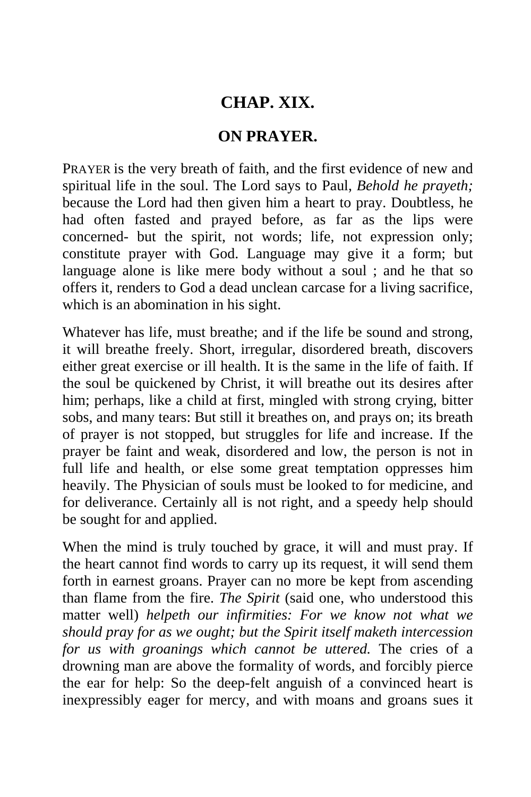## **CHAP. XIX.**

#### **ON PRAYER.**

PRAYER is the very breath of faith, and the first evidence of new and spiritual life in the soul. The Lord says to Paul, *Behold he prayeth;*  because the Lord had then given him a heart to pray. Doubtless, he had often fasted and prayed before, as far as the lips were concerned- but the spirit, not words; life, not expression only; constitute prayer with God. Language may give it a form; but language alone is like mere body without a soul ; and he that so offers it, renders to God a dead unclean carcase for a living sacrifice, which is an abomination in his sight.

Whatever has life, must breathe; and if the life be sound and strong, it will breathe freely. Short, irregular, disordered breath, discovers either great exercise or ill health. It is the same in the life of faith. If the soul be quickened by Christ, it will breathe out its desires after him; perhaps, like a child at first, mingled with strong crying, bitter sobs, and many tears: But still it breathes on, and prays on; its breath of prayer is not stopped, but struggles for life and increase. If the prayer be faint and weak, disordered and low, the person is not in full life and health, or else some great temptation oppresses him heavily. The Physician of souls must be looked to for medicine, and for deliverance. Certainly all is not right, and a speedy help should be sought for and applied.

When the mind is truly touched by grace, it will and must pray. If the heart cannot find words to carry up its request, it will send them forth in earnest groans. Prayer can no more be kept from ascending than flame from the fire. *The Spirit* (said one, who understood this matter well) *helpeth our infirmities: For we know not what we should pray for as we ought; but the Spirit itself maketh intercession for us with groanings which cannot be uttered.* The cries of a drowning man are above the formality of words, and forcibly pierce the ear for help: So the deep-felt anguish of a convinced heart is inexpressibly eager for mercy, and with moans and groans sues it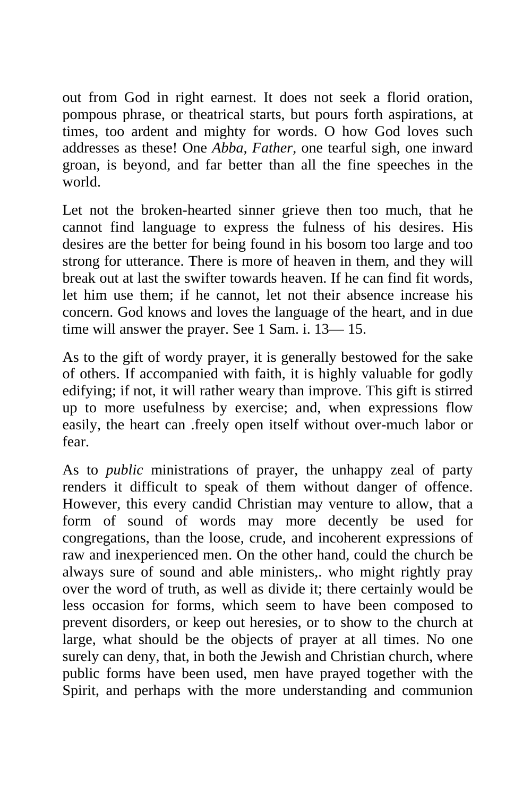out from God in right earnest. It does not seek a florid oration, pompous phrase, or theatrical starts, but pours forth aspirations, at times, too ardent and mighty for words. O how God loves such addresses as these! One *Abba, Father,* one tearful sigh, one inward groan, is beyond, and far better than all the fine speeches in the world.

Let not the broken-hearted sinner grieve then too much, that he cannot find language to express the fulness of his desires. His desires are the better for being found in his bosom too large and too strong for utterance. There is more of heaven in them, and they will break out at last the swifter towards heaven. If he can find fit words, let him use them; if he cannot, let not their absence increase his concern. God knows and loves the language of the heart, and in due time will answer the prayer. See 1 Sam. i. 13— 15.

As to the gift of wordy prayer, it is generally bestowed for the sake of others. If accompanied with faith, it is highly valuable for godly edifying; if not, it will rather weary than improve. This gift is stirred up to more usefulness by exercise; and, when expressions flow easily, the heart can .freely open itself without over-much labor or fear.

As to *public* ministrations of prayer, the unhappy zeal of party renders it difficult to speak of them without danger of offence. However, this every candid Christian may venture to allow, that a form of sound of words may more decently be used for congregations, than the loose, crude, and incoherent expressions of raw and inexperienced men. On the other hand, could the church be always sure of sound and able ministers,. who might rightly pray over the word of truth, as well as divide it; there certainly would be less occasion for forms, which seem to have been composed to prevent disorders, or keep out heresies, or to show to the church at large, what should be the objects of prayer at all times. No one surely can deny, that, in both the Jewish and Christian church, where public forms have been used, men have prayed together with the Spirit, and perhaps with the more understanding and communion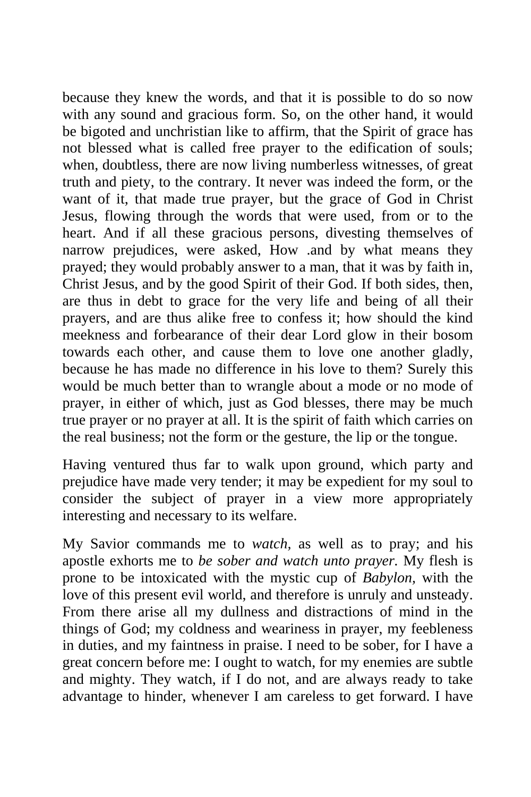because they knew the words, and that it is possible to do so now with any sound and gracious form. So, on the other hand, it would be bigoted and unchristian like to affirm, that the Spirit of grace has not blessed what is called free prayer to the edification of souls; when, doubtless, there are now living numberless witnesses, of great truth and piety, to the contrary. It never was indeed the form, or the want of it, that made true prayer, but the grace of God in Christ Jesus, flowing through the words that were used, from or to the heart. And if all these gracious persons, divesting themselves of narrow prejudices, were asked, How .and by what means they prayed; they would probably answer to a man, that it was by faith in, Christ Jesus, and by the good Spirit of their God. If both sides, then, are thus in debt to grace for the very life and being of all their prayers, and are thus alike free to confess it; how should the kind meekness and forbearance of their dear Lord glow in their bosom towards each other, and cause them to love one another gladly, because he has made no difference in his love to them? Surely this would be much better than to wrangle about a mode or no mode of prayer, in either of which, just as God blesses, there may be much true prayer or no prayer at all. It is the spirit of faith which carries on the real business; not the form or the gesture, the lip or the tongue.

Having ventured thus far to walk upon ground, which party and prejudice have made very tender; it may be expedient for my soul to consider the subject of prayer in a view more appropriately interesting and necessary to its welfare.

My Savior commands me to *watch,* as well as to pray; and his apostle exhorts me to *be sober and watch unto prayer.* My flesh is prone to be intoxicated with the mystic cup of *Babylon,* with the love of this present evil world, and therefore is unruly and unsteady. From there arise all my dullness and distractions of mind in the things of God; my coldness and weariness in prayer, my feebleness in duties, and my faintness in praise. I need to be sober, for I have a great concern before me: I ought to watch, for my enemies are subtle and mighty. They watch, if I do not, and are always ready to take advantage to hinder, whenever I am careless to get forward. I have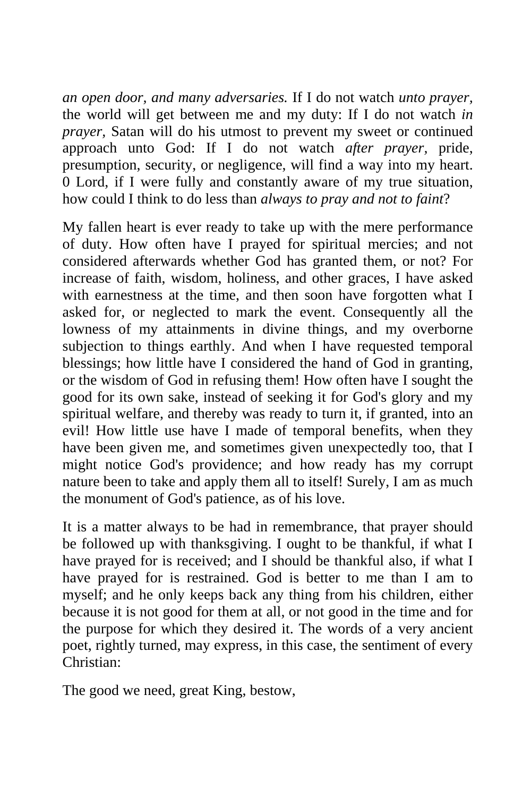*an open door, and many adversaries.* If I do not watch *unto prayer,*  the world will get between me and my duty: If I do not watch *in prayer,* Satan will do his utmost to prevent my sweet or continued approach unto God: If I do not watch *after prayer,* pride, presumption, security, or negligence, will find a way into my heart. 0 Lord, if I were fully and constantly aware of my true situation, how could I think to do less than *always to pray and not to faint*?

My fallen heart is ever ready to take up with the mere performance of duty. How often have I prayed for spiritual mercies; and not considered afterwards whether God has granted them, or not? For increase of faith, wisdom, holiness, and other graces, I have asked with earnestness at the time, and then soon have forgotten what I asked for, or neglected to mark the event. Consequently all the lowness of my attainments in divine things, and my overborne subjection to things earthly. And when I have requested temporal blessings; how little have I considered the hand of God in granting, or the wisdom of God in refusing them! How often have I sought the good for its own sake, instead of seeking it for God's glory and my spiritual welfare, and thereby was ready to turn it, if granted, into an evil! How little use have I made of temporal benefits, when they have been given me, and sometimes given unexpectedly too, that I might notice God's providence; and how ready has my corrupt nature been to take and apply them all to itself! Surely, I am as much the monument of God's patience, as of his love.

It is a matter always to be had in remembrance, that prayer should be followed up with thanksgiving. I ought to be thankful, if what I have prayed for is received; and I should be thankful also, if what I have prayed for is restrained. God is better to me than I am to myself; and he only keeps back any thing from his children, either because it is not good for them at all, or not good in the time and for the purpose for which they desired it. The words of a very ancient poet, rightly turned, may express, in this case, the sentiment of every Christian:

The good we need, great King, bestow,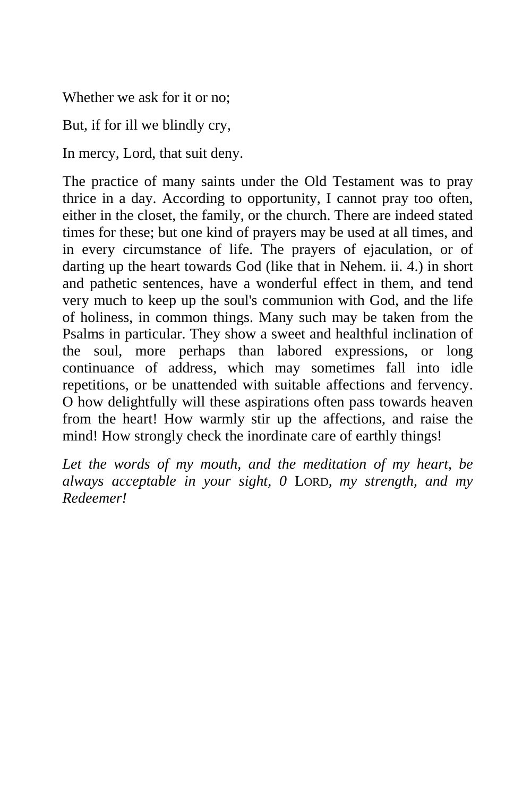Whether we ask for it or no;

But, if for ill we blindly cry,

In mercy, Lord, that suit deny.

The practice of many saints under the Old Testament was to pray thrice in a day. According to opportunity, I cannot pray too often, either in the closet, the family, or the church. There are indeed stated times for these; but one kind of prayers may be used at all times, and in every circumstance of life. The prayers of ejaculation, or of darting up the heart towards God (like that in Nehem. ii. 4.) in short and pathetic sentences, have a wonderful effect in them, and tend very much to keep up the soul's communion with God, and the life of holiness, in common things. Many such may be taken from the Psalms in particular. They show a sweet and healthful inclination of the soul, more perhaps than labored expressions, or long continuance of address, which may sometimes fall into idle repetitions, or be unattended with suitable affections and fervency. O how delightfully will these aspirations often pass towards heaven from the heart! How warmly stir up the affections, and raise the mind! How strongly check the inordinate care of earthly things!

*Let the words of my mouth, and the meditation of my heart, be always acceptable in your sight, 0* LORD, *my strength, and my Redeemer!*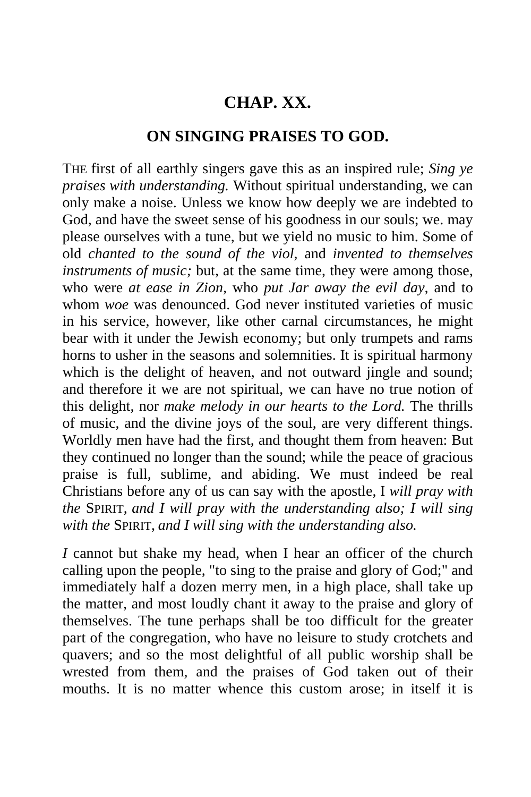### **CHAP. XX.**

#### **ON SINGING PRAISES TO GOD.**

THE first of all earthly singers gave this as an inspired rule; *Sing ye praises with understanding.* Without spiritual understanding, we can only make a noise. Unless we know how deeply we are indebted to God, and have the sweet sense of his goodness in our souls; we. may please ourselves with a tune, but we yield no music to him. Some of old *chanted to the sound of the viol,* and *invented to themselves instruments of music;* but, at the same time, they were among those, who were *at ease in Zion,* who *put Jar away the evil day,* and to whom *woe* was denounced. God never instituted varieties of music in his service, however, like other carnal circumstances, he might bear with it under the Jewish economy; but only trumpets and rams horns to usher in the seasons and solemnities. It is spiritual harmony which is the delight of heaven, and not outward jingle and sound; and therefore it we are not spiritual, we can have no true notion of this delight, nor *make melody in our hearts to the Lord.* The thrills of music, and the divine joys of the soul, are very different things. Worldly men have had the first, and thought them from heaven: But they continued no longer than the sound; while the peace of gracious praise is full, sublime, and abiding. We must indeed be real Christians before any of us can say with the apostle, I *will pray with the* SPIRIT, *and I will pray with the understanding also; I will sing with the* SPIRIT, *and I will sing with the understanding also.* 

*I* cannot but shake my head, when I hear an officer of the church calling upon the people, "to sing to the praise and glory of God;" and immediately half a dozen merry men, in a high place, shall take up the matter, and most loudly chant it away to the praise and glory of themselves. The tune perhaps shall be too difficult for the greater part of the congregation, who have no leisure to study crotchets and quavers; and so the most delightful of all public worship shall be wrested from them, and the praises of God taken out of their mouths. It is no matter whence this custom arose; in itself it is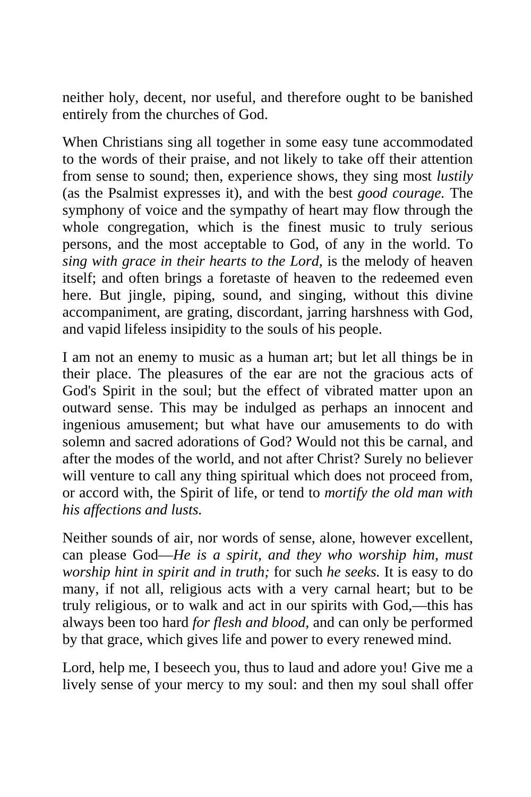neither holy, decent, nor useful, and therefore ought to be banished entirely from the churches of God.

When Christians sing all together in some easy tune accommodated to the words of their praise, and not likely to take off their attention from sense to sound; then, experience shows, they sing most *lustily*  (as the Psalmist expresses it), and with the best *good courage.* The symphony of voice and the sympathy of heart may flow through the whole congregation, which is the finest music to truly serious persons, and the most acceptable to God, of any in the world. To *sing with grace in their hearts to the Lord,* is the melody of heaven itself; and often brings a foretaste of heaven to the redeemed even here. But jingle, piping, sound, and singing, without this divine accompaniment, are grating, discordant, jarring harshness with God, and vapid lifeless insipidity to the souls of his people.

I am not an enemy to music as a human art; but let all things be in their place. The pleasures of the ear are not the gracious acts of God's Spirit in the soul; but the effect of vibrated matter upon an outward sense. This may be indulged as perhaps an innocent and ingenious amusement; but what have our amusements to do with solemn and sacred adorations of God? Would not this be carnal, and after the modes of the world, and not after Christ? Surely no believer will venture to call any thing spiritual which does not proceed from, or accord with, the Spirit of life, or tend to *mortify the old man with his affections and lusts.* 

Neither sounds of air, nor words of sense, alone, however excellent, can please God—*He is a spirit, and they who worship him, must worship hint in spirit and in truth;* for such *he seeks.* It is easy to do many, if not all, religious acts with a very carnal heart; but to be truly religious, or to walk and act in our spirits with God,—this has always been too hard *for flesh and blood,* and can only be performed by that grace, which gives life and power to every renewed mind.

Lord, help me, I beseech you, thus to laud and adore you! Give me a lively sense of your mercy to my soul: and then my soul shall offer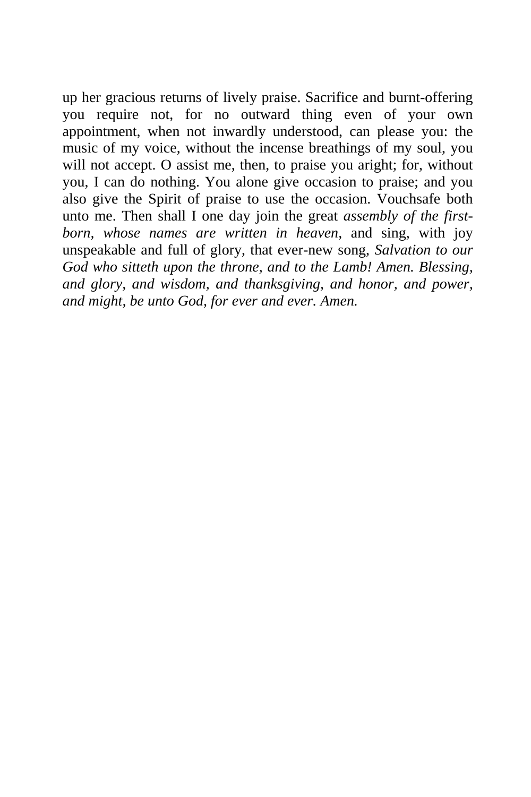up her gracious returns of lively praise. Sacrifice and burnt-offering you require not, for no outward thing even of your own appointment, when not inwardly understood, can please you: the music of my voice, without the incense breathings of my soul, you will not accept. O assist me, then, to praise you aright; for, without you, I can do nothing. You alone give occasion to praise; and you also give the Spirit of praise to use the occasion. Vouchsafe both unto me. Then shall I one day join the great *assembly of the firstborn, whose names are written in heaven,* and sing, with joy unspeakable and full of glory, that ever-new song, *Salvation to our God who sitteth upon the throne, and to the Lamb! Amen. Blessing, and glory, and wisdom, and thanksgiving, and honor, and power, and might, be unto God, for ever and ever. Amen.*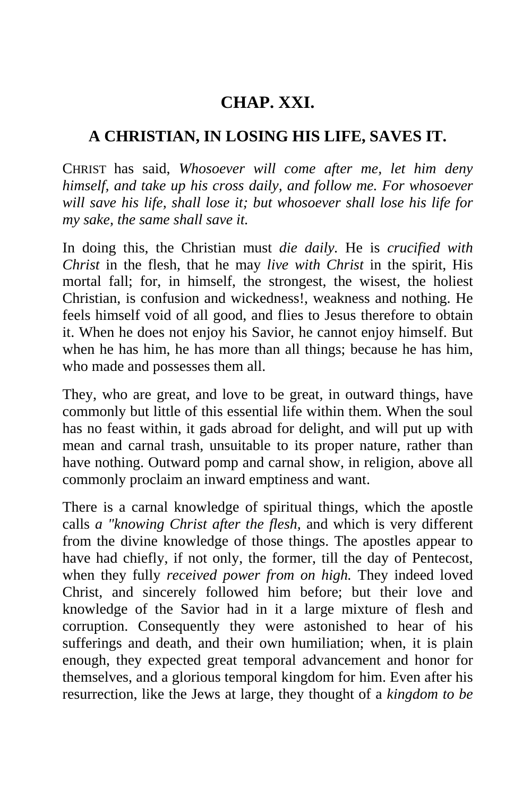### **CHAP. XXI.**

### **A CHRISTIAN, IN LOSING HIS LIFE, SAVES IT.**

CHRIST has said, *Whosoever will come after me, let him deny himself, and take up his cross daily, and follow me. For whosoever will save his life, shall lose it; but whosoever shall lose his life for my sake, the same shall save it.* 

In doing this, the Christian must *die daily.* He is *crucified with Christ* in the flesh, that he may *live with Christ* in the spirit, His mortal fall; for, in himself, the strongest, the wisest, the holiest Christian, is confusion and wickedness!, weakness and nothing. He feels himself void of all good, and flies to Jesus therefore to obtain it. When he does not enjoy his Savior, he cannot enjoy himself. But when he has him, he has more than all things; because he has him, who made and possesses them all.

They, who are great, and love to be great, in outward things, have commonly but little of this essential life within them. When the soul has no feast within, it gads abroad for delight, and will put up with mean and carnal trash, unsuitable to its proper nature, rather than have nothing. Outward pomp and carnal show, in religion, above all commonly proclaim an inward emptiness and want.

There is a carnal knowledge of spiritual things, which the apostle calls *a "knowing Christ after the flesh,* and which is very different from the divine knowledge of those things. The apostles appear to have had chiefly, if not only, the former, till the day of Pentecost, when they fully *received power from on high.* They indeed loved Christ, and sincerely followed him before; but their love and knowledge of the Savior had in it a large mixture of flesh and corruption. Consequently they were astonished to hear of his sufferings and death, and their own humiliation; when, it is plain enough, they expected great temporal advancement and honor for themselves, and a glorious temporal kingdom for him. Even after his resurrection, like the Jews at large, they thought of a *kingdom to be*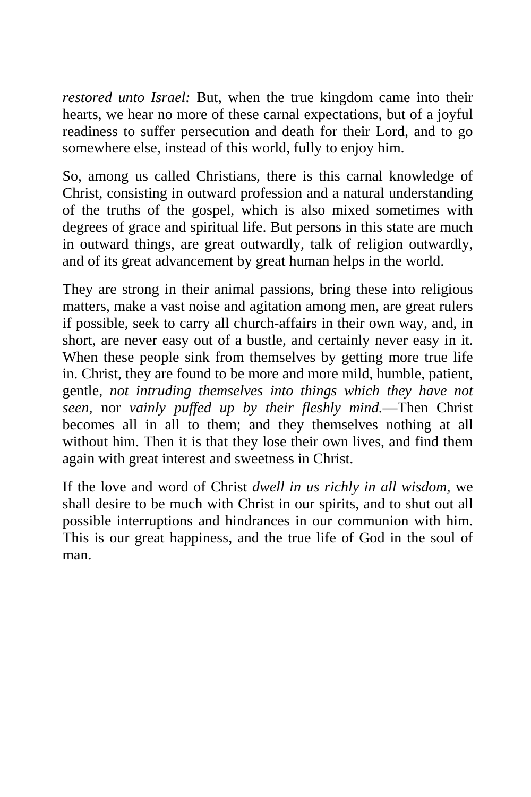*restored unto Israel:* But, when the true kingdom came into their hearts, we hear no more of these carnal expectations, but of a joyful readiness to suffer persecution and death for their Lord, and to go somewhere else, instead of this world, fully to enjoy him.

So, among us called Christians, there is this carnal knowledge of Christ, consisting in outward profession and a natural understanding of the truths of the gospel, which is also mixed sometimes with degrees of grace and spiritual life. But persons in this state are much in outward things, are great outwardly, talk of religion outwardly, and of its great advancement by great human helps in the world.

They are strong in their animal passions, bring these into religious matters, make a vast noise and agitation among men, are great rulers if possible, seek to carry all church-affairs in their own way, and, in short, are never easy out of a bustle, and certainly never easy in it. When these people sink from themselves by getting more true life in. Christ, they are found to be more and more mild, humble, patient, gentle, *not intruding themselves into things which they have not seen,* nor *vainly puffed up by their fleshly mind.*—Then Christ becomes all in all to them; and they themselves nothing at all without him. Then it is that they lose their own lives, and find them again with great interest and sweetness in Christ.

If the love and word of Christ *dwell in us richly in all wisdom,* we shall desire to be much with Christ in our spirits, and to shut out all possible interruptions and hindrances in our communion with him. This is our great happiness, and the true life of God in the soul of man.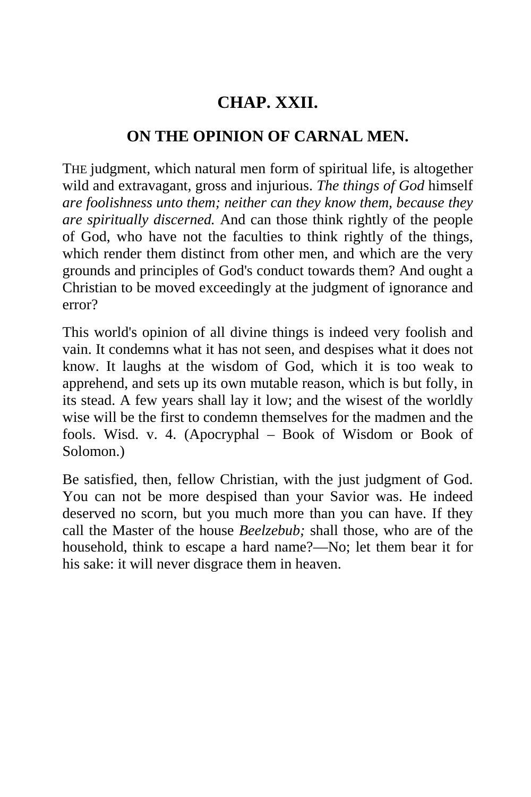## **CHAP. XXII.**

### **ON THE OPINION OF CARNAL MEN.**

THE judgment, which natural men form of spiritual life, is altogether wild and extravagant, gross and injurious. *The things of God* himself *are foolishness unto them; neither can they know them, because they are spiritually discerned.* And can those think rightly of the people of God, who have not the faculties to think rightly of the things, which render them distinct from other men, and which are the very grounds and principles of God's conduct towards them? And ought a Christian to be moved exceedingly at the judgment of ignorance and error?

This world's opinion of all divine things is indeed very foolish and vain. It condemns what it has not seen, and despises what it does not know. It laughs at the wisdom of God, which it is too weak to apprehend, and sets up its own mutable reason, which is but folly, in its stead. A few years shall lay it low; and the wisest of the worldly wise will be the first to condemn themselves for the madmen and the fools. Wisd. v. 4. (Apocryphal – Book of Wisdom or Book of Solomon.)

Be satisfied, then, fellow Christian, with the just judgment of God. You can not be more despised than your Savior was. He indeed deserved no scorn, but you much more than you can have. If they call the Master of the house *Beelzebub;* shall those, who are of the household, think to escape a hard name?—No; let them bear it for his sake: it will never disgrace them in heaven.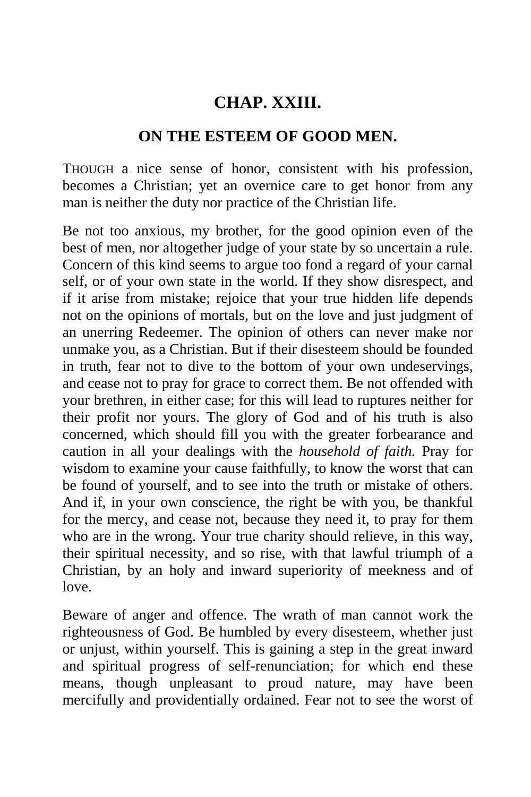## **CHAP. XXIII.**

### **ON THE ESTEEM OF GOOD MEN.**

THOUGH a nice sense of honor, consistent with his profession, becomes a Christian; yet an overnice care to get honor from any man is neither the duty nor practice of the Christian life.

Be not too anxious, my brother, for the good opinion even of the best of men, nor altogether judge of your state by so uncertain a rule. Concern of this kind seems to argue too fond a regard of your carnal self, or of your own state in the world. If they show disrespect, and if it arise from mistake; rejoice that your true hidden life depends not on the opinions of mortals, but on the love and just judgment of an unerring Redeemer. The opinion of others can never make nor unmake you, as a Christian. But if their disesteem should be founded in truth, fear not to dive to the bottom of your own undeservings, and cease not to pray for grace to correct them. Be not offended with your brethren, in either case; for this will lead to ruptures neither for their profit nor yours. The glory of God and of his truth is also concerned, which should fill you with the greater forbearance and caution in all your dealings with the *household of faith.* Pray for wisdom to examine your cause faithfully, to know the worst that can be found of yourself, and to see into the truth or mistake of others. And if, in your own conscience, the right be with you, be thankful for the mercy, and cease not, because they need it, to pray for them who are in the wrong. Your true charity should relieve, in this way, their spiritual necessity, and so rise, with that lawful triumph of a Christian, by an holy and inward superiority of meekness and of love.

Beware of anger and offence. The wrath of man cannot work the righteousness of God. Be humbled by every disesteem, whether just or unjust, within yourself. This is gaining a step in the great inward and spiritual progress of self-renunciation; for which end these means, though unpleasant to proud nature, may have been mercifully and providentially ordained. Fear not to see the worst of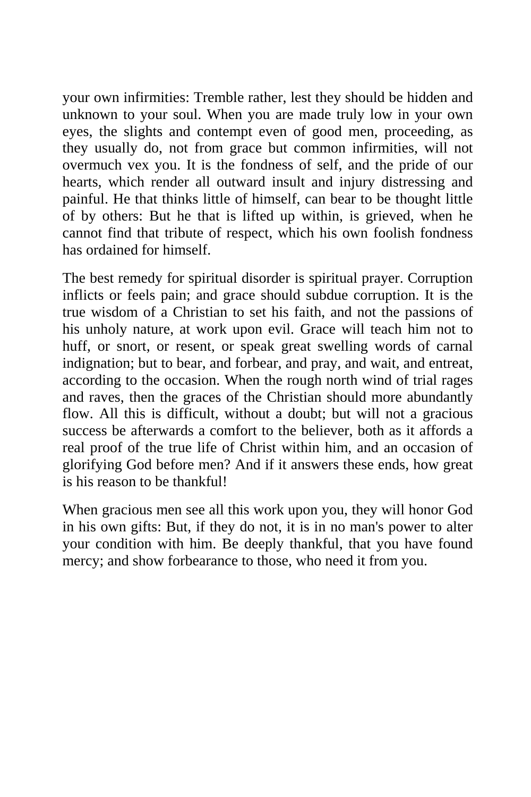your own infirmities: Tremble rather, lest they should be hidden and unknown to your soul. When you are made truly low in your own eyes, the slights and contempt even of good men, proceeding, as they usually do, not from grace but common infirmities, will not overmuch vex you. It is the fondness of self, and the pride of our hearts, which render all outward insult and injury distressing and painful. He that thinks little of himself, can bear to be thought little of by others: But he that is lifted up within, is grieved, when he cannot find that tribute of respect, which his own foolish fondness has ordained for himself.

The best remedy for spiritual disorder is spiritual prayer. Corruption inflicts or feels pain; and grace should subdue corruption. It is the true wisdom of a Christian to set his faith, and not the passions of his unholy nature, at work upon evil. Grace will teach him not to huff, or snort, or resent, or speak great swelling words of carnal indignation; but to bear, and forbear, and pray, and wait, and entreat, according to the occasion. When the rough north wind of trial rages and raves, then the graces of the Christian should more abundantly flow. All this is difficult, without a doubt; but will not a gracious success be afterwards a comfort to the believer, both as it affords a real proof of the true life of Christ within him, and an occasion of glorifying God before men? And if it answers these ends, how great is his reason to be thankful!

When gracious men see all this work upon you, they will honor God in his own gifts: But, if they do not, it is in no man's power to alter your condition with him. Be deeply thankful, that you have found mercy; and show forbearance to those, who need it from you.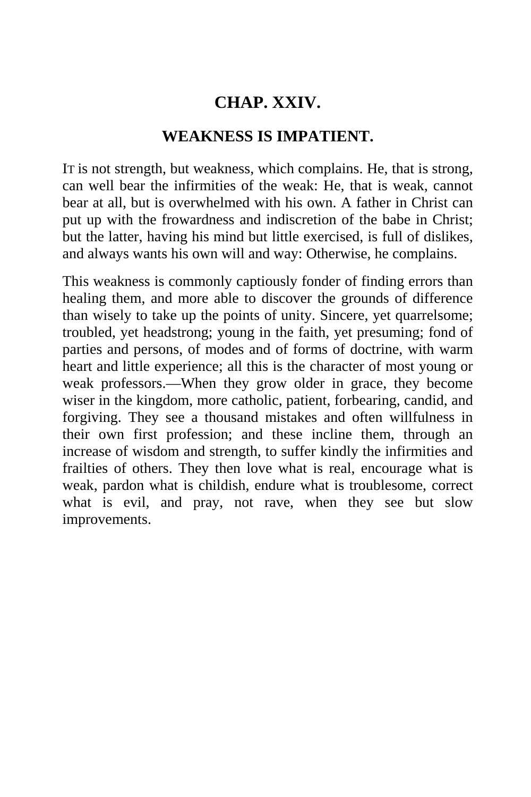## **CHAP. XXIV.**

### **WEAKNESS IS IMPATIENT.**

IT is not strength, but weakness, which complains. He, that is strong, can well bear the infirmities of the weak: He, that is weak, cannot bear at all, but is overwhelmed with his own. A father in Christ can put up with the frowardness and indiscretion of the babe in Christ; but the latter, having his mind but little exercised, is full of dislikes, and always wants his own will and way: Otherwise, he complains.

This weakness is commonly captiously fonder of finding errors than healing them, and more able to discover the grounds of difference than wisely to take up the points of unity. Sincere, yet quarrelsome; troubled, yet headstrong; young in the faith, yet presuming; fond of parties and persons, of modes and of forms of doctrine, with warm heart and little experience; all this is the character of most young or weak professors.—When they grow older in grace, they become wiser in the kingdom, more catholic, patient, forbearing, candid, and forgiving. They see a thousand mistakes and often willfulness in their own first profession; and these incline them, through an increase of wisdom and strength, to suffer kindly the infirmities and frailties of others. They then love what is real, encourage what is weak, pardon what is childish, endure what is troublesome, correct what is evil, and pray, not rave, when they see but slow improvements.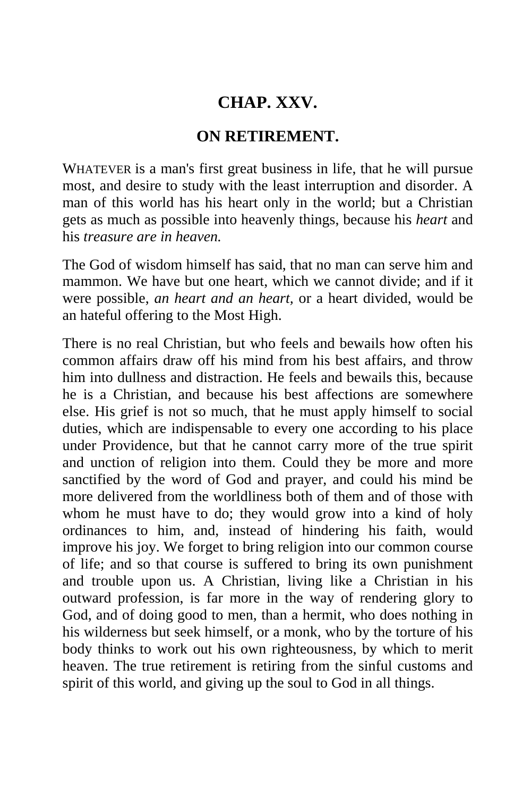## **CHAP. XXV.**

### **ON RETIREMENT.**

WHATEVER is a man's first great business in life, that he will pursue most, and desire to study with the least interruption and disorder. A man of this world has his heart only in the world; but a Christian gets as much as possible into heavenly things, because his *heart* and his *treasure are in heaven.* 

The God of wisdom himself has said, that no man can serve him and mammon. We have but one heart, which we cannot divide; and if it were possible, *an heart and an heart,* or a heart divided, would be an hateful offering to the Most High.

There is no real Christian, but who feels and bewails how often his common affairs draw off his mind from his best affairs, and throw him into dullness and distraction. He feels and bewails this, because he is a Christian, and because his best affections are somewhere else. His grief is not so much, that he must apply himself to social duties, which are indispensable to every one according to his place under Providence, but that he cannot carry more of the true spirit and unction of religion into them. Could they be more and more sanctified by the word of God and prayer, and could his mind be more delivered from the worldliness both of them and of those with whom he must have to do; they would grow into a kind of holy ordinances to him, and, instead of hindering his faith, would improve his joy. We forget to bring religion into our common course of life; and so that course is suffered to bring its own punishment and trouble upon us. A Christian, living like a Christian in his outward profession, is far more in the way of rendering glory to God, and of doing good to men, than a hermit, who does nothing in his wilderness but seek himself, or a monk, who by the torture of his body thinks to work out his own righteousness, by which to merit heaven. The true retirement is retiring from the sinful customs and spirit of this world, and giving up the soul to God in all things.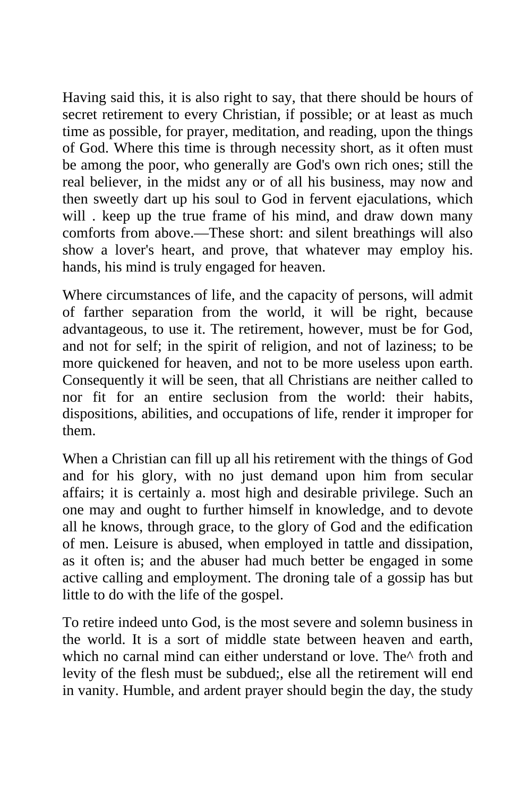Having said this, it is also right to say, that there should be hours of secret retirement to every Christian, if possible; or at least as much time as possible, for prayer, meditation, and reading, upon the things of God. Where this time is through necessity short, as it often must be among the poor, who generally are God's own rich ones; still the real believer, in the midst any or of all his business, may now and then sweetly dart up his soul to God in fervent ejaculations, which will . keep up the true frame of his mind, and draw down many comforts from above.—These short: and silent breathings will also show a lover's heart, and prove, that whatever may employ his. hands, his mind is truly engaged for heaven.

Where circumstances of life, and the capacity of persons, will admit of farther separation from the world, it will be right, because advantageous, to use it. The retirement, however, must be for God, and not for self; in the spirit of religion, and not of laziness; to be more quickened for heaven, and not to be more useless upon earth. Consequently it will be seen, that all Christians are neither called to nor fit for an entire seclusion from the world: their habits, dispositions, abilities, and occupations of life, render it improper for them.

When a Christian can fill up all his retirement with the things of God and for his glory, with no just demand upon him from secular affairs; it is certainly a. most high and desirable privilege. Such an one may and ought to further himself in knowledge, and to devote all he knows, through grace, to the glory of God and the edification of men. Leisure is abused, when employed in tattle and dissipation, as it often is; and the abuser had much better be engaged in some active calling and employment. The droning tale of a gossip has but little to do with the life of the gospel.

To retire indeed unto God, is the most severe and solemn business in the world. It is a sort of middle state between heaven and earth, which no carnal mind can either understand or love. The<sup> $\land$ </sup> froth and levity of the flesh must be subdued;, else all the retirement will end in vanity. Humble, and ardent prayer should begin the day, the study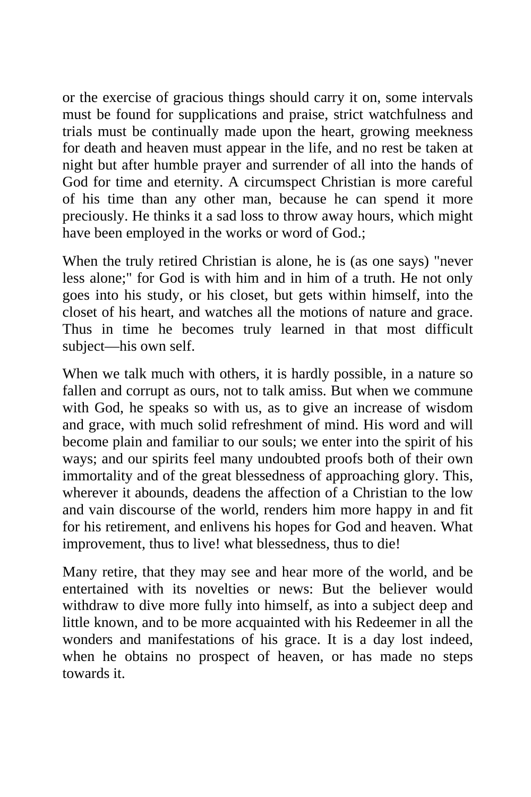or the exercise of gracious things should carry it on, some intervals must be found for supplications and praise, strict watchfulness and trials must be continually made upon the heart, growing meekness for death and heaven must appear in the life, and no rest be taken at night but after humble prayer and surrender of all into the hands of God for time and eternity. A circumspect Christian is more careful of his time than any other man, because he can spend it more preciously. He thinks it a sad loss to throw away hours, which might have been employed in the works or word of God.;

When the truly retired Christian is alone, he is (as one says) "never less alone;" for God is with him and in him of a truth. He not only goes into his study, or his closet, but gets within himself, into the closet of his heart, and watches all the motions of nature and grace. Thus in time he becomes truly learned in that most difficult subject—his own self.

When we talk much with others, it is hardly possible, in a nature so fallen and corrupt as ours, not to talk amiss. But when we commune with God, he speaks so with us, as to give an increase of wisdom and grace, with much solid refreshment of mind. His word and will become plain and familiar to our souls; we enter into the spirit of his ways; and our spirits feel many undoubted proofs both of their own immortality and of the great blessedness of approaching glory. This, wherever it abounds, deadens the affection of a Christian to the low and vain discourse of the world, renders him more happy in and fit for his retirement, and enlivens his hopes for God and heaven. What improvement, thus to live! what blessedness, thus to die!

Many retire, that they may see and hear more of the world, and be entertained with its novelties or news: But the believer would withdraw to dive more fully into himself, as into a subject deep and little known, and to be more acquainted with his Redeemer in all the wonders and manifestations of his grace. It is a day lost indeed, when he obtains no prospect of heaven, or has made no steps towards it.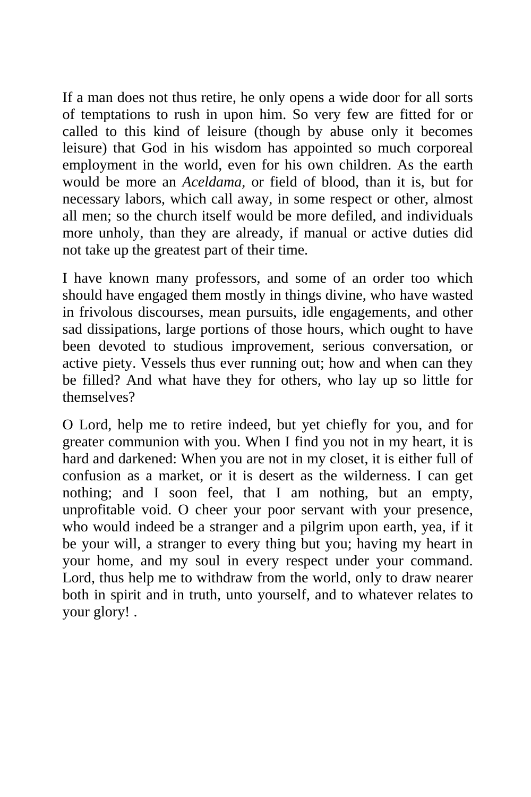If a man does not thus retire, he only opens a wide door for all sorts of temptations to rush in upon him. So very few are fitted for or called to this kind of leisure (though by abuse only it becomes leisure) that God in his wisdom has appointed so much corporeal employment in the world, even for his own children. As the earth would be more an *Aceldama,* or field of blood, than it is, but for necessary labors, which call away, in some respect or other, almost all men; so the church itself would be more defiled, and individuals more unholy, than they are already, if manual or active duties did not take up the greatest part of their time.

I have known many professors, and some of an order too which should have engaged them mostly in things divine, who have wasted in frivolous discourses, mean pursuits, idle engagements, and other sad dissipations, large portions of those hours, which ought to have been devoted to studious improvement, serious conversation, or active piety. Vessels thus ever running out; how and when can they be filled? And what have they for others, who lay up so little for themselves?

O Lord, help me to retire indeed, but yet chiefly for you, and for greater communion with you. When I find you not in my heart, it is hard and darkened: When you are not in my closet, it is either full of confusion as a market, or it is desert as the wilderness. I can get nothing; and I soon feel, that I am nothing, but an empty, unprofitable void. O cheer your poor servant with your presence, who would indeed be a stranger and a pilgrim upon earth, yea, if it be your will, a stranger to every thing but you; having my heart in your home, and my soul in every respect under your command. Lord, thus help me to withdraw from the world, only to draw nearer both in spirit and in truth, unto yourself, and to whatever relates to your glory! .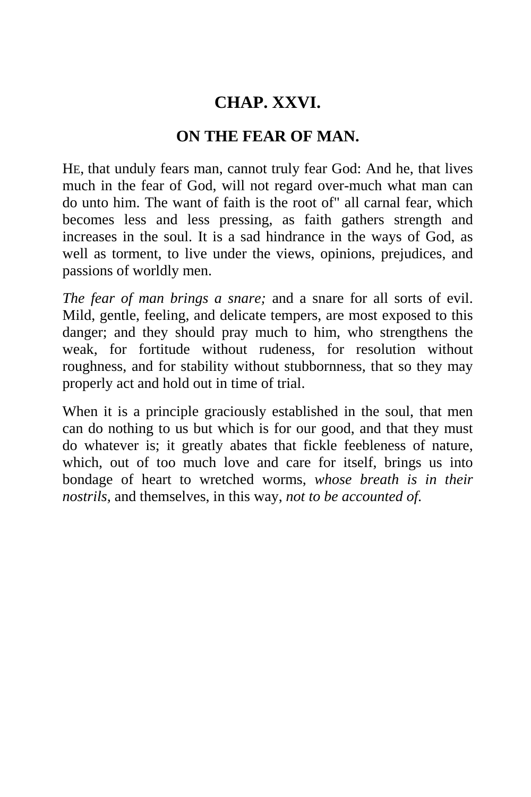# **CHAP. XXVI.**

### **ON THE FEAR OF MAN.**

HE, that unduly fears man, cannot truly fear God: And he, that lives much in the fear of God, will not regard over-much what man can do unto him. The want of faith is the root of" all carnal fear, which becomes less and less pressing, as faith gathers strength and increases in the soul. It is a sad hindrance in the ways of God, as well as torment, to live under the views, opinions, prejudices, and passions of worldly men.

*The fear of man brings a snare;* and a snare for all sorts of evil. Mild, gentle, feeling, and delicate tempers, are most exposed to this danger; and they should pray much to him, who strengthens the weak, for fortitude without rudeness, for resolution without roughness, and for stability without stubbornness, that so they may properly act and hold out in time of trial.

When it is a principle graciously established in the soul, that men can do nothing to us but which is for our good, and that they must do whatever is; it greatly abates that fickle feebleness of nature, which, out of too much love and care for itself, brings us into bondage of heart to wretched worms, *whose breath is in their nostrils,* and themselves, in this way, *not to be accounted of.*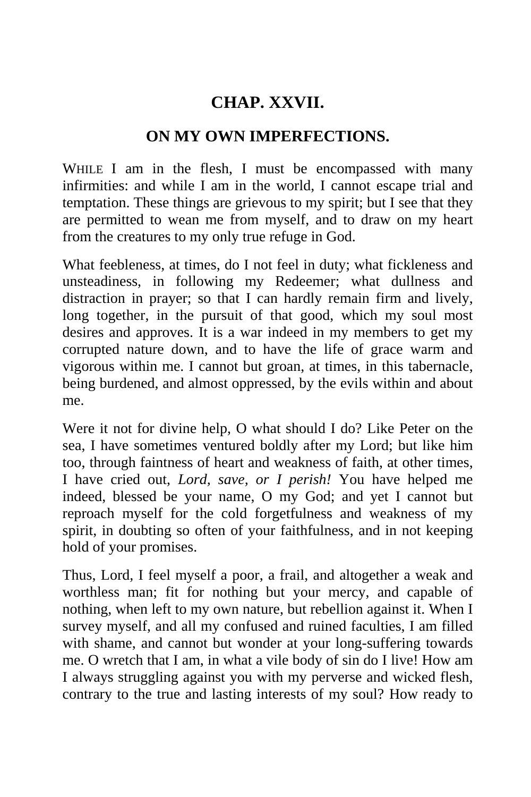## **CHAP. XXVII.**

### **ON MY OWN IMPERFECTIONS.**

WHILE I am in the flesh, I must be encompassed with many infirmities: and while I am in the world, I cannot escape trial and temptation. These things are grievous to my spirit; but I see that they are permitted to wean me from myself, and to draw on my heart from the creatures to my only true refuge in God.

What feebleness, at times, do I not feel in duty; what fickleness and unsteadiness, in following my Redeemer; what dullness and distraction in prayer; so that I can hardly remain firm and lively, long together, in the pursuit of that good, which my soul most desires and approves. It is a war indeed in my members to get my corrupted nature down, and to have the life of grace warm and vigorous within me. I cannot but groan, at times, in this tabernacle, being burdened, and almost oppressed, by the evils within and about me.

Were it not for divine help, O what should I do? Like Peter on the sea, I have sometimes ventured boldly after my Lord; but like him too, through faintness of heart and weakness of faith, at other times, I have cried out, *Lord, save, or I perish!* You have helped me indeed, blessed be your name, O my God; and yet I cannot but reproach myself for the cold forgetfulness and weakness of my spirit, in doubting so often of your faithfulness, and in not keeping hold of your promises.

Thus, Lord, I feel myself a poor, a frail, and altogether a weak and worthless man; fit for nothing but your mercy, and capable of nothing, when left to my own nature, but rebellion against it. When I survey myself, and all my confused and ruined faculties, I am filled with shame, and cannot but wonder at your long-suffering towards me. O wretch that I am, in what a vile body of sin do I live! How am I always struggling against you with my perverse and wicked flesh, contrary to the true and lasting interests of my soul? How ready to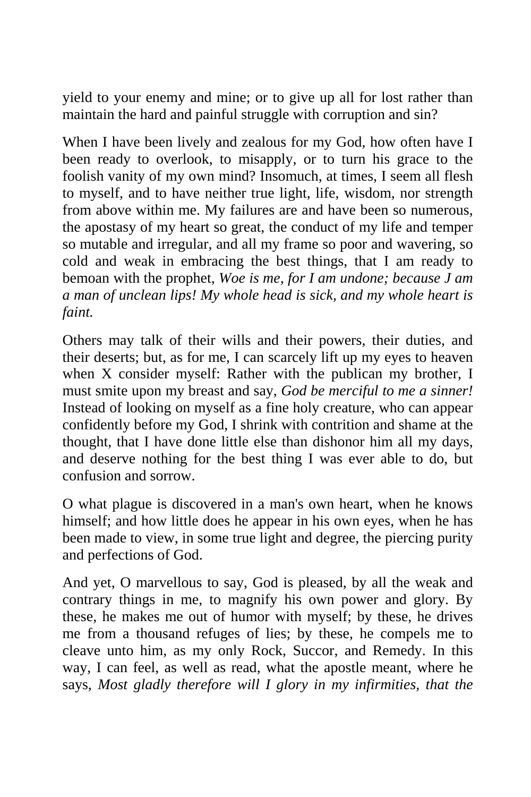yield to your enemy and mine; or to give up all for lost rather than maintain the hard and painful struggle with corruption and sin?

When I have been lively and zealous for my God, how often have I been ready to overlook, to misapply, or to turn his grace to the foolish vanity of my own mind? Insomuch, at times, I seem all flesh to myself, and to have neither true light, life, wisdom, nor strength from above within me. My failures are and have been so numerous, the apostasy of my heart so great, the conduct of my life and temper so mutable and irregular, and all my frame so poor and wavering, so cold and weak in embracing the best things, that I am ready to bemoan with the prophet, *Woe is me, for I am undone; because J am a man of unclean lips! My whole head is sick, and my whole heart is faint.* 

Others may talk of their wills and their powers, their duties, and their deserts; but, as for me, I can scarcely lift up my eyes to heaven when X consider myself: Rather with the publican my brother, I must smite upon my breast and say, *God be merciful to me a sinner!*  Instead of looking on myself as a fine holy creature, who can appear confidently before my God, I shrink with contrition and shame at the thought, that I have done little else than dishonor him all my days, and deserve nothing for the best thing I was ever able to do, but confusion and sorrow.

O what plague is discovered in a man's own heart, when he knows himself; and how little does he appear in his own eyes, when he has been made to view, in some true light and degree, the piercing purity and perfections of God.

And yet, O marvellous to say, God is pleased, by all the weak and contrary things in me, to magnify his own power and glory. By these, he makes me out of humor with myself; by these, he drives me from a thousand refuges of lies; by these, he compels me to cleave unto him, as my only Rock, Succor, and Remedy. In this way, I can feel, as well as read, what the apostle meant, where he says, *Most gladly therefore will I glory in my infirmities, that the*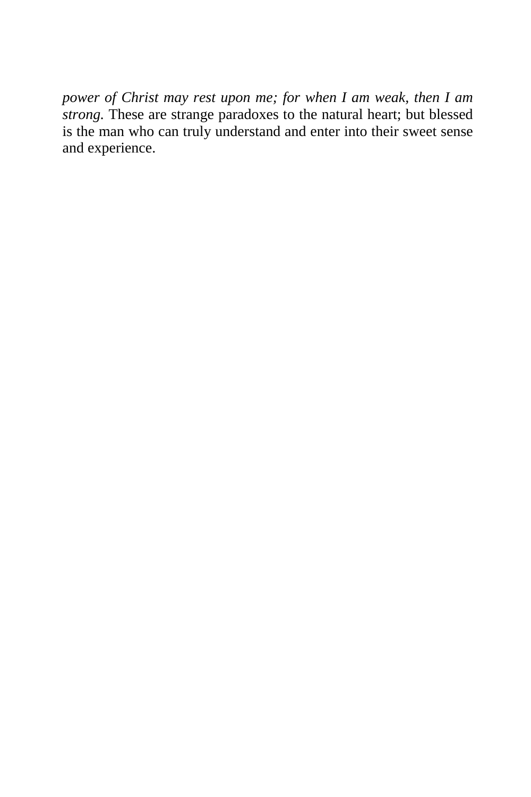*power of Christ may rest upon me; for when I am weak, then I am strong*. These are strange paradoxes to the natural heart; but blessed is the man who can truly understand and enter into their sweet sense and experience.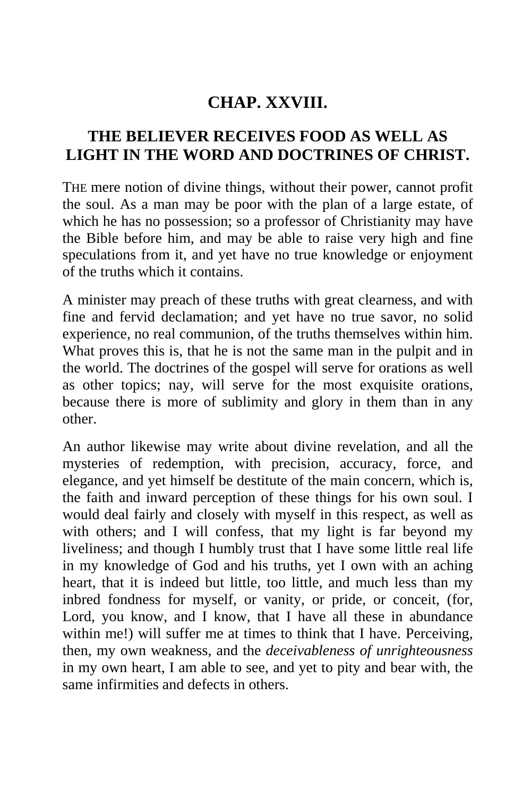## **CHAP. XXVIII.**

### **THE BELIEVER RECEIVES FOOD AS WELL AS LIGHT IN THE WORD AND DOCTRINES OF CHRIST.**

THE mere notion of divine things, without their power, cannot profit the soul. As a man may be poor with the plan of a large estate, of which he has no possession; so a professor of Christianity may have the Bible before him, and may be able to raise very high and fine speculations from it, and yet have no true knowledge or enjoyment of the truths which it contains.

A minister may preach of these truths with great clearness, and with fine and fervid declamation; and yet have no true savor, no solid experience, no real communion, of the truths themselves within him. What proves this is, that he is not the same man in the pulpit and in the world. The doctrines of the gospel will serve for orations as well as other topics; nay, will serve for the most exquisite orations, because there is more of sublimity and glory in them than in any other.

An author likewise may write about divine revelation, and all the mysteries of redemption, with precision, accuracy, force, and elegance, and yet himself be destitute of the main concern, which is, the faith and inward perception of these things for his own soul. I would deal fairly and closely with myself in this respect, as well as with others; and I will confess, that my light is far beyond my liveliness; and though I humbly trust that I have some little real life in my knowledge of God and his truths, yet I own with an aching heart, that it is indeed but little, too little, and much less than my inbred fondness for myself, or vanity, or pride, or conceit, (for, Lord, you know, and I know, that I have all these in abundance within me!) will suffer me at times to think that I have. Perceiving, then, my own weakness, and the *deceivableness of unrighteousness*  in my own heart, I am able to see, and yet to pity and bear with, the same infirmities and defects in others.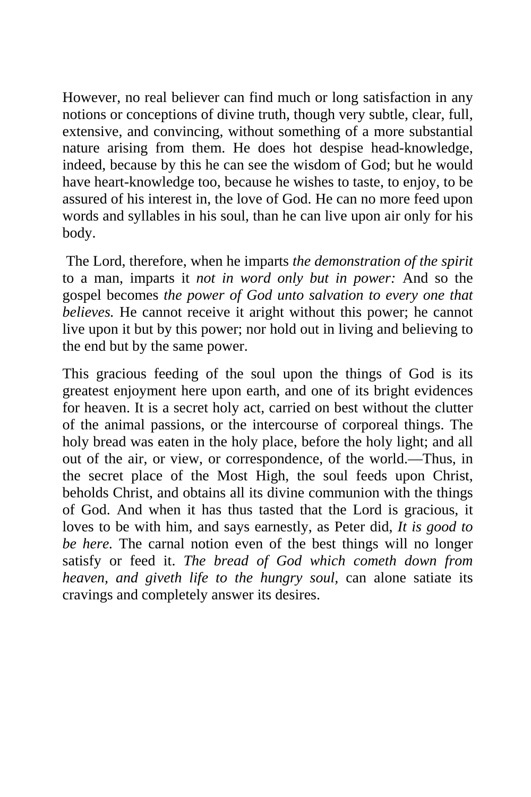However, no real believer can find much or long satisfaction in any notions or conceptions of divine truth, though very subtle, clear, full, extensive, and convincing, without something of a more substantial nature arising from them. He does hot despise head-knowledge, indeed, because by this he can see the wisdom of God; but he would have heart-knowledge too, because he wishes to taste, to enjoy, to be assured of his interest in, the love of God. He can no more feed upon words and syllables in his soul, than he can live upon air only for his body.

The Lord, therefore, when he imparts *the demonstration of the spirit*  to a man, imparts it *not in word only but in power:* And so the gospel becomes *the power of God unto salvation to every one that believes.* He cannot receive it aright without this power; he cannot live upon it but by this power; nor hold out in living and believing to the end but by the same power.

This gracious feeding of the soul upon the things of God is its greatest enjoyment here upon earth, and one of its bright evidences for heaven. It is a secret holy act, carried on best without the clutter of the animal passions, or the intercourse of corporeal things. The holy bread was eaten in the holy place, before the holy light; and all out of the air, or view, or correspondence, of the world.—Thus, in the secret place of the Most High, the soul feeds upon Christ, beholds Christ, and obtains all its divine communion with the things of God. And when it has thus tasted that the Lord is gracious, it loves to be with him, and says earnestly, as Peter did, *It is good to be here.* The carnal notion even of the best things will no longer satisfy or feed it. *The bread of God which cometh down from heaven, and giveth life to the hungry soul,* can alone satiate its cravings and completely answer its desires.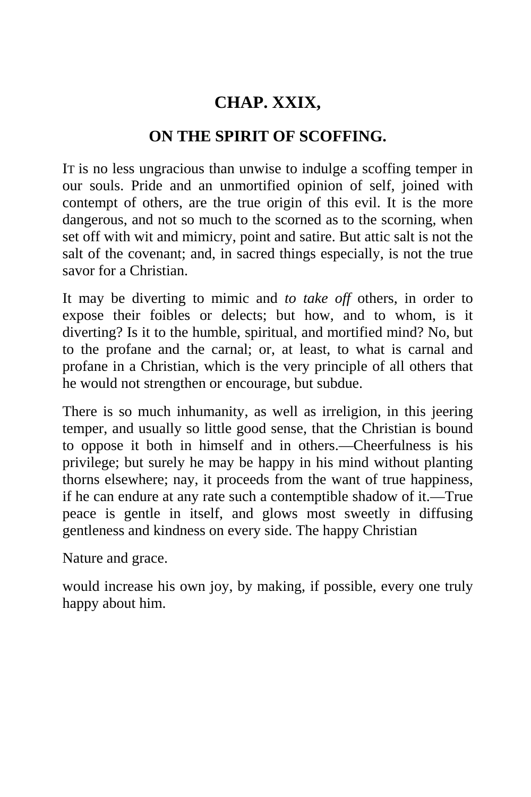# **CHAP. XXIX,**

### **ON THE SPIRIT OF SCOFFING.**

IT is no less ungracious than unwise to indulge a scoffing temper in our souls. Pride and an unmortified opinion of self, joined with contempt of others, are the true origin of this evil. It is the more dangerous, and not so much to the scorned as to the scorning, when set off with wit and mimicry, point and satire. But attic salt is not the salt of the covenant; and, in sacred things especially, is not the true savor for a Christian.

It may be diverting to mimic and *to take off* others, in order to expose their foibles or delects; but how, and to whom, is it diverting? Is it to the humble, spiritual, and mortified mind? No, but to the profane and the carnal; or, at least, to what is carnal and profane in a Christian, which is the very principle of all others that he would not strengthen or encourage, but subdue.

There is so much inhumanity, as well as irreligion, in this jeering temper, and usually so little good sense, that the Christian is bound to oppose it both in himself and in others.—Cheerfulness is his privilege; but surely he may be happy in his mind without planting thorns elsewhere; nay, it proceeds from the want of true happiness, if he can endure at any rate such a contemptible shadow of it.—True peace is gentle in itself, and glows most sweetly in diffusing gentleness and kindness on every side. The happy Christian

Nature and grace.

would increase his own joy, by making, if possible, every one truly happy about him.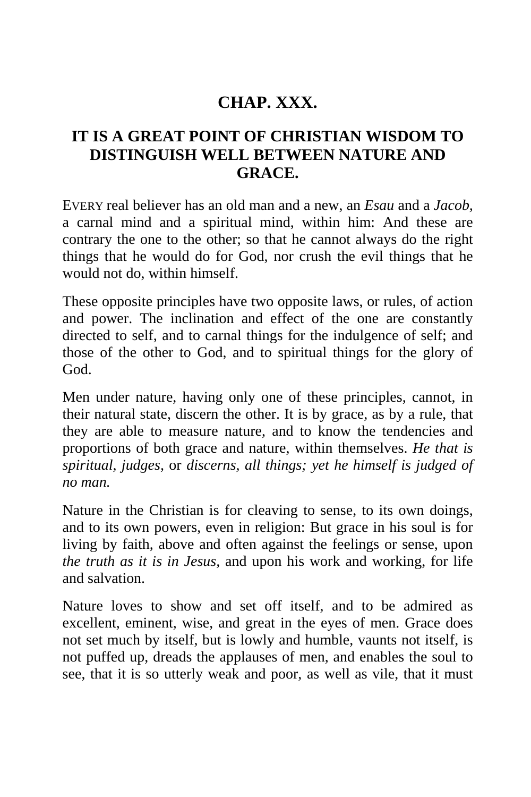### **CHAP. XXX.**

### **IT IS A GREAT POINT OF CHRISTIAN WISDOM TO DISTINGUISH WELL BETWEEN NATURE AND GRACE.**

EVERY real believer has an old man and a new, an *Esau* and a *Jacob,*  a carnal mind and a spiritual mind, within him: And these are contrary the one to the other; so that he cannot always do the right things that he would do for God, nor crush the evil things that he would not do, within himself.

These opposite principles have two opposite laws, or rules, of action and power. The inclination and effect of the one are constantly directed to self, and to carnal things for the indulgence of self; and those of the other to God, and to spiritual things for the glory of God.

Men under nature, having only one of these principles, cannot, in their natural state, discern the other. It is by grace, as by a rule, that they are able to measure nature, and to know the tendencies and proportions of both grace and nature, within themselves. *He that is spiritual, judges,* or *discerns, all things; yet he himself is judged of no man.* 

Nature in the Christian is for cleaving to sense, to its own doings, and to its own powers, even in religion: But grace in his soul is for living by faith, above and often against the feelings or sense, upon *the truth as it is in Jesus,* and upon his work and working, for life and salvation.

Nature loves to show and set off itself, and to be admired as excellent, eminent, wise, and great in the eyes of men. Grace does not set much by itself, but is lowly and humble, vaunts not itself, is not puffed up, dreads the applauses of men, and enables the soul to see, that it is so utterly weak and poor, as well as vile, that it must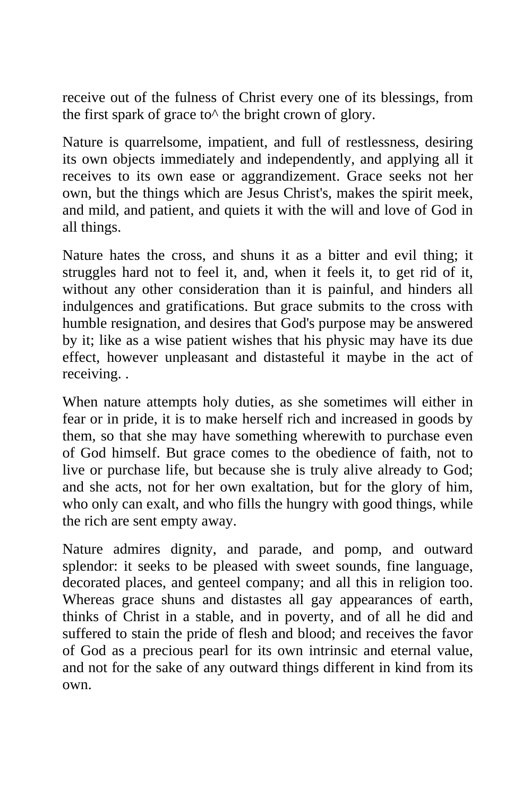receive out of the fulness of Christ every one of its blessings, from the first spark of grace to^ the bright crown of glory.

Nature is quarrelsome, impatient, and full of restlessness, desiring its own objects immediately and independently, and applying all it receives to its own ease or aggrandizement. Grace seeks not her own, but the things which are Jesus Christ's, makes the spirit meek, and mild, and patient, and quiets it with the will and love of God in all things.

Nature hates the cross, and shuns it as a bitter and evil thing; it struggles hard not to feel it, and, when it feels it, to get rid of it, without any other consideration than it is painful, and hinders all indulgences and gratifications. But grace submits to the cross with humble resignation, and desires that God's purpose may be answered by it; like as a wise patient wishes that his physic may have its due effect, however unpleasant and distasteful it maybe in the act of receiving. .

When nature attempts holy duties, as she sometimes will either in fear or in pride, it is to make herself rich and increased in goods by them, so that she may have something wherewith to purchase even of God himself. But grace comes to the obedience of faith, not to live or purchase life, but because she is truly alive already to God; and she acts, not for her own exaltation, but for the glory of him, who only can exalt, and who fills the hungry with good things, while the rich are sent empty away.

Nature admires dignity, and parade, and pomp, and outward splendor: it seeks to be pleased with sweet sounds, fine language, decorated places, and genteel company; and all this in religion too. Whereas grace shuns and distastes all gay appearances of earth, thinks of Christ in a stable, and in poverty, and of all he did and suffered to stain the pride of flesh and blood; and receives the favor of God as a precious pearl for its own intrinsic and eternal value, and not for the sake of any outward things different in kind from its own.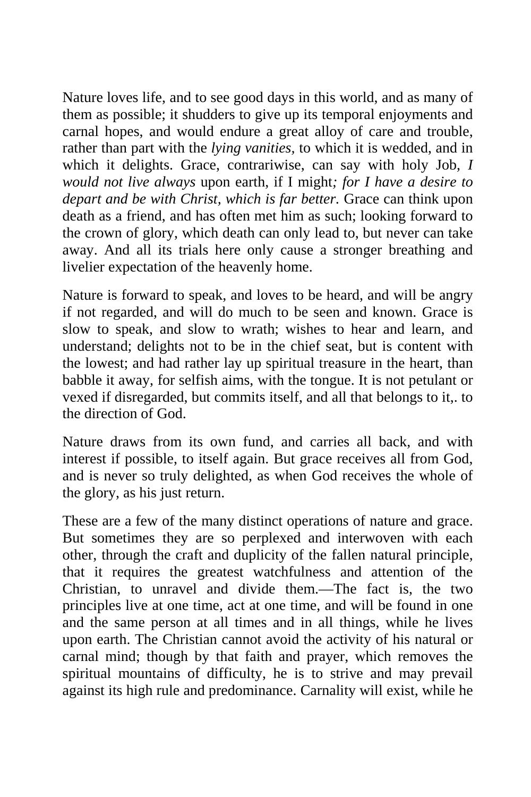Nature loves life, and to see good days in this world, and as many of them as possible; it shudders to give up its temporal enjoyments and carnal hopes, and would endure a great alloy of care and trouble, rather than part with the *lying vanities,* to which it is wedded, and in which it delights. Grace, contrariwise, can say with holy Job, *I would not live always* upon earth, if I might*; for I have a desire to depart and be with Christ, which is far better.* Grace can think upon death as a friend, and has often met him as such; looking forward to the crown of glory, which death can only lead to, but never can take away. And all its trials here only cause a stronger breathing and livelier expectation of the heavenly home.

Nature is forward to speak, and loves to be heard, and will be angry if not regarded, and will do much to be seen and known. Grace is slow to speak, and slow to wrath; wishes to hear and learn, and understand; delights not to be in the chief seat, but is content with the lowest; and had rather lay up spiritual treasure in the heart, than babble it away, for selfish aims, with the tongue. It is not petulant or vexed if disregarded, but commits itself, and all that belongs to it,. to the direction of God.

Nature draws from its own fund, and carries all back, and with interest if possible, to itself again. But grace receives all from God, and is never so truly delighted, as when God receives the whole of the glory, as his just return.

These are a few of the many distinct operations of nature and grace. But sometimes they are so perplexed and interwoven with each other, through the craft and duplicity of the fallen natural principle, that it requires the greatest watchfulness and attention of the Christian, to unravel and divide them.—The fact is, the two principles live at one time, act at one time, and will be found in one and the same person at all times and in all things, while he lives upon earth. The Christian cannot avoid the activity of his natural or carnal mind; though by that faith and prayer, which removes the spiritual mountains of difficulty, he is to strive and may prevail against its high rule and predominance. Carnality will exist, while he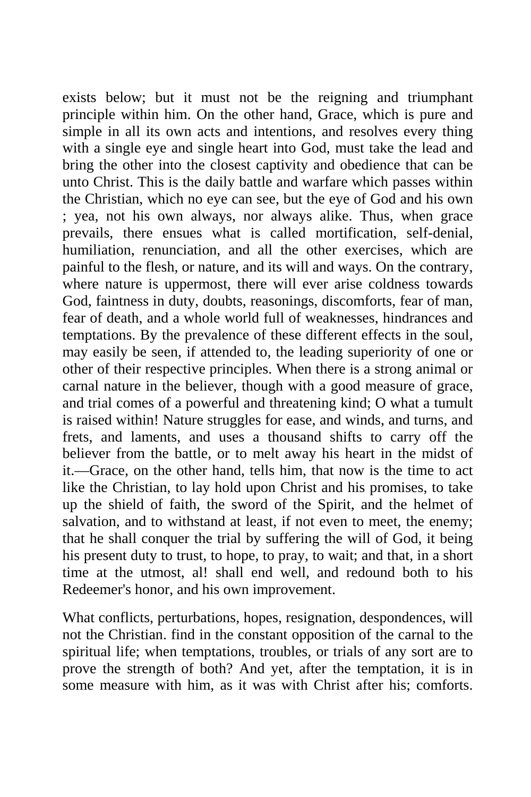exists below; but it must not be the reigning and triumphant principle within him. On the other hand, Grace, which is pure and simple in all its own acts and intentions, and resolves every thing with a single eye and single heart into God, must take the lead and bring the other into the closest captivity and obedience that can be unto Christ. This is the daily battle and warfare which passes within the Christian, which no eye can see, but the eye of God and his own ; yea, not his own always, nor always alike. Thus, when grace prevails, there ensues what is called mortification, self-denial, humiliation, renunciation, and all the other exercises, which are painful to the flesh, or nature, and its will and ways. On the contrary, where nature is uppermost, there will ever arise coldness towards God, faintness in duty, doubts, reasonings, discomforts, fear of man, fear of death, and a whole world full of weaknesses, hindrances and temptations. By the prevalence of these different effects in the soul, may easily be seen, if attended to, the leading superiority of one or other of their respective principles. When there is a strong animal or carnal nature in the believer, though with a good measure of grace, and trial comes of a powerful and threatening kind; O what a tumult is raised within! Nature struggles for ease, and winds, and turns, and frets, and laments, and uses a thousand shifts to carry off the believer from the battle, or to melt away his heart in the midst of it.—Grace, on the other hand, tells him, that now is the time to act like the Christian, to lay hold upon Christ and his promises, to take up the shield of faith, the sword of the Spirit, and the helmet of salvation, and to withstand at least, if not even to meet, the enemy; that he shall conquer the trial by suffering the will of God, it being his present duty to trust, to hope, to pray, to wait; and that, in a short time at the utmost, al! shall end well, and redound both to his Redeemer's honor, and his own improvement.

What conflicts, perturbations, hopes, resignation, despondences, will not the Christian. find in the constant opposition of the carnal to the spiritual life; when temptations, troubles, or trials of any sort are to prove the strength of both? And yet, after the temptation, it is in some measure with him, as it was with Christ after his; comforts.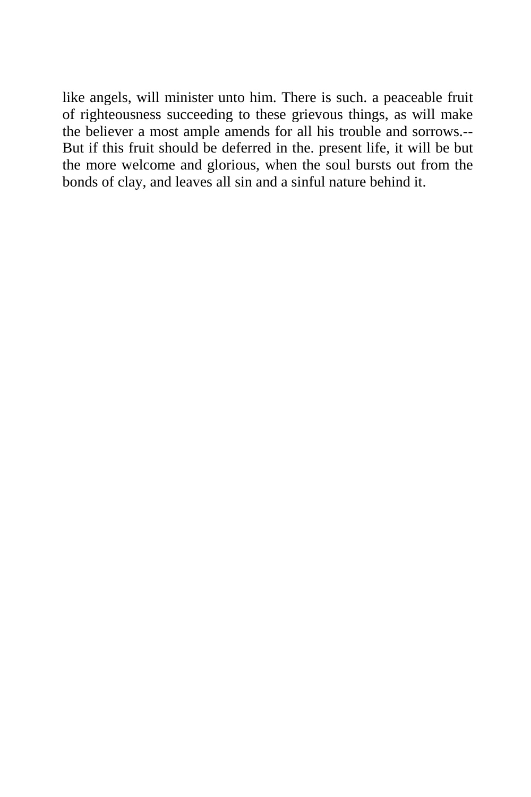like angels, will minister unto him. There is such. a peaceable fruit of righteousness succeeding to these grievous things, as will make the believer a most ample amends for all his trouble and sorrows.-- But if this fruit should be deferred in the. present life, it will be but the more welcome and glorious, when the soul bursts out from the bonds of clay, and leaves all sin and a sinful nature behind it.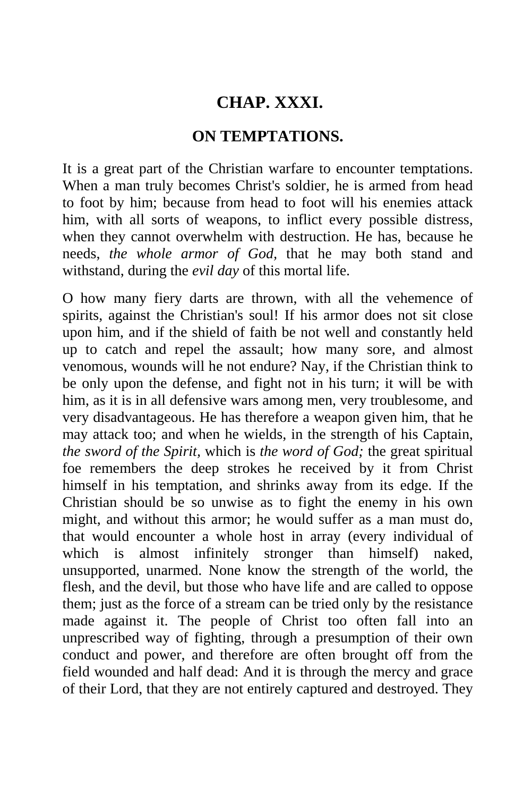## **CHAP. XXXI.**

#### **ON TEMPTATIONS.**

It is a great part of the Christian warfare to encounter temptations. When a man truly becomes Christ's soldier, he is armed from head to foot by him; because from head to foot will his enemies attack him, with all sorts of weapons, to inflict every possible distress, when they cannot overwhelm with destruction. He has, because he needs, *the whole armor of God,* that he may both stand and withstand, during the *evil day* of this mortal life.

O how many fiery darts are thrown, with all the vehemence of spirits, against the Christian's soul! If his armor does not sit close upon him, and if the shield of faith be not well and constantly held up to catch and repel the assault; how many sore, and almost venomous, wounds will he not endure? Nay, if the Christian think to be only upon the defense, and fight not in his turn; it will be with him, as it is in all defensive wars among men, very troublesome, and very disadvantageous. He has therefore a weapon given him, that he may attack too; and when he wields, in the strength of his Captain, *the sword of the Spirit,* which is *the word of God;* the great spiritual foe remembers the deep strokes he received by it from Christ himself in his temptation, and shrinks away from its edge. If the Christian should be so unwise as to fight the enemy in his own might, and without this armor; he would suffer as a man must do, that would encounter a whole host in array (every individual of which is almost infinitely stronger than himself) naked, unsupported, unarmed. None know the strength of the world, the flesh, and the devil, but those who have life and are called to oppose them; just as the force of a stream can be tried only by the resistance made against it. The people of Christ too often fall into an unprescribed way of fighting, through a presumption of their own conduct and power, and therefore are often brought off from the field wounded and half dead: And it is through the mercy and grace of their Lord, that they are not entirely captured and destroyed. They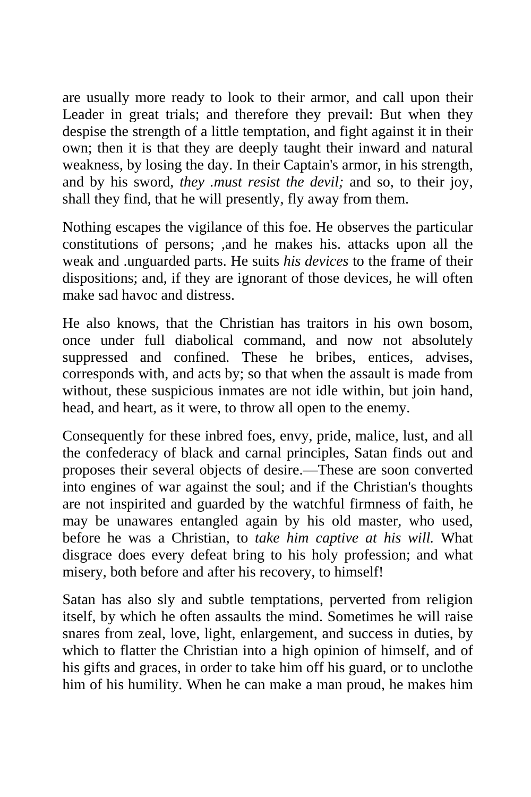are usually more ready to look to their armor, and call upon their Leader in great trials; and therefore they prevail: But when they despise the strength of a little temptation, and fight against it in their own; then it is that they are deeply taught their inward and natural weakness, by losing the day. In their Captain's armor, in his strength, and by his sword, *they .must resist the devil;* and so, to their joy, shall they find, that he will presently, fly away from them.

Nothing escapes the vigilance of this foe. He observes the particular constitutions of persons; ,and he makes his. attacks upon all the weak and .unguarded parts. He suits *his devices* to the frame of their dispositions; and, if they are ignorant of those devices, he will often make sad havoc and distress.

He also knows, that the Christian has traitors in his own bosom, once under full diabolical command, and now not absolutely suppressed and confined. These he bribes, entices, advises. corresponds with, and acts by; so that when the assault is made from without, these suspicious inmates are not idle within, but join hand, head, and heart, as it were, to throw all open to the enemy.

Consequently for these inbred foes, envy, pride, malice, lust, and all the confederacy of black and carnal principles, Satan finds out and proposes their several objects of desire.—These are soon converted into engines of war against the soul; and if the Christian's thoughts are not inspirited and guarded by the watchful firmness of faith, he may be unawares entangled again by his old master, who used, before he was a Christian, to *take him captive at his will.* What disgrace does every defeat bring to his holy profession; and what misery, both before and after his recovery, to himself!

Satan has also sly and subtle temptations, perverted from religion itself, by which he often assaults the mind. Sometimes he will raise snares from zeal, love, light, enlargement, and success in duties, by which to flatter the Christian into a high opinion of himself, and of his gifts and graces, in order to take him off his guard, or to unclothe him of his humility. When he can make a man proud, he makes him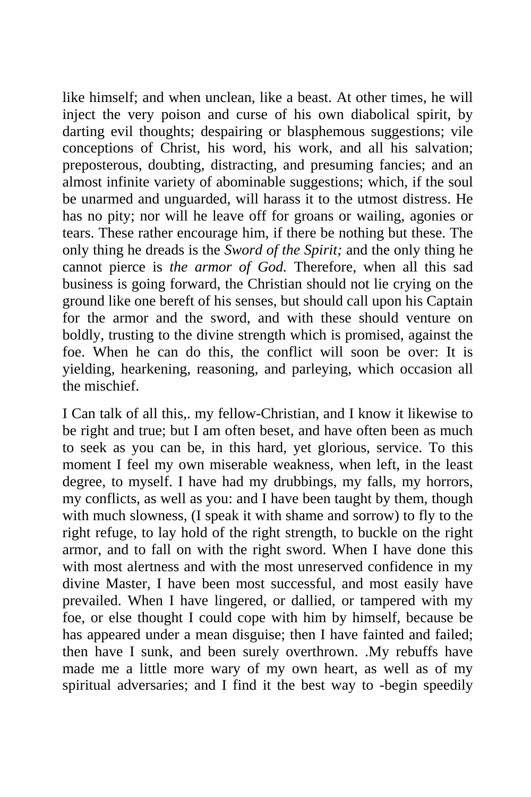like himself; and when unclean, like a beast. At other times, he will inject the very poison and curse of his own diabolical spirit, by darting evil thoughts; despairing or blasphemous suggestions; vile conceptions of Christ, his word, his work, and all his salvation; preposterous, doubting, distracting, and presuming fancies; and an almost infinite variety of abominable suggestions; which, if the soul be unarmed and unguarded, will harass it to the utmost distress. He has no pity; nor will he leave off for groans or wailing, agonies or tears. These rather encourage him, if there be nothing but these. The only thing he dreads is the *Sword of the Spirit;* and the only thing he cannot pierce is *the armor of God.* Therefore, when all this sad business is going forward, the Christian should not lie crying on the ground like one bereft of his senses, but should call upon his Captain for the armor and the sword, and with these should venture on boldly, trusting to the divine strength which is promised, against the foe. When he can do this, the conflict will soon be over: It is yielding, hearkening, reasoning, and parleying, which occasion all the mischief.

I Can talk of all this,. my fellow-Christian, and I know it likewise to be right and true; but I am often beset, and have often been as much to seek as you can be, in this hard, yet glorious, service. To this moment I feel my own miserable weakness, when left, in the least degree, to myself. I have had my drubbings, my falls, my horrors, my conflicts, as well as you: and I have been taught by them, though with much slowness, (I speak it with shame and sorrow) to fly to the right refuge, to lay hold of the right strength, to buckle on the right armor, and to fall on with the right sword. When I have done this with most alertness and with the most unreserved confidence in my divine Master, I have been most successful, and most easily have prevailed. When I have lingered, or dallied, or tampered with my foe, or else thought I could cope with him by himself, because be has appeared under a mean disguise; then I have fainted and failed; then have I sunk, and been surely overthrown. .My rebuffs have made me a little more wary of my own heart, as well as of my spiritual adversaries; and I find it the best way to -begin speedily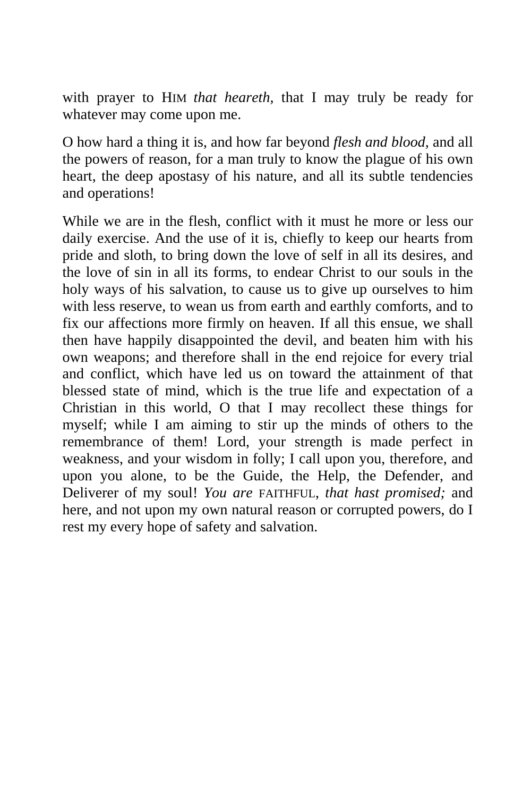with prayer to HIM *that heareth,* that I may truly be ready for whatever may come upon me.

O how hard a thing it is, and how far beyond *flesh and blood,* and all the powers of reason, for a man truly to know the plague of his own heart, the deep apostasy of his nature, and all its subtle tendencies and operations!

While we are in the flesh, conflict with it must he more or less our daily exercise. And the use of it is, chiefly to keep our hearts from pride and sloth, to bring down the love of self in all its desires, and the love of sin in all its forms, to endear Christ to our souls in the holy ways of his salvation, to cause us to give up ourselves to him with less reserve, to wean us from earth and earthly comforts, and to fix our affections more firmly on heaven. If all this ensue, we shall then have happily disappointed the devil, and beaten him with his own weapons; and therefore shall in the end rejoice for every trial and conflict, which have led us on toward the attainment of that blessed state of mind, which is the true life and expectation of a Christian in this world, O that I may recollect these things for myself; while I am aiming to stir up the minds of others to the remembrance of them! Lord, your strength is made perfect in weakness, and your wisdom in folly; I call upon you, therefore, and upon you alone, to be the Guide, the Help, the Defender, and Deliverer of my soul! *You are* FAITHFUL, *that hast promised;* and here, and not upon my own natural reason or corrupted powers, do I rest my every hope of safety and salvation.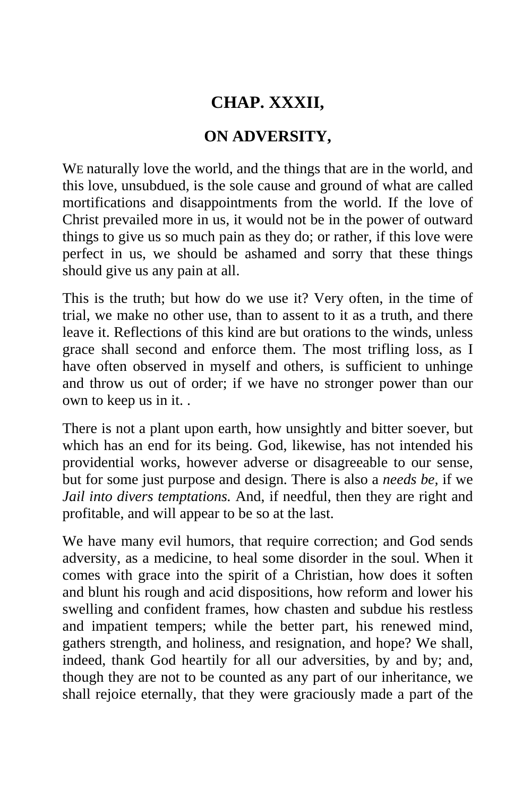# **CHAP. XXXII,**

#### **ON ADVERSITY,**

WE naturally love the world, and the things that are in the world, and this love, unsubdued, is the sole cause and ground of what are called mortifications and disappointments from the world. If the love of Christ prevailed more in us, it would not be in the power of outward things to give us so much pain as they do; or rather, if this love were perfect in us, we should be ashamed and sorry that these things should give us any pain at all.

This is the truth; but how do we use it? Very often, in the time of trial, we make no other use, than to assent to it as a truth, and there leave it. Reflections of this kind are but orations to the winds, unless grace shall second and enforce them. The most trifling loss, as I have often observed in myself and others, is sufficient to unhinge and throw us out of order; if we have no stronger power than our own to keep us in it. .

There is not a plant upon earth, how unsightly and bitter soever, but which has an end for its being. God, likewise, has not intended his providential works, however adverse or disagreeable to our sense, but for some just purpose and design. There is also a *needs be,* if we *Jail into divers temptations.* And, if needful, then they are right and profitable, and will appear to be so at the last.

We have many evil humors, that require correction; and God sends adversity, as a medicine, to heal some disorder in the soul. When it comes with grace into the spirit of a Christian, how does it soften and blunt his rough and acid dispositions, how reform and lower his swelling and confident frames, how chasten and subdue his restless and impatient tempers; while the better part, his renewed mind, gathers strength, and holiness, and resignation, and hope? We shall, indeed, thank God heartily for all our adversities, by and by; and, though they are not to be counted as any part of our inheritance, we shall rejoice eternally, that they were graciously made a part of the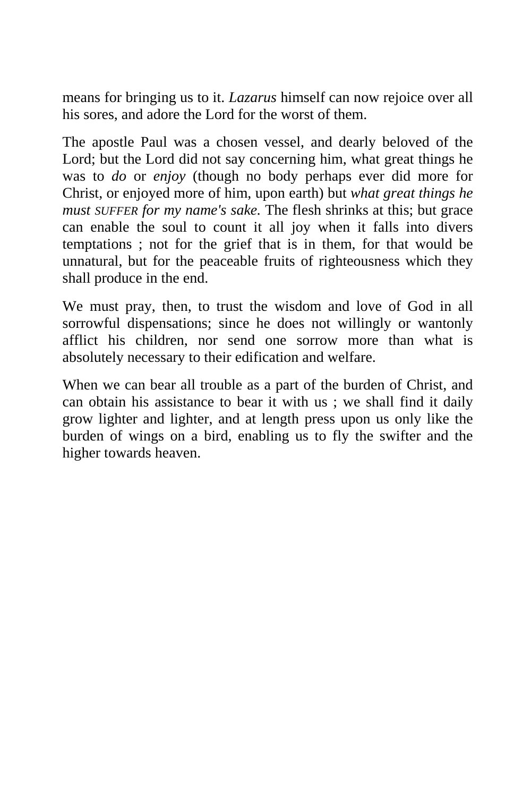means for bringing us to it. *Lazarus* himself can now rejoice over all his sores, and adore the Lord for the worst of them.

The apostle Paul was a chosen vessel, and dearly beloved of the Lord; but the Lord did not say concerning him, what great things he was to *do* or *enjoy* (though no body perhaps ever did more for Christ, or enjoyed more of him, upon earth) but *what great things he must SUFFER for my name's sake.* The flesh shrinks at this; but grace can enable the soul to count it all joy when it falls into divers temptations ; not for the grief that is in them, for that would be unnatural, but for the peaceable fruits of righteousness which they shall produce in the end.

We must pray, then, to trust the wisdom and love of God in all sorrowful dispensations; since he does not willingly or wantonly afflict his children, nor send one sorrow more than what is absolutely necessary to their edification and welfare.

When we can bear all trouble as a part of the burden of Christ, and can obtain his assistance to bear it with us ; we shall find it daily grow lighter and lighter, and at length press upon us only like the burden of wings on a bird, enabling us to fly the swifter and the higher towards heaven.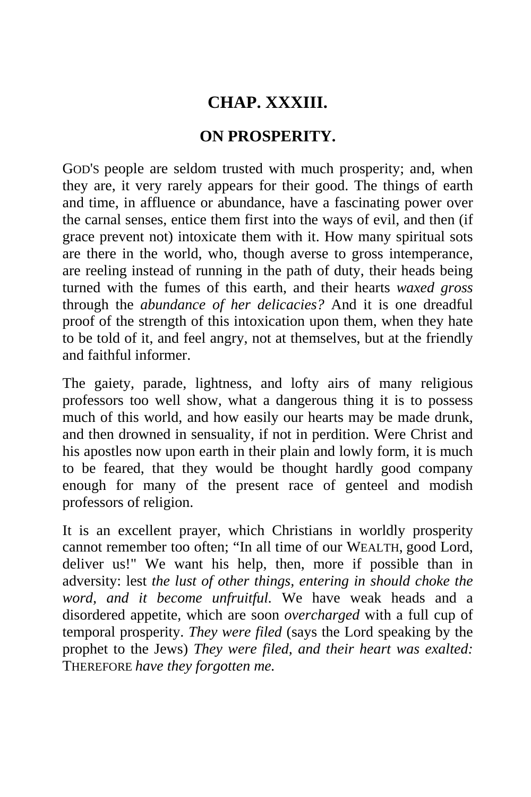## **CHAP. XXXIII.**

#### **ON PROSPERITY.**

GOD'S people are seldom trusted with much prosperity; and, when they are, it very rarely appears for their good. The things of earth and time, in affluence or abundance, have a fascinating power over the carnal senses, entice them first into the ways of evil, and then (if grace prevent not) intoxicate them with it. How many spiritual sots are there in the world, who, though averse to gross intemperance, are reeling instead of running in the path of duty, their heads being turned with the fumes of this earth, and their hearts *waxed gross*  through the *abundance of her delicacies?* And it is one dreadful proof of the strength of this intoxication upon them, when they hate to be told of it, and feel angry, not at themselves, but at the friendly and faithful informer.

The gaiety, parade, lightness, and lofty airs of many religious professors too well show, what a dangerous thing it is to possess much of this world, and how easily our hearts may be made drunk, and then drowned in sensuality, if not in perdition. Were Christ and his apostles now upon earth in their plain and lowly form, it is much to be feared, that they would be thought hardly good company enough for many of the present race of genteel and modish professors of religion.

It is an excellent prayer, which Christians in worldly prosperity cannot remember too often; "In all time of our WEALTH, good Lord, deliver us!" We want his help, then, more if possible than in adversity: lest *the lust of other things, entering in should choke the word, and it become unfruitful.* We have weak heads and a disordered appetite, which are soon *overcharged* with a full cup of temporal prosperity. *They were filed* (says the Lord speaking by the prophet to the Jews) *They were filed, and their heart was exalted:*  THEREFORE *have they forgotten me.*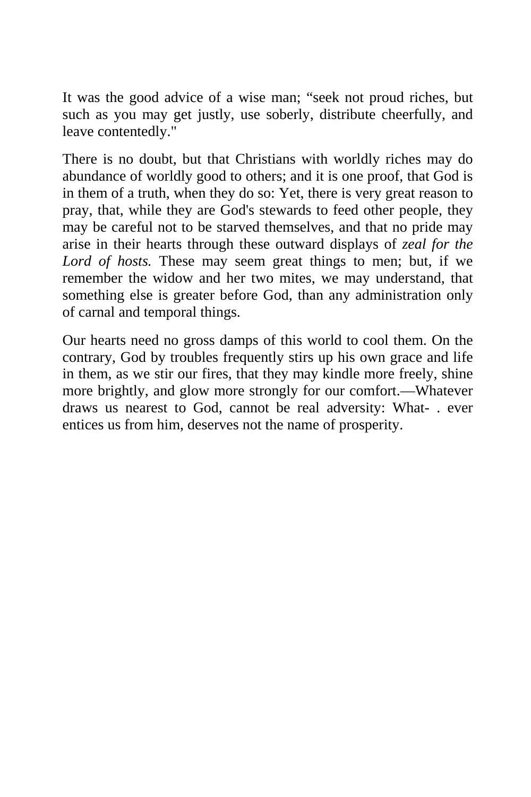It was the good advice of a wise man; "seek not proud riches, but such as you may get justly, use soberly, distribute cheerfully, and leave contentedly."

There is no doubt, but that Christians with worldly riches may do abundance of worldly good to others; and it is one proof, that God is in them of a truth, when they do so: Yet, there is very great reason to pray, that, while they are God's stewards to feed other people, they may be careful not to be starved themselves, and that no pride may arise in their hearts through these outward displays of *zeal for the Lord of hosts.* These may seem great things to men; but, if we remember the widow and her two mites, we may understand, that something else is greater before God, than any administration only of carnal and temporal things.

Our hearts need no gross damps of this world to cool them. On the contrary, God by troubles frequently stirs up his own grace and life in them, as we stir our fires, that they may kindle more freely, shine more brightly, and glow more strongly for our comfort.—Whatever draws us nearest to God, cannot be real adversity: What- . ever entices us from him, deserves not the name of prosperity.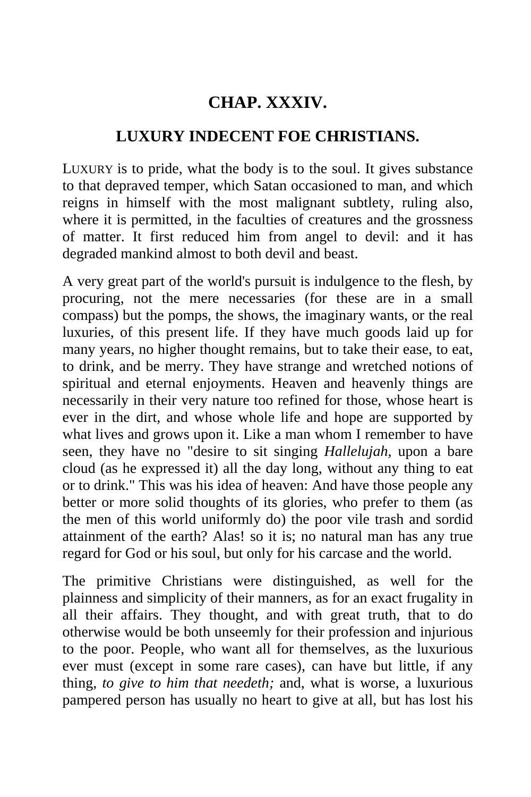## **CHAP. XXXIV.**

#### **LUXURY INDECENT FOE CHRISTIANS.**

LUXURY is to pride, what the body is to the soul. It gives substance to that depraved temper, which Satan occasioned to man, and which reigns in himself with the most malignant subtlety, ruling also, where it is permitted, in the faculties of creatures and the grossness of matter. It first reduced him from angel to devil: and it has degraded mankind almost to both devil and beast.

A very great part of the world's pursuit is indulgence to the flesh, by procuring, not the mere necessaries (for these are in a small compass) but the pomps, the shows, the imaginary wants, or the real luxuries, of this present life. If they have much goods laid up for many years, no higher thought remains, but to take their ease, to eat, to drink, and be merry. They have strange and wretched notions of spiritual and eternal enjoyments. Heaven and heavenly things are necessarily in their very nature too refined for those, whose heart is ever in the dirt, and whose whole life and hope are supported by what lives and grows upon it. Like a man whom I remember to have seen, they have no "desire to sit singing *Hallelujah,* upon a bare cloud (as he expressed it) all the day long, without any thing to eat or to drink." This was his idea of heaven: And have those people any better or more solid thoughts of its glories, who prefer to them (as the men of this world uniformly do) the poor vile trash and sordid attainment of the earth? Alas! so it is; no natural man has any true regard for God or his soul, but only for his carcase and the world.

The primitive Christians were distinguished, as well for the plainness and simplicity of their manners, as for an exact frugality in all their affairs. They thought, and with great truth, that to do otherwise would be both unseemly for their profession and injurious to the poor. People, who want all for themselves, as the luxurious ever must (except in some rare cases), can have but little, if any thing, *to give to him that needeth;* and, what is worse, a luxurious pampered person has usually no heart to give at all, but has lost his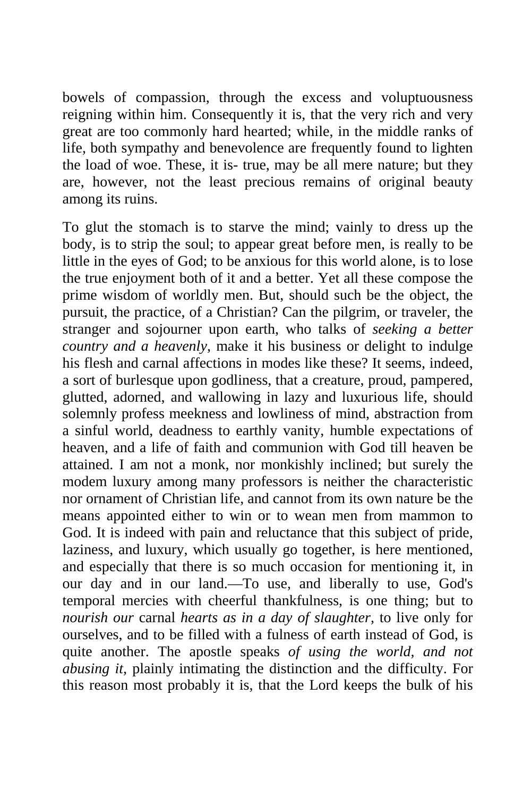bowels of compassion, through the excess and voluptuousness reigning within him. Consequently it is, that the very rich and very great are too commonly hard hearted; while, in the middle ranks of life, both sympathy and benevolence are frequently found to lighten the load of woe. These, it is- true, may be all mere nature; but they are, however, not the least precious remains of original beauty among its ruins.

To glut the stomach is to starve the mind; vainly to dress up the body, is to strip the soul; to appear great before men, is really to be little in the eyes of God; to be anxious for this world alone, is to lose the true enjoyment both of it and a better. Yet all these compose the prime wisdom of worldly men. But, should such be the object, the pursuit, the practice, of a Christian? Can the pilgrim, or traveler, the stranger and sojourner upon earth, who talks of *seeking a better country and a heavenly,* make it his business or delight to indulge his flesh and carnal affections in modes like these? It seems, indeed, a sort of burlesque upon godliness, that a creature, proud, pampered, glutted, adorned, and wallowing in lazy and luxurious life, should solemnly profess meekness and lowliness of mind, abstraction from a sinful world, deadness to earthly vanity, humble expectations of heaven, and a life of faith and communion with God till heaven be attained. I am not a monk, nor monkishly inclined; but surely the modem luxury among many professors is neither the characteristic nor ornament of Christian life, and cannot from its own nature be the means appointed either to win or to wean men from mammon to God. It is indeed with pain and reluctance that this subject of pride, laziness, and luxury, which usually go together, is here mentioned, and especially that there is so much occasion for mentioning it, in our day and in our land.—To use, and liberally to use, God's temporal mercies with cheerful thankfulness, is one thing; but to *nourish our* carnal *hearts as in a day of slaughter,* to live only for ourselves, and to be filled with a fulness of earth instead of God, is quite another. The apostle speaks *of using the world, and not abusing it,* plainly intimating the distinction and the difficulty. For this reason most probably it is, that the Lord keeps the bulk of his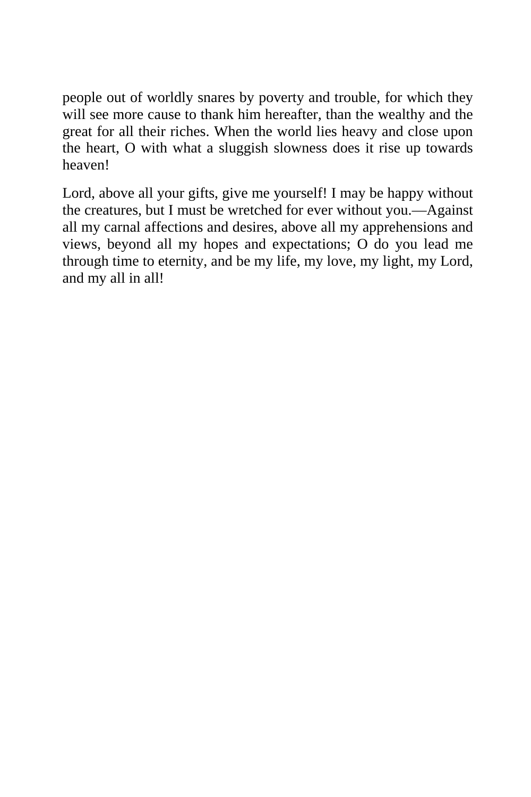people out of worldly snares by poverty and trouble, for which they will see more cause to thank him hereafter, than the wealthy and the great for all their riches. When the world lies heavy and close upon the heart, O with what a sluggish slowness does it rise up towards heaven!

Lord, above all your gifts, give me yourself! I may be happy without the creatures, but I must be wretched for ever without you.—Against all my carnal affections and desires, above all my apprehensions and views, beyond all my hopes and expectations; O do you lead me through time to eternity, and be my life, my love, my light, my Lord, and my all in all!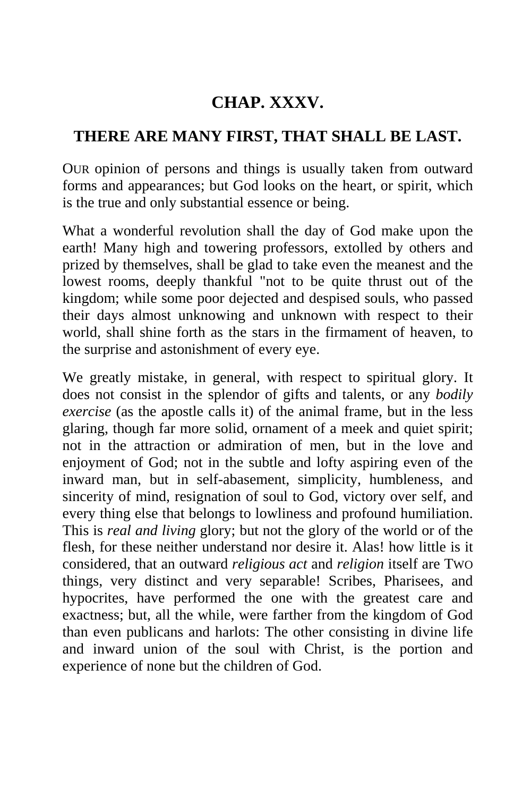## **CHAP. XXXV.**

#### **THERE ARE MANY FIRST, THAT SHALL BE LAST.**

OUR opinion of persons and things is usually taken from outward forms and appearances; but God looks on the heart, or spirit, which is the true and only substantial essence or being.

What a wonderful revolution shall the day of God make upon the earth! Many high and towering professors, extolled by others and prized by themselves, shall be glad to take even the meanest and the lowest rooms, deeply thankful "not to be quite thrust out of the kingdom; while some poor dejected and despised souls, who passed their days almost unknowing and unknown with respect to their world, shall shine forth as the stars in the firmament of heaven, to the surprise and astonishment of every eye.

We greatly mistake, in general, with respect to spiritual glory. It does not consist in the splendor of gifts and talents, or any *bodily exercise* (as the apostle calls it) of the animal frame, but in the less glaring, though far more solid, ornament of a meek and quiet spirit; not in the attraction or admiration of men, but in the love and enjoyment of God; not in the subtle and lofty aspiring even of the inward man, but in self-abasement, simplicity, humbleness, and sincerity of mind, resignation of soul to God, victory over self, and every thing else that belongs to lowliness and profound humiliation. This is *real and living* glory; but not the glory of the world or of the flesh, for these neither understand nor desire it. Alas! how little is it considered, that an outward *religious act* and *religion* itself are TWO things, very distinct and very separable! Scribes, Pharisees, and hypocrites, have performed the one with the greatest care and exactness; but, all the while, were farther from the kingdom of God than even publicans and harlots: The other consisting in divine life and inward union of the soul with Christ, is the portion and experience of none but the children of God.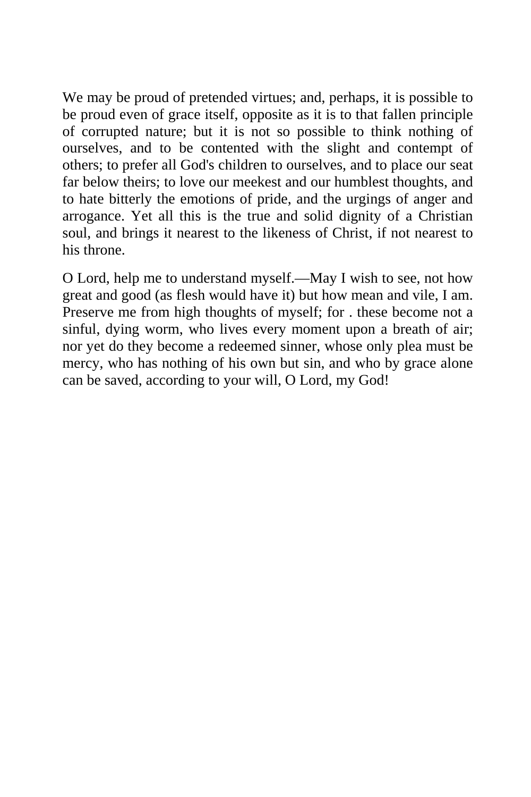We may be proud of pretended virtues; and, perhaps, it is possible to be proud even of grace itself, opposite as it is to that fallen principle of corrupted nature; but it is not so possible to think nothing of ourselves, and to be contented with the slight and contempt of others; to prefer all God's children to ourselves, and to place our seat far below theirs; to love our meekest and our humblest thoughts, and to hate bitterly the emotions of pride, and the urgings of anger and arrogance. Yet all this is the true and solid dignity of a Christian soul, and brings it nearest to the likeness of Christ, if not nearest to his throne.

O Lord, help me to understand myself.—May I wish to see, not how great and good (as flesh would have it) but how mean and vile, I am. Preserve me from high thoughts of myself; for . these become not a sinful, dying worm, who lives every moment upon a breath of air; nor yet do they become a redeemed sinner, whose only plea must be mercy, who has nothing of his own but sin, and who by grace alone can be saved, according to your will, O Lord, my God!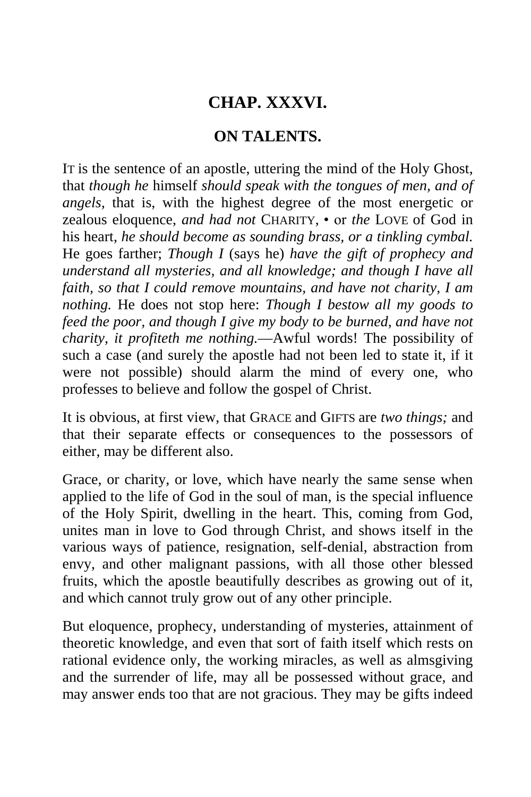## **CHAP. XXXVI.**

#### **ON TALENTS.**

IT is the sentence of an apostle, uttering the mind of the Holy Ghost, that *though he* himself *should speak with the tongues of men, and of angels,* that is, with the highest degree of the most energetic or zealous eloquence, *and had not* CHARITY, • or *the* LOVE of God in his heart, *he should become as sounding brass, or a tinkling cymbal.*  He goes farther; *Though I* (says he) *have the gift of prophecy and understand all mysteries, and all knowledge; and though I have all faith, so that I could remove mountains, and have not charity, I am nothing.* He does not stop here: *Though I bestow all my goods to feed the poor, and though I give my body to be burned, and have not charity, it profiteth me nothing.*—Awful words! The possibility of such a case (and surely the apostle had not been led to state it, if it were not possible) should alarm the mind of every one, who professes to believe and follow the gospel of Christ.

It is obvious, at first view, that GRACE and GIFTS are *two things;* and that their separate effects or consequences to the possessors of either, may be different also.

Grace, or charity, or love, which have nearly the same sense when applied to the life of God in the soul of man, is the special influence of the Holy Spirit, dwelling in the heart. This, coming from God, unites man in love to God through Christ, and shows itself in the various ways of patience, resignation, self-denial, abstraction from envy, and other malignant passions, with all those other blessed fruits, which the apostle beautifully describes as growing out of it, and which cannot truly grow out of any other principle.

But eloquence, prophecy, understanding of mysteries, attainment of theoretic knowledge, and even that sort of faith itself which rests on rational evidence only, the working miracles, as well as almsgiving and the surrender of life, may all be possessed without grace, and may answer ends too that are not gracious. They may be gifts indeed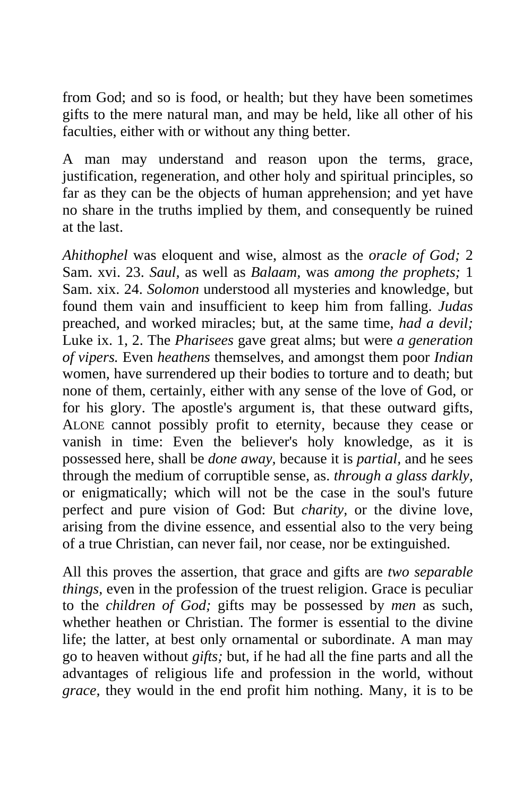from God; and so is food, or health; but they have been sometimes gifts to the mere natural man, and may be held, like all other of his faculties, either with or without any thing better.

A man may understand and reason upon the terms, grace, justification, regeneration, and other holy and spiritual principles, so far as they can be the objects of human apprehension; and yet have no share in the truths implied by them, and consequently be ruined at the last.

*Ahithophel* was eloquent and wise, almost as the *oracle of God;* 2 Sam. xvi. 23. *Saul,* as well as *Balaam,* was *among the prophets;* 1 Sam. xix. 24. *Solomon* understood all mysteries and knowledge, but found them vain and insufficient to keep him from falling. *Judas*  preached, and worked miracles; but, at the same time, *had a devil;*  Luke ix. 1, 2. The *Pharisees* gave great alms; but were *a generation of vipers.* Even *heathens* themselves, and amongst them poor *Indian*  women, have surrendered up their bodies to torture and to death; but none of them, certainly, either with any sense of the love of God, or for his glory. The apostle's argument is, that these outward gifts, ALONE cannot possibly profit to eternity, because they cease or vanish in time: Even the believer's holy knowledge, as it is possessed here, shall be *done away,* because it is *partial,* and he sees through the medium of corruptible sense, as. *through a glass darkly,*  or enigmatically; which will not be the case in the soul's future perfect and pure vision of God: But *charity,* or the divine love, arising from the divine essence, and essential also to the very being of a true Christian, can never fail, nor cease, nor be extinguished.

All this proves the assertion, that grace and gifts are *two separable things*, even in the profession of the truest religion. Grace is peculiar to the *children of God;* gifts may be possessed by *men* as such, whether heathen or Christian. The former is essential to the divine life; the latter, at best only ornamental or subordinate. A man may go to heaven without *gifts;* but, if he had all the fine parts and all the advantages of religious life and profession in the world, without *grace,* they would in the end profit him nothing. Many, it is to be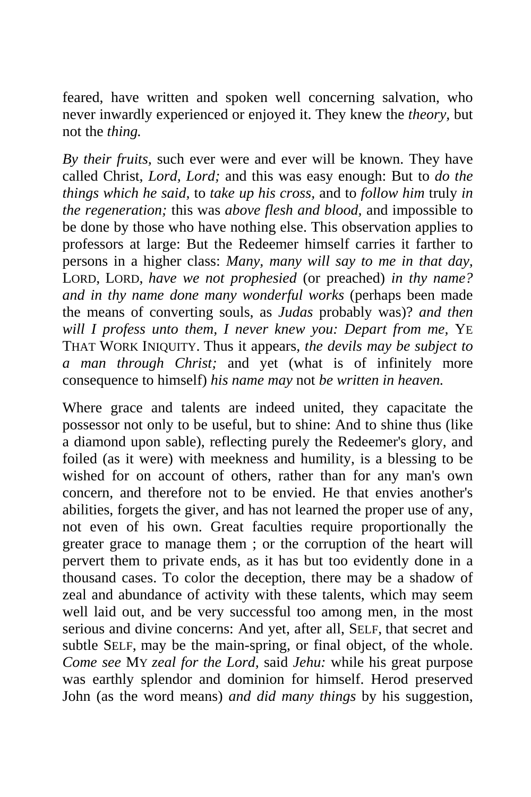feared, have written and spoken well concerning salvation, who never inwardly experienced or enjoyed it. They knew the *theory,* but not the *thing.* 

*By their fruits,* such ever were and ever will be known. They have called Christ, *Lord, Lord;* and this was easy enough: But to *do the things which he said,* to *take up his cross,* and to *follow him* truly *in the regeneration;* this was *above flesh and blood,* and impossible to be done by those who have nothing else. This observation applies to professors at large: But the Redeemer himself carries it farther to persons in a higher class: *Many, many will say to me in that day,*  LORD, LORD, *have we not prophesied* (or preached) *in thy name? and in thy name done many wonderful works* (perhaps been made the means of converting souls, as *Judas* probably was)? *and then will I profess unto them, I never knew you: Depart from me,* YE THAT WORK INIQUITY. Thus it appears, *the devils may be subject to a man through Christ;* and yet (what is of infinitely more consequence to himself) *his name may* not *be written in heaven.* 

Where grace and talents are indeed united, they capacitate the possessor not only to be useful, but to shine: And to shine thus (like a diamond upon sable), reflecting purely the Redeemer's glory, and foiled (as it were) with meekness and humility, is a blessing to be wished for on account of others, rather than for any man's own concern, and therefore not to be envied. He that envies another's abilities, forgets the giver, and has not learned the proper use of any, not even of his own. Great faculties require proportionally the greater grace to manage them ; or the corruption of the heart will pervert them to private ends, as it has but too evidently done in a thousand cases. To color the deception, there may be a shadow of zeal and abundance of activity with these talents, which may seem well laid out, and be very successful too among men, in the most serious and divine concerns: And yet, after all, SELF, that secret and subtle SELF, may be the main-spring, or final object, of the whole. *Come see* MY *zeal for the Lord,* said *Jehu:* while his great purpose was earthly splendor and dominion for himself. Herod preserved John (as the word means) *and did many things* by his suggestion,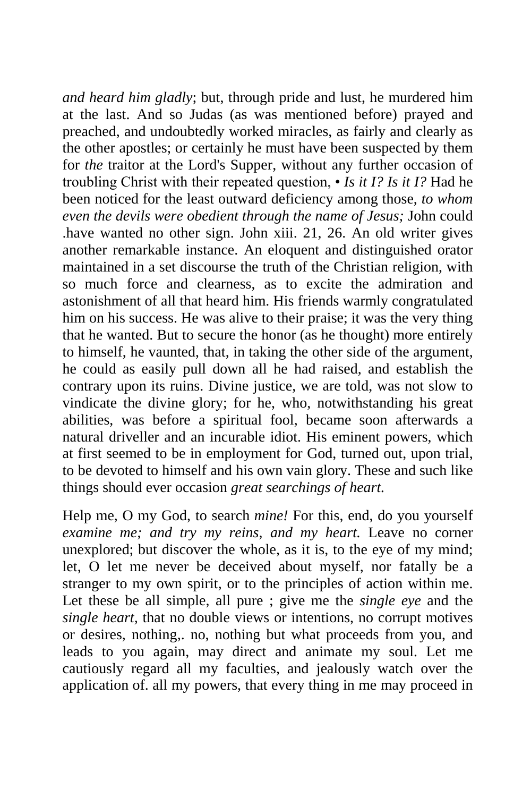*and heard him gladly*; but, through pride and lust, he murdered him at the last. And so Judas (as was mentioned before) prayed and preached, and undoubtedly worked miracles, as fairly and clearly as the other apostles; or certainly he must have been suspected by them for *the* traitor at the Lord's Supper, without any further occasion of troubling Christ with their repeated question, • *Is it I? Is it I?* Had he been noticed for the least outward deficiency among those, *to whom even the devils were obedient through the name of Jesus;* John could .have wanted no other sign. John xiii. 21, 26. An old writer gives another remarkable instance. An eloquent and distinguished orator maintained in a set discourse the truth of the Christian religion, with so much force and clearness, as to excite the admiration and astonishment of all that heard him. His friends warmly congratulated him on his success. He was alive to their praise; it was the very thing that he wanted. But to secure the honor (as he thought) more entirely to himself, he vaunted, that, in taking the other side of the argument, he could as easily pull down all he had raised, and establish the contrary upon its ruins. Divine justice, we are told, was not slow to vindicate the divine glory; for he, who, notwithstanding his great abilities, was before a spiritual fool, became soon afterwards a natural driveller and an incurable idiot. His eminent powers, which at first seemed to be in employment for God, turned out, upon trial, to be devoted to himself and his own vain glory. These and such like things should ever occasion *great searchings of heart.* 

Help me, O my God, to search *mine!* For this, end, do you yourself *examine me; and try my reins, and my heart.* Leave no corner unexplored; but discover the whole, as it is, to the eye of my mind; let, O let me never be deceived about myself, nor fatally be a stranger to my own spirit, or to the principles of action within me. Let these be all simple, all pure ; give me the *single eye* and the *single heart,* that no double views or intentions, no corrupt motives or desires, nothing,. no, nothing but what proceeds from you, and leads to you again, may direct and animate my soul. Let me cautiously regard all my faculties, and jealously watch over the application of. all my powers, that every thing in me may proceed in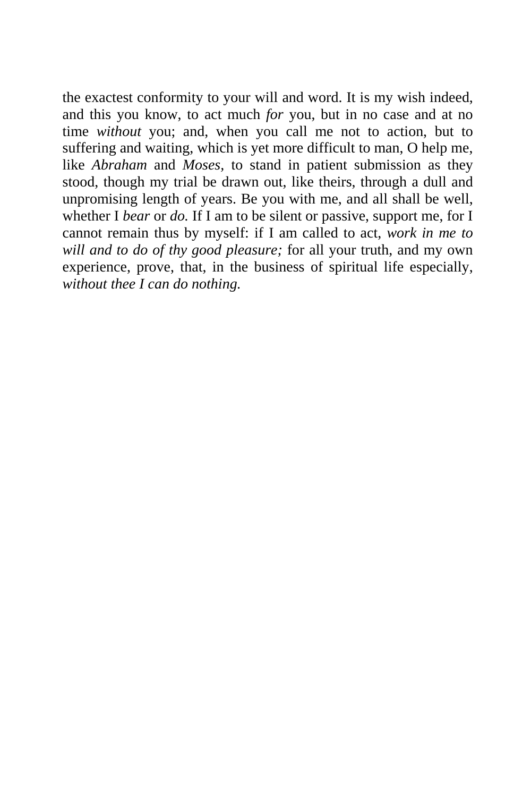the exactest conformity to your will and word. It is my wish indeed, and this you know, to act much *for* you, but in no case and at no time *without* you; and, when you call me not to action, but to suffering and waiting, which is yet more difficult to man, O help me, like *Abraham* and *Moses,* to stand in patient submission as they stood, though my trial be drawn out, like theirs, through a dull and unpromising length of years. Be you with me, and all shall be well, whether I *bear* or *do.* If I am to be silent or passive, support me, for I cannot remain thus by myself: if I am called to act, *work in me to will and to do of thy good pleasure;* for all your truth, and my own experience, prove, that, in the business of spiritual life especially, *without thee I can do nothing.*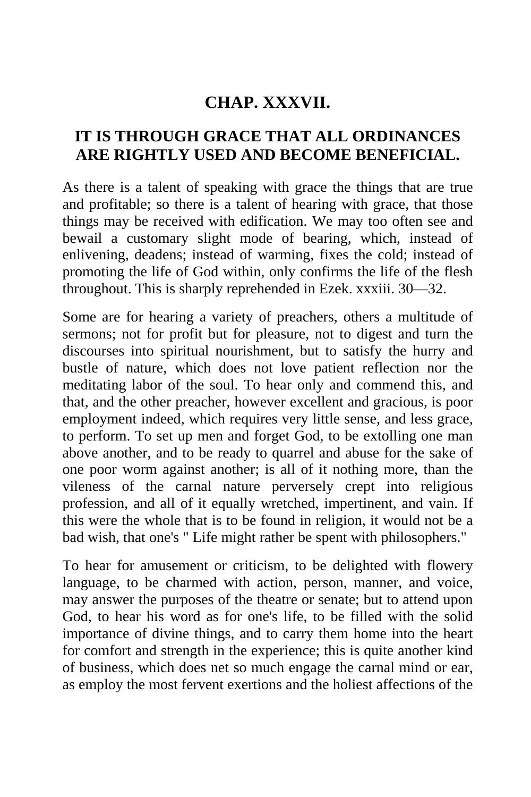## **CHAP. XXXVII.**

#### **IT IS THROUGH GRACE THAT ALL ORDINANCES ARE RIGHTLY USED AND BECOME BENEFICIAL.**

As there is a talent of speaking with grace the things that are true and profitable; so there is a talent of hearing with grace, that those things may be received with edification. We may too often see and bewail a customary slight mode of bearing, which, instead of enlivening, deadens; instead of warming, fixes the cold; instead of promoting the life of God within, only confirms the life of the flesh throughout. This is sharply reprehended in Ezek. xxxiii. 30—32.

Some are for hearing a variety of preachers, others a multitude of sermons; not for profit but for pleasure, not to digest and turn the discourses into spiritual nourishment, but to satisfy the hurry and bustle of nature, which does not love patient reflection nor the meditating labor of the soul. To hear only and commend this, and that, and the other preacher, however excellent and gracious, is poor employment indeed, which requires very little sense, and less grace, to perform. To set up men and forget God, to be extolling one man above another, and to be ready to quarrel and abuse for the sake of one poor worm against another; is all of it nothing more, than the vileness of the carnal nature perversely crept into religious profession, and all of it equally wretched, impertinent, and vain. If this were the whole that is to be found in religion, it would not be a bad wish, that one's " Life might rather be spent with philosophers."

To hear for amusement or criticism, to be delighted with flowery language, to be charmed with action, person, manner, and voice, may answer the purposes of the theatre or senate; but to attend upon God, to hear his word as for one's life, to be filled with the solid importance of divine things, and to carry them home into the heart for comfort and strength in the experience; this is quite another kind of business, which does net so much engage the carnal mind or ear, as employ the most fervent exertions and the holiest affections of the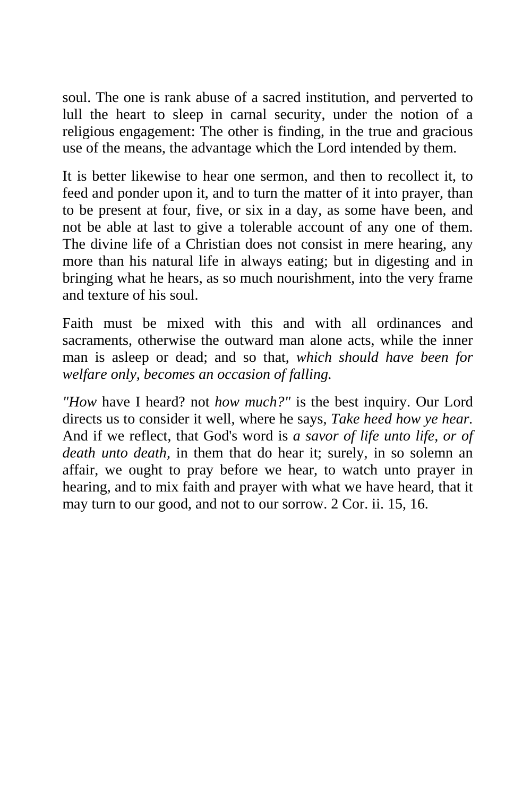soul. The one is rank abuse of a sacred institution, and perverted to lull the heart to sleep in carnal security, under the notion of a religious engagement: The other is finding, in the true and gracious use of the means, the advantage which the Lord intended by them.

It is better likewise to hear one sermon, and then to recollect it, to feed and ponder upon it, and to turn the matter of it into prayer, than to be present at four, five, or six in a day, as some have been, and not be able at last to give a tolerable account of any one of them. The divine life of a Christian does not consist in mere hearing, any more than his natural life in always eating; but in digesting and in bringing what he hears, as so much nourishment, into the very frame and texture of his soul.

Faith must be mixed with this and with all ordinances and sacraments, otherwise the outward man alone acts, while the inner man is asleep or dead; and so that, *which should have been for welfare only, becomes an occasion of falling.* 

*"How* have I heard? not *how much?"* is the best inquiry. Our Lord directs us to consider it well, where he says, *Take heed how ye hear.*  And if we reflect, that God's word is *a savor of life unto life, or of death unto death,* in them that do hear it; surely, in so solemn an affair, we ought to pray before we hear, to watch unto prayer in hearing, and to mix faith and prayer with what we have heard, that it may turn to our good, and not to our sorrow. 2 Cor. ii. 15, 16.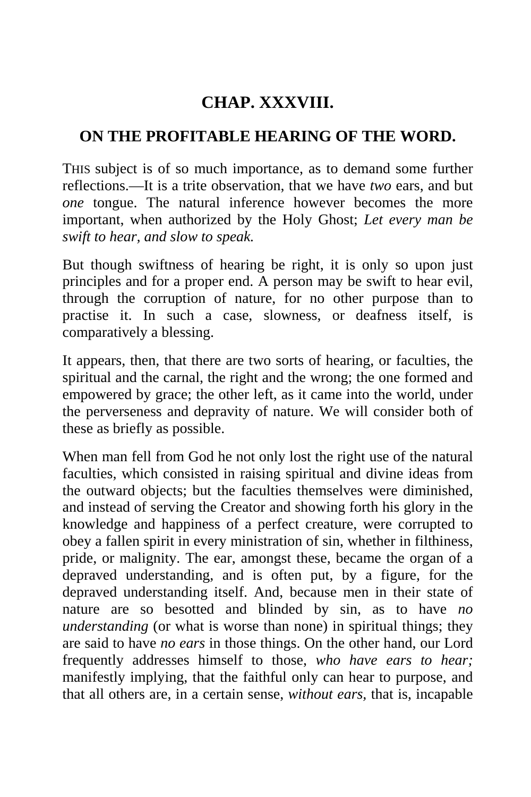# **CHAP. XXXVIII.**

#### **ON THE PROFITABLE HEARING OF THE WORD.**

THIS subject is of so much importance, as to demand some further reflections.—It is a trite observation, that we have *two* ears, and but *one* tongue. The natural inference however becomes the more important, when authorized by the Holy Ghost; *Let every man be swift to hear, and slow to speak.* 

But though swiftness of hearing be right, it is only so upon just principles and for a proper end. A person may be swift to hear evil, through the corruption of nature, for no other purpose than to practise it. In such a case, slowness, or deafness itself, is comparatively a blessing.

It appears, then, that there are two sorts of hearing, or faculties, the spiritual and the carnal, the right and the wrong; the one formed and empowered by grace; the other left, as it came into the world, under the perverseness and depravity of nature. We will consider both of these as briefly as possible.

When man fell from God he not only lost the right use of the natural faculties, which consisted in raising spiritual and divine ideas from the outward objects; but the faculties themselves were diminished, and instead of serving the Creator and showing forth his glory in the knowledge and happiness of a perfect creature, were corrupted to obey a fallen spirit in every ministration of sin, whether in filthiness, pride, or malignity. The ear, amongst these, became the organ of a depraved understanding, and is often put, by a figure, for the depraved understanding itself. And, because men in their state of nature are so besotted and blinded by sin, as to have *no understanding* (or what is worse than none) in spiritual things; they are said to have *no ears* in those things. On the other hand, our Lord frequently addresses himself to those, *who have ears to hear;*  manifestly implying, that the faithful only can hear to purpose, and that all others are, in a certain sense, *without ears,* that is, incapable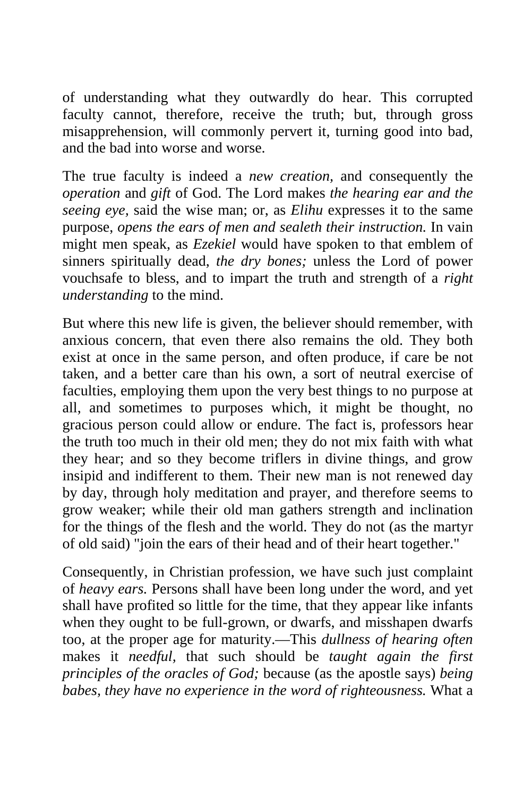of understanding what they outwardly do hear. This corrupted faculty cannot, therefore, receive the truth; but, through gross misapprehension, will commonly pervert it, turning good into bad, and the bad into worse and worse.

The true faculty is indeed a *new creation,* and consequently the *operation* and *gift* of God. The Lord makes *the hearing ear and the seeing eye,* said the wise man; or, as *Elihu* expresses it to the same purpose, *opens the ears of men and sealeth their instruction.* In vain might men speak, as *Ezekiel* would have spoken to that emblem of sinners spiritually dead, *the dry bones;* unless the Lord of power vouchsafe to bless, and to impart the truth and strength of a *right understanding* to the mind.

But where this new life is given, the believer should remember, with anxious concern, that even there also remains the old. They both exist at once in the same person, and often produce, if care be not taken, and a better care than his own, a sort of neutral exercise of faculties, employing them upon the very best things to no purpose at all, and sometimes to purposes which, it might be thought, no gracious person could allow or endure. The fact is, professors hear the truth too much in their old men; they do not mix faith with what they hear; and so they become triflers in divine things, and grow insipid and indifferent to them. Their new man is not renewed day by day, through holy meditation and prayer, and therefore seems to grow weaker; while their old man gathers strength and inclination for the things of the flesh and the world. They do not (as the martyr of old said) "join the ears of their head and of their heart together."

Consequently, in Christian profession, we have such just complaint of *heavy ears.* Persons shall have been long under the word, and yet shall have profited so little for the time, that they appear like infants when they ought to be full-grown, or dwarfs, and misshapen dwarfs too, at the proper age for maturity.—This *dullness of hearing often*  makes it *needful,* that such should be *taught again the first principles of the oracles of God;* because (as the apostle says) *being babes, they have no experience in the word of righteousness.* What a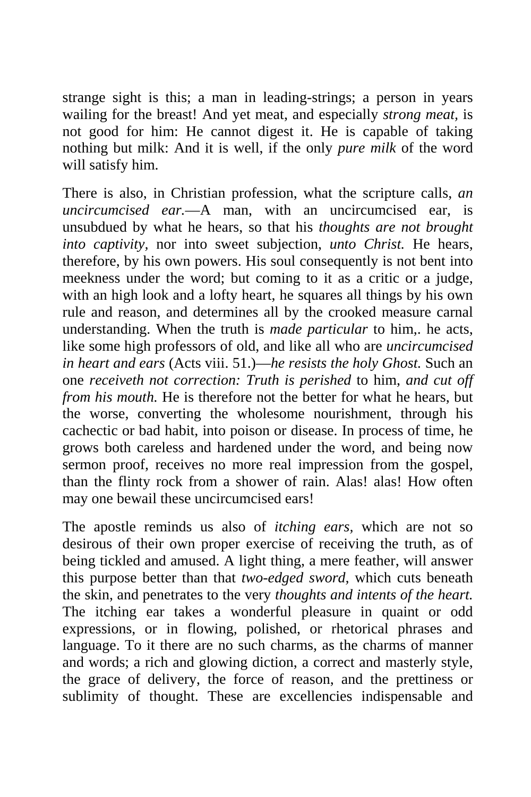strange sight is this; a man in leading-strings; a person in years wailing for the breast! And yet meat, and especially *strong meat,* is not good for him: He cannot digest it. He is capable of taking nothing but milk: And it is well, if the only *pure milk* of the word will satisfy him.

There is also, in Christian profession, what the scripture calls, *an uncircumcised ear.*—A man, with an uncircumcised ear, is unsubdued by what he hears, so that his *thoughts are not brought into captivity,* nor into sweet subjection, *unto Christ.* He hears, therefore, by his own powers. His soul consequently is not bent into meekness under the word; but coming to it as a critic or a judge, with an high look and a lofty heart, he squares all things by his own rule and reason, and determines all by the crooked measure carnal understanding. When the truth is *made particular* to him,. he acts, like some high professors of old, and like all who are *uncircumcised in heart and ears* (Acts viii. 51.)—*he resists the holy Ghost.* Such an one *receiveth not correction: Truth is perished* to him, *and cut off from his mouth.* He is therefore not the better for what he hears, but the worse, converting the wholesome nourishment, through his cachectic or bad habit, into poison or disease. In process of time, he grows both careless and hardened under the word, and being now sermon proof, receives no more real impression from the gospel, than the flinty rock from a shower of rain. Alas! alas! How often may one bewail these uncircumcised ears!

The apostle reminds us also of *itching ears,* which are not so desirous of their own proper exercise of receiving the truth, as of being tickled and amused. A light thing, a mere feather, will answer this purpose better than that *two-edged sword,* which cuts beneath the skin, and penetrates to the very *thoughts and intents of the heart.*  The itching ear takes a wonderful pleasure in quaint or odd expressions, or in flowing, polished, or rhetorical phrases and language. To it there are no such charms, as the charms of manner and words; a rich and glowing diction, a correct and masterly style, the grace of delivery, the force of reason, and the prettiness or sublimity of thought. These are excellencies indispensable and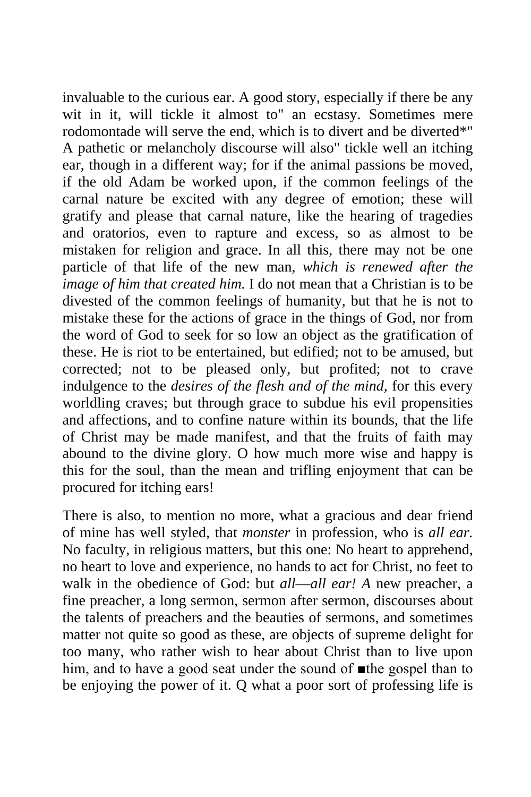invaluable to the curious ear. A good story, especially if there be any wit in it, will tickle it almost to" an ecstasy. Sometimes mere rodomontade will serve the end, which is to divert and be diverted\*" A pathetic or melancholy discourse will also" tickle well an itching ear, though in a different way; for if the animal passions be moved, if the old Adam be worked upon, if the common feelings of the carnal nature be excited with any degree of emotion; these will gratify and please that carnal nature, like the hearing of tragedies and oratorios, even to rapture and excess, so as almost to be mistaken for religion and grace. In all this, there may not be one particle of that life of the new man, *which is renewed after the image of him that created him.* I do not mean that a Christian is to be divested of the common feelings of humanity, but that he is not to mistake these for the actions of grace in the things of God, nor from the word of God to seek for so low an object as the gratification of these. He is riot to be entertained, but edified; not to be amused, but corrected; not to be pleased only, but profited; not to crave indulgence to the *desires of the flesh and of the mind,* for this every worldling craves; but through grace to subdue his evil propensities and affections, and to confine nature within its bounds, that the life of Christ may be made manifest, and that the fruits of faith may abound to the divine glory. O how much more wise and happy is this for the soul, than the mean and trifling enjoyment that can be procured for itching ears!

There is also, to mention no more, what a gracious and dear friend of mine has well styled, that *monster* in profession, who is *all ear.*  No faculty, in religious matters, but this one: No heart to apprehend, no heart to love and experience, no hands to act for Christ, no feet to walk in the obedience of God: but *all*—*all ear! A* new preacher, a fine preacher, a long sermon, sermon after sermon, discourses about the talents of preachers and the beauties of sermons, and sometimes matter not quite so good as these, are objects of supreme delight for too many, who rather wish to hear about Christ than to live upon him, and to have a good seat under the sound of ■the gospel than to be enjoying the power of it. Q what a poor sort of professing life is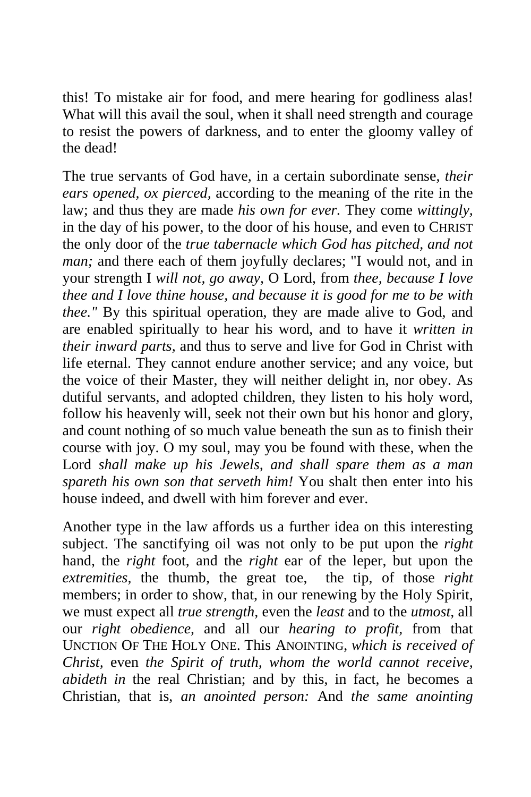this! To mistake air for food, and mere hearing for godliness alas! What will this avail the soul, when it shall need strength and courage to resist the powers of darkness, and to enter the gloomy valley of the dead!

The true servants of God have, in a certain subordinate sense, *their ears opened, ox pierced,* according to the meaning of the rite in the law; and thus they are made *his own for ever.* They come *wittingly,*  in the day of his power, to the door of his house, and even to CHRIST the only door of the *true tabernacle which God has pitched, and not man;* and there each of them joyfully declares; "I would not, and in your strength I *will not, go away,* O Lord, from *thee, because I love thee and I love thine house, and because it is good for me to be with thee."* By this spiritual operation, they are made alive to God, and are enabled spiritually to hear his word, and to have it *written in their inward parts,* and thus to serve and live for God in Christ with life eternal. They cannot endure another service; and any voice, but the voice of their Master, they will neither delight in, nor obey. As dutiful servants, and adopted children, they listen to his holy word, follow his heavenly will, seek not their own but his honor and glory, and count nothing of so much value beneath the sun as to finish their course with joy. O my soul, may you be found with these, when the Lord *shall make up his Jewels, and shall spare them as a man spareth his own son that serveth him!* You shalt then enter into his house indeed, and dwell with him forever and ever.

Another type in the law affords us a further idea on this interesting subject. The sanctifying oil was not only to be put upon the *right*  hand, the *right* foot, and the *right* ear of the leper, but upon the *extremities,* the thumb, the great toe, the tip, of those *right*  members; in order to show, that, in our renewing by the Holy Spirit, we must expect all *true strength,* even the *least* and to the *utmost,* all our *right obedience,* and all our *hearing to profit,* from that UNCTION OF THE HOLY ONE. This ANOINTING, *which is received of Christ,* even *the Spirit of truth, whom the world cannot receive, abideth in* the real Christian; and by this, in fact, he becomes a Christian, that is, *an anointed person:* And *the same anointing*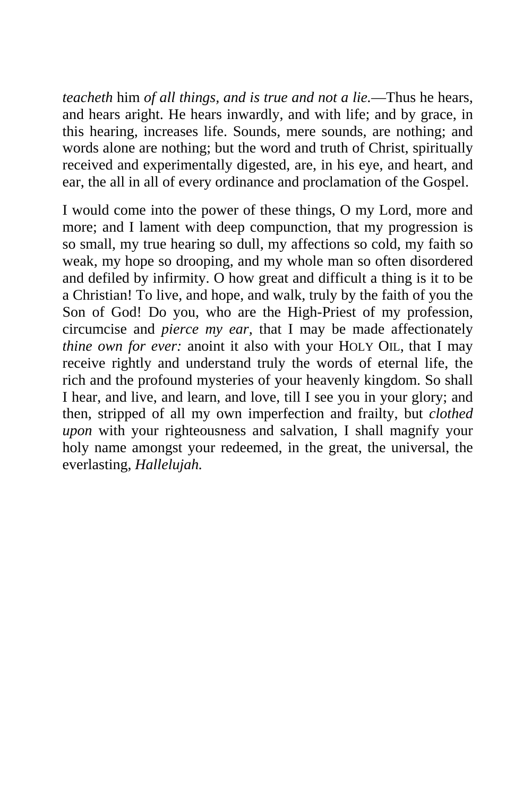*teacheth* him *of all things, and is true and not a lie.*—Thus he hears, and hears aright. He hears inwardly, and with life; and by grace, in this hearing, increases life. Sounds, mere sounds, are nothing; and words alone are nothing; but the word and truth of Christ, spiritually received and experimentally digested, are, in his eye, and heart, and ear, the all in all of every ordinance and proclamation of the Gospel.

I would come into the power of these things, O my Lord, more and more; and I lament with deep compunction, that my progression is so small, my true hearing so dull, my affections so cold, my faith so weak, my hope so drooping, and my whole man so often disordered and defiled by infirmity. O how great and difficult a thing is it to be a Christian! To live, and hope, and walk, truly by the faith of you the Son of God! Do you, who are the High-Priest of my profession, circumcise and *pierce my ear,* that I may be made affectionately *thine own for ever:* anoint it also with your HOLY OIL, that I may receive rightly and understand truly the words of eternal life, the rich and the profound mysteries of your heavenly kingdom. So shall I hear, and live, and learn, and love, till I see you in your glory; and then, stripped of all my own imperfection and frailty, but *clothed upon* with your righteousness and salvation, I shall magnify your holy name amongst your redeemed, in the great, the universal, the everlasting, *Hallelujah.*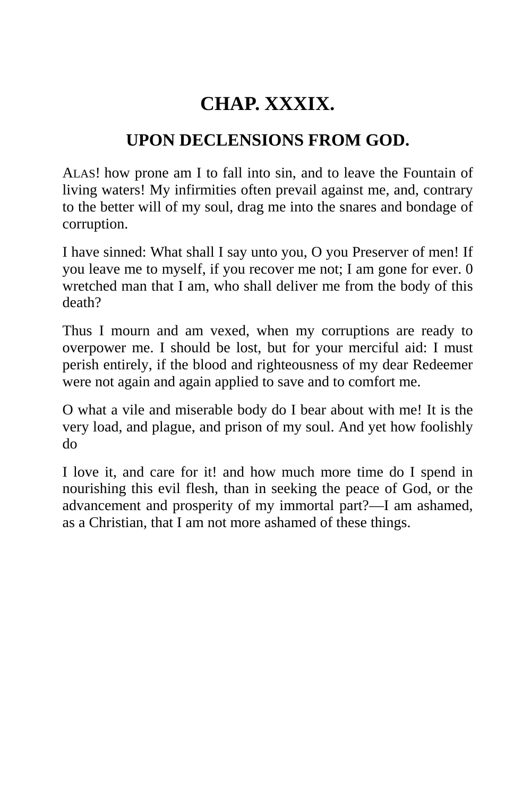# **CHAP. XXXIX.**

# **UPON DECLENSIONS FROM GOD.**

ALAS! how prone am I to fall into sin, and to leave the Fountain of living waters! My infirmities often prevail against me, and, contrary to the better will of my soul, drag me into the snares and bondage of corruption.

I have sinned: What shall I say unto you, O you Preserver of men! If you leave me to myself, if you recover me not; I am gone for ever. 0 wretched man that I am, who shall deliver me from the body of this death?

Thus I mourn and am vexed, when my corruptions are ready to overpower me. I should be lost, but for your merciful aid: I must perish entirely, if the blood and righteousness of my dear Redeemer were not again and again applied to save and to comfort me.

O what a vile and miserable body do I bear about with me! It is the very load, and plague, and prison of my soul. And yet how foolishly do

I love it, and care for it! and how much more time do I spend in nourishing this evil flesh, than in seeking the peace of God, or the advancement and prosperity of my immortal part?—I am ashamed, as a Christian, that I am not more ashamed of these things.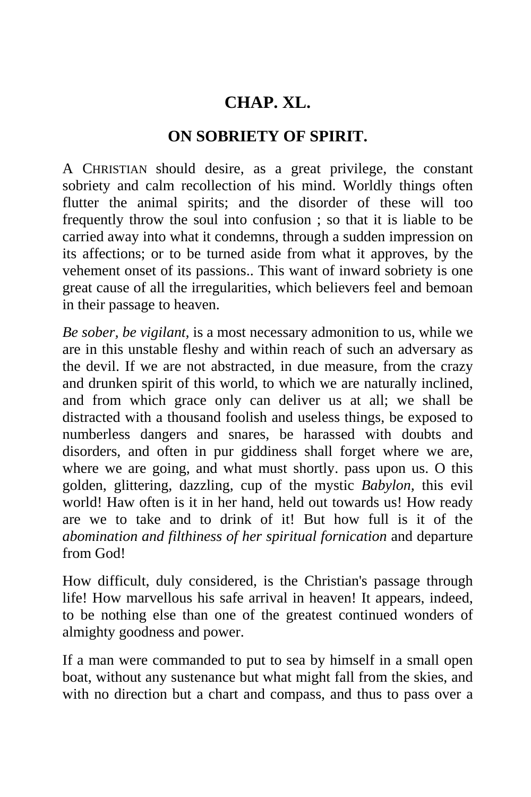# **CHAP. XL.**

#### **ON SOBRIETY OF SPIRIT.**

A CHRISTIAN should desire, as a great privilege, the constant sobriety and calm recollection of his mind. Worldly things often flutter the animal spirits; and the disorder of these will too frequently throw the soul into confusion ; so that it is liable to be carried away into what it condemns, through a sudden impression on its affections; or to be turned aside from what it approves, by the vehement onset of its passions.. This want of inward sobriety is one great cause of all the irregularities, which believers feel and bemoan in their passage to heaven.

*Be sober, be vigilant,* is a most necessary admonition to us, while we are in this unstable fleshy and within reach of such an adversary as the devil. If we are not abstracted, in due measure, from the crazy and drunken spirit of this world, to which we are naturally inclined, and from which grace only can deliver us at all; we shall be distracted with a thousand foolish and useless things, be exposed to numberless dangers and snares, be harassed with doubts and disorders, and often in pur giddiness shall forget where we are, where we are going, and what must shortly. pass upon us. O this golden, glittering, dazzling, cup of the mystic *Babylon,* this evil world! Haw often is it in her hand, held out towards us! How ready are we to take and to drink of it! But how full is it of the *abomination and filthiness of her spiritual fornication* and departure from God!

How difficult, duly considered, is the Christian's passage through life! How marvellous his safe arrival in heaven! It appears, indeed, to be nothing else than one of the greatest continued wonders of almighty goodness and power.

If a man were commanded to put to sea by himself in a small open boat, without any sustenance but what might fall from the skies, and with no direction but a chart and compass, and thus to pass over a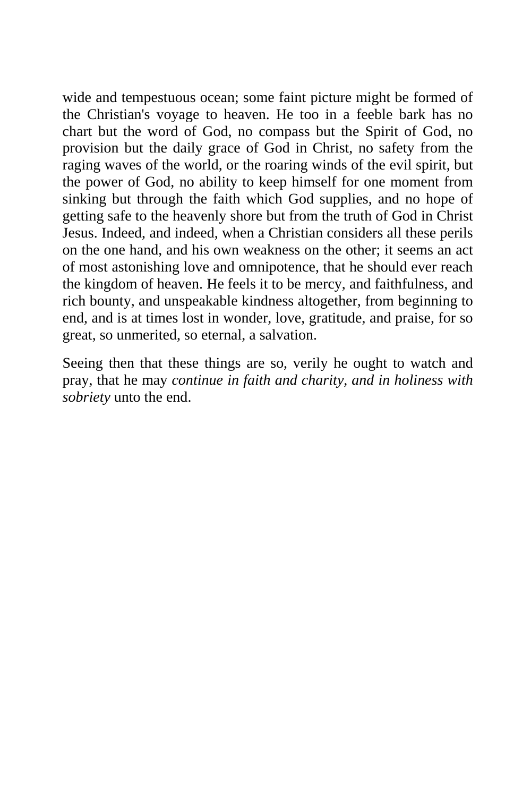wide and tempestuous ocean; some faint picture might be formed of the Christian's voyage to heaven. He too in a feeble bark has no chart but the word of God, no compass but the Spirit of God, no provision but the daily grace of God in Christ, no safety from the raging waves of the world, or the roaring winds of the evil spirit, but the power of God, no ability to keep himself for one moment from sinking but through the faith which God supplies, and no hope of getting safe to the heavenly shore but from the truth of God in Christ Jesus. Indeed, and indeed, when a Christian considers all these perils on the one hand, and his own weakness on the other; it seems an act of most astonishing love and omnipotence, that he should ever reach the kingdom of heaven. He feels it to be mercy, and faithfulness, and rich bounty, and unspeakable kindness altogether, from beginning to end, and is at times lost in wonder, love, gratitude, and praise, for so great, so unmerited, so eternal, a salvation.

Seeing then that these things are so, verily he ought to watch and pray, that he may *continue in faith and charity, and in holiness with sobriety* unto the end.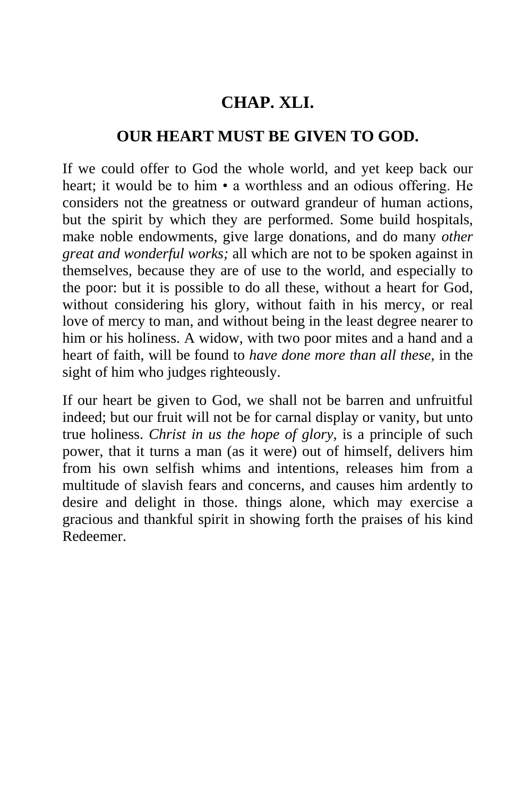## **CHAP. XLI.**

#### **OUR HEART MUST BE GIVEN TO GOD.**

If we could offer to God the whole world, and yet keep back our heart; it would be to him • a worthless and an odious offering. He considers not the greatness or outward grandeur of human actions, but the spirit by which they are performed. Some build hospitals, make noble endowments, give large donations, and do many *other great and wonderful works;* all which are not to be spoken against in themselves, because they are of use to the world, and especially to the poor: but it is possible to do all these, without a heart for God, without considering his glory, without faith in his mercy, or real love of mercy to man, and without being in the least degree nearer to him or his holiness. A widow, with two poor mites and a hand and a heart of faith, will be found to *have done more than all these,* in the sight of him who judges righteously.

If our heart be given to God, we shall not be barren and unfruitful indeed; but our fruit will not be for carnal display or vanity, but unto true holiness. *Christ in us the hope of glory,* is a principle of such power, that it turns a man (as it were) out of himself, delivers him from his own selfish whims and intentions, releases him from a multitude of slavish fears and concerns, and causes him ardently to desire and delight in those. things alone, which may exercise a gracious and thankful spirit in showing forth the praises of his kind Redeemer.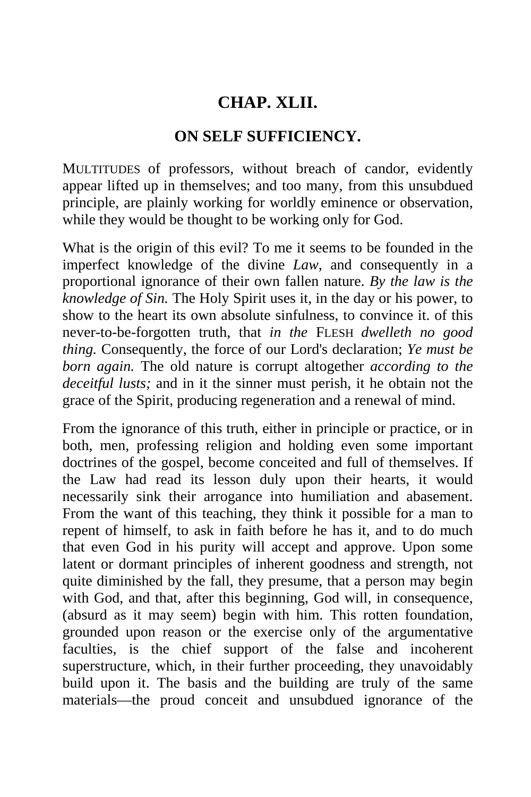## **CHAP. XLII.**

## **ON SELF SUFFICIENCY.**

MULTITUDES of professors, without breach of candor, evidently appear lifted up in themselves; and too many, from this unsubdued principle, are plainly working for worldly eminence or observation, while they would be thought to be working only for God.

What is the origin of this evil? To me it seems to be founded in the imperfect knowledge of the divine *Law,* and consequently in a proportional ignorance of their own fallen nature. *By the law is the knowledge of Sin.* The Holy Spirit uses it, in the day or his power, to show to the heart its own absolute sinfulness, to convince it. of this never-to-be-forgotten truth, that *in the* FLESH *dwelleth no good thing.* Consequently, the force of our Lord's declaration; *Ye must be born again.* The old nature is corrupt altogether *according to the deceitful lusts;* and in it the sinner must perish, it he obtain not the grace of the Spirit, producing regeneration and a renewal of mind.

From the ignorance of this truth, either in principle or practice, or in both, men, professing religion and holding even some important doctrines of the gospel, become conceited and full of themselves. If the Law had read its lesson duly upon their hearts, it would necessarily sink their arrogance into humiliation and abasement. From the want of this teaching, they think it possible for a man to repent of himself, to ask in faith before he has it, and to do much that even God in his purity will accept and approve. Upon some latent or dormant principles of inherent goodness and strength, not quite diminished by the fall, they presume, that a person may begin with God, and that, after this beginning, God will, in consequence, (absurd as it may seem) begin with him. This rotten foundation, grounded upon reason or the exercise only of the argumentative faculties, is the chief support of the false and incoherent superstructure, which, in their further proceeding, they unavoidably build upon it. The basis and the building are truly of the same materials—the proud conceit and unsubdued ignorance of the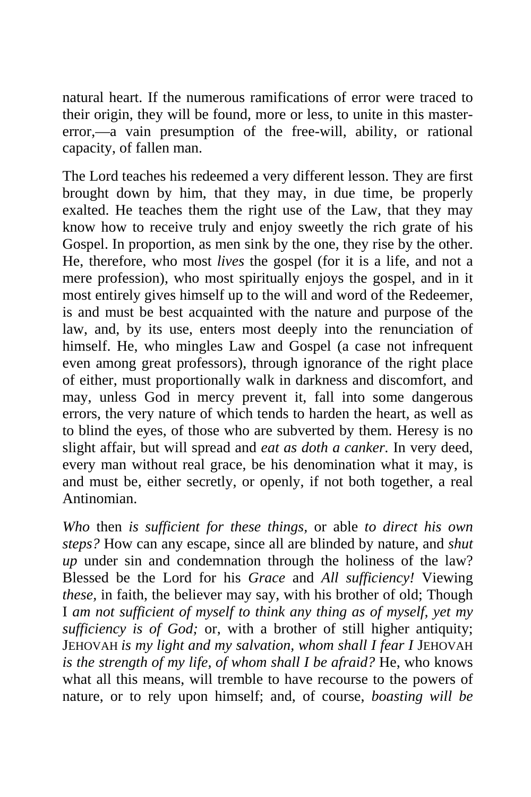natural heart. If the numerous ramifications of error were traced to their origin, they will be found, more or less, to unite in this mastererror,—a vain presumption of the free-will, ability, or rational capacity, of fallen man.

The Lord teaches his redeemed a very different lesson. They are first brought down by him, that they may, in due time, be properly exalted. He teaches them the right use of the Law, that they may know how to receive truly and enjoy sweetly the rich grate of his Gospel. In proportion, as men sink by the one, they rise by the other. He, therefore, who most *lives* the gospel (for it is a life, and not a mere profession), who most spiritually enjoys the gospel, and in it most entirely gives himself up to the will and word of the Redeemer, is and must be best acquainted with the nature and purpose of the law, and, by its use, enters most deeply into the renunciation of himself. He, who mingles Law and Gospel (a case not infrequent even among great professors), through ignorance of the right place of either, must proportionally walk in darkness and discomfort, and may, unless God in mercy prevent it, fall into some dangerous errors, the very nature of which tends to harden the heart, as well as to blind the eyes, of those who are subverted by them. Heresy is no slight affair, but will spread and *eat as doth a canker.* In very deed, every man without real grace, be his denomination what it may, is and must be, either secretly, or openly, if not both together, a real Antinomian.

*Who* then *is sufficient for these things,* or able *to direct his own steps?* How can any escape, since all are blinded by nature, and *shut up* under sin and condemnation through the holiness of the law? Blessed be the Lord for his *Grace* and *All sufficiency!* Viewing *these,* in faith, the believer may say, with his brother of old; Though I *am not sufficient of myself to think any thing as of myself, yet my sufficiency is of God;* or, with a brother of still higher antiquity; JEHOVAH *is my light and my salvation, whom shall I fear I JEHOVAH is the strength of my life, of whom shall I be afraid?* He, who knows what all this means, will tremble to have recourse to the powers of nature, or to rely upon himself; and, of course, *boasting will be*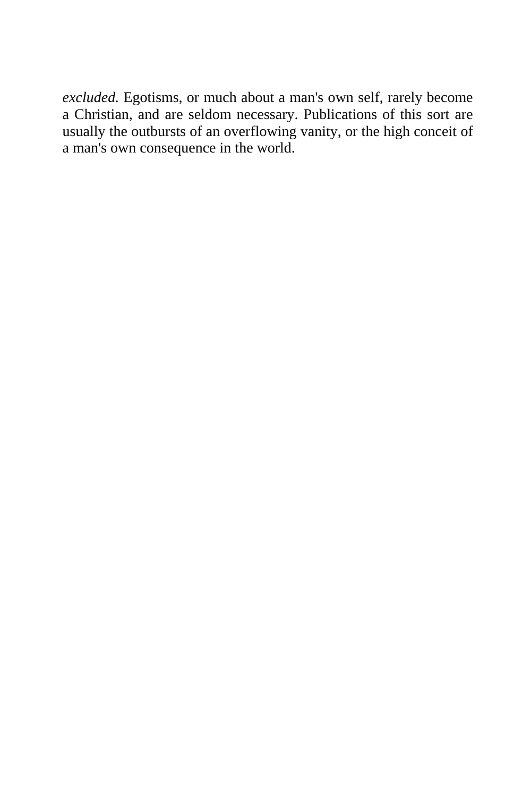*excluded.* Egotisms, or much about a man's own self, rarely become a Christian, and are seldom necessary. Publications of this sort are usually the outbursts of an overflowing vanity, or the high conceit of a man's own consequence in the world.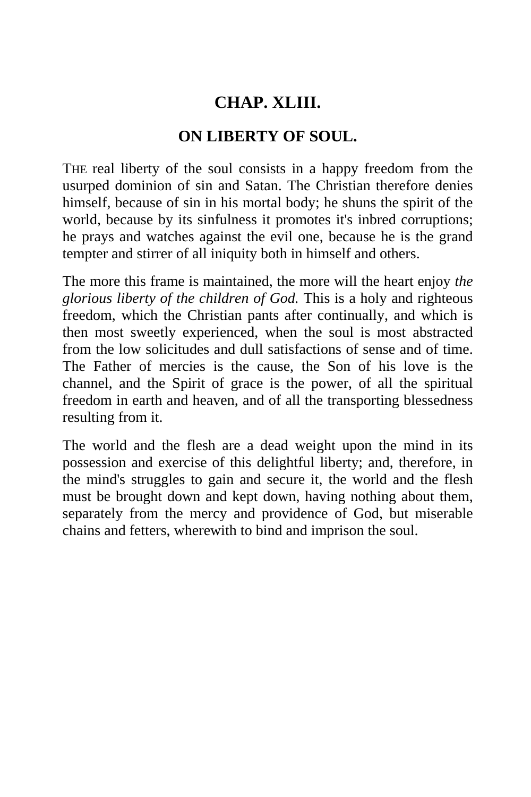# **CHAP. XLIII.**

#### **ON LIBERTY OF SOUL.**

THE real liberty of the soul consists in a happy freedom from the usurped dominion of sin and Satan. The Christian therefore denies himself, because of sin in his mortal body; he shuns the spirit of the world, because by its sinfulness it promotes it's inbred corruptions; he prays and watches against the evil one, because he is the grand tempter and stirrer of all iniquity both in himself and others.

The more this frame is maintained, the more will the heart enjoy *the glorious liberty of the children of God.* This is a holy and righteous freedom, which the Christian pants after continually, and which is then most sweetly experienced, when the soul is most abstracted from the low solicitudes and dull satisfactions of sense and of time. The Father of mercies is the cause, the Son of his love is the channel, and the Spirit of grace is the power, of all the spiritual freedom in earth and heaven, and of all the transporting blessedness resulting from it.

The world and the flesh are a dead weight upon the mind in its possession and exercise of this delightful liberty; and, therefore, in the mind's struggles to gain and secure it, the world and the flesh must be brought down and kept down, having nothing about them, separately from the mercy and providence of God, but miserable chains and fetters, wherewith to bind and imprison the soul.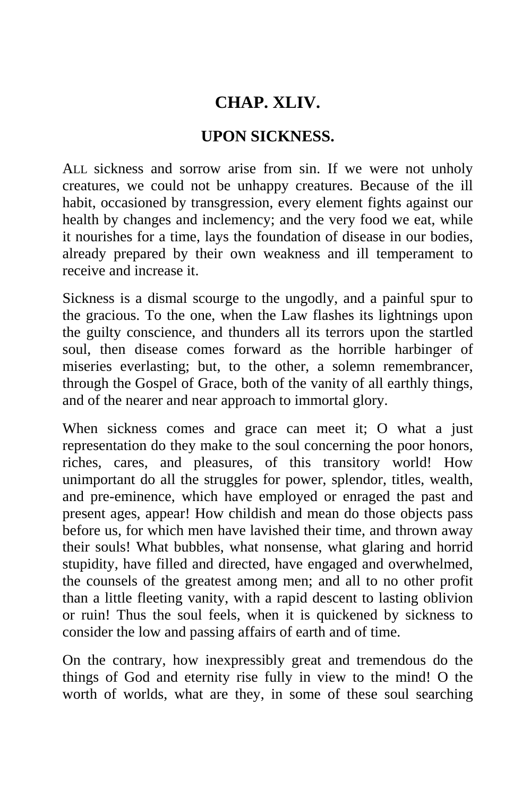# **CHAP. XLIV.**

#### **UPON SICKNESS.**

ALL sickness and sorrow arise from sin. If we were not unholy creatures, we could not be unhappy creatures. Because of the ill habit, occasioned by transgression, every element fights against our health by changes and inclemency; and the very food we eat, while it nourishes for a time, lays the foundation of disease in our bodies, already prepared by their own weakness and ill temperament to receive and increase it.

Sickness is a dismal scourge to the ungodly, and a painful spur to the gracious. To the one, when the Law flashes its lightnings upon the guilty conscience, and thunders all its terrors upon the startled soul, then disease comes forward as the horrible harbinger of miseries everlasting; but, to the other, a solemn remembrancer, through the Gospel of Grace, both of the vanity of all earthly things, and of the nearer and near approach to immortal glory.

When sickness comes and grace can meet it; O what a just representation do they make to the soul concerning the poor honors, riches, cares, and pleasures, of this transitory world! How unimportant do all the struggles for power, splendor, titles, wealth, and pre-eminence, which have employed or enraged the past and present ages, appear! How childish and mean do those objects pass before us, for which men have lavished their time, and thrown away their souls! What bubbles, what nonsense, what glaring and horrid stupidity, have filled and directed, have engaged and overwhelmed, the counsels of the greatest among men; and all to no other profit than a little fleeting vanity, with a rapid descent to lasting oblivion or ruin! Thus the soul feels, when it is quickened by sickness to consider the low and passing affairs of earth and of time.

On the contrary, how inexpressibly great and tremendous do the things of God and eternity rise fully in view to the mind! O the worth of worlds, what are they, in some of these soul searching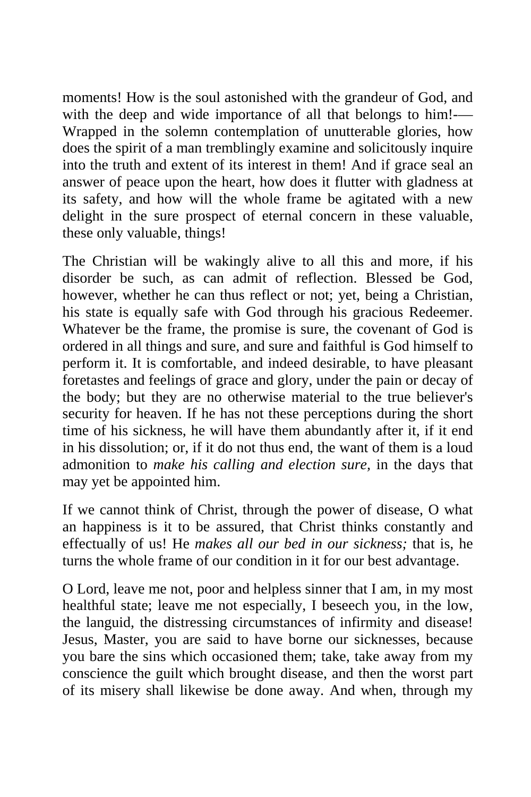moments! How is the soul astonished with the grandeur of God, and with the deep and wide importance of all that belongs to him!-Wrapped in the solemn contemplation of unutterable glories, how does the spirit of a man tremblingly examine and solicitously inquire into the truth and extent of its interest in them! And if grace seal an answer of peace upon the heart, how does it flutter with gladness at its safety, and how will the whole frame be agitated with a new delight in the sure prospect of eternal concern in these valuable, these only valuable, things!

The Christian will be wakingly alive to all this and more, if his disorder be such, as can admit of reflection. Blessed be God, however, whether he can thus reflect or not; yet, being a Christian, his state is equally safe with God through his gracious Redeemer. Whatever be the frame, the promise is sure, the covenant of God is ordered in all things and sure, and sure and faithful is God himself to perform it. It is comfortable, and indeed desirable, to have pleasant foretastes and feelings of grace and glory, under the pain or decay of the body; but they are no otherwise material to the true believer's security for heaven. If he has not these perceptions during the short time of his sickness, he will have them abundantly after it, if it end in his dissolution; or, if it do not thus end, the want of them is a loud admonition to *make his calling and election sure,* in the days that may yet be appointed him.

If we cannot think of Christ, through the power of disease, O what an happiness is it to be assured, that Christ thinks constantly and effectually of us! He *makes all our bed in our sickness;* that is, he turns the whole frame of our condition in it for our best advantage.

O Lord, leave me not, poor and helpless sinner that I am, in my most healthful state; leave me not especially, I beseech you, in the low, the languid, the distressing circumstances of infirmity and disease! Jesus, Master, you are said to have borne our sicknesses, because you bare the sins which occasioned them; take, take away from my conscience the guilt which brought disease, and then the worst part of its misery shall likewise be done away. And when, through my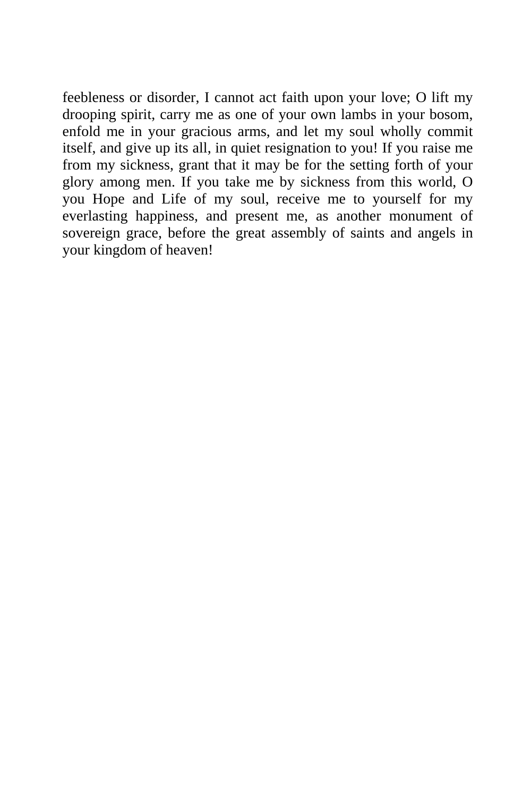feebleness or disorder, I cannot act faith upon your love; O lift my drooping spirit, carry me as one of your own lambs in your bosom, enfold me in your gracious arms, and let my soul wholly commit itself, and give up its all, in quiet resignation to you! If you raise me from my sickness, grant that it may be for the setting forth of your glory among men. If you take me by sickness from this world, O you Hope and Life of my soul, receive me to yourself for my everlasting happiness, and present me, as another monument of sovereign grace, before the great assembly of saints and angels in your kingdom of heaven!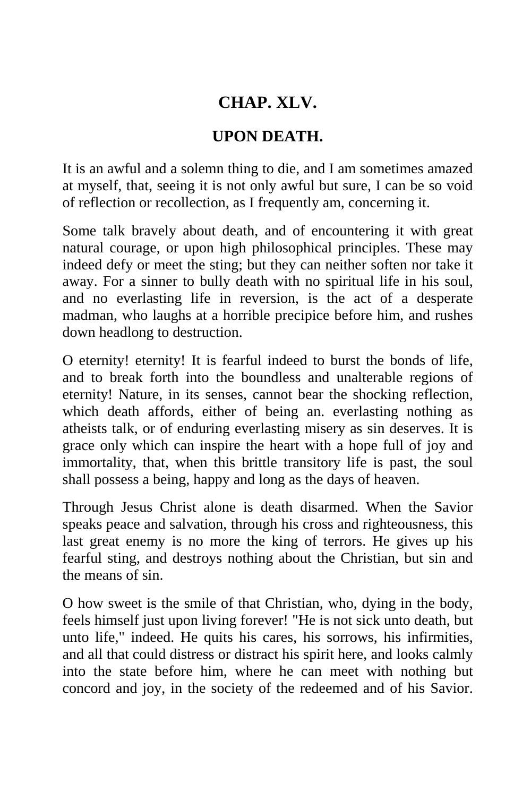# **CHAP. XLV.**

### **UPON DEATH.**

It is an awful and a solemn thing to die, and I am sometimes amazed at myself, that, seeing it is not only awful but sure, I can be so void of reflection or recollection, as I frequently am, concerning it.

Some talk bravely about death, and of encountering it with great natural courage, or upon high philosophical principles. These may indeed defy or meet the sting; but they can neither soften nor take it away. For a sinner to bully death with no spiritual life in his soul, and no everlasting life in reversion, is the act of a desperate madman, who laughs at a horrible precipice before him, and rushes down headlong to destruction.

O eternity! eternity! It is fearful indeed to burst the bonds of life, and to break forth into the boundless and unalterable regions of eternity! Nature, in its senses, cannot bear the shocking reflection, which death affords, either of being an. everlasting nothing as atheists talk, or of enduring everlasting misery as sin deserves. It is grace only which can inspire the heart with a hope full of joy and immortality, that, when this brittle transitory life is past, the soul shall possess a being, happy and long as the days of heaven.

Through Jesus Christ alone is death disarmed. When the Savior speaks peace and salvation, through his cross and righteousness, this last great enemy is no more the king of terrors. He gives up his fearful sting, and destroys nothing about the Christian, but sin and the means of sin.

O how sweet is the smile of that Christian, who, dying in the body, feels himself just upon living forever! "He is not sick unto death, but unto life," indeed. He quits his cares, his sorrows, his infirmities, and all that could distress or distract his spirit here, and looks calmly into the state before him, where he can meet with nothing but concord and joy, in the society of the redeemed and of his Savior.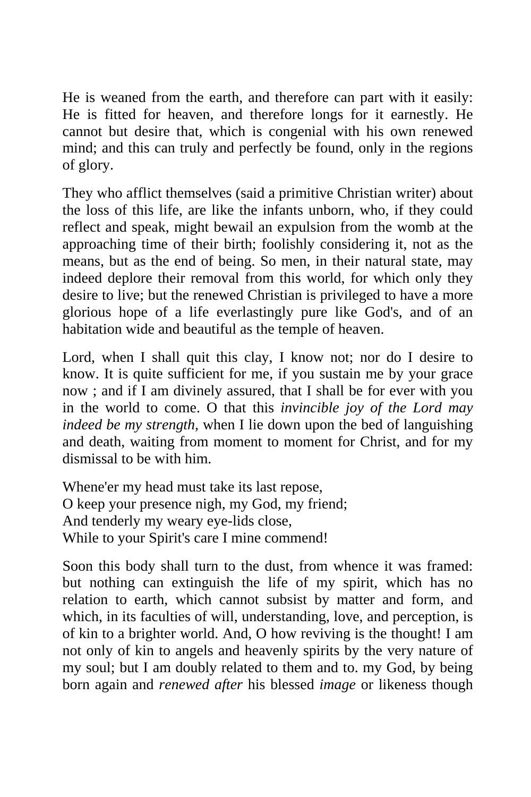He is weaned from the earth, and therefore can part with it easily: He is fitted for heaven, and therefore longs for it earnestly. He cannot but desire that, which is congenial with his own renewed mind; and this can truly and perfectly be found, only in the regions of glory.

They who afflict themselves (said a primitive Christian writer) about the loss of this life, are like the infants unborn, who, if they could reflect and speak, might bewail an expulsion from the womb at the approaching time of their birth; foolishly considering it, not as the means, but as the end of being. So men, in their natural state, may indeed deplore their removal from this world, for which only they desire to live; but the renewed Christian is privileged to have a more glorious hope of a life everlastingly pure like God's, and of an habitation wide and beautiful as the temple of heaven.

Lord, when I shall quit this clay, I know not; nor do I desire to know. It is quite sufficient for me, if you sustain me by your grace now ; and if I am divinely assured, that I shall be for ever with you in the world to come. O that this *invincible joy of the Lord may indeed be my strength,* when I lie down upon the bed of languishing and death, waiting from moment to moment for Christ, and for my dismissal to be with him.

Whene'er my head must take its last repose, O keep your presence nigh, my God, my friend; And tenderly my weary eye-lids close, While to your Spirit's care I mine commend!

Soon this body shall turn to the dust, from whence it was framed: but nothing can extinguish the life of my spirit, which has no relation to earth, which cannot subsist by matter and form, and which, in its faculties of will, understanding, love, and perception, is of kin to a brighter world. And, O how reviving is the thought! I am not only of kin to angels and heavenly spirits by the very nature of my soul; but I am doubly related to them and to. my God, by being born again and *renewed after* his blessed *image* or likeness though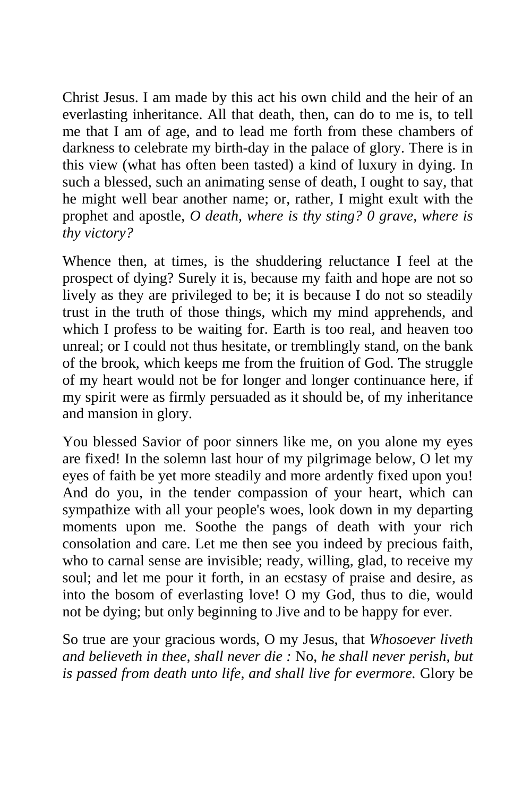Christ Jesus. I am made by this act his own child and the heir of an everlasting inheritance. All that death, then, can do to me is, to tell me that I am of age, and to lead me forth from these chambers of darkness to celebrate my birth-day in the palace of glory. There is in this view (what has often been tasted) a kind of luxury in dying. In such a blessed, such an animating sense of death, I ought to say, that he might well bear another name; or, rather, I might exult with the prophet and apostle, *O death, where is thy sting? 0 grave, where is thy victory?*

Whence then, at times, is the shuddering reluctance I feel at the prospect of dying? Surely it is, because my faith and hope are not so lively as they are privileged to be; it is because I do not so steadily trust in the truth of those things, which my mind apprehends, and which I profess to be waiting for. Earth is too real, and heaven too unreal; or I could not thus hesitate, or tremblingly stand, on the bank of the brook, which keeps me from the fruition of God. The struggle of my heart would not be for longer and longer continuance here, if my spirit were as firmly persuaded as it should be, of my inheritance and mansion in glory.

You blessed Savior of poor sinners like me, on you alone my eyes are fixed! In the solemn last hour of my pilgrimage below, O let my eyes of faith be yet more steadily and more ardently fixed upon you! And do you, in the tender compassion of your heart, which can sympathize with all your people's woes, look down in my departing moments upon me. Soothe the pangs of death with your rich consolation and care. Let me then see you indeed by precious faith, who to carnal sense are invisible; ready, willing, glad, to receive my soul; and let me pour it forth, in an ecstasy of praise and desire, as into the bosom of everlasting love! O my God, thus to die, would not be dying; but only beginning to Jive and to be happy for ever.

So true are your gracious words, O my Jesus, that *Whosoever liveth and believeth in thee, shall never die :* No, *he shall never perish, but is passed from death unto life, and shall live for evermore.* Glory be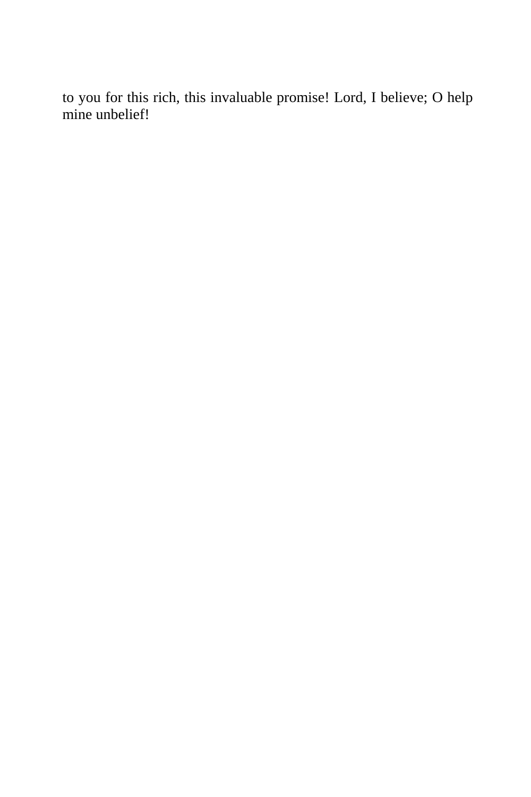to you for this rich, this invaluable promise! Lord, I believe; O help mine unbelief!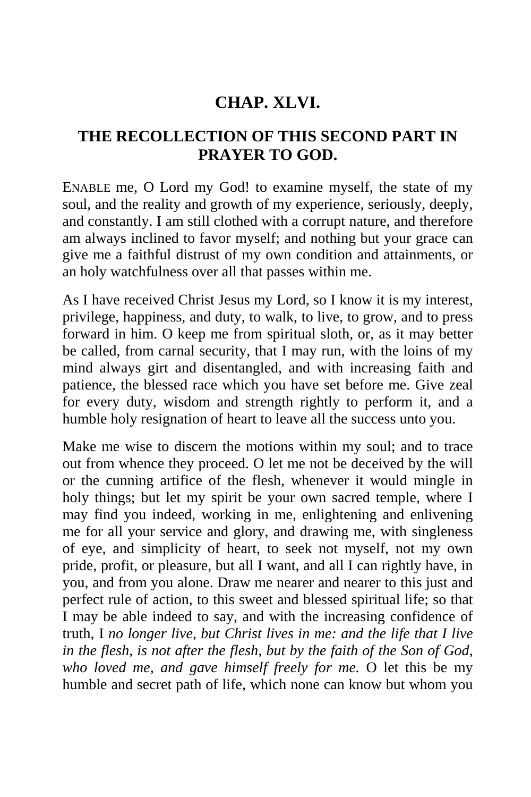## **CHAP. XLVI.**

#### **THE RECOLLECTION OF THIS SECOND PART IN PRAYER TO GOD.**

ENABLE me, O Lord my God! to examine myself, the state of my soul, and the reality and growth of my experience, seriously, deeply, and constantly. I am still clothed with a corrupt nature, and therefore am always inclined to favor myself; and nothing but your grace can give me a faithful distrust of my own condition and attainments, or an holy watchfulness over all that passes within me.

As I have received Christ Jesus my Lord, so I know it is my interest, privilege, happiness, and duty, to walk, to live, to grow, and to press forward in him. O keep me from spiritual sloth, or, as it may better be called, from carnal security, that I may run, with the loins of my mind always girt and disentangled, and with increasing faith and patience, the blessed race which you have set before me. Give zeal for every duty, wisdom and strength rightly to perform it, and a humble holy resignation of heart to leave all the success unto you.

Make me wise to discern the motions within my soul; and to trace out from whence they proceed. O let me not be deceived by the will or the cunning artifice of the flesh, whenever it would mingle in holy things; but let my spirit be your own sacred temple, where I may find you indeed, working in me, enlightening and enlivening me for all your service and glory, and drawing me, with singleness of eye, and simplicity of heart, to seek not myself, not my own pride, profit, or pleasure, but all I want, and all I can rightly have, in you, and from you alone. Draw me nearer and nearer to this just and perfect rule of action, to this sweet and blessed spiritual life; so that I may be able indeed to say, and with the increasing confidence of truth, I *no longer live, but Christ lives in me: and the life that I live in the flesh, is not after the flesh, but by the faith of the Son of God, who loved me, and gave himself freely for me.* O let this be my humble and secret path of life, which none can know but whom you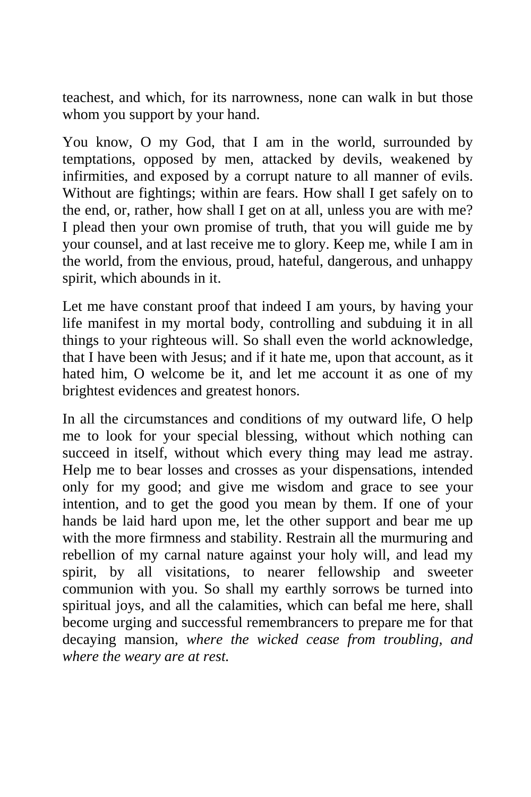teachest, and which, for its narrowness, none can walk in but those whom you support by your hand.

You know, O my God, that I am in the world, surrounded by temptations, opposed by men, attacked by devils, weakened by infirmities, and exposed by a corrupt nature to all manner of evils. Without are fightings; within are fears. How shall I get safely on to the end, or, rather, how shall I get on at all, unless you are with me? I plead then your own promise of truth, that you will guide me by your counsel, and at last receive me to glory. Keep me, while I am in the world, from the envious, proud, hateful, dangerous, and unhappy spirit, which abounds in it.

Let me have constant proof that indeed I am yours, by having your life manifest in my mortal body, controlling and subduing it in all things to your righteous will. So shall even the world acknowledge, that I have been with Jesus; and if it hate me, upon that account, as it hated him, O welcome be it, and let me account it as one of my brightest evidences and greatest honors.

In all the circumstances and conditions of my outward life, O help me to look for your special blessing, without which nothing can succeed in itself, without which every thing may lead me astray. Help me to bear losses and crosses as your dispensations, intended only for my good; and give me wisdom and grace to see your intention, and to get the good you mean by them. If one of your hands be laid hard upon me, let the other support and bear me up with the more firmness and stability. Restrain all the murmuring and rebellion of my carnal nature against your holy will, and lead my spirit, by all visitations, to nearer fellowship and sweeter communion with you. So shall my earthly sorrows be turned into spiritual joys, and all the calamities, which can befal me here, shall become urging and successful remembrancers to prepare me for that decaying mansion, *where the wicked cease from troubling, and where the weary are at rest.*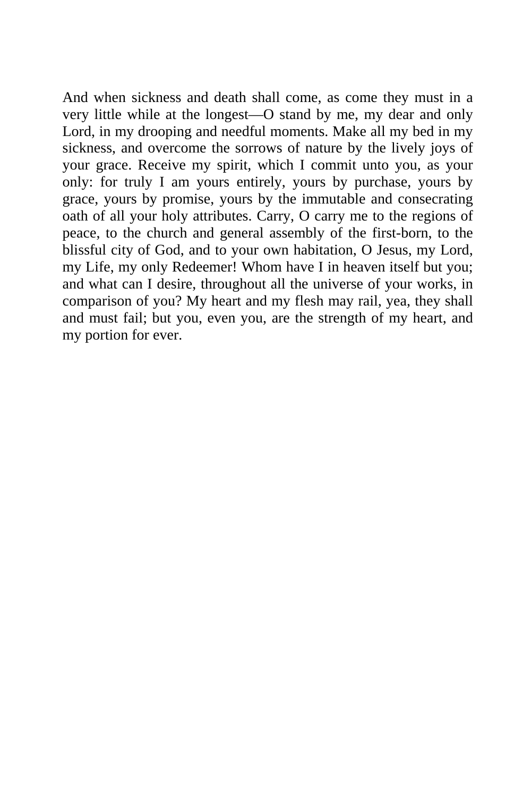And when sickness and death shall come, as come they must in a very little while at the longest—O stand by me, my dear and only Lord, in my drooping and needful moments. Make all my bed in my sickness, and overcome the sorrows of nature by the lively joys of your grace. Receive my spirit, which I commit unto you, as your only: for truly I am yours entirely, yours by purchase, yours by grace, yours by promise, yours by the immutable and consecrating oath of all your holy attributes. Carry, O carry me to the regions of peace, to the church and general assembly of the first-born, to the blissful city of God, and to your own habitation, O Jesus, my Lord, my Life, my only Redeemer! Whom have I in heaven itself but you; and what can I desire, throughout all the universe of your works, in comparison of you? My heart and my flesh may rail, yea, they shall and must fail; but you, even you, are the strength of my heart, and my portion for ever.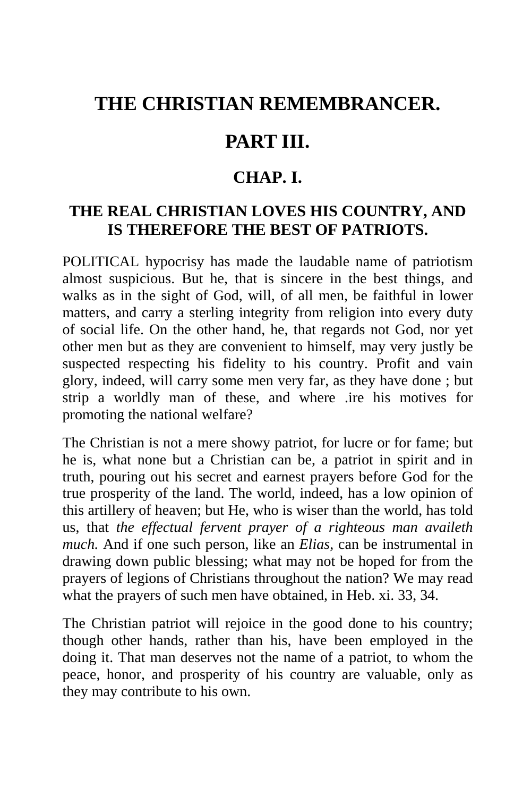# **THE CHRISTIAN REMEMBRANCER.**

## **PART III.**

### **CHAP. I.**

#### **THE REAL CHRISTIAN LOVES HIS COUNTRY, AND IS THEREFORE THE BEST OF PATRIOTS.**

POLITICAL hypocrisy has made the laudable name of patriotism almost suspicious. But he, that is sincere in the best things, and walks as in the sight of God, will, of all men, be faithful in lower matters, and carry a sterling integrity from religion into every duty of social life. On the other hand, he, that regards not God, nor yet other men but as they are convenient to himself, may very justly be suspected respecting his fidelity to his country. Profit and vain glory, indeed, will carry some men very far, as they have done ; but strip a worldly man of these, and where .ire his motives for promoting the national welfare?

The Christian is not a mere showy patriot, for lucre or for fame; but he is, what none but a Christian can be, a patriot in spirit and in truth, pouring out his secret and earnest prayers before God for the true prosperity of the land. The world, indeed, has a low opinion of this artillery of heaven; but He, who is wiser than the world, has told us, that *the effectual fervent prayer of a righteous man availeth much.* And if one such person, like an *Elias,* can be instrumental in drawing down public blessing; what may not be hoped for from the prayers of legions of Christians throughout the nation? We may read what the prayers of such men have obtained, in Heb. xi. 33, 34.

The Christian patriot will rejoice in the good done to his country; though other hands, rather than his, have been employed in the doing it. That man deserves not the name of a patriot, to whom the peace, honor, and prosperity of his country are valuable, only as they may contribute to his own.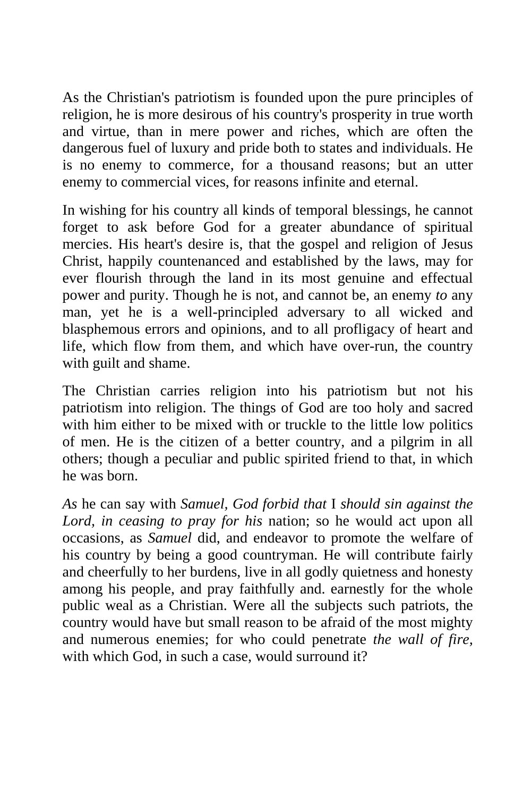As the Christian's patriotism is founded upon the pure principles of religion, he is more desirous of his country's prosperity in true worth and virtue, than in mere power and riches, which are often the dangerous fuel of luxury and pride both to states and individuals. He is no enemy to commerce, for a thousand reasons; but an utter enemy to commercial vices, for reasons infinite and eternal.

In wishing for his country all kinds of temporal blessings, he cannot forget to ask before God for a greater abundance of spiritual mercies. His heart's desire is, that the gospel and religion of Jesus Christ, happily countenanced and established by the laws, may for ever flourish through the land in its most genuine and effectual power and purity. Though he is not, and cannot be, an enemy *to* any man, yet he is a well-principled adversary to all wicked and blasphemous errors and opinions, and to all profligacy of heart and life, which flow from them, and which have over-run, the country with guilt and shame.

The Christian carries religion into his patriotism but not his patriotism into religion. The things of God are too holy and sacred with him either to be mixed with or truckle to the little low politics of men. He is the citizen of a better country, and a pilgrim in all others; though a peculiar and public spirited friend to that, in which he was born.

*As* he can say with *Samuel, God forbid that* I *should sin against the Lord, in ceasing to pray for his* nation; so he would act upon all occasions, as *Samuel* did, and endeavor to promote the welfare of his country by being a good countryman. He will contribute fairly and cheerfully to her burdens, live in all godly quietness and honesty among his people, and pray faithfully and. earnestly for the whole public weal as a Christian. Were all the subjects such patriots, the country would have but small reason to be afraid of the most mighty and numerous enemies; for who could penetrate *the wall of fire,*  with which God, in such a case, would surround it?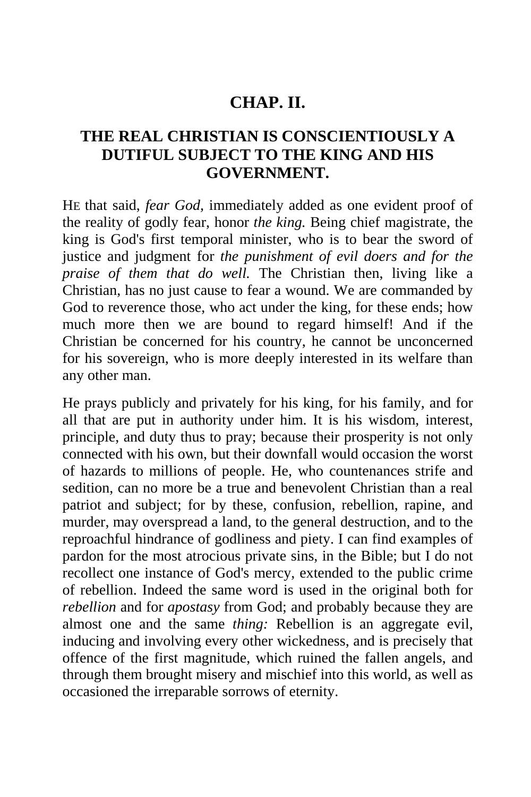#### **CHAP. II.**

#### **THE REAL CHRISTIAN IS CONSCIENTIOUSLY A DUTIFUL SUBJECT TO THE KING AND HIS GOVERNMENT.**

HE that said, *fear God,* immediately added as one evident proof of the reality of godly fear, honor *the king.* Being chief magistrate, the king is God's first temporal minister, who is to bear the sword of justice and judgment for *the punishment of evil doers and for the praise of them that do well.* The Christian then, living like a Christian, has no just cause to fear a wound. We are commanded by God to reverence those, who act under the king, for these ends; how much more then we are bound to regard himself! And if the Christian be concerned for his country, he cannot be unconcerned for his sovereign, who is more deeply interested in its welfare than any other man.

He prays publicly and privately for his king, for his family, and for all that are put in authority under him. It is his wisdom, interest, principle, and duty thus to pray; because their prosperity is not only connected with his own, but their downfall would occasion the worst of hazards to millions of people. He, who countenances strife and sedition, can no more be a true and benevolent Christian than a real patriot and subject; for by these, confusion, rebellion, rapine, and murder, may overspread a land, to the general destruction, and to the reproachful hindrance of godliness and piety. I can find examples of pardon for the most atrocious private sins, in the Bible; but I do not recollect one instance of God's mercy, extended to the public crime of rebellion. Indeed the same word is used in the original both for *rebellion* and for *apostasy* from God; and probably because they are almost one and the same *thing:* Rebellion is an aggregate evil, inducing and involving every other wickedness, and is precisely that offence of the first magnitude, which ruined the fallen angels, and through them brought misery and mischief into this world, as well as occasioned the irreparable sorrows of eternity.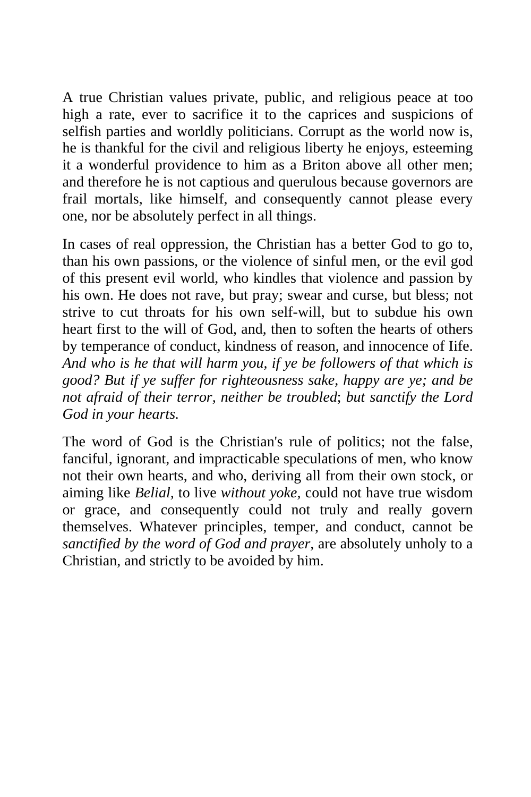A true Christian values private, public, and religious peace at too high a rate, ever to sacrifice it to the caprices and suspicions of selfish parties and worldly politicians. Corrupt as the world now is, he is thankful for the civil and religious liberty he enjoys, esteeming it a wonderful providence to him as a Briton above all other men; and therefore he is not captious and querulous because governors are frail mortals, like himself, and consequently cannot please every one, nor be absolutely perfect in all things.

In cases of real oppression, the Christian has a better God to go to, than his own passions, or the violence of sinful men, or the evil god of this present evil world, who kindles that violence and passion by his own. He does not rave, but pray; swear and curse, but bless; not strive to cut throats for his own self-will, but to subdue his own heart first to the will of God, and, then to soften the hearts of others by temperance of conduct, kindness of reason, and innocence of Iife. *And who is he that will harm you, if ye be followers of that which is good? But if ye suffer for righteousness sake, happy are ye; and be not afraid of their terror, neither be troubled*; *but sanctify the Lord God in your hearts.* 

The word of God is the Christian's rule of politics; not the false, fanciful, ignorant, and impracticable speculations of men, who know not their own hearts, and who, deriving all from their own stock, or aiming like *Belial,* to live *without yoke,* could not have true wisdom or grace, and consequently could not truly and really govern themselves. Whatever principles, temper, and conduct, cannot be *sanctified by the word of God and prayer,* are absolutely unholy to a Christian, and strictly to be avoided by him.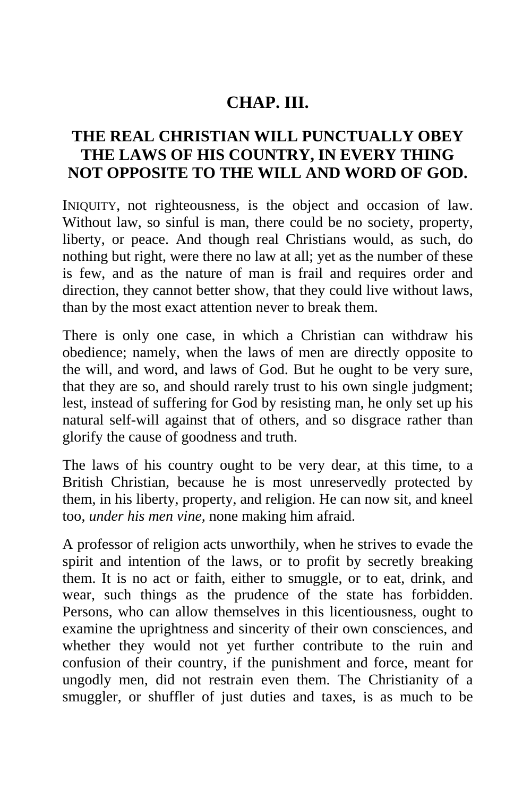### **CHAP. III.**

#### **THE REAL CHRISTIAN WILL PUNCTUALLY OBEY THE LAWS OF HIS COUNTRY, IN EVERY THING NOT OPPOSITE TO THE WILL AND WORD OF GOD.**

INIQUITY, not righteousness, is the object and occasion of law. Without law, so sinful is man, there could be no society, property, liberty, or peace. And though real Christians would, as such, do nothing but right, were there no law at all; yet as the number of these is few, and as the nature of man is frail and requires order and direction, they cannot better show, that they could live without laws, than by the most exact attention never to break them.

There is only one case, in which a Christian can withdraw his obedience; namely, when the laws of men are directly opposite to the will, and word, and laws of God. But he ought to be very sure, that they are so, and should rarely trust to his own single judgment; lest, instead of suffering for God by resisting man, he only set up his natural self-will against that of others, and so disgrace rather than glorify the cause of goodness and truth.

The laws of his country ought to be very dear, at this time, to a British Christian, because he is most unreservedly protected by them, in his liberty, property, and religion. He can now sit, and kneel too, *under his men vine,* none making him afraid.

A professor of religion acts unworthily, when he strives to evade the spirit and intention of the laws, or to profit by secretly breaking them. It is no act or faith, either to smuggle, or to eat, drink, and wear, such things as the prudence of the state has forbidden. Persons, who can allow themselves in this licentiousness, ought to examine the uprightness and sincerity of their own consciences, and whether they would not yet further contribute to the ruin and confusion of their country, if the punishment and force, meant for ungodly men, did not restrain even them. The Christianity of a smuggler, or shuffler of just duties and taxes, is as much to be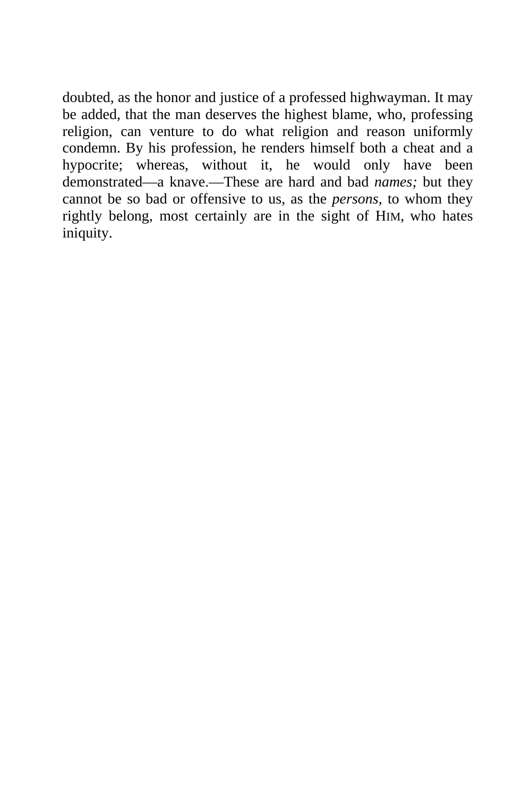doubted, as the honor and justice of a professed highwayman. It may be added, that the man deserves the highest blame, who, professing religion, can venture to do what religion and reason uniformly condemn. By his profession, he renders himself both a cheat and a hypocrite; whereas, without it, he would only have been demonstrated—a knave.—These are hard and bad *names;* but they cannot be so bad or offensive to us, as the *persons,* to whom they rightly belong, most certainly are in the sight of HIM, who hates iniquity.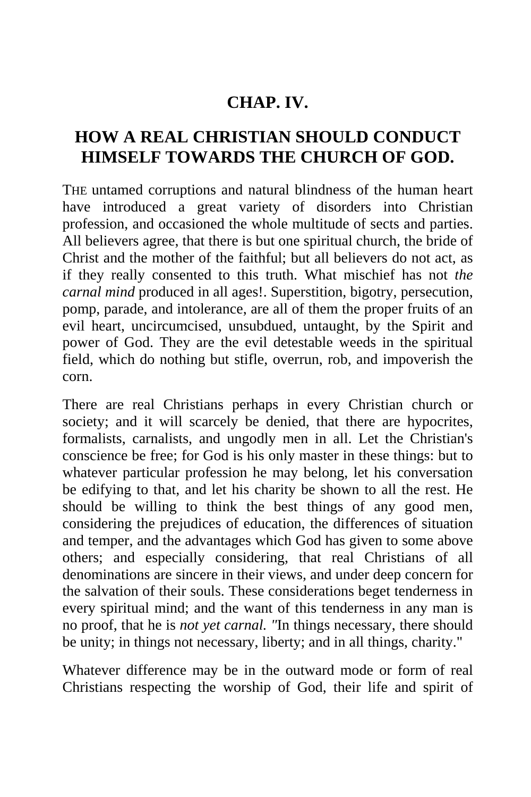### **CHAP. IV.**

### **HOW A REAL CHRISTIAN SHOULD CONDUCT HIMSELF TOWARDS THE CHURCH OF GOD.**

THE untamed corruptions and natural blindness of the human heart have introduced a great variety of disorders into Christian profession, and occasioned the whole multitude of sects and parties. All believers agree, that there is but one spiritual church, the bride of Christ and the mother of the faithful; but all believers do not act, as if they really consented to this truth. What mischief has not *the carnal mind* produced in all ages!. Superstition, bigotry, persecution, pomp, parade, and intolerance, are all of them the proper fruits of an evil heart, uncircumcised, unsubdued, untaught, by the Spirit and power of God. They are the evil detestable weeds in the spiritual field, which do nothing but stifle, overrun, rob, and impoverish the corn.

There are real Christians perhaps in every Christian church or society; and it will scarcely be denied, that there are hypocrites, formalists, carnalists, and ungodly men in all. Let the Christian's conscience be free; for God is his only master in these things: but to whatever particular profession he may belong, let his conversation be edifying to that, and let his charity be shown to all the rest. He should be willing to think the best things of any good men, considering the prejudices of education, the differences of situation and temper, and the advantages which God has given to some above others; and especially considering, that real Christians of all denominations are sincere in their views, and under deep concern for the salvation of their souls. These considerations beget tenderness in every spiritual mind; and the want of this tenderness in any man is no proof, that he is *not yet carnal. "*In things necessary, there should be unity; in things not necessary, liberty; and in all things, charity."

Whatever difference may be in the outward mode or form of real Christians respecting the worship of God, their life and spirit of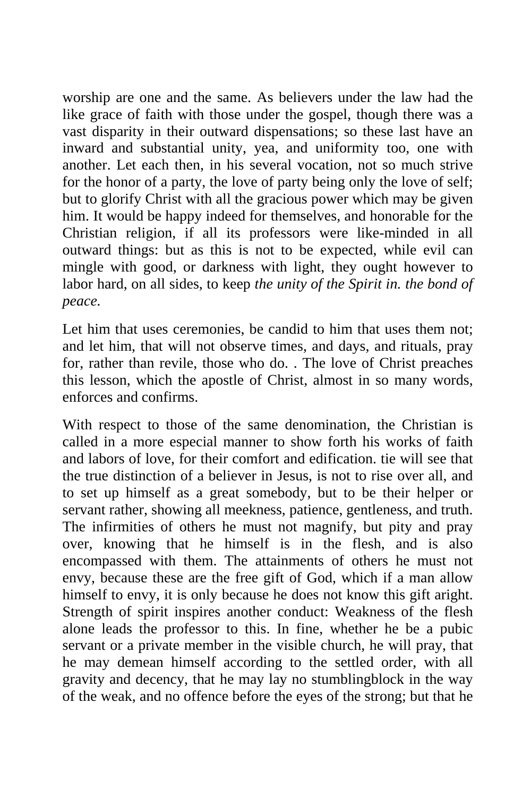worship are one and the same. As believers under the law had the like grace of faith with those under the gospel, though there was a vast disparity in their outward dispensations; so these last have an inward and substantial unity, yea, and uniformity too, one with another. Let each then, in his several vocation, not so much strive for the honor of a party, the love of party being only the love of self; but to glorify Christ with all the gracious power which may be given him. It would be happy indeed for themselves, and honorable for the Christian religion, if all its professors were like-minded in all outward things: but as this is not to be expected, while evil can mingle with good, or darkness with light, they ought however to labor hard, on all sides, to keep *the unity of the Spirit in. the bond of peace.* 

Let him that uses ceremonies, be candid to him that uses them not: and let him, that will not observe times, and days, and rituals, pray for, rather than revile, those who do. . The love of Christ preaches this lesson, which the apostle of Christ, almost in so many words, enforces and confirms.

With respect to those of the same denomination, the Christian is called in a more especial manner to show forth his works of faith and labors of love, for their comfort and edification. tie will see that the true distinction of a believer in Jesus, is not to rise over all, and to set up himself as a great somebody, but to be their helper or servant rather, showing all meekness, patience, gentleness, and truth. The infirmities of others he must not magnify, but pity and pray over, knowing that he himself is in the flesh, and is also encompassed with them. The attainments of others he must not envy, because these are the free gift of God, which if a man allow himself to envy, it is only because he does not know this gift aright. Strength of spirit inspires another conduct: Weakness of the flesh alone leads the professor to this. In fine, whether he be a pubic servant or a private member in the visible church, he will pray, that he may demean himself according to the settled order, with all gravity and decency, that he may lay no stumblingblock in the way of the weak, and no offence before the eyes of the strong; but that he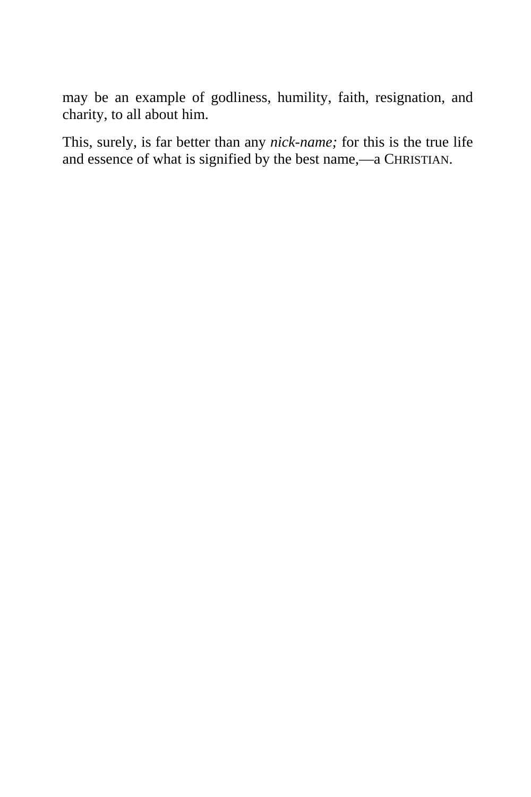may be an example of godliness, humility, faith, resignation, and charity, to all about him.

This, surely, is far better than any *nick-name;* for this is the true life and essence of what is signified by the best name,—a CHRISTIAN.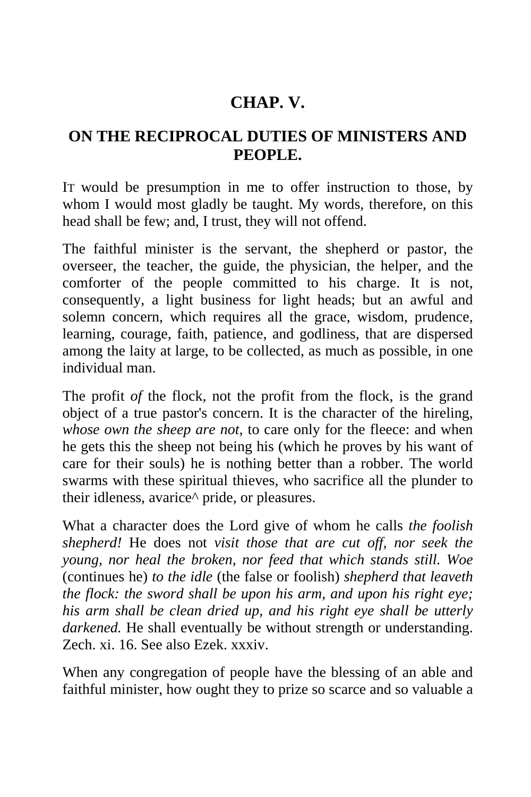## **CHAP. V.**

#### **ON THE RECIPROCAL DUTIES OF MINISTERS AND PEOPLE.**

IT would be presumption in me to offer instruction to those, by whom I would most gladly be taught. My words, therefore, on this head shall be few; and, I trust, they will not offend.

The faithful minister is the servant, the shepherd or pastor, the overseer, the teacher, the guide, the physician, the helper, and the comforter of the people committed to his charge. It is not, consequently, a light business for light heads; but an awful and solemn concern, which requires all the grace, wisdom, prudence, learning, courage, faith, patience, and godliness, that are dispersed among the laity at large, to be collected, as much as possible, in one individual man.

The profit *of* the flock, not the profit from the flock, is the grand object of a true pastor's concern. It is the character of the hireling, *whose own the sheep are not,* to care only for the fleece: and when he gets this the sheep not being his (which he proves by his want of care for their souls) he is nothing better than a robber. The world swarms with these spiritual thieves, who sacrifice all the plunder to their idleness, avarice^ pride, or pleasures.

What a character does the Lord give of whom he calls *the foolish shepherd!* He does not *visit those that are cut off, nor seek the young, nor heal the broken, nor feed that which stands still. Woe*  (continues he) *to the idle* (the false or foolish) *shepherd that leaveth the flock: the sword shall be upon his arm, and upon his right eye; his arm shall be clean dried up, and his right eye shall be utterly darkened.* He shall eventually be without strength or understanding. Zech. xi. 16. See also Ezek. xxxiv.

When any congregation of people have the blessing of an able and faithful minister, how ought they to prize so scarce and so valuable a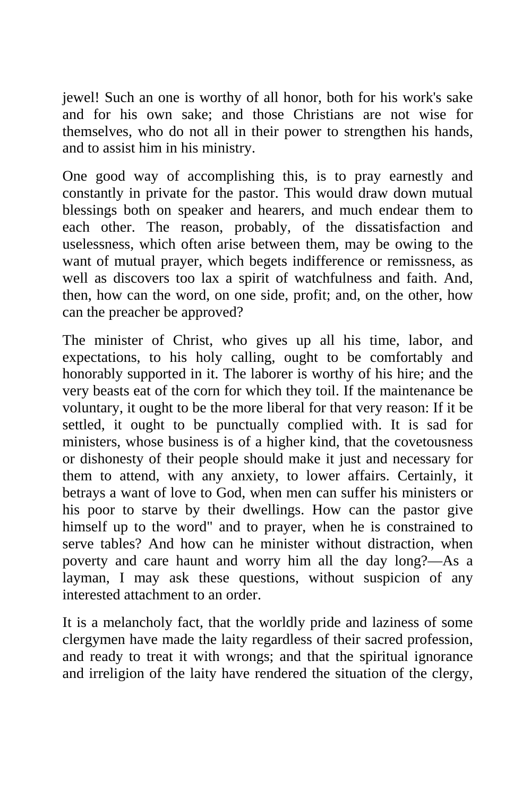jewel! Such an one is worthy of all honor, both for his work's sake and for his own sake; and those Christians are not wise for themselves, who do not all in their power to strengthen his hands, and to assist him in his ministry.

One good way of accomplishing this, is to pray earnestly and constantly in private for the pastor. This would draw down mutual blessings both on speaker and hearers, and much endear them to each other. The reason, probably, of the dissatisfaction and uselessness, which often arise between them, may be owing to the want of mutual prayer, which begets indifference or remissness, as well as discovers too lax a spirit of watchfulness and faith. And, then, how can the word, on one side, profit; and, on the other, how can the preacher be approved?

The minister of Christ, who gives up all his time, labor, and expectations, to his holy calling, ought to be comfortably and honorably supported in it. The laborer is worthy of his hire; and the very beasts eat of the corn for which they toil. If the maintenance be voluntary, it ought to be the more liberal for that very reason: If it be settled, it ought to be punctually complied with. It is sad for ministers, whose business is of a higher kind, that the covetousness or dishonesty of their people should make it just and necessary for them to attend, with any anxiety, to lower affairs. Certainly, it betrays a want of love to God, when men can suffer his ministers or his poor to starve by their dwellings. How can the pastor give himself up to the word" and to prayer, when he is constrained to serve tables? And how can he minister without distraction, when poverty and care haunt and worry him all the day long?—As a layman, I may ask these questions, without suspicion of any interested attachment to an order.

It is a melancholy fact, that the worldly pride and laziness of some clergymen have made the laity regardless of their sacred profession, and ready to treat it with wrongs; and that the spiritual ignorance and irreligion of the laity have rendered the situation of the clergy,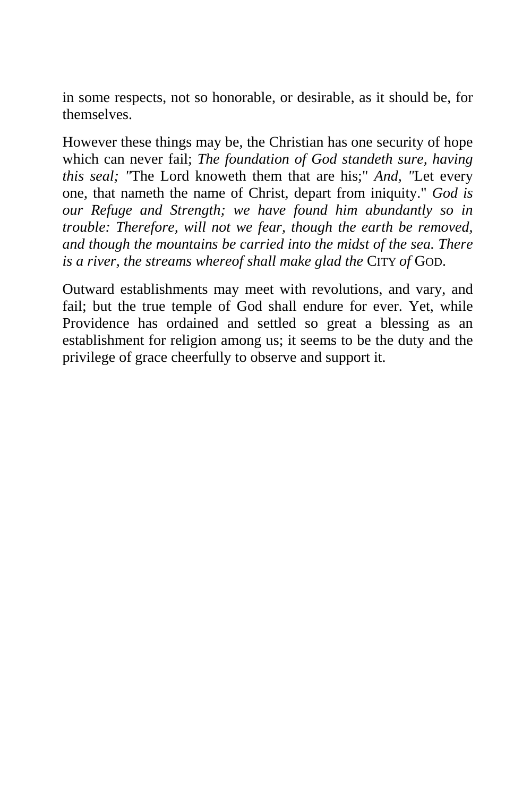in some respects, not so honorable, or desirable, as it should be, for themselves.

However these things may be, the Christian has one security of hope which can never fail; *The foundation of God standeth sure, having this seal; "*The Lord knoweth them that are his;" *And, "*Let every one, that nameth the name of Christ, depart from iniquity." *God is our Refuge and Strength; we have found him abundantly so in trouble: Therefore, will not we fear, though the earth be removed, and though the mountains be carried into the midst of the sea. There is a river, the streams whereof shall make glad the* CITY *of* GOD.

Outward establishments may meet with revolutions, and vary, and fail; but the true temple of God shall endure for ever. Yet, while Providence has ordained and settled so great a blessing as an establishment for religion among us; it seems to be the duty and the privilege of grace cheerfully to observe and support it.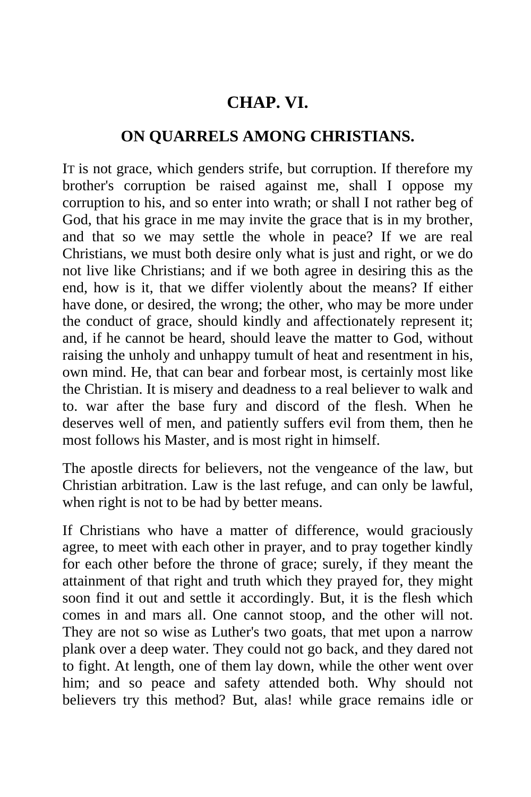### **CHAP. VI.**

#### **ON QUARRELS AMONG CHRISTIANS.**

IT is not grace, which genders strife, but corruption. If therefore my brother's corruption be raised against me, shall I oppose my corruption to his, and so enter into wrath; or shall I not rather beg of God, that his grace in me may invite the grace that is in my brother, and that so we may settle the whole in peace? If we are real Christians, we must both desire only what is just and right, or we do not live like Christians; and if we both agree in desiring this as the end, how is it, that we differ violently about the means? If either have done, or desired, the wrong; the other, who may be more under the conduct of grace, should kindly and affectionately represent it; and, if he cannot be heard, should leave the matter to God, without raising the unholy and unhappy tumult of heat and resentment in his, own mind. He, that can bear and forbear most, is certainly most like the Christian. It is misery and deadness to a real believer to walk and to. war after the base fury and discord of the flesh. When he deserves well of men, and patiently suffers evil from them, then he most follows his Master, and is most right in himself.

The apostle directs for believers, not the vengeance of the law, but Christian arbitration. Law is the last refuge, and can only be lawful, when right is not to be had by better means.

If Christians who have a matter of difference, would graciously agree, to meet with each other in prayer, and to pray together kindly for each other before the throne of grace; surely, if they meant the attainment of that right and truth which they prayed for, they might soon find it out and settle it accordingly. But, it is the flesh which comes in and mars all. One cannot stoop, and the other will not. They are not so wise as Luther's two goats, that met upon a narrow plank over a deep water. They could not go back, and they dared not to fight. At length, one of them lay down, while the other went over him; and so peace and safety attended both. Why should not believers try this method? But, alas! while grace remains idle or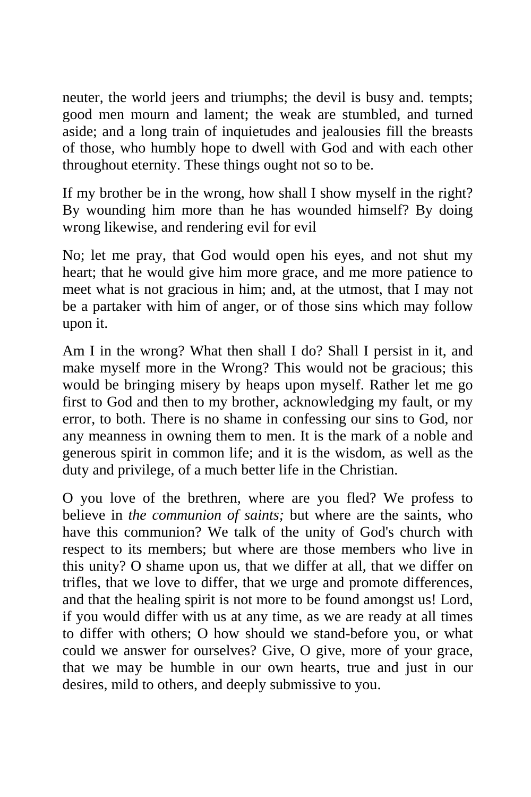neuter, the world jeers and triumphs; the devil is busy and. tempts; good men mourn and lament; the weak are stumbled, and turned aside; and a long train of inquietudes and jealousies fill the breasts of those, who humbly hope to dwell with God and with each other throughout eternity. These things ought not so to be.

If my brother be in the wrong, how shall I show myself in the right? By wounding him more than he has wounded himself? By doing wrong likewise, and rendering evil for evil

No; let me pray, that God would open his eyes, and not shut my heart; that he would give him more grace, and me more patience to meet what is not gracious in him; and, at the utmost, that I may not be a partaker with him of anger, or of those sins which may follow upon it.

Am I in the wrong? What then shall I do? Shall I persist in it, and make myself more in the Wrong? This would not be gracious; this would be bringing misery by heaps upon myself. Rather let me go first to God and then to my brother, acknowledging my fault, or my error, to both. There is no shame in confessing our sins to God, nor any meanness in owning them to men. It is the mark of a noble and generous spirit in common life; and it is the wisdom, as well as the duty and privilege, of a much better life in the Christian.

O you love of the brethren, where are you fled? We profess to believe in *the communion of saints;* but where are the saints, who have this communion? We talk of the unity of God's church with respect to its members; but where are those members who live in this unity? O shame upon us, that we differ at all, that we differ on trifles, that we love to differ, that we urge and promote differences, and that the healing spirit is not more to be found amongst us! Lord, if you would differ with us at any time, as we are ready at all times to differ with others; O how should we stand-before you, or what could we answer for ourselves? Give, O give, more of your grace, that we may be humble in our own hearts, true and just in our desires, mild to others, and deeply submissive to you.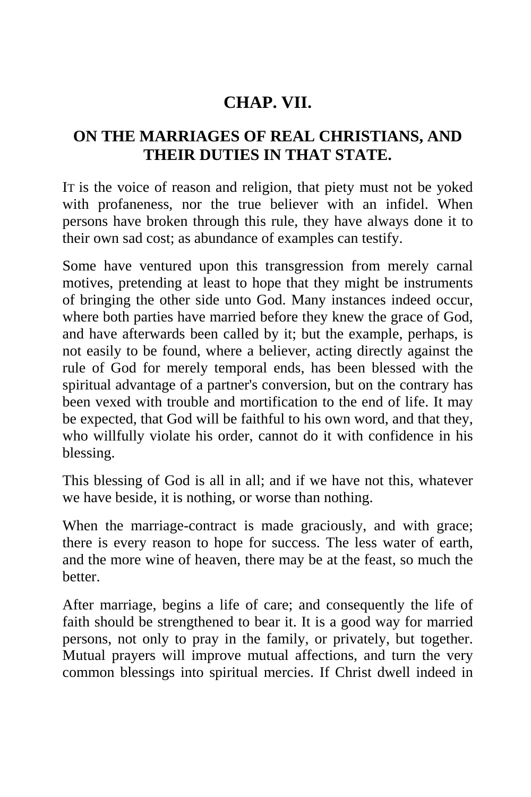## **CHAP. VII.**

#### **ON THE MARRIAGES OF REAL CHRISTIANS, AND THEIR DUTIES IN THAT STATE.**

IT is the voice of reason and religion, that piety must not be yoked with profaneness, nor the true believer with an infidel. When persons have broken through this rule, they have always done it to their own sad cost; as abundance of examples can testify.

Some have ventured upon this transgression from merely carnal motives, pretending at least to hope that they might be instruments of bringing the other side unto God. Many instances indeed occur, where both parties have married before they knew the grace of God, and have afterwards been called by it; but the example, perhaps, is not easily to be found, where a believer, acting directly against the rule of God for merely temporal ends, has been blessed with the spiritual advantage of a partner's conversion, but on the contrary has been vexed with trouble and mortification to the end of life. It may be expected, that God will be faithful to his own word, and that they, who willfully violate his order, cannot do it with confidence in his blessing.

This blessing of God is all in all; and if we have not this, whatever we have beside, it is nothing, or worse than nothing.

When the marriage-contract is made graciously, and with grace; there is every reason to hope for success. The less water of earth, and the more wine of heaven, there may be at the feast, so much the better.

After marriage, begins a life of care; and consequently the life of faith should be strengthened to bear it. It is a good way for married persons, not only to pray in the family, or privately, but together. Mutual prayers will improve mutual affections, and turn the very common blessings into spiritual mercies. If Christ dwell indeed in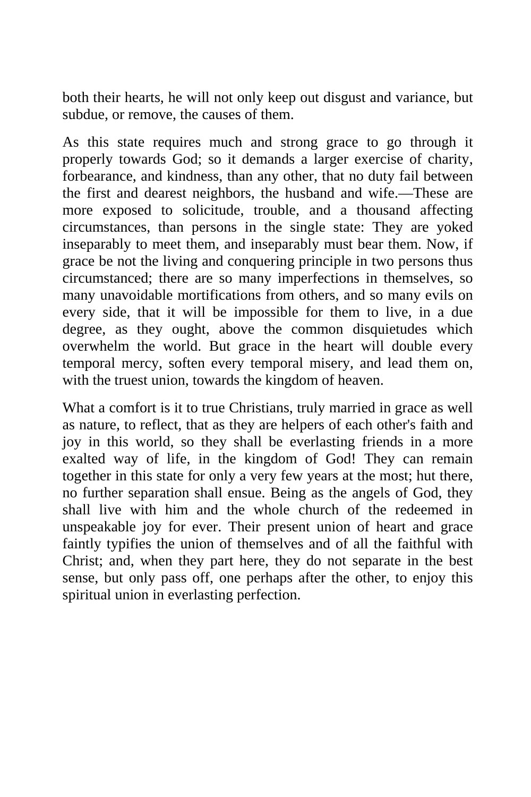both their hearts, he will not only keep out disgust and variance, but subdue, or remove, the causes of them.

As this state requires much and strong grace to go through it properly towards God; so it demands a larger exercise of charity, forbearance, and kindness, than any other, that no duty fail between the first and dearest neighbors, the husband and wife.—These are more exposed to solicitude, trouble, and a thousand affecting circumstances, than persons in the single state: They are yoked inseparably to meet them, and inseparably must bear them. Now, if grace be not the living and conquering principle in two persons thus circumstanced; there are so many imperfections in themselves, so many unavoidable mortifications from others, and so many evils on every side, that it will be impossible for them to live, in a due degree, as they ought, above the common disquietudes which overwhelm the world. But grace in the heart will double every temporal mercy, soften every temporal misery, and lead them on, with the truest union, towards the kingdom of heaven.

What a comfort is it to true Christians, truly married in grace as well as nature, to reflect, that as they are helpers of each other's faith and joy in this world, so they shall be everlasting friends in a more exalted way of life, in the kingdom of God! They can remain together in this state for only a very few years at the most; hut there, no further separation shall ensue. Being as the angels of God, they shall live with him and the whole church of the redeemed in unspeakable joy for ever. Their present union of heart and grace faintly typifies the union of themselves and of all the faithful with Christ; and, when they part here, they do not separate in the best sense, but only pass off, one perhaps after the other, to enjoy this spiritual union in everlasting perfection.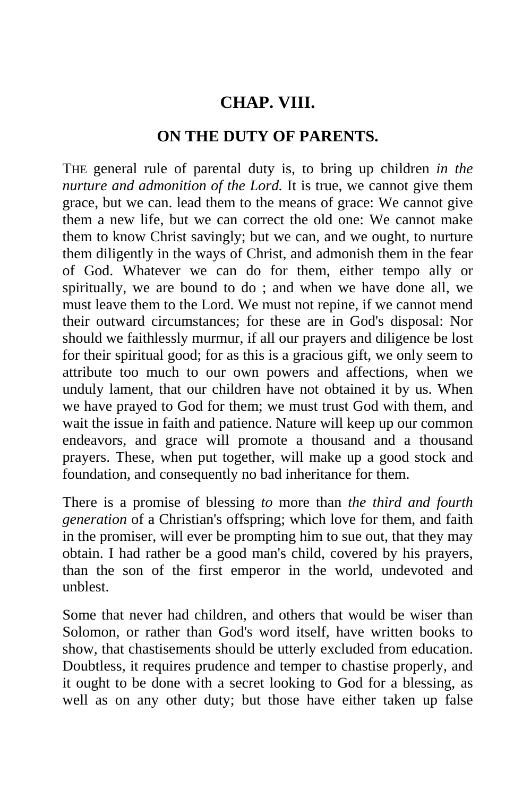### **CHAP. VIII.**

#### **ON THE DUTY OF PARENTS.**

THE general rule of parental duty is, to bring up children *in the nurture and admonition of the Lord.* It is true, we cannot give them grace, but we can. lead them to the means of grace: We cannot give them a new life, but we can correct the old one: We cannot make them to know Christ savingly; but we can, and we ought, to nurture them diligently in the ways of Christ, and admonish them in the fear of God. Whatever we can do for them, either tempo ally or spiritually, we are bound to do ; and when we have done all, we must leave them to the Lord. We must not repine, if we cannot mend their outward circumstances; for these are in God's disposal: Nor should we faithlessly murmur, if all our prayers and diligence be lost for their spiritual good; for as this is a gracious gift, we only seem to attribute too much to our own powers and affections, when we unduly lament, that our children have not obtained it by us. When we have prayed to God for them; we must trust God with them, and wait the issue in faith and patience. Nature will keep up our common endeavors, and grace will promote a thousand and a thousand prayers. These, when put together, will make up a good stock and foundation, and consequently no bad inheritance for them.

There is a promise of blessing *to* more than *the third and fourth generation* of a Christian's offspring; which love for them, and faith in the promiser, will ever be prompting him to sue out, that they may obtain. I had rather be a good man's child, covered by his prayers, than the son of the first emperor in the world, undevoted and unblest.

Some that never had children, and others that would be wiser than Solomon, or rather than God's word itself, have written books to show, that chastisements should be utterly excluded from education. Doubtless, it requires prudence and temper to chastise properly, and it ought to be done with a secret looking to God for a blessing, as well as on any other duty; but those have either taken up false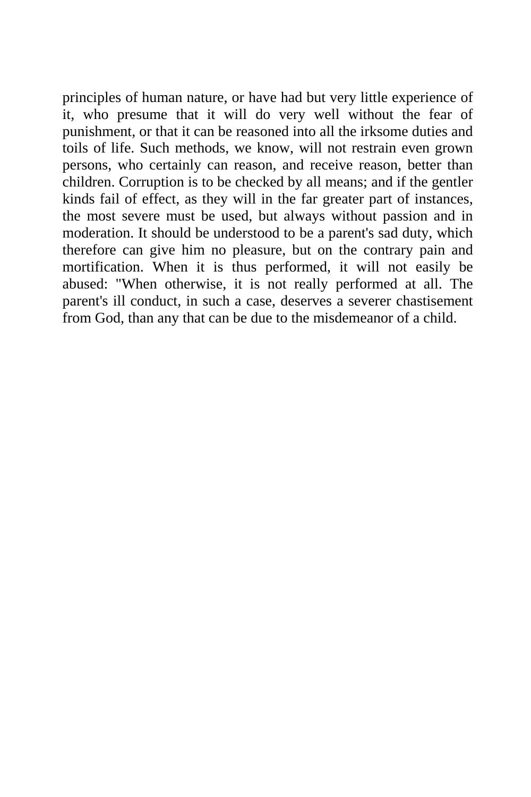principles of human nature, or have had but very little experience of it, who presume that it will do very well without the fear of punishment, or that it can be reasoned into all the irksome duties and toils of life. Such methods, we know, will not restrain even grown persons, who certainly can reason, and receive reason, better than children. Corruption is to be checked by all means; and if the gentler kinds fail of effect, as they will in the far greater part of instances, the most severe must be used, but always without passion and in moderation. It should be understood to be a parent's sad duty, which therefore can give him no pleasure, but on the contrary pain and mortification. When it is thus performed, it will not easily be abused: "When otherwise, it is not really performed at all. The parent's ill conduct, in such a case, deserves a severer chastisement from God, than any that can be due to the misdemeanor of a child.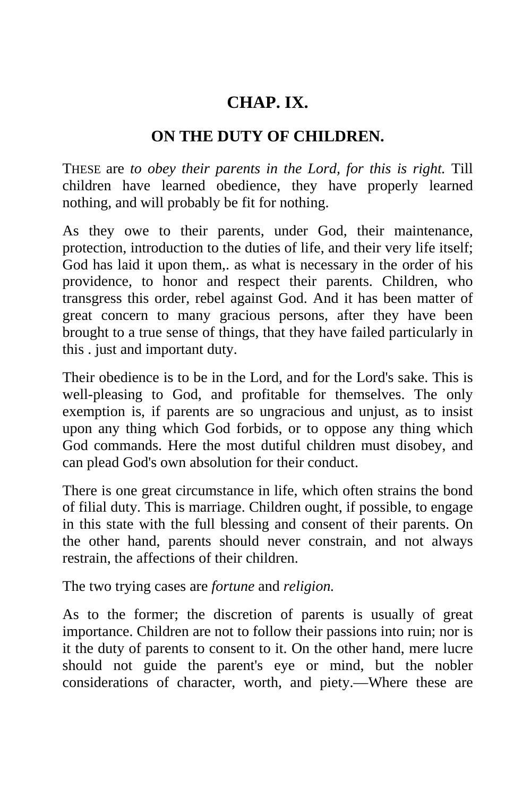## **CHAP. IX.**

### **ON THE DUTY OF CHILDREN.**

THESE are *to obey their parents in the Lord, for this is right.* Till children have learned obedience, they have properly learned nothing, and will probably be fit for nothing.

As they owe to their parents, under God, their maintenance, protection, introduction to the duties of life, and their very life itself; God has laid it upon them,. as what is necessary in the order of his providence, to honor and respect their parents. Children, who transgress this order, rebel against God. And it has been matter of great concern to many gracious persons, after they have been brought to a true sense of things, that they have failed particularly in this . just and important duty.

Their obedience is to be in the Lord, and for the Lord's sake. This is well-pleasing to God, and profitable for themselves. The only exemption is, if parents are so ungracious and unjust, as to insist upon any thing which God forbids, or to oppose any thing which God commands. Here the most dutiful children must disobey, and can plead God's own absolution for their conduct.

There is one great circumstance in life, which often strains the bond of filial duty. This is marriage. Children ought, if possible, to engage in this state with the full blessing and consent of their parents. On the other hand, parents should never constrain, and not always restrain, the affections of their children.

The two trying cases are *fortune* and *religion.* 

As to the former; the discretion of parents is usually of great importance. Children are not to follow their passions into ruin; nor is it the duty of parents to consent to it. On the other hand, mere lucre should not guide the parent's eye or mind, but the nobler considerations of character, worth, and piety.—Where these are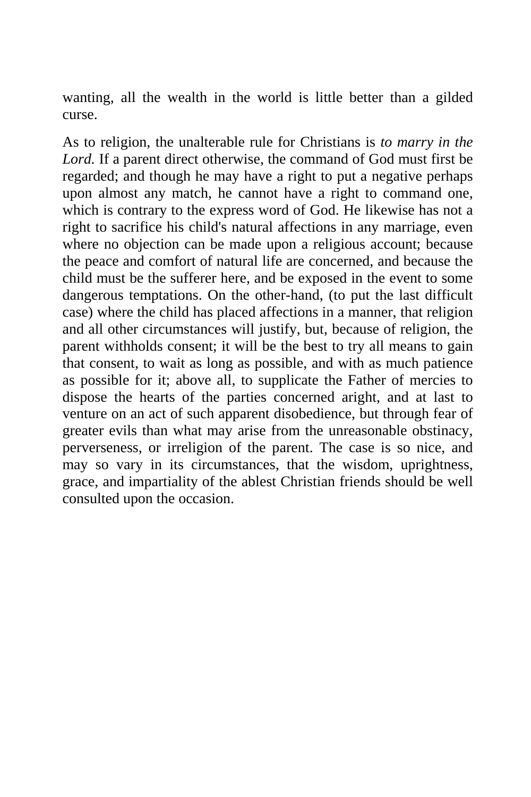wanting, all the wealth in the world is little better than a gilded curse.

As to religion, the unalterable rule for Christians is *to marry in the Lord.* If a parent direct otherwise, the command of God must first be regarded; and though he may have a right to put a negative perhaps upon almost any match, he cannot have a right to command one, which is contrary to the express word of God. He likewise has not a right to sacrifice his child's natural affections in any marriage, even where no objection can be made upon a religious account; because the peace and comfort of natural life are concerned, and because the child must be the sufferer here, and be exposed in the event to some dangerous temptations. On the other-hand, (to put the last difficult case) where the child has placed affections in a manner, that religion and all other circumstances will justify, but, because of religion, the parent withholds consent; it will be the best to try all means to gain that consent, to wait as long as possible, and with as much patience as possible for it; above all, to supplicate the Father of mercies to dispose the hearts of the parties concerned aright, and at last to venture on an act of such apparent disobedience, but through fear of greater evils than what may arise from the unreasonable obstinacy, perverseness, or irreligion of the parent. The case is so nice, and may so vary in its circumstances, that the wisdom, uprightness, grace, and impartiality of the ablest Christian friends should be well consulted upon the occasion.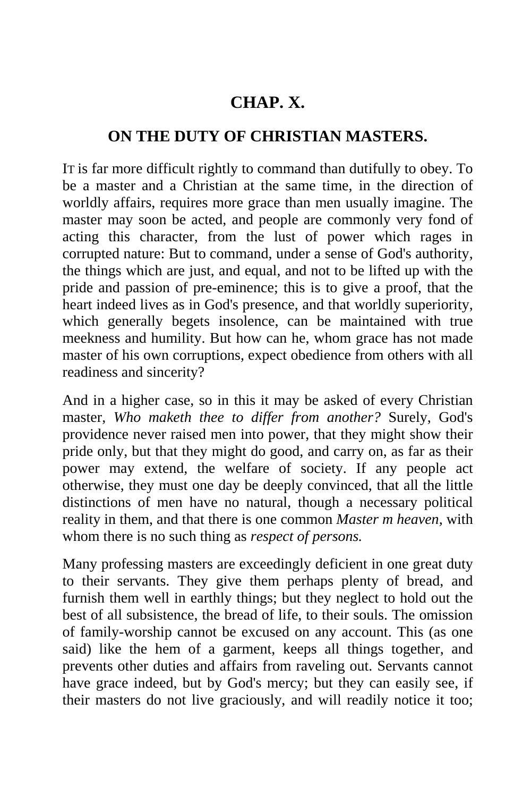# **CHAP. X.**

#### **ON THE DUTY OF CHRISTIAN MASTERS.**

IT is far more difficult rightly to command than dutifully to obey. To be a master and a Christian at the same time, in the direction of worldly affairs, requires more grace than men usually imagine. The master may soon be acted, and people are commonly very fond of acting this character, from the lust of power which rages in corrupted nature: But to command, under a sense of God's authority, the things which are just, and equal, and not to be lifted up with the pride and passion of pre-eminence; this is to give a proof, that the heart indeed lives as in God's presence, and that worldly superiority, which generally begets insolence, can be maintained with true meekness and humility. But how can he, whom grace has not made master of his own corruptions, expect obedience from others with all readiness and sincerity?

And in a higher case, so in this it may be asked of every Christian master, *Who maketh thee to differ from another?* Surely, God's providence never raised men into power, that they might show their pride only, but that they might do good, and carry on, as far as their power may extend, the welfare of society. If any people act otherwise, they must one day be deeply convinced, that all the little distinctions of men have no natural, though a necessary political reality in them, and that there is one common *Master m heaven,* with whom there is no such thing as *respect of persons.* 

Many professing masters are exceedingly deficient in one great duty to their servants. They give them perhaps plenty of bread, and furnish them well in earthly things; but they neglect to hold out the best of all subsistence, the bread of life, to their souls. The omission of family-worship cannot be excused on any account. This (as one said) like the hem of a garment, keeps all things together, and prevents other duties and affairs from raveling out. Servants cannot have grace indeed, but by God's mercy; but they can easily see, if their masters do not live graciously, and will readily notice it too;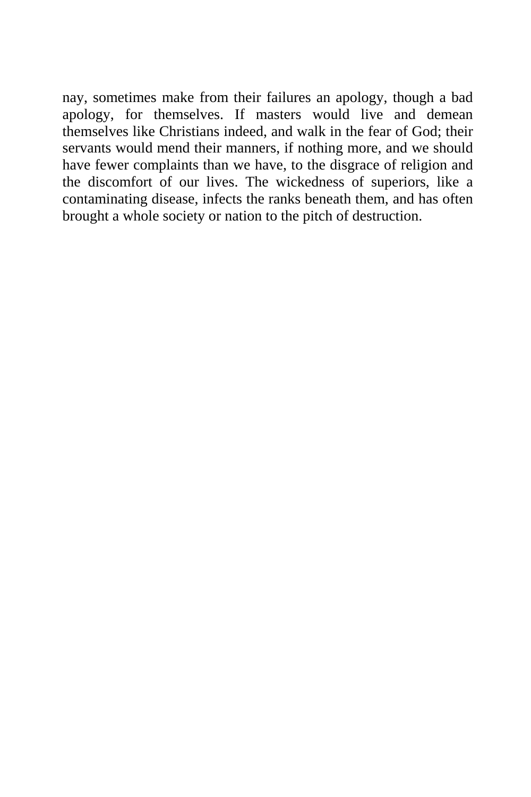nay, sometimes make from their failures an apology, though a bad apology, for themselves. If masters would live and demean themselves like Christians indeed, and walk in the fear of God; their servants would mend their manners, if nothing more, and we should have fewer complaints than we have, to the disgrace of religion and the discomfort of our lives. The wickedness of superiors, like a contaminating disease, infects the ranks beneath them, and has often brought a whole society or nation to the pitch of destruction.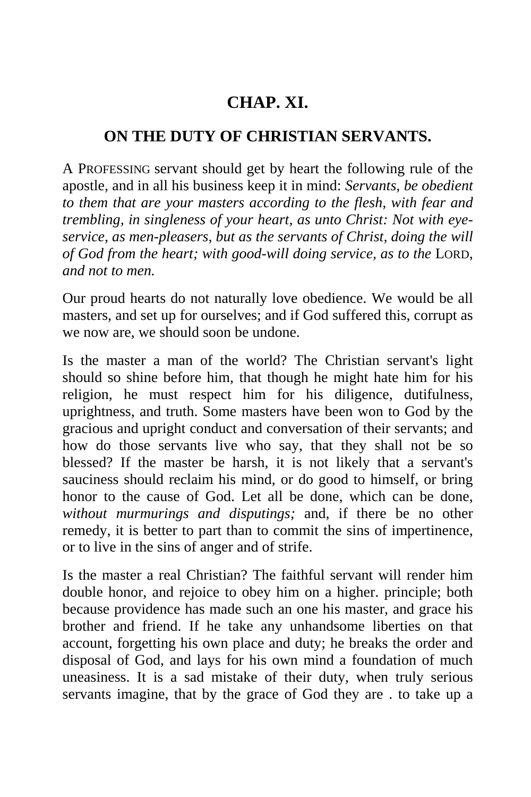# **CHAP. XI.**

#### **ON THE DUTY OF CHRISTIAN SERVANTS.**

A PROFESSING servant should get by heart the following rule of the apostle, and in all his business keep it in mind: *Servants, be obedient to them that are your masters according to the flesh, with fear and trembling, in singleness of your heart, as unto Christ: Not with eyeservice, as men-pleasers, but as the servants of Christ, doing the will of God from the heart; with good-will doing service, as to the* LORD, *and not to men.* 

Our proud hearts do not naturally love obedience. We would be all masters, and set up for ourselves; and if God suffered this, corrupt as we now are, we should soon be undone.

Is the master a man of the world? The Christian servant's light should so shine before him, that though he might hate him for his religion, he must respect him for his diligence, dutifulness, uprightness, and truth. Some masters have been won to God by the gracious and upright conduct and conversation of their servants; and how do those servants live who say, that they shall not be so blessed? If the master be harsh, it is not likely that a servant's sauciness should reclaim his mind, or do good to himself, or bring honor to the cause of God. Let all be done, which can be done, *without murmurings and disputings;* and, if there be no other remedy, it is better to part than to commit the sins of impertinence, or to live in the sins of anger and of strife.

Is the master a real Christian? The faithful servant will render him double honor, and rejoice to obey him on a higher. principle; both because providence has made such an one his master, and grace his brother and friend. If he take any unhandsome liberties on that account, forgetting his own place and duty; he breaks the order and disposal of God, and lays for his own mind a foundation of much uneasiness. It is a sad mistake of their duty, when truly serious servants imagine, that by the grace of God they are . to take up a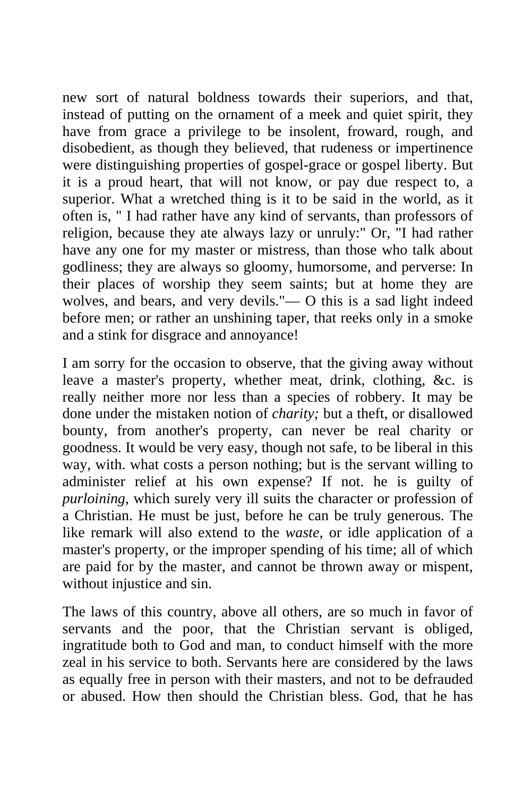new sort of natural boldness towards their superiors, and that, instead of putting on the ornament of a meek and quiet spirit, they have from grace a privilege to be insolent, froward, rough, and disobedient, as though they believed, that rudeness or impertinence were distinguishing properties of gospel-grace or gospel liberty. But it is a proud heart, that will not know, or pay due respect to, a superior. What a wretched thing is it to be said in the world, as it often is, " I had rather have any kind of servants, than professors of religion, because they ate always lazy or unruly:" Or, "I had rather have any one for my master or mistress, than those who talk about godliness; they are always so gloomy, humorsome, and perverse: In their places of worship they seem saints; but at home they are wolves, and bears, and very devils."— O this is a sad light indeed before men; or rather an unshining taper, that reeks only in a smoke and a stink for disgrace and annoyance!

I am sorry for the occasion to observe, that the giving away without leave a master's property, whether meat, drink, clothing, &c. is really neither more nor less than a species of robbery. It may be done under the mistaken notion of *charity;* but a theft, or disallowed bounty, from another's property, can never be real charity or goodness. It would be very easy, though not safe, to be liberal in this way, with. what costs a person nothing; but is the servant willing to administer relief at his own expense? If not. he is guilty of *purloining,* which surely very ill suits the character or profession of a Christian. He must be just, before he can be truly generous. The like remark will also extend to the *waste,* or idle application of a master's property, or the improper spending of his time; all of which are paid for by the master, and cannot be thrown away or mispent, without injustice and sin.

The laws of this country, above all others, are so much in favor of servants and the poor, that the Christian servant is obliged, ingratitude both to God and man, to conduct himself with the more zeal in his service to both. Servants here are considered by the laws as equally free in person with their masters, and not to be defrauded or abused. How then should the Christian bless. God, that he has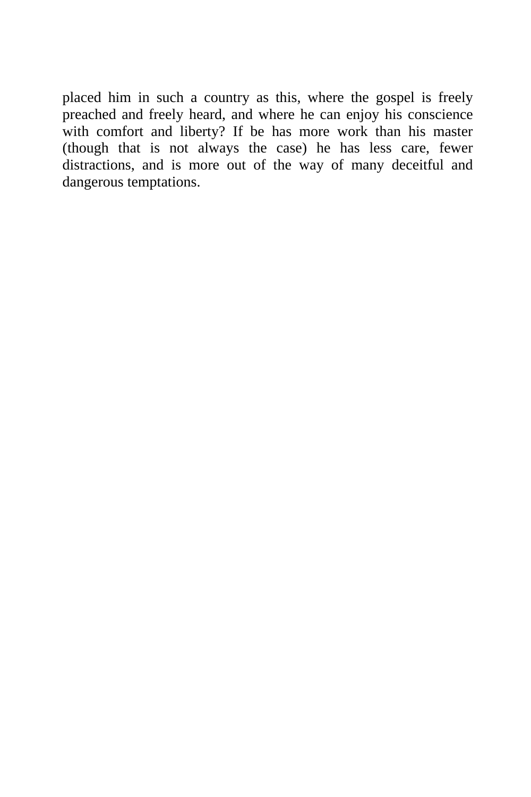placed him in such a country as this, where the gospel is freely preached and freely heard, and where he can enjoy his conscience with comfort and liberty? If be has more work than his master (though that is not always the case) he has less care, fewer distractions, and is more out of the way of many deceitful and dangerous temptations.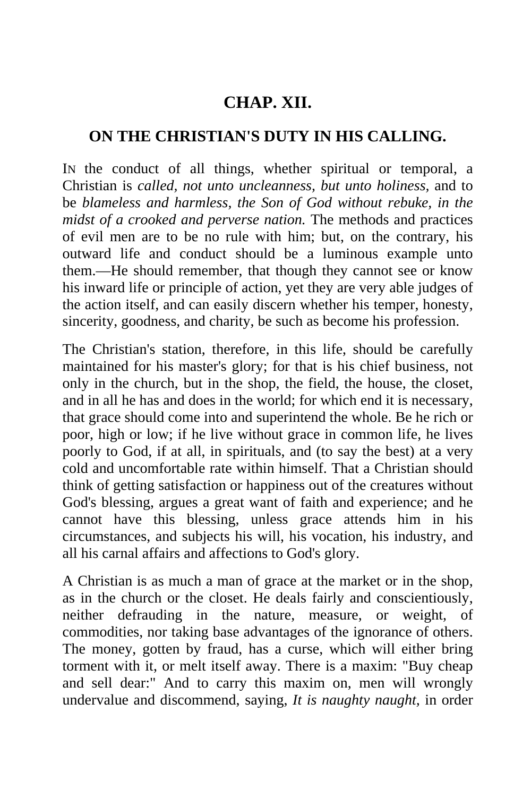### **CHAP. XII.**

#### **ON THE CHRISTIAN'S DUTY IN HIS CALLING.**

IN the conduct of all things, whether spiritual or temporal, a Christian is *called, not unto uncleanness, but unto holiness,* and to be *blameless and harmless, the Son of God without rebuke, in the midst of a crooked and perverse nation.* The methods and practices of evil men are to be no rule with him; but, on the contrary, his outward life and conduct should be a luminous example unto them.—He should remember, that though they cannot see or know his inward life or principle of action, yet they are very able judges of the action itself, and can easily discern whether his temper, honesty, sincerity, goodness, and charity, be such as become his profession.

The Christian's station, therefore, in this life, should be carefully maintained for his master's glory; for that is his chief business, not only in the church, but in the shop, the field, the house, the closet, and in all he has and does in the world; for which end it is necessary, that grace should come into and superintend the whole. Be he rich or poor, high or low; if he live without grace in common life, he lives poorly to God, if at all, in spirituals, and (to say the best) at a very cold and uncomfortable rate within himself. That a Christian should think of getting satisfaction or happiness out of the creatures without God's blessing, argues a great want of faith and experience; and he cannot have this blessing, unless grace attends him in his circumstances, and subjects his will, his vocation, his industry, and all his carnal affairs and affections to God's glory.

A Christian is as much a man of grace at the market or in the shop, as in the church or the closet. He deals fairly and conscientiously, neither defrauding in the nature, measure, or weight, of commodities, nor taking base advantages of the ignorance of others. The money, gotten by fraud, has a curse, which will either bring torment with it, or melt itself away. There is a maxim: "Buy cheap and sell dear:" And to carry this maxim on, men will wrongly undervalue and discommend, saying, *It is naughty naught,* in order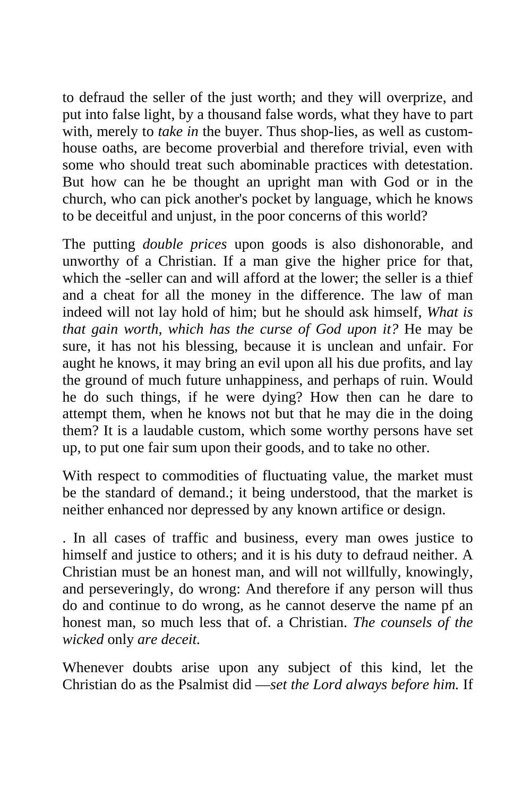to defraud the seller of the just worth; and they will overprize, and put into false light, by a thousand false words, what they have to part with, merely to *take in* the buyer. Thus shop-lies, as well as customhouse oaths, are become proverbial and therefore trivial, even with some who should treat such abominable practices with detestation. But how can he be thought an upright man with God or in the church, who can pick another's pocket by language, which he knows to be deceitful and unjust, in the poor concerns of this world?

The putting *double prices* upon goods is also dishonorable, and unworthy of a Christian. If a man give the higher price for that, which the -seller can and will afford at the lower; the seller is a thief and a cheat for all the money in the difference. The law of man indeed will not lay hold of him; but he should ask himself, *What is that gain worth, which has the curse of God upon it?* He may be sure, it has not his blessing, because it is unclean and unfair. For aught he knows, it may bring an evil upon all his due profits, and lay the ground of much future unhappiness, and perhaps of ruin. Would he do such things, if he were dying? How then can he dare to attempt them, when he knows not but that he may die in the doing them? It is a laudable custom, which some worthy persons have set up, to put one fair sum upon their goods, and to take no other.

With respect to commodities of fluctuating value, the market must be the standard of demand.; it being understood, that the market is neither enhanced nor depressed by any known artifice or design.

. In all cases of traffic and business, every man owes justice to himself and justice to others; and it is his duty to defraud neither. A Christian must be an honest man, and will not willfully, knowingly, and perseveringly, do wrong: And therefore if any person will thus do and continue to do wrong, as he cannot deserve the name pf an honest man, so much less that of. a Christian. *The counsels of the wicked* only *are deceit.* 

Whenever doubts arise upon any subject of this kind, let the Christian do as the Psalmist did —*set the Lord always before him.* If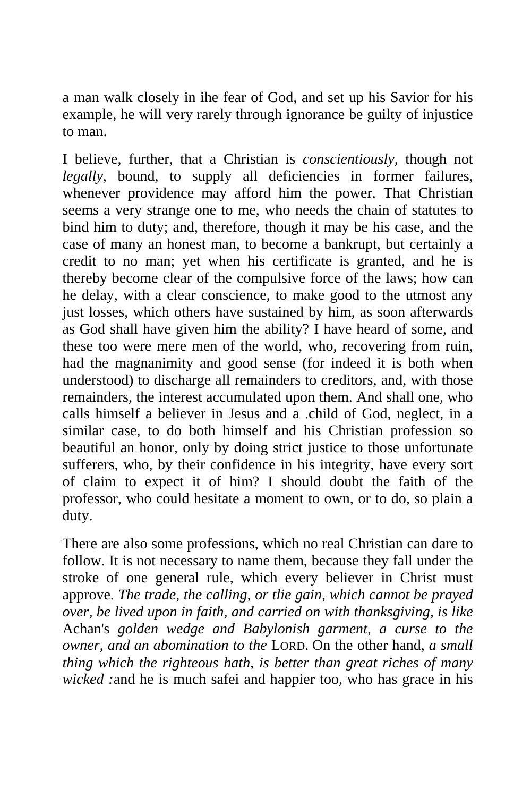a man walk closely in ihe fear of God, and set up his Savior for his example, he will very rarely through ignorance be guilty of injustice to man.

I believe, further, that a Christian is *conscientiously,* though not *legally*, bound, to supply all deficiencies in former failures, whenever providence may afford him the power. That Christian seems a very strange one to me, who needs the chain of statutes to bind him to duty; and, therefore, though it may be his case, and the case of many an honest man, to become a bankrupt, but certainly a credit to no man; yet when his certificate is granted, and he is thereby become clear of the compulsive force of the laws; how can he delay, with a clear conscience, to make good to the utmost any just losses, which others have sustained by him, as soon afterwards as God shall have given him the ability? I have heard of some, and these too were mere men of the world, who, recovering from ruin, had the magnanimity and good sense (for indeed it is both when understood) to discharge all remainders to creditors, and, with those remainders, the interest accumulated upon them. And shall one, who calls himself a believer in Jesus and a .child of God, neglect, in a similar case, to do both himself and his Christian profession so beautiful an honor, only by doing strict justice to those unfortunate sufferers, who, by their confidence in his integrity, have every sort of claim to expect it of him? I should doubt the faith of the professor, who could hesitate a moment to own, or to do, so plain a duty.

There are also some professions, which no real Christian can dare to follow. It is not necessary to name them, because they fall under the stroke of one general rule, which every believer in Christ must approve. *The trade, the calling, or tlie gain, which cannot be prayed over, be lived upon in faith, and carried on with thanksgiving, is like*  Achan's *golden wedge and Babylonish garment, a curse to the owner, and an abomination to the* LORD. On the other hand, *a small thing which the righteous hath, is better than great riches of many wicked :*and he is much safei and happier too, who has grace in his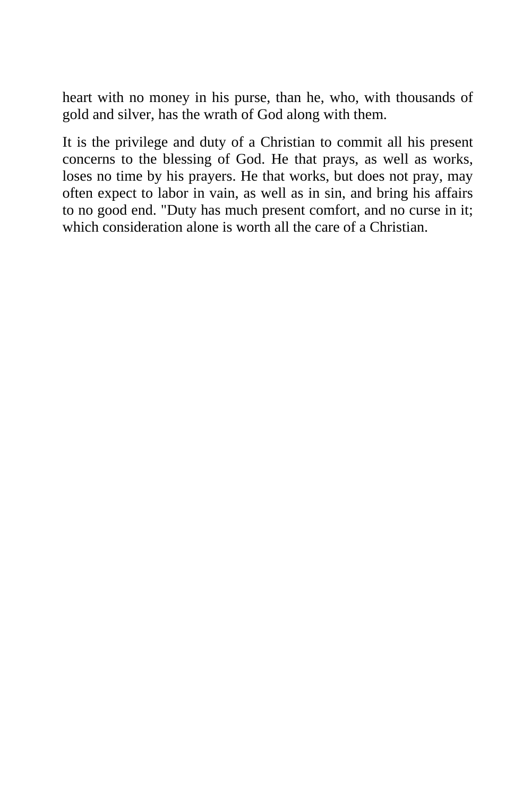heart with no money in his purse, than he, who, with thousands of gold and silver, has the wrath of God along with them.

It is the privilege and duty of a Christian to commit all his present concerns to the blessing of God. He that prays, as well as works, loses no time by his prayers. He that works, but does not pray, may often expect to labor in vain, as well as in sin, and bring his affairs to no good end. "Duty has much present comfort, and no curse in it; which consideration alone is worth all the care of a Christian.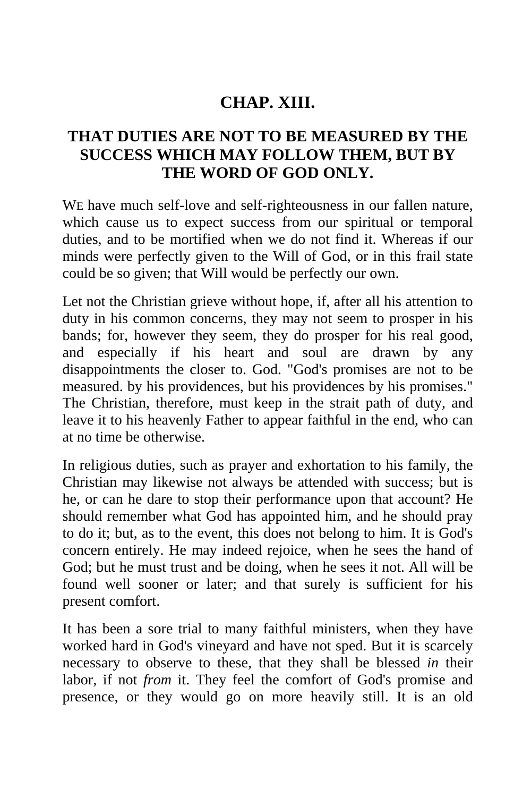## **CHAP. XIII.**

#### **THAT DUTIES ARE NOT TO BE MEASURED BY THE SUCCESS WHICH MAY FOLLOW THEM, BUT BY THE WORD OF GOD ONLY.**

WE have much self-love and self-righteousness in our fallen nature, which cause us to expect success from our spiritual or temporal duties, and to be mortified when we do not find it. Whereas if our minds were perfectly given to the Will of God, or in this frail state could be so given; that Will would be perfectly our own.

Let not the Christian grieve without hope, if, after all his attention to duty in his common concerns, they may not seem to prosper in his bands; for, however they seem, they do prosper for his real good, and especially if his heart and soul are drawn by any disappointments the closer to. God. "God's promises are not to be measured. by his providences, but his providences by his promises." The Christian, therefore, must keep in the strait path of duty, and leave it to his heavenly Father to appear faithful in the end, who can at no time be otherwise.

In religious duties, such as prayer and exhortation to his family, the Christian may likewise not always be attended with success; but is he, or can he dare to stop their performance upon that account? He should remember what God has appointed him, and he should pray to do it; but, as to the event, this does not belong to him. It is God's concern entirely. He may indeed rejoice, when he sees the hand of God; but he must trust and be doing, when he sees it not. All will be found well sooner or later; and that surely is sufficient for his present comfort.

It has been a sore trial to many faithful ministers, when they have worked hard in God's vineyard and have not sped. But it is scarcely necessary to observe to these, that they shall be blessed *in* their labor, if not *from* it. They feel the comfort of God's promise and presence, or they would go on more heavily still. It is an old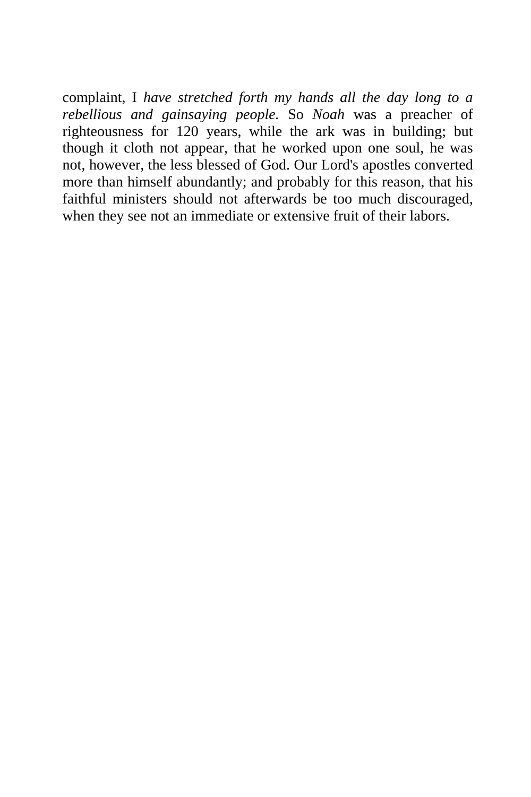complaint, I *have stretched forth my hands all the day long to a rebellious and gainsaying people.* So *Noah* was a preacher of righteousness for 120 years, while the ark was in building; but though it cloth not appear, that he worked upon one soul, he was not, however, the less blessed of God. Our Lord's apostles converted more than himself abundantly; and probably for this reason, that his faithful ministers should not afterwards be too much discouraged, when they see not an immediate or extensive fruit of their labors.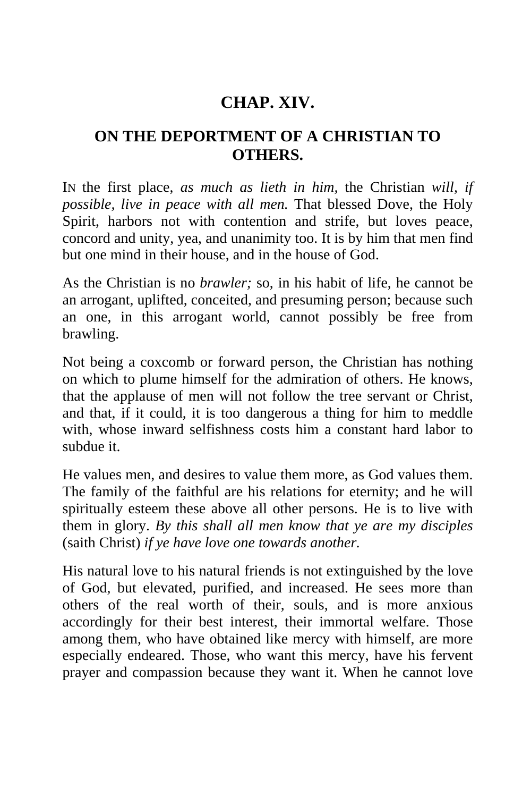# **CHAP. XIV.**

#### **ON THE DEPORTMENT OF A CHRISTIAN TO OTHERS.**

IN the first place, *as much as lieth in him,* the Christian *will, if possible, live in peace with all men.* That blessed Dove, the Holy Spirit, harbors not with contention and strife, but loves peace, concord and unity, yea, and unanimity too. It is by him that men find but one mind in their house, and in the house of God.

As the Christian is no *brawler;* so, in his habit of life, he cannot be an arrogant, uplifted, conceited, and presuming person; because such an one, in this arrogant world, cannot possibly be free from brawling.

Not being a coxcomb or forward person, the Christian has nothing on which to plume himself for the admiration of others. He knows, that the applause of men will not follow the tree servant or Christ, and that, if it could, it is too dangerous a thing for him to meddle with, whose inward selfishness costs him a constant hard labor to subdue it.

He values men, and desires to value them more, as God values them. The family of the faithful are his relations for eternity; and he will spiritually esteem these above all other persons. He is to live with them in glory. *By this shall all men know that ye are my disciples*  (saith Christ) *if ye have love one towards another.* 

His natural love to his natural friends is not extinguished by the love of God, but elevated, purified, and increased. He sees more than others of the real worth of their, souls, and is more anxious accordingly for their best interest, their immortal welfare. Those among them, who have obtained like mercy with himself, are more especially endeared. Those, who want this mercy, have his fervent prayer and compassion because they want it. When he cannot love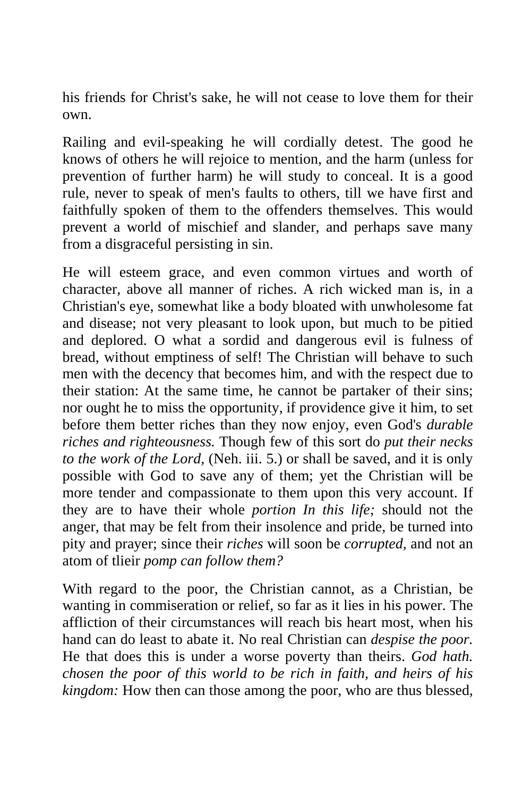his friends for Christ's sake, he will not cease to love them for their own.

Railing and evil-speaking he will cordially detest. The good he knows of others he will rejoice to mention, and the harm (unless for prevention of further harm) he will study to conceal. It is a good rule, never to speak of men's faults to others, till we have first and faithfully spoken of them to the offenders themselves. This would prevent a world of mischief and slander, and perhaps save many from a disgraceful persisting in sin.

He will esteem grace, and even common virtues and worth of character, above all manner of riches. A rich wicked man is, in a Christian's eye, somewhat like a body bloated with unwholesome fat and disease; not very pleasant to look upon, but much to be pitied and deplored. O what a sordid and dangerous evil is fulness of bread, without emptiness of self! The Christian will behave to such men with the decency that becomes him, and with the respect due to their station: At the same time, he cannot be partaker of their sins; nor ought he to miss the opportunity, if providence give it him, to set before them better riches than they now enjoy, even God's *durable riches and righteousness.* Though few of this sort do *put their necks to the work of the Lord,* (Neh. iii. 5.) or shall be saved, and it is only possible with God to save any of them; yet the Christian will be more tender and compassionate to them upon this very account. If they are to have their whole *portion In this life;* should not the anger, that may be felt from their insolence and pride, be turned into pity and prayer; since their *riches* will soon be *corrupted,* and not an atom of tlieir *pomp can follow them?*

With regard to the poor, the Christian cannot, as a Christian, be wanting in commiseration or relief, so far as it lies in his power. The affliction of their circumstances will reach bis heart most, when his hand can do least to abate it. No real Christian can *despise the poor.* He that does this is under a worse poverty than theirs. *God hath. chosen the poor of this world to be rich in faith, and heirs of his kingdom:* How then can those among the poor, who are thus blessed,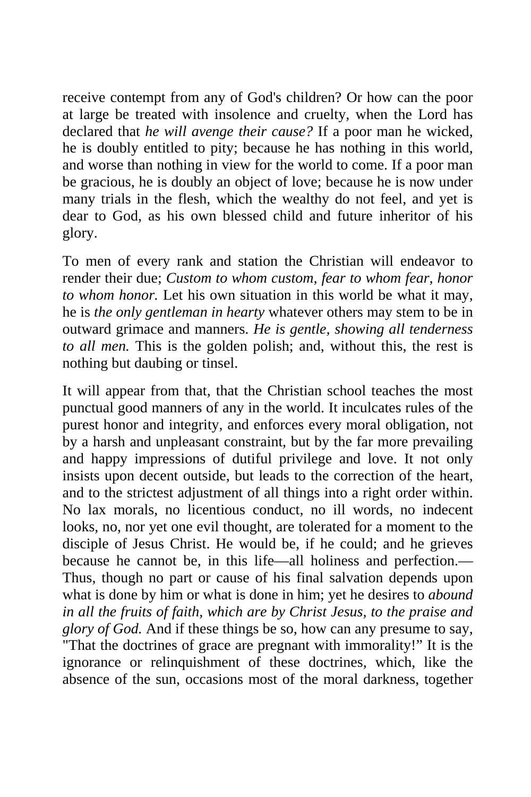receive contempt from any of God's children? Or how can the poor at large be treated with insolence and cruelty, when the Lord has declared that *he will avenge their cause?* If a poor man he wicked, he is doubly entitled to pity; because he has nothing in this world, and worse than nothing in view for the world to come. If a poor man be gracious, he is doubly an object of love; because he is now under many trials in the flesh, which the wealthy do not feel, and yet is dear to God, as his own blessed child and future inheritor of his glory.

To men of every rank and station the Christian will endeavor to render their due; *Custom to whom custom, fear to whom fear, honor to whom honor.* Let his own situation in this world be what it may, he is *the only gentleman in hearty* whatever others may stem to be in outward grimace and manners. *He is gentle, showing all tenderness to all men.* This is the golden polish; and, without this, the rest is nothing but daubing or tinsel.

It will appear from that, that the Christian school teaches the most punctual good manners of any in the world. It inculcates rules of the purest honor and integrity, and enforces every moral obligation, not by a harsh and unpleasant constraint, but by the far more prevailing and happy impressions of dutiful privilege and love. It not only insists upon decent outside, but leads to the correction of the heart, and to the strictest adjustment of all things into a right order within. No lax morals, no licentious conduct, no ill words, no indecent looks, no, nor yet one evil thought, are tolerated for a moment to the disciple of Jesus Christ. He would be, if he could; and he grieves because he cannot be, in this life—all holiness and perfection.— Thus, though no part or cause of his final salvation depends upon what is done by him or what is done in him; yet he desires to *abound in all the fruits of faith, which are by Christ Jesus, to the praise and glory of God.* And if these things be so, how can any presume to say, "That the doctrines of grace are pregnant with immorality!" It is the ignorance or relinquishment of these doctrines, which, like the absence of the sun, occasions most of the moral darkness, together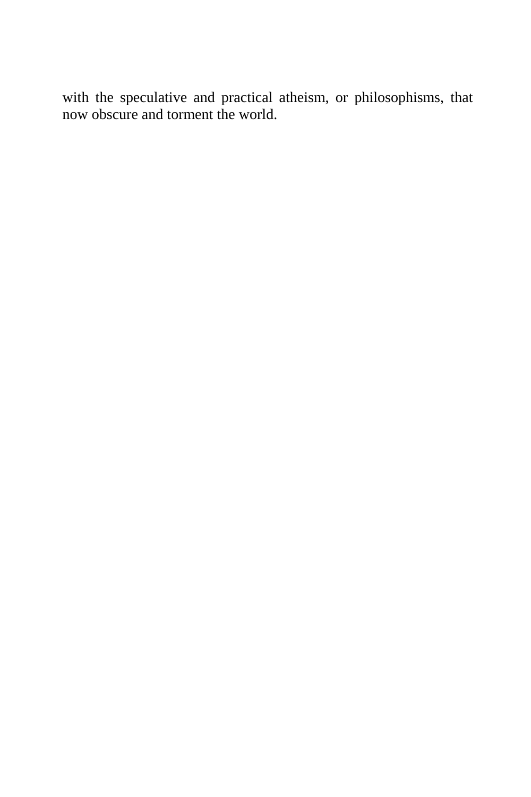with the speculative and practical atheism, or philosophisms, that now obscure and torment the world.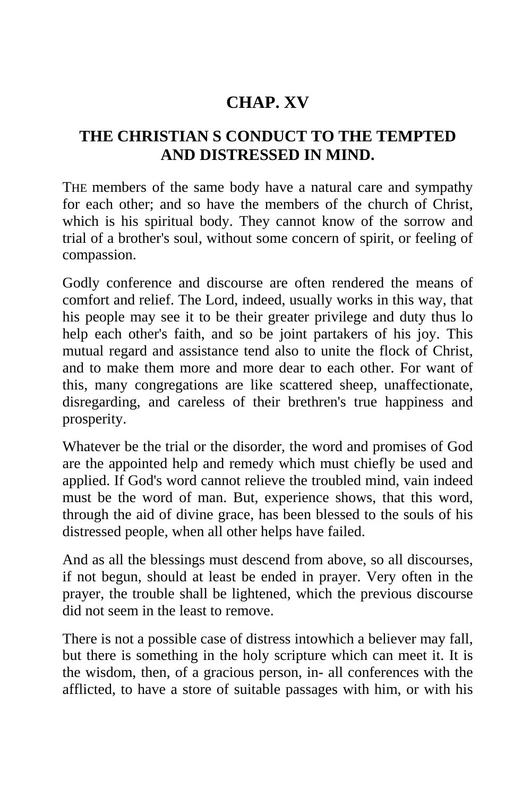# **CHAP. XV**

#### **THE CHRISTIAN S CONDUCT TO THE TEMPTED AND DISTRESSED IN MIND.**

THE members of the same body have a natural care and sympathy for each other; and so have the members of the church of Christ, which is his spiritual body. They cannot know of the sorrow and trial of a brother's soul, without some concern of spirit, or feeling of compassion.

Godly conference and discourse are often rendered the means of comfort and relief. The Lord, indeed, usually works in this way, that his people may see it to be their greater privilege and duty thus lo help each other's faith, and so be joint partakers of his joy. This mutual regard and assistance tend also to unite the flock of Christ, and to make them more and more dear to each other. For want of this, many congregations are like scattered sheep, unaffectionate, disregarding, and careless of their brethren's true happiness and prosperity.

Whatever be the trial or the disorder, the word and promises of God are the appointed help and remedy which must chiefly be used and applied. If God's word cannot relieve the troubled mind, vain indeed must be the word of man. But, experience shows, that this word, through the aid of divine grace, has been blessed to the souls of his distressed people, when all other helps have failed.

And as all the blessings must descend from above, so all discourses, if not begun, should at least be ended in prayer. Very often in the prayer, the trouble shall be lightened, which the previous discourse did not seem in the least to remove.

There is not a possible case of distress intowhich a believer may fall, but there is something in the holy scripture which can meet it. It is the wisdom, then, of a gracious person, in- all conferences with the afflicted, to have a store of suitable passages with him, or with his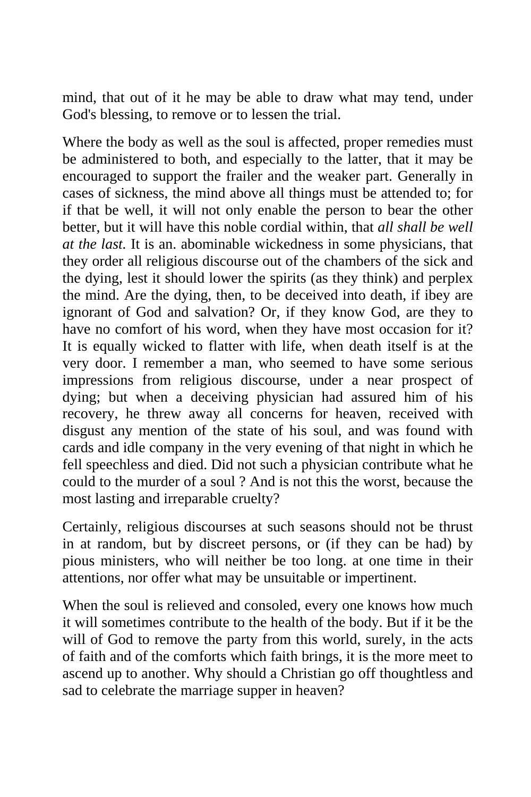mind, that out of it he may be able to draw what may tend, under God's blessing, to remove or to lessen the trial.

Where the body as well as the soul is affected, proper remedies must be administered to both, and especially to the latter, that it may be encouraged to support the frailer and the weaker part. Generally in cases of sickness, the mind above all things must be attended to; for if that be well, it will not only enable the person to bear the other better, but it will have this noble cordial within, that *all shall be well at the last.* It is an. abominable wickedness in some physicians, that they order all religious discourse out of the chambers of the sick and the dying, lest it should lower the spirits (as they think) and perplex the mind. Are the dying, then, to be deceived into death, if ibey are ignorant of God and salvation? Or, if they know God, are they to have no comfort of his word, when they have most occasion for it? It is equally wicked to flatter with life, when death itself is at the very door. I remember a man, who seemed to have some serious impressions from religious discourse, under a near prospect of dying; but when a deceiving physician had assured him of his recovery, he threw away all concerns for heaven, received with disgust any mention of the state of his soul, and was found with cards and idle company in the very evening of that night in which he fell speechless and died. Did not such a physician contribute what he could to the murder of a soul ? And is not this the worst, because the most lasting and irreparable cruelty?

Certainly, religious discourses at such seasons should not be thrust in at random, but by discreet persons, or (if they can be had) by pious ministers, who will neither be too long. at one time in their attentions, nor offer what may be unsuitable or impertinent.

When the soul is relieved and consoled, every one knows how much it will sometimes contribute to the health of the body. But if it be the will of God to remove the party from this world, surely, in the acts of faith and of the comforts which faith brings, it is the more meet to ascend up to another. Why should a Christian go off thoughtless and sad to celebrate the marriage supper in heaven?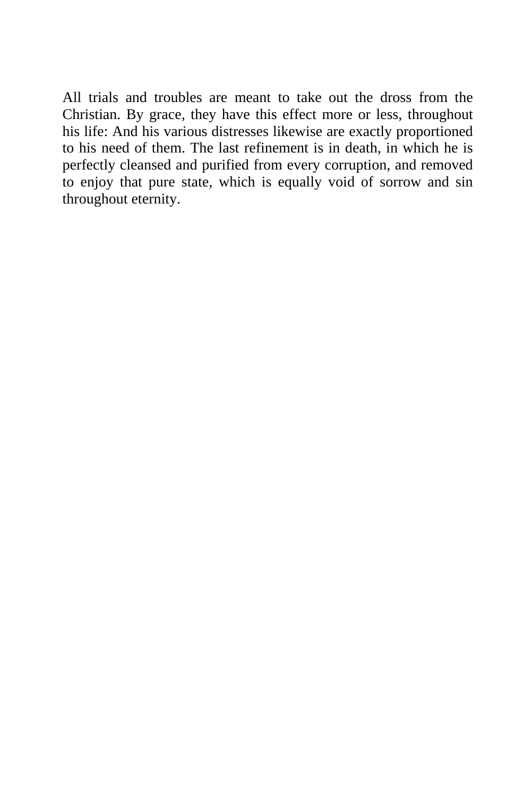All trials and troubles are meant to take out the dross from the Christian. By grace, they have this effect more or less, throughout his life: And his various distresses likewise are exactly proportioned to his need of them. The last refinement is in death, in which he is perfectly cleansed and purified from every corruption, and removed to enjoy that pure state, which is equally void of sorrow and sin throughout eternity.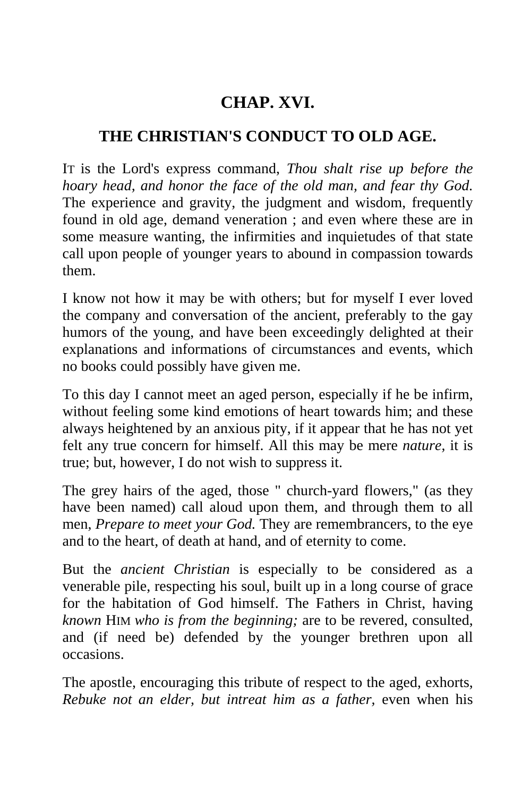# **CHAP. XVI.**

## **THE CHRISTIAN'S CONDUCT TO OLD AGE.**

IT is the Lord's express command, *Thou shalt rise up before the hoary head, and honor the face of the old man, and fear thy God.*  The experience and gravity, the judgment and wisdom, frequently found in old age, demand veneration ; and even where these are in some measure wanting, the infirmities and inquietudes of that state call upon people of younger years to abound in compassion towards them.

I know not how it may be with others; but for myself I ever loved the company and conversation of the ancient, preferably to the gay humors of the young, and have been exceedingly delighted at their explanations and informations of circumstances and events, which no books could possibly have given me.

To this day I cannot meet an aged person, especially if he be infirm, without feeling some kind emotions of heart towards him; and these always heightened by an anxious pity, if it appear that he has not yet felt any true concern for himself. All this may be mere *nature,* it is true; but, however, I do not wish to suppress it.

The grey hairs of the aged, those " church-yard flowers," (as they have been named) call aloud upon them, and through them to all men, *Prepare to meet your God.* They are remembrancers, to the eye and to the heart, of death at hand, and of eternity to come.

But the *ancient Christian* is especially to be considered as a venerable pile, respecting his soul, built up in a long course of grace for the habitation of God himself. The Fathers in Christ, having *known* HIM *who is from the beginning;* are to be revered, consulted, and (if need be) defended by the younger brethren upon all occasions.

The apostle, encouraging this tribute of respect to the aged, exhorts, *Rebuke not an elder, but intreat him as a father,* even when his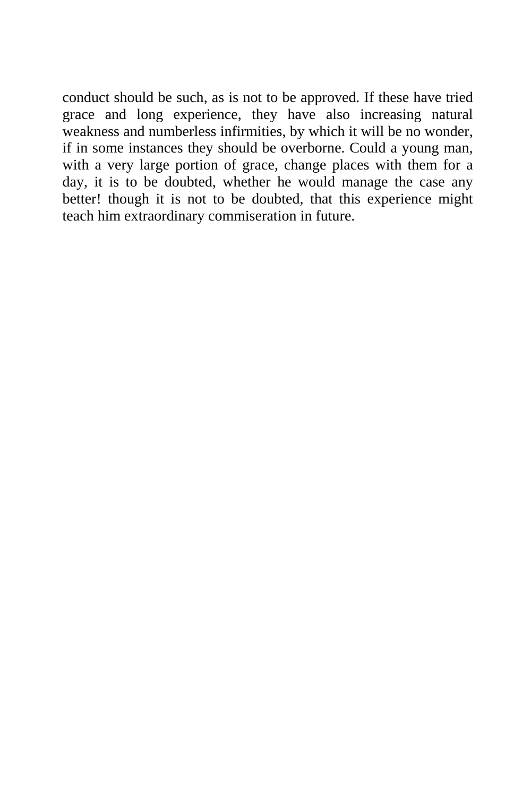conduct should be such, as is not to be approved. If these have tried grace and long experience, they have also increasing natural weakness and numberless infirmities, by which it will be no wonder, if in some instances they should be overborne. Could a young man, with a very large portion of grace, change places with them for a day, it is to be doubted, whether he would manage the case any better! though it is not to be doubted, that this experience might teach him extraordinary commiseration in future.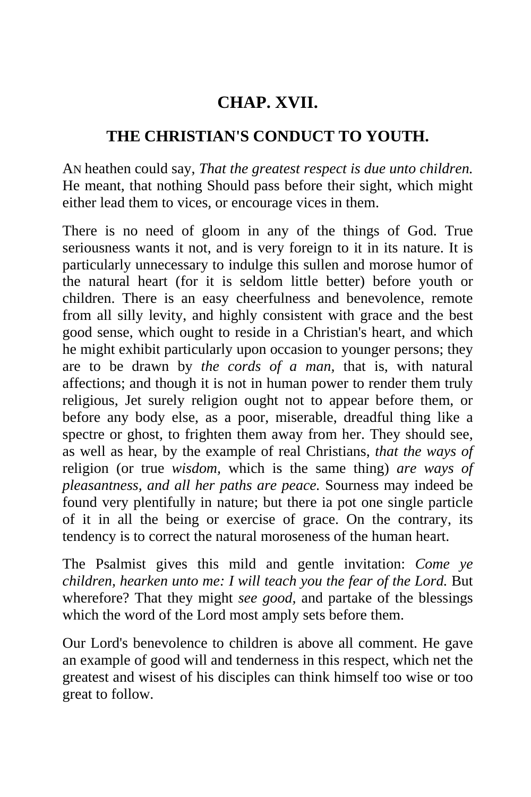# **CHAP. XVII.**

## **THE CHRISTIAN'S CONDUCT TO YOUTH.**

AN heathen could say, *That the greatest respect is due unto children.*  He meant, that nothing Should pass before their sight, which might either lead them to vices, or encourage vices in them.

There is no need of gloom in any of the things of God. True seriousness wants it not, and is very foreign to it in its nature. It is particularly unnecessary to indulge this sullen and morose humor of the natural heart (for it is seldom little better) before youth or children. There is an easy cheerfulness and benevolence, remote from all silly levity, and highly consistent with grace and the best good sense, which ought to reside in a Christian's heart, and which he might exhibit particularly upon occasion to younger persons; they are to be drawn by *the cords of a man,* that is, with natural affections; and though it is not in human power to render them truly religious, Jet surely religion ought not to appear before them, or before any body else, as a poor, miserable, dreadful thing like a spectre or ghost, to frighten them away from her. They should see, as well as hear, by the example of real Christians, *that the ways of*  religion (or true *wisdom,* which is the same thing) *are ways of pleasantness, and all her paths are peace.* Sourness may indeed be found very plentifully in nature; but there ia pot one single particle of it in all the being or exercise of grace. On the contrary, its tendency is to correct the natural moroseness of the human heart.

The Psalmist gives this mild and gentle invitation: *Come ye children, hearken unto me: I will teach you the fear of the Lord.* But wherefore? That they might *see good,* and partake of the blessings which the word of the Lord most amply sets before them.

Our Lord's benevolence to children is above all comment. He gave an example of good will and tenderness in this respect, which net the greatest and wisest of his disciples can think himself too wise or too great to follow.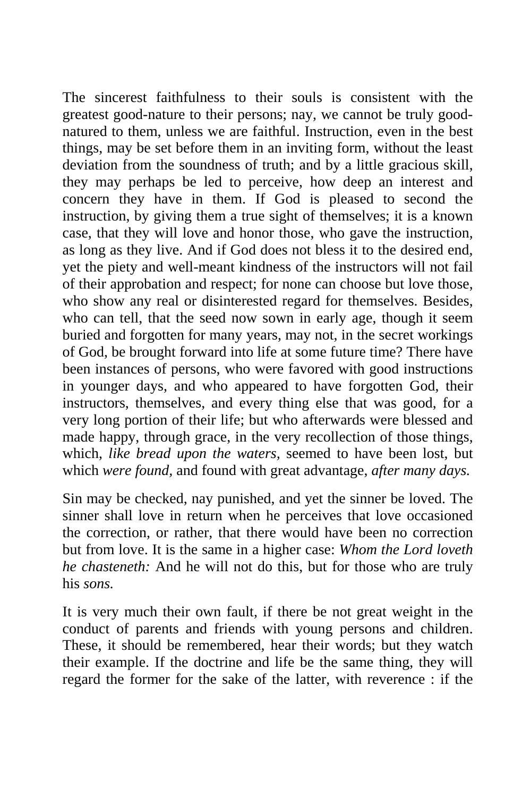The sincerest faithfulness to their souls is consistent with the greatest good-nature to their persons; nay, we cannot be truly goodnatured to them, unless we are faithful. Instruction, even in the best things, may be set before them in an inviting form, without the least deviation from the soundness of truth; and by a little gracious skill, they may perhaps be led to perceive, how deep an interest and concern they have in them. If God is pleased to second the instruction, by giving them a true sight of themselves; it is a known case, that they will love and honor those, who gave the instruction, as long as they live. And if God does not bless it to the desired end, yet the piety and well-meant kindness of the instructors will not fail of their approbation and respect; for none can choose but love those, who show any real or disinterested regard for themselves. Besides, who can tell, that the seed now sown in early age, though it seem buried and forgotten for many years, may not, in the secret workings of God, be brought forward into life at some future time? There have been instances of persons, who were favored with good instructions in younger days, and who appeared to have forgotten God, their instructors, themselves, and every thing else that was good, for a very long portion of their life; but who afterwards were blessed and made happy, through grace, in the very recollection of those things, which, *like bread upon the waters,* seemed to have been lost, but which *were found,* and found with great advantage, *after many days.* 

Sin may be checked, nay punished, and yet the sinner be loved. The sinner shall love in return when he perceives that love occasioned the correction, or rather, that there would have been no correction but from love. It is the same in a higher case: *Whom the Lord loveth he chasteneth:* And he will not do this, but for those who are truly his *sons.* 

It is very much their own fault, if there be not great weight in the conduct of parents and friends with young persons and children. These, it should be remembered, hear their words; but they watch their example. If the doctrine and life be the same thing, they will regard the former for the sake of the latter, with reverence : if the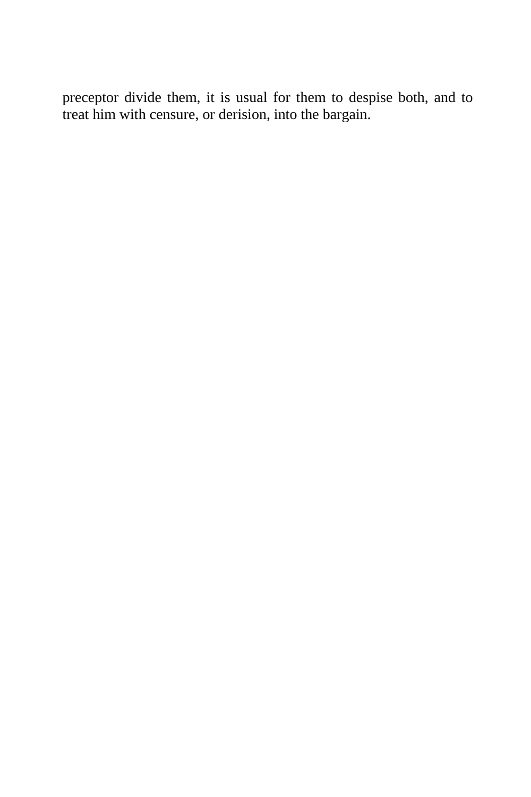preceptor divide them, it is usual for them to despise both, and to treat him with censure, or derision, into the bargain.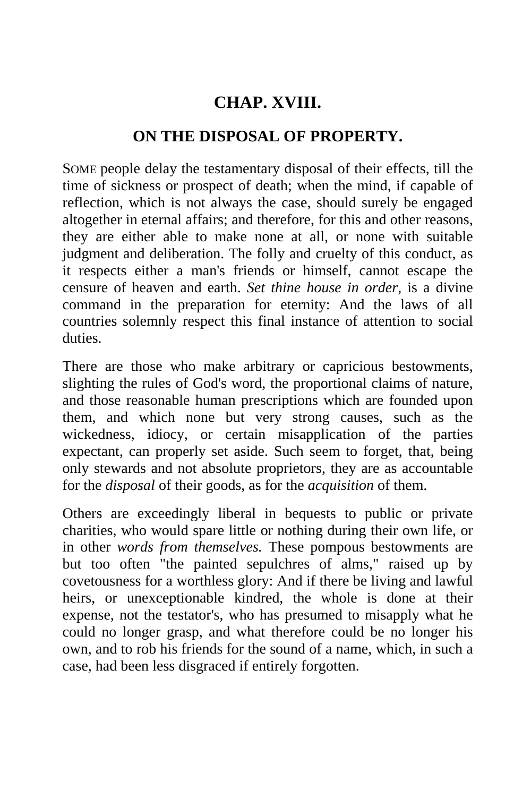## **CHAP. XVIII.**

#### **ON THE DISPOSAL OF PROPERTY.**

SOME people delay the testamentary disposal of their effects, till the time of sickness or prospect of death; when the mind, if capable of reflection, which is not always the case, should surely be engaged altogether in eternal affairs; and therefore, for this and other reasons, they are either able to make none at all, or none with suitable judgment and deliberation. The folly and cruelty of this conduct, as it respects either a man's friends or himself, cannot escape the censure of heaven and earth. *Set thine house in order,* is a divine command in the preparation for eternity: And the laws of all countries solemnly respect this final instance of attention to social duties.

There are those who make arbitrary or capricious bestowments, slighting the rules of God's word, the proportional claims of nature, and those reasonable human prescriptions which are founded upon them, and which none but very strong causes, such as the wickedness, idiocy, or certain misapplication of the parties expectant, can properly set aside. Such seem to forget, that, being only stewards and not absolute proprietors, they are as accountable for the *disposal* of their goods, as for the *acquisition* of them.

Others are exceedingly liberal in bequests to public or private charities, who would spare little or nothing during their own life, or in other *words from themselves.* These pompous bestowments are but too often "the painted sepulchres of alms," raised up by covetousness for a worthless glory: And if there be living and lawful heirs, or unexceptionable kindred, the whole is done at their expense, not the testator's, who has presumed to misapply what he could no longer grasp, and what therefore could be no longer his own, and to rob his friends for the sound of a name, which, in such a case, had been less disgraced if entirely forgotten.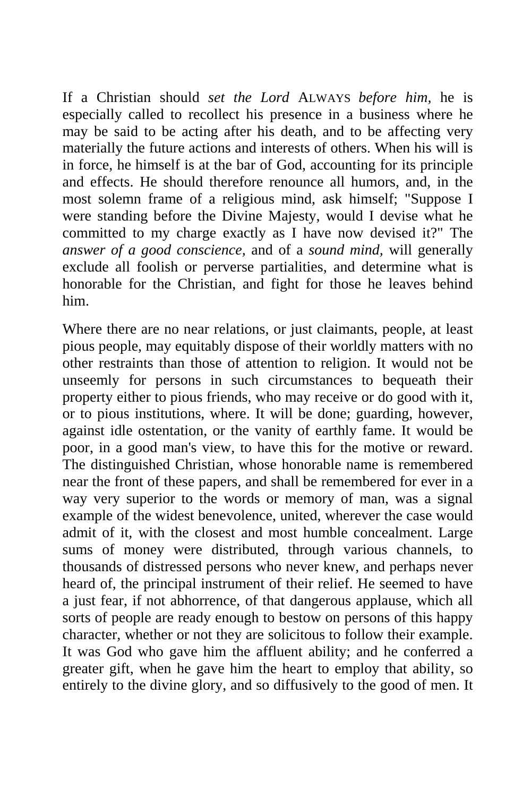If a Christian should *set the Lord* ALWAYS *before him,* he is especially called to recollect his presence in a business where he may be said to be acting after his death, and to be affecting very materially the future actions and interests of others. When his will is in force, he himself is at the bar of God, accounting for its principle and effects. He should therefore renounce all humors, and, in the most solemn frame of a religious mind, ask himself; "Suppose I were standing before the Divine Majesty, would I devise what he committed to my charge exactly as I have now devised it?" The *answer of a good conscience,* and of a *sound mind,* will generally exclude all foolish or perverse partialities, and determine what is honorable for the Christian, and fight for those he leaves behind him.

Where there are no near relations, or just claimants, people, at least pious people, may equitably dispose of their worldly matters with no other restraints than those of attention to religion. It would not be unseemly for persons in such circumstances to bequeath their property either to pious friends, who may receive or do good with it, or to pious institutions, where. It will be done; guarding, however, against idle ostentation, or the vanity of earthly fame. It would be poor, in a good man's view, to have this for the motive or reward. The distinguished Christian, whose honorable name is remembered near the front of these papers, and shall be remembered for ever in a way very superior to the words or memory of man, was a signal example of the widest benevolence, united, wherever the case would admit of it, with the closest and most humble concealment. Large sums of money were distributed, through various channels, to thousands of distressed persons who never knew, and perhaps never heard of, the principal instrument of their relief. He seemed to have a just fear, if not abhorrence, of that dangerous applause, which all sorts of people are ready enough to bestow on persons of this happy character, whether or not they are solicitous to follow their example. It was God who gave him the affluent ability; and he conferred a greater gift, when he gave him the heart to employ that ability, so entirely to the divine glory, and so diffusively to the good of men. It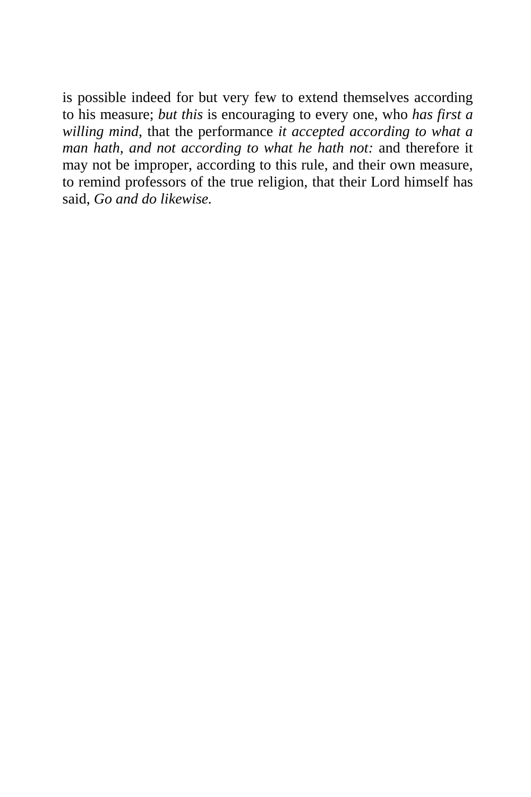is possible indeed for but very few to extend themselves according to his measure; *but this* is encouraging to every one, who *has first a willing mind,* that the performance *it accepted according to what a man hath, and not according to what he hath not:* and therefore it may not be improper, according to this rule, and their own measure, to remind professors of the true religion, that their Lord himself has said, *Go and do likewise.*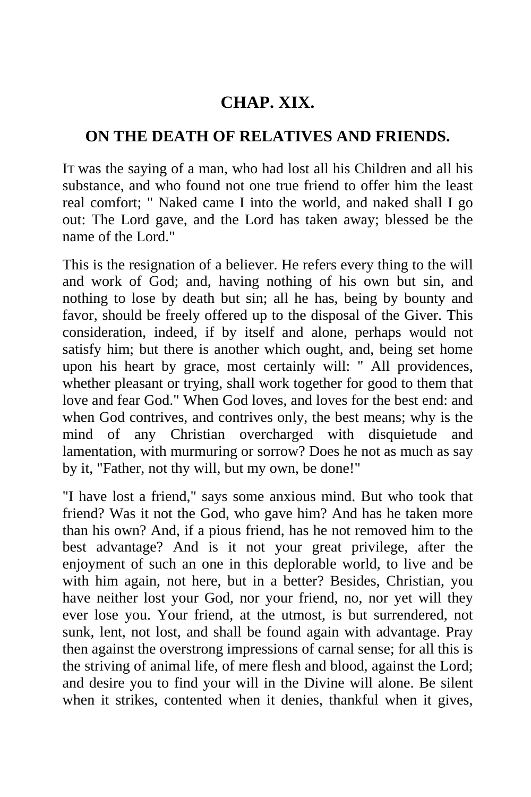# **CHAP. XIX.**

### **ON THE DEATH OF RELATIVES AND FRIENDS.**

IT was the saying of a man, who had lost all his Children and all his substance, and who found not one true friend to offer him the least real comfort; " Naked came I into the world, and naked shall I go out: The Lord gave, and the Lord has taken away; blessed be the name of the Lord."

This is the resignation of a believer. He refers every thing to the will and work of God; and, having nothing of his own but sin, and nothing to lose by death but sin; all he has, being by bounty and favor, should be freely offered up to the disposal of the Giver. This consideration, indeed, if by itself and alone, perhaps would not satisfy him; but there is another which ought, and, being set home upon his heart by grace, most certainly will: " All providences, whether pleasant or trying, shall work together for good to them that love and fear God." When God loves, and loves for the best end: and when God contrives, and contrives only, the best means; why is the mind of any Christian overcharged with disquietude and lamentation, with murmuring or sorrow? Does he not as much as say by it, "Father, not thy will, but my own, be done!"

"I have lost a friend," says some anxious mind. But who took that friend? Was it not the God, who gave him? And has he taken more than his own? And, if a pious friend, has he not removed him to the best advantage? And is it not your great privilege, after the enjoyment of such an one in this deplorable world, to live and be with him again, not here, but in a better? Besides, Christian, you have neither lost your God, nor your friend, no, nor yet will they ever lose you. Your friend, at the utmost, is but surrendered, not sunk, lent, not lost, and shall be found again with advantage. Pray then against the overstrong impressions of carnal sense; for all this is the striving of animal life, of mere flesh and blood, against the Lord; and desire you to find your will in the Divine will alone. Be silent when it strikes, contented when it denies, thankful when it gives,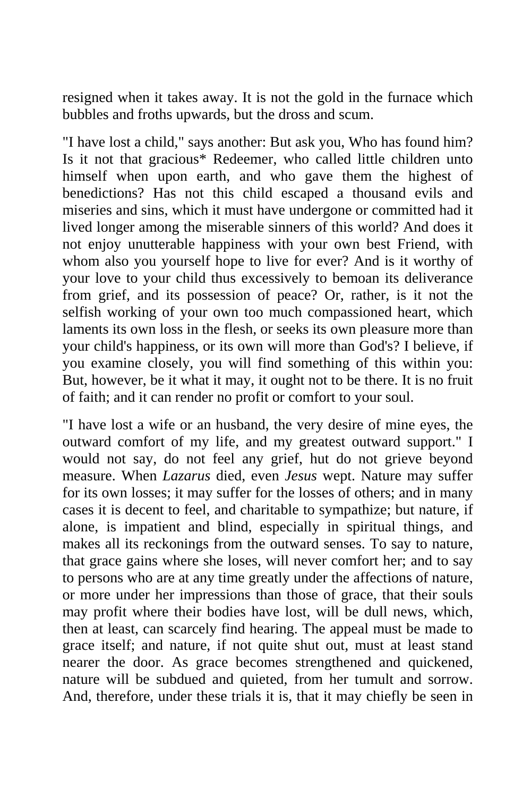resigned when it takes away. It is not the gold in the furnace which bubbles and froths upwards, but the dross and scum.

"I have lost a child," says another: But ask you, Who has found him? Is it not that gracious\* Redeemer, who called little children unto himself when upon earth, and who gave them the highest of benedictions? Has not this child escaped a thousand evils and miseries and sins, which it must have undergone or committed had it lived longer among the miserable sinners of this world? And does it not enjoy unutterable happiness with your own best Friend, with whom also you yourself hope to live for ever? And is it worthy of your love to your child thus excessively to bemoan its deliverance from grief, and its possession of peace? Or, rather, is it not the selfish working of your own too much compassioned heart, which laments its own loss in the flesh, or seeks its own pleasure more than your child's happiness, or its own will more than God's? I believe, if you examine closely, you will find something of this within you: But, however, be it what it may, it ought not to be there. It is no fruit of faith; and it can render no profit or comfort to your soul.

"I have lost a wife or an husband, the very desire of mine eyes, the outward comfort of my life, and my greatest outward support." I would not say, do not feel any grief, hut do not grieve beyond measure. When *Lazarus* died, even *Jesus* wept. Nature may suffer for its own losses; it may suffer for the losses of others; and in many cases it is decent to feel, and charitable to sympathize; but nature, if alone, is impatient and blind, especially in spiritual things, and makes all its reckonings from the outward senses. To say to nature, that grace gains where she loses, will never comfort her; and to say to persons who are at any time greatly under the affections of nature, or more under her impressions than those of grace, that their souls may profit where their bodies have lost, will be dull news, which, then at least, can scarcely find hearing. The appeal must be made to grace itself; and nature, if not quite shut out, must at least stand nearer the door. As grace becomes strengthened and quickened, nature will be subdued and quieted, from her tumult and sorrow. And, therefore, under these trials it is, that it may chiefly be seen in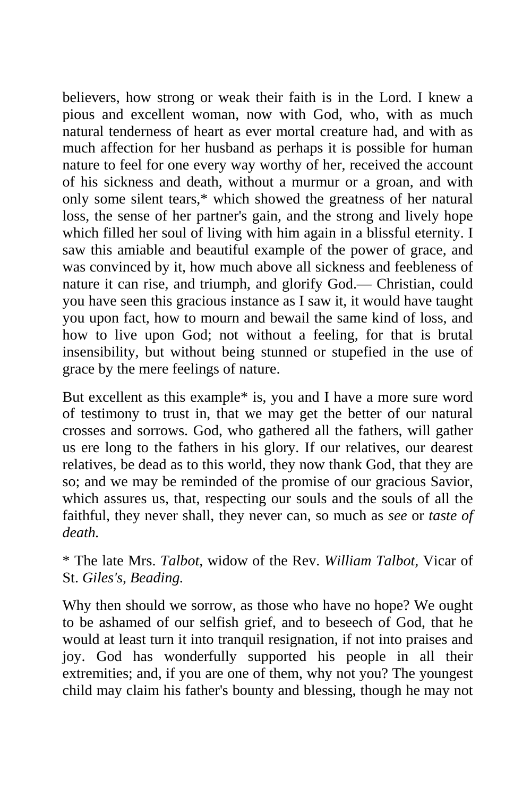believers, how strong or weak their faith is in the Lord. I knew a pious and excellent woman, now with God, who, with as much natural tenderness of heart as ever mortal creature had, and with as much affection for her husband as perhaps it is possible for human nature to feel for one every way worthy of her, received the account of his sickness and death, without a murmur or a groan, and with only some silent tears,\* which showed the greatness of her natural loss, the sense of her partner's gain, and the strong and lively hope which filled her soul of living with him again in a blissful eternity. I saw this amiable and beautiful example of the power of grace, and was convinced by it, how much above all sickness and feebleness of nature it can rise, and triumph, and glorify God.— Christian, could you have seen this gracious instance as I saw it, it would have taught you upon fact, how to mourn and bewail the same kind of loss, and how to live upon God; not without a feeling, for that is brutal insensibility, but without being stunned or stupefied in the use of grace by the mere feelings of nature.

But excellent as this example\* is, you and I have a more sure word of testimony to trust in, that we may get the better of our natural crosses and sorrows. God, who gathered all the fathers, will gather us ere long to the fathers in his glory. If our relatives, our dearest relatives, be dead as to this world, they now thank God, that they are so; and we may be reminded of the promise of our gracious Savior, which assures us, that, respecting our souls and the souls of all the faithful, they never shall, they never can, so much as *see* or *taste of death.* 

\* The late Mrs. *Talbot,* widow of the Rev. *William Talbot,* Vicar of St. *Giles's, Beading.* 

Why then should we sorrow, as those who have no hope? We ought to be ashamed of our selfish grief, and to beseech of God, that he would at least turn it into tranquil resignation, if not into praises and joy. God has wonderfully supported his people in all their extremities; and, if you are one of them, why not you? The youngest child may claim his father's bounty and blessing, though he may not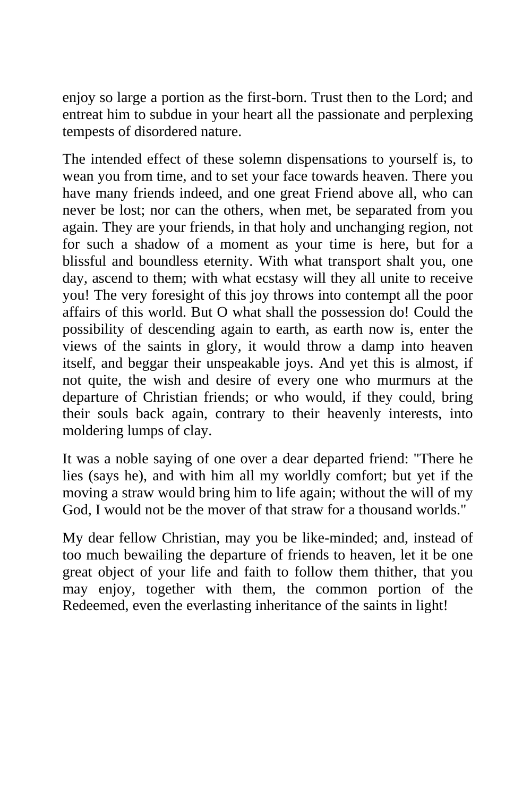enjoy so large a portion as the first-born. Trust then to the Lord; and entreat him to subdue in your heart all the passionate and perplexing tempests of disordered nature.

The intended effect of these solemn dispensations to yourself is, to wean you from time, and to set your face towards heaven. There you have many friends indeed, and one great Friend above all, who can never be lost; nor can the others, when met, be separated from you again. They are your friends, in that holy and unchanging region, not for such a shadow of a moment as your time is here, but for a blissful and boundless eternity. With what transport shalt you, one day, ascend to them; with what ecstasy will they all unite to receive you! The very foresight of this joy throws into contempt all the poor affairs of this world. But O what shall the possession do! Could the possibility of descending again to earth, as earth now is, enter the views of the saints in glory, it would throw a damp into heaven itself, and beggar their unspeakable joys. And yet this is almost, if not quite, the wish and desire of every one who murmurs at the departure of Christian friends; or who would, if they could, bring their souls back again, contrary to their heavenly interests, into moldering lumps of clay.

It was a noble saying of one over a dear departed friend: "There he lies (says he), and with him all my worldly comfort; but yet if the moving a straw would bring him to life again; without the will of my God, I would not be the mover of that straw for a thousand worlds."

My dear fellow Christian, may you be like-minded; and, instead of too much bewailing the departure of friends to heaven, let it be one great object of your life and faith to follow them thither, that you may enjoy, together with them, the common portion of the Redeemed, even the everlasting inheritance of the saints in light!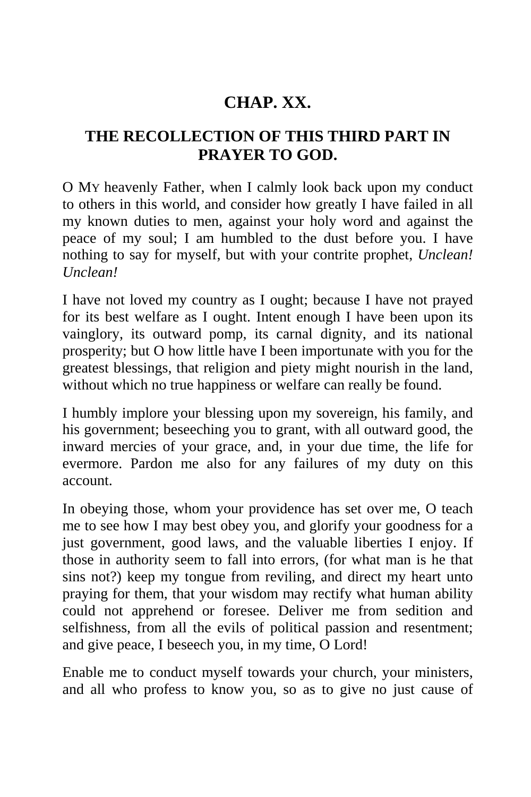# **CHAP. XX.**

#### **THE RECOLLECTION OF THIS THIRD PART IN PRAYER TO GOD.**

O MY heavenly Father, when I calmly look back upon my conduct to others in this world, and consider how greatly I have failed in all my known duties to men, against your holy word and against the peace of my soul; I am humbled to the dust before you. I have nothing to say for myself, but with your contrite prophet, *Unclean! Unclean!* 

I have not loved my country as I ought; because I have not prayed for its best welfare as I ought. Intent enough I have been upon its vainglory, its outward pomp, its carnal dignity, and its national prosperity; but O how little have I been importunate with you for the greatest blessings, that religion and piety might nourish in the land, without which no true happiness or welfare can really be found.

I humbly implore your blessing upon my sovereign, his family, and his government; beseeching you to grant, with all outward good, the inward mercies of your grace, and, in your due time, the life for evermore. Pardon me also for any failures of my duty on this account.

In obeying those, whom your providence has set over me, O teach me to see how I may best obey you, and glorify your goodness for a just government, good laws, and the valuable liberties I enjoy. If those in authority seem to fall into errors, (for what man is he that sins not?) keep my tongue from reviling, and direct my heart unto praying for them, that your wisdom may rectify what human ability could not apprehend or foresee. Deliver me from sedition and selfishness, from all the evils of political passion and resentment; and give peace, I beseech you, in my time, O Lord!

Enable me to conduct myself towards your church, your ministers, and all who profess to know you, so as to give no just cause of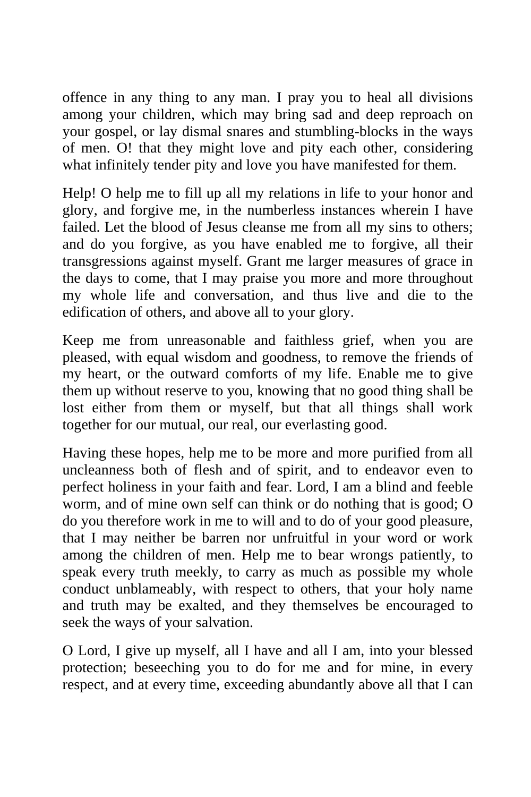offence in any thing to any man. I pray you to heal all divisions among your children, which may bring sad and deep reproach on your gospel, or lay dismal snares and stumbling-blocks in the ways of men. O! that they might love and pity each other, considering what infinitely tender pity and love you have manifested for them.

Help! O help me to fill up all my relations in life to your honor and glory, and forgive me, in the numberless instances wherein I have failed. Let the blood of Jesus cleanse me from all my sins to others; and do you forgive, as you have enabled me to forgive, all their transgressions against myself. Grant me larger measures of grace in the days to come, that I may praise you more and more throughout my whole life and conversation, and thus live and die to the edification of others, and above all to your glory.

Keep me from unreasonable and faithless grief, when you are pleased, with equal wisdom and goodness, to remove the friends of my heart, or the outward comforts of my life. Enable me to give them up without reserve to you, knowing that no good thing shall be lost either from them or myself, but that all things shall work together for our mutual, our real, our everlasting good.

Having these hopes, help me to be more and more purified from all uncleanness both of flesh and of spirit, and to endeavor even to perfect holiness in your faith and fear. Lord, I am a blind and feeble worm, and of mine own self can think or do nothing that is good; O do you therefore work in me to will and to do of your good pleasure, that I may neither be barren nor unfruitful in your word or work among the children of men. Help me to bear wrongs patiently, to speak every truth meekly, to carry as much as possible my whole conduct unblameably, with respect to others, that your holy name and truth may be exalted, and they themselves be encouraged to seek the ways of your salvation.

O Lord, I give up myself, all I have and all I am, into your blessed protection; beseeching you to do for me and for mine, in every respect, and at every time, exceeding abundantly above all that I can